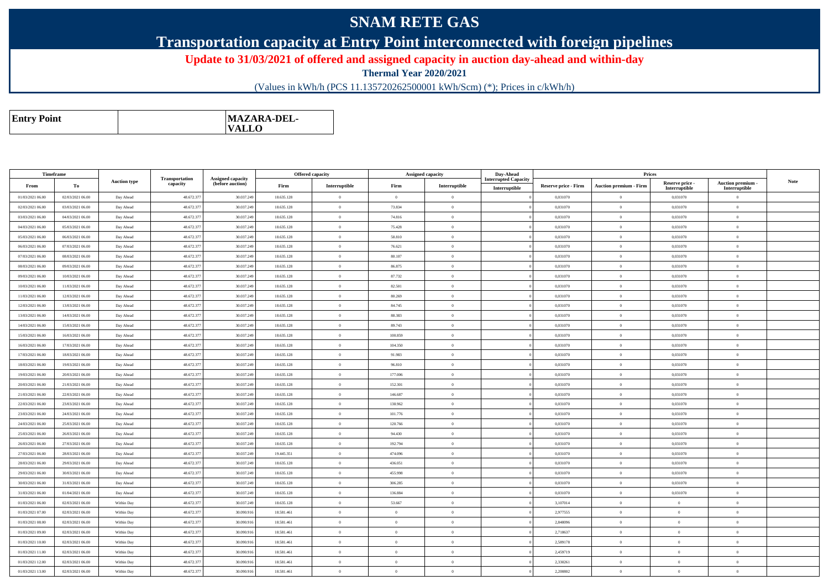## **SNAM RETE GAS**

## **Transportation capacity at Entry Point interconnected with foreign pipelines**

**Update to 31/03/2021 of offered and assigned capacity in auction day-ahead and within-day**

**Thermal Year 2020/2021**

(Values in kWh/h (PCS 11.135720262500001 kWh/Scm) (\*); Prices in c/kWh/h)

| <b>MAZARA-DEL-</b><br><b>Entry Point</b><br><b>VALLO</b> |
|----------------------------------------------------------|
|----------------------------------------------------------|

| Timeframe        |                  |                     |                            |                                              |            | Offered capacity | <b>Assigned capacity</b> |                | Day-Ahead                                    |                             | Prices                        |                                  |                                    |             |
|------------------|------------------|---------------------|----------------------------|----------------------------------------------|------------|------------------|--------------------------|----------------|----------------------------------------------|-----------------------------|-------------------------------|----------------------------------|------------------------------------|-------------|
| From             | To               | <b>Auction type</b> | Transportation<br>capacity | <b>Assigned capacity</b><br>(before auction) | Firm       | Interruptible    | Firm                     | Interruptible  | <b>Interrupted Capacity</b><br>Interruptible | <b>Reserve price - Firm</b> | <b>Auction premium - Firm</b> | Reserve price -<br>Interruptible | Auction premium -<br>Interruptible | <b>Note</b> |
| 01/03/2021 06:00 | 02/03/2021 06:00 | Day Ahead           | 48.672.37                  | 30.037.249                                   | 18.635.128 | $\theta$         | $\Omega$                 | $\overline{0}$ |                                              | 0.031070                    | $\Omega$                      | 0,031070                         | $\theta$                           |             |
| 02/03/2021 06:00 | 03/03/2021 06:00 | Day Ahead           | 48.672.37                  | 30.037.249                                   | 18.635.128 | $\theta$         | 73.834                   | $\overline{0}$ |                                              | 0,031070                    | $\theta$                      | 0,031070                         | $\theta$                           |             |
| 03/03/2021 06:00 | 04/03/2021 06:00 | Day Ahead           | 48.672.377                 | 30.037.249                                   | 18.635.128 | $\theta$         | 74.816                   | $\theta$       |                                              | 0.031070                    | $\theta$                      | 0.031070                         | $\Omega$                           |             |
| 04/03/2021 06:00 | 05/03/2021 06:00 | Day Ahead           | 48.672.37                  | 30.037.249                                   | 18.635.128 | $\theta$         | 75.428                   | $\overline{0}$ |                                              | 0.031070                    | $\bf{0}$                      | 0,031070                         | $\theta$                           |             |
| 05/03/2021 06:00 | 06/03/2021 06:00 | Day Ahead           | 48.672.377                 | 30.037.249                                   | 18.635.128 | $\theta$         | 58.810                   | $\theta$       |                                              | 0.031070                    | $\theta$                      | 0.031070                         | $\Omega$                           |             |
| 06/03/2021 06:00 | 07/03/2021 06:00 | Day Ahead           | 48.672.37                  | 30.037.249                                   | 18.635.128 | $\theta$         | 76.621                   | $\theta$       |                                              | 0,031070                    | $\bf{0}$                      | 0,031070                         | $\Omega$                           |             |
| 07/03/2021 06:00 | 08/03/2021 06:00 | Day Ahead           | 48.672.37                  | 30.037.249                                   | 18.635.128 | $\theta$         | 80.107                   | $\overline{0}$ |                                              | 0,031070                    | $\overline{0}$                | 0,031070                         | $\theta$                           |             |
| 08/03/2021 06:00 | 09/03/2021 06:00 | Day Ahead           | 48.672.37                  | 30.037.249                                   | 18.635.128 | $\theta$         | 86.875                   | $\overline{0}$ |                                              | 0,031070                    | $\bf{0}$                      | 0,031070                         | $\theta$                           |             |
| 09/03/2021 06:00 | 10/03/2021 06:00 | Day Ahead           | 48.672.377                 | 30.037.249                                   | 18.635.128 | $\theta$         | 87.732                   | $\overline{0}$ |                                              | 0.031070                    | $\theta$                      | 0.031070                         | $\Omega$                           |             |
| 10/03/2021 06:00 | 11/03/2021 06:00 | Day Ahead           | 48.672.377                 | 30.037.249                                   | 18.635.128 | $\Omega$         | 82.501                   | $\Omega$       |                                              | 0.031070                    | $\Omega$                      | 0,031070                         | $\Omega$                           |             |
| 11/03/2021 06:00 | 12/03/2021 06:00 | Day Ahead           | 48.672.37                  | 30.037.249                                   | 18.635.128 | $\theta$         | 80.269                   | $\theta$       |                                              | 0,031070                    | $\bf{0}$                      | 0,031070                         | $\theta$                           |             |
| 12/03/2021 06:00 | 13/03/2021 06:00 | Day Ahead           | 48.672.377                 | 30.037.249                                   | 18.635.128 | $\theta$         | 84.745                   | $\overline{0}$ |                                              | 0,031070                    | $\theta$                      | 0,031070                         | $\overline{0}$                     |             |
| 13/03/2021 06:00 | 14/03/2021 06:00 | Day Ahead           | 48.672.37                  | 30.037.249                                   | 18.635.128 | $\theta$         | 88.383                   | $\overline{0}$ |                                              | 0,031070                    | $\bf{0}$                      | 0,031070                         | $\theta$                           |             |
| 14/03/2021 06:00 | 15/03/2021 06:00 | Day Ahead           | 48.672.377                 | 30.037.249                                   | 18.635.128 | $\theta$         | 89.743                   | $\overline{0}$ |                                              | 0.031070                    | $\theta$                      | 0,031070                         | $\Omega$                           |             |
| 15/03/2021 06:00 | 16/03/2021 06:00 | Day Ahead           | 48.672.377                 | 30.037.249                                   | 18.635.128 | $\theta$         | 100.859                  | $\theta$       |                                              | 0.031070                    | $\theta$                      | 0.031070                         | $\theta$                           |             |
| 16/03/2021 06:00 | 17/03/2021 06:00 | Day Ahead           | 48.672.377                 | 30.037.249                                   | 18.635.128 | $\theta$         | 104.350                  | $\Omega$       |                                              | 0,031070                    | $\bf{0}$                      | 0,031070                         | $\Omega$                           |             |
| 17/03/2021 06:00 | 18/03/2021 06:00 | Day Ahead           | 48.672.377                 | 30.037.249                                   | 18.635.128 | $\theta$         | 91.983                   | $\overline{0}$ |                                              | 0,031070                    | $\theta$                      | 0,031070                         | $\theta$                           |             |
| 18/03/2021 06:00 | 19/03/2021 06:00 | Day Ahead           | 48.672.37                  | 30.037.249                                   | 18.635.128 | $\theta$         | 96.810                   | $\theta$       |                                              | 0,031070                    | $\bf{0}$                      | 0,031070                         | $\theta$                           |             |
| 19/03/2021 06:00 | 20/03/2021 06:00 | Day Ahead           | 48.672.377                 | 30.037.249                                   | 18.635.128 | $\theta$         | 177.006                  | $\overline{0}$ |                                              | 0,031070                    | $\bf{0}$                      | 0,031070                         | $\theta$                           |             |
| 20/03/2021 06:00 | 21/03/2021 06:00 | Day Ahead           | 48.672.377                 | 30.037.249                                   | 18.635.128 | $\theta$         | 152.301                  | $\Omega$       |                                              | 0.031070                    | $\theta$                      | 0.031070                         | $\theta$                           |             |
| 21/03/2021 06:00 | 22/03/2021 06:00 | Day Ahead           | 48.672.377                 | 30.037.249                                   | 18.635.128 | $\theta$         | 146.687                  | $\theta$       |                                              | 0,031070                    | $\overline{0}$                | 0,031070                         | $\overline{0}$                     |             |
| 22/03/2021 06:00 | 23/03/2021 06:00 | Day Ahead           | 48.672.377                 | 30.037.249                                   | 18.635.128 | $\overline{0}$   | 138.962                  | $\overline{0}$ |                                              | 0,031070                    | $\,$ 0                        | 0,031070                         | $\bf{0}$                           |             |
| 23/03/2021 06:00 | 24/03/2021 06:00 | Day Ahead           | 48.672.37                  | 30.037.249                                   | 18.635.128 | $\theta$         | 101.776                  | $\theta$       |                                              | 0,031070                    | $\bf{0}$                      | 0,031070                         | $\theta$                           |             |
| 24/03/2021 06:00 | 25/03/2021 06:00 | Day Ahead           | 48.672.377                 | 30.037.249                                   | 18.635.128 | $\theta$         | 120.766                  | $\overline{0}$ |                                              | 0,031070                    | $\bf{0}$                      | 0,031070                         | $\overline{0}$                     |             |
| 25/03/2021 06:00 | 26/03/2021 06:00 | Day Ahead           | 48.672.377                 | 30.037.249                                   | 18.635.128 | $\theta$         | 94.430                   | $\overline{0}$ |                                              | 0,031070                    | $\bf{0}$                      | 0,031070                         | $\theta$                           |             |
| 26/03/2021 06:00 | 27/03/2021 06:00 | Day Ahead           | 48.672.377                 | 30.037.249                                   | 18.635.128 | $\overline{0}$   | 192.794                  | $\overline{0}$ |                                              | 0.031070                    | $\overline{0}$                | 0,031070                         | $\mathbf{0}$                       |             |
| 27/03/2021 06:00 | 28/03/2021 06:00 | Day Ahead           | 48.672.377                 | 30.037.249                                   | 19.445.351 | $\overline{0}$   | 474.096                  | $\overline{0}$ |                                              | 0,031070                    | $\,$ 0                        | 0,031070                         | $\overline{0}$                     |             |
| 28/03/2021 06:00 | 29/03/2021 06:00 | Day Ahead           | 48.672.37                  | 30.037.249                                   | 18.635.128 | $\theta$         | 436.051                  | $\theta$       |                                              | 0,031070                    | $\bf{0}$                      | 0,031070                         | $\theta$                           |             |
| 29/03/2021 06:00 | 30/03/2021 06:00 | Day Ahead           | 48.672.377                 | 30.037.249                                   | 18.635.128 | $\theta$         | 455.998                  | $\overline{0}$ |                                              | 0,031070                    | $\theta$                      | 0,031070                         | $\theta$                           |             |
| 30/03/2021 06:00 | 31/03/2021 06:00 | Day Ahead           | 48.672.37                  | 30.037.249                                   | 18.635.128 | $\theta$         | 306.285                  | $\Omega$       |                                              | 0,031070                    | $\theta$                      | 0,031070                         | $\theta$                           |             |
| 31/03/2021 06:00 | 01/04/2021 06:00 | Day Ahead           | 48.672.377                 | 30.037.249                                   | 18.635.128 | $\theta$         | 136,884                  | $\overline{0}$ |                                              | 0.031070                    | $\theta$                      | 0.031070                         | $\theta$                           |             |
| 01/03/2021 06:00 | 02/03/2021 06:00 | Within Day          | 48.672.377                 | 30.037.249                                   | 18.635.128 | $\theta$         | 53.667                   | $\theta$       |                                              | 3,107014                    | $\theta$                      | $\Omega$                         | $\Omega$                           |             |
| 01/03/2021 07:00 | 02/03/2021 06:00 | Within Day          | 48.672.37                  | 30.090.916                                   | 18.581.461 | $\theta$         | $\theta$                 | $\overline{0}$ |                                              | 2,977555                    | $\theta$                      | $\Omega$                         | $\theta$                           |             |
| 01/03/2021 08:00 | 02/03/2021 06:00 | Within Day          | 48.672.377                 | 30.090.916                                   | 18.581.461 | $\theta$         | $\theta$                 | $\overline{0}$ |                                              | 2,848096                    | $\theta$                      | $\Omega$                         | $\theta$                           |             |
| 01/03/2021 09:00 | 02/03/2021 06:00 | Within Day          | 48.672.37                  | 30.090.91                                    | 18.581.461 | $\theta$         | $\Omega$                 | $\overline{0}$ |                                              | 2,718637                    | $\theta$                      | $\theta$                         | $\theta$                           |             |
| 01/03/2021 10:00 | 02/03/2021 06:00 | Within Day          | 48.672.37                  | 30.090.916                                   | 18.581.461 | $\theta$         | $\theta$                 | $\overline{0}$ |                                              | 2,589178                    | $\theta$                      | $\theta$                         | $\overline{0}$                     |             |
| 01/03/2021 11:00 | 02/03/2021 06:00 | Within Day          | 48.672.37                  | 30,090.916                                   | 18.581.461 | $\theta$         | $\sqrt{2}$               | $\theta$       |                                              | 2.459719                    | $\theta$                      | $\Omega$                         | $\theta$                           |             |
| 01/03/2021 12:00 | 02/03/2021 06:00 | Within Day          | 48.672.37                  | 30.090.91                                    | 18.581.461 | $\theta$         | $\theta$                 | $\theta$       |                                              | 2.330261                    | $\Omega$                      | $\Omega$                         | $\overline{0}$                     |             |
| 01/03/2021 13:00 | 02/03/2021 06:00 | Within Day          | 48.672.377                 | 30.090.916                                   | 18.581.461 | $\theta$         | $\theta$                 | $\Omega$       |                                              | 2.200802                    | $\theta$                      | $\Omega$                         | $\theta$                           |             |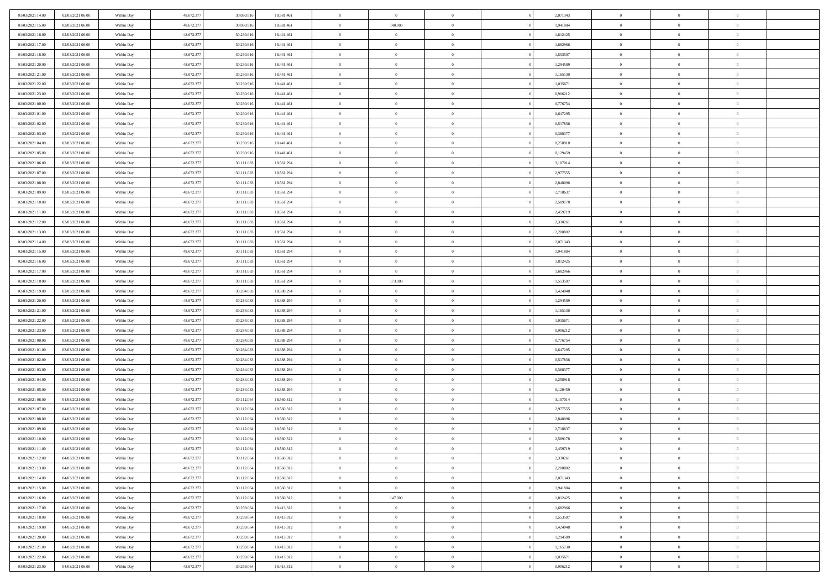| 01/03/2021 14:00 | 02/03/2021 06:00 | Within Day | 48.672.377 | 30.090.916 | 18.581.461 | $\,0\,$                         | $\bf{0}$       | $\bf{0}$       |                | 2,071343 | $\,$ 0 $\,$    | $\overline{0}$ | $\bf{0}$       |  |
|------------------|------------------|------------|------------|------------|------------|---------------------------------|----------------|----------------|----------------|----------|----------------|----------------|----------------|--|
| 01/03/2021 15:00 | 02/03/2021 06:00 | Within Day | 48.672.377 | 30,090.91  | 18.581.461 | $\overline{0}$                  | 140.000        | $\overline{0}$ |                | 1,941884 | $\theta$       | $\overline{0}$ | $\overline{0}$ |  |
| 01/03/2021 16:00 | 02/03/2021 06:00 | Within Day | 48.672.377 | 30.230.916 | 18,441,461 | $\mathbf{0}$                    | $\overline{0}$ | $\overline{0}$ |                | 1,812425 | $\theta$       | $\overline{0}$ | $\overline{0}$ |  |
| 01/03/2021 17:00 | 02/03/2021 06:00 | Within Day | 48.672.377 | 30.230.916 | 18.441.461 | $\bf{0}$                        | $\overline{0}$ | $\bf{0}$       |                | 1,682966 | $\bf{0}$       | $\overline{0}$ | $\bf{0}$       |  |
| 01/03/2021 18:00 | 02/03/2021 06:00 | Within Day | 48.672.377 | 30.230.916 | 18.441.461 | $\bf{0}$                        | $\overline{0}$ | $\overline{0}$ |                | 1,553507 | $\bf{0}$       | $\bf{0}$       | $\bf{0}$       |  |
| 01/03/2021 20:00 | 02/03/2021 06:00 | Within Day | 48.672.377 | 30.230.916 | 18.441.461 | $\mathbf{0}$                    | $\overline{0}$ | $\overline{0}$ |                | 1,294589 | $\theta$       | $\overline{0}$ | $\theta$       |  |
|                  |                  |            |            |            |            | $\mathbf{0}$                    | $\overline{0}$ | $\overline{0}$ |                |          | $\bf{0}$       | $\overline{0}$ | $\theta$       |  |
| 01/03/2021 21:00 | 02/03/2021 06:00 | Within Day | 48.672.377 | 30.230.916 | 18.441.461 |                                 |                |                |                | 1,165130 |                |                |                |  |
| 01/03/2021 22:00 | 02/03/2021 06:00 | Within Day | 48.672.377 | 30.230.916 | 18.441.461 | $\overline{0}$                  | $\mathbf{0}$   | $\overline{0}$ |                | 1,035671 | $\,$ 0 $\,$    | $\overline{0}$ | $\theta$       |  |
| 01/03/2021 23:00 | 02/03/2021 06:00 | Within Day | 48.672.377 | 30.230.916 | 18.441.461 | $\mathbf{0}$                    | $\overline{0}$ | $\overline{0}$ |                | 0,906212 | $\theta$       | $\overline{0}$ | $\overline{0}$ |  |
| 02/03/2021 00:00 | 02/03/2021 06:00 | Within Day | 48.672.377 | 30.230.916 | 18.441.461 | $\bf{0}$                        | $\overline{0}$ | $\overline{0}$ |                | 0,776754 | $\bf{0}$       | $\overline{0}$ | $\bf{0}$       |  |
| 02/03/2021 01:00 | 02/03/2021 06:00 | Within Day | 48.672.377 | 30.230.916 | 18.441.461 | $\bf{0}$                        | $\overline{0}$ | $\overline{0}$ |                | 0,647295 | $\bf{0}$       | $\theta$       | $\theta$       |  |
| 02/03/2021 02:00 | 02/03/2021 06:00 | Within Day | 48.672.377 | 30.230.916 | 18,441,461 | $\mathbf{0}$                    | $\overline{0}$ | $\overline{0}$ |                | 0,517836 | $\theta$       | $\overline{0}$ | $\overline{0}$ |  |
| 02/03/2021 03:00 | 02/03/2021 06:00 | Within Day | 48.672.377 | 30.230.916 | 18.441.461 | $\,0\,$                         | $\overline{0}$ | $\overline{0}$ |                | 0,388377 | $\bf{0}$       | $\overline{0}$ | $\bf{0}$       |  |
| 02/03/2021 04:00 | 02/03/2021 06:00 | Within Day | 48.672.377 | 30.230.916 | 18.441.461 | $\bf{0}$                        | $\overline{0}$ | $\overline{0}$ |                | 0,258918 | $\,$ 0 $\,$    | $\overline{0}$ | $\theta$       |  |
| 02/03/2021 05:00 | 02/03/2021 06:00 | Within Day | 48.672.377 | 30.230.916 | 18.441.461 | $\mathbf{0}$                    | $\overline{0}$ | $\overline{0}$ |                | 0,129459 | $\theta$       | $\overline{0}$ | $\overline{0}$ |  |
| 02/03/2021 06:00 | 03/03/2021 06:00 | Within Day | 48.672.377 | 30.111.083 | 18.561.294 | $\,0\,$                         | $\overline{0}$ | $\overline{0}$ |                | 3,107014 | $\bf{0}$       | $\overline{0}$ | $\bf{0}$       |  |
| 02/03/2021 07:00 | 03/03/2021 06:00 | Within Day | 48.672.377 | 30.111.083 | 18.561.294 | $\bf{0}$                        | $\overline{0}$ | $\overline{0}$ |                | 2,977555 | $\bf{0}$       | $\overline{0}$ | $\overline{0}$ |  |
| 02/03/2021 08:00 | 03/03/2021 06:00 | Within Day | 48.672.377 | 30.111.083 | 18.561.294 | $\mathbf{0}$                    | $\overline{0}$ | $\overline{0}$ |                | 2,848096 | $\theta$       | $\overline{0}$ | $\overline{0}$ |  |
| 02/03/2021 09:00 | 03/03/2021 06:00 | Within Day | 48.672.377 | 30.111.083 | 18.561.294 | $\bf{0}$                        | $\overline{0}$ | $\bf{0}$       |                | 2,718637 | $\bf{0}$       | $\overline{0}$ | $\bf{0}$       |  |
| 02/03/2021 10:00 | 03/03/2021 06:00 | Within Day | 48.672.377 | 30.111.083 | 18.561.294 | $\bf{0}$                        | $\overline{0}$ | $\overline{0}$ |                | 2,589178 | $\,$ 0 $\,$    | $\overline{0}$ | $\bf{0}$       |  |
| 02/03/2021 11:00 | 03/03/2021 06:00 | Within Day | 48.672.377 | 30.111.083 | 18.561.294 | $\overline{0}$                  | $\overline{0}$ | $\overline{0}$ |                | 2,459719 | $\theta$       | $\overline{0}$ | $\overline{0}$ |  |
| 02/03/2021 12:00 | 03/03/2021 06:00 | Within Day | 48.672.377 | 30.111.083 | 18.561.294 | $\mathbf{0}$                    | $\overline{0}$ | $\overline{0}$ |                | 2,330261 | $\bf{0}$       | $\overline{0}$ | $\theta$       |  |
| 02/03/2021 13:00 | 03/03/2021 06:00 | Within Day | 48.672.377 | 30.111.083 | 18.561.294 | $\overline{0}$                  | $\overline{0}$ | $\overline{0}$ |                | 2,200802 | $\,$ 0 $\,$    | $\overline{0}$ | $\overline{0}$ |  |
| 02/03/2021 14:00 | 03/03/2021 06:00 | Within Day | 48.672.377 | 30.111.083 | 18.561.294 | $\mathbf{0}$                    | $\overline{0}$ | $\overline{0}$ |                | 2,071343 | $\theta$       | $\overline{0}$ | $\overline{0}$ |  |
| 02/03/2021 15:00 | 03/03/2021 06:00 | Within Day | 48.672.377 | 30.111.083 | 18.561.294 | $\bf{0}$                        | $\overline{0}$ | $\overline{0}$ |                | 1,941884 | $\bf{0}$       | $\overline{0}$ | $\bf{0}$       |  |
| 02/03/2021 16:00 | 03/03/2021 06:00 | Within Day | 48.672.377 | 30.111.083 | 18.561.294 | $\bf{0}$                        | $\overline{0}$ | $\overline{0}$ |                | 1,812425 | $\,$ 0 $\,$    | $\overline{0}$ | $\bf{0}$       |  |
| 02/03/2021 17:00 | 03/03/2021 06:00 | Within Day | 48.672.377 | 30.111.083 | 18.561.294 | $\mathbf{0}$                    | $\overline{0}$ | $\overline{0}$ |                | 1,682966 | $\theta$       | $\overline{0}$ | $\overline{0}$ |  |
| 02/03/2021 18:00 | 03/03/2021 06:00 | Within Day | 48.672.377 | 30.111.083 | 18.561.294 | $\,0\,$                         | 173.000        | $\bf{0}$       |                | 1,553507 | $\bf{0}$       | $\overline{0}$ | $\bf{0}$       |  |
|                  |                  |            | 48.672.377 |            |            |                                 | $\overline{0}$ |                |                |          | $\,$ 0 $\,$    | $\overline{0}$ | $\overline{0}$ |  |
| 02/03/2021 19:00 | 03/03/2021 06:00 | Within Day |            | 30.284,083 | 18.388.294 | $\overline{0}$                  |                | $\overline{0}$ |                | 1,424048 |                |                |                |  |
| 02/03/2021 20:00 | 03/03/2021 06:00 | Within Day | 48.672.377 | 30.284.083 | 18.388.294 | $\mathbf{0}$                    | $\overline{0}$ | $\overline{0}$ |                | 1,294589 | $\theta$       | $\overline{0}$ | $\overline{0}$ |  |
| 02/03/2021 21:00 | 03/03/2021 06:00 | Within Day | 48.672.377 | 30.284.083 | 18.388.294 | $\mathbf{0}$                    | $\overline{0}$ | $\overline{0}$ |                | 1,165130 | $\,$ 0 $\,$    | $\overline{0}$ | $\theta$       |  |
| 02/03/2021 22:00 | 03/03/2021 06:00 | Within Day | 48.672.377 | 30.284,083 | 18.388.294 | $\bf{0}$                        | $\overline{0}$ | $\overline{0}$ |                | 1,035671 | $\bf{0}$       | $\bf{0}$       | $\overline{0}$ |  |
| 02/03/2021 23:00 | 03/03/2021 06:00 | Within Day | 48.672.377 | 30.284.083 | 18.388.294 | $\mathbf{0}$                    | $\overline{0}$ | $\overline{0}$ |                | 0,906212 | $\theta$       | $\overline{0}$ | $\overline{0}$ |  |
| 03/03/2021 00:00 | 03/03/2021 06:00 | Within Day | 48.672.377 | 30.284.083 | 18.388.294 | $\mathbf{0}$                    | $\overline{0}$ | $\overline{0}$ |                | 0,776754 | $\,$ 0 $\,$    | $\overline{0}$ | $\theta$       |  |
| 03/03/2021 01:00 | 03/03/2021 06:00 | Within Day | 48.672.377 | 30.284,083 | 18.388.294 | $\overline{0}$                  | $\overline{0}$ | $\overline{0}$ |                | 0,647295 | $\,$ 0 $\,$    | $\overline{0}$ | $\overline{0}$ |  |
| 03/03/2021 02:00 | 03/03/2021 06:00 | Within Day | 48.672.377 | 30.284.083 | 18.388.294 | $\mathbf{0}$                    | $\overline{0}$ | $\overline{0}$ |                | 0,517836 | $\theta$       | $\overline{0}$ | $\overline{0}$ |  |
| 03/03/2021 03:00 | 03/03/2021 06:00 | Within Day | 48.672.377 | 30.284.083 | 18.388.294 | $\mathbf{0}$                    | $\overline{0}$ | $\theta$       |                | 0,388377 | $\,$ 0 $\,$    | $\overline{0}$ | $\theta$       |  |
| 03/03/2021 04:00 | 03/03/2021 06:00 | Within Day | 48.672.377 | 30.284,083 | 18.388.294 | $\bf{0}$                        | $\overline{0}$ | $\overline{0}$ |                | 0,258918 | $\bf{0}$       | $\overline{0}$ | $\overline{0}$ |  |
| 03/03/2021 05:00 | 03/03/2021 06:00 | Within Day | 48.672.377 | 30.284.083 | 18.388.294 | $\mathbf{0}$                    | $\overline{0}$ | $\overline{0}$ |                | 0,129459 | $\theta$       | $\overline{0}$ | $\overline{0}$ |  |
| 03/03/2021 06:00 | 04/03/2021 06:00 | Within Day | 48.672.377 | 30.112.064 | 18.560.312 | $\mathbf{0}$                    | $\overline{0}$ | $\bf{0}$       |                | 3,107014 | $\,$ 0 $\,$    | $\overline{0}$ | $\theta$       |  |
| 03/03/2021 07:00 | 04/03/2021 06:00 | Within Day | 48.672.377 | 30.112.064 | 18.560.312 | $\bf{0}$                        | $\overline{0}$ | $\overline{0}$ |                | 2,977555 | $\bf{0}$       | $\overline{0}$ | $\bf{0}$       |  |
| 03/03/2021 08:00 | 04/03/2021 06:00 | Within Day | 48.672.377 | 30.112.064 | 18.560.312 | $\mathbf{0}$                    | $\overline{0}$ | $\overline{0}$ |                | 2,848096 | $\theta$       | $\overline{0}$ | $\overline{0}$ |  |
| 03/03/2021 09:00 | 04/03/2021 06:00 | Within Day | 48.672.377 | 30.112.064 | 18.560.312 | $\mathbf{0}$                    | $\overline{0}$ | $\overline{0}$ |                | 2,718637 | $\,$ 0 $\,$    | $\overline{0}$ | $\theta$       |  |
| 03/03/2021 10:00 | 04/03/2021 06:00 | Within Day | 48.672.377 | 30.112.064 | 18.560.312 | $\bf{0}$                        | $\overline{0}$ | $\overline{0}$ |                | 2,589178 | $\,$ 0 $\,$    | $\overline{0}$ | $\bf{0}$       |  |
| 03/03/2021 11:00 | 04/03/2021 06:00 | Within Day | 48.672.377 | 30.112.064 | 18.560.312 | $\bf{0}$                        | $\overline{0}$ | $\Omega$       |                | 2,459719 | $\overline{0}$ | $^{\circ}$     | $\theta$       |  |
| 03/03/2021 12:00 | 04/03/2021 06:00 | Within Day | 48.672.377 | 30.112.064 | 18.560.312 | $\,$ 0 $\,$                     | $\overline{0}$ | $\overline{0}$ |                | 2,330261 | $\,$ 0 $\,$    | $\overline{0}$ | $\theta$       |  |
| 03/03/2021 13:00 | 04/03/2021 06:00 | Within Day | 48.672.377 | 30.112.064 | 18.560.312 | $\mathbf{0}$                    | $\overline{0}$ | $\overline{0}$ |                | 2,200802 | $\overline{0}$ | $\overline{0}$ | $\overline{0}$ |  |
| 03/03/2021 14:00 | 04/03/2021 06:00 | Within Day | 48.672.377 | 30.112.064 | 18.560.312 | $\mathbf{0}$                    | $\overline{0}$ | $\overline{0}$ |                | 2,071343 | $\mathbf{0}$   | $\overline{0}$ | $\overline{0}$ |  |
| 03/03/2021 15:00 | 04/03/2021 06:00 | Within Day | 48.672.377 | 30.112.064 | 18.560.312 | $\,$ 0                          | $\overline{0}$ | $\bf{0}$       | $\overline{0}$ | 1,941884 | $\,$ 0 $\,$    | $\bf{0}$       | $\theta$       |  |
| 03/03/2021 16:00 | 04/03/2021 06:00 | Within Day | 48.672.377 | 30.112.064 | 18.560.312 | $\hspace{0.1cm}0\hspace{0.1cm}$ | 147.000        | $\overline{0}$ |                | 1,812425 | $\,$ 0 $\,$    | $\overline{0}$ | $\overline{0}$ |  |
| 03/03/2021 17:00 | 04/03/2021 06:00 | Within Day | 48.672.377 | 30.259.064 | 18.413.312 | $\mathbf{0}$                    | $\overline{0}$ | $\overline{0}$ |                | 1,682966 | $\overline{0}$ | $\overline{0}$ | $\overline{0}$ |  |
| 03/03/2021 18:00 | 04/03/2021 06:00 | Within Day | 48.672.377 | 30.259.064 | 18.413.312 | $\,$ 0 $\,$                     | $\overline{0}$ | $\bf{0}$       |                | 1,553507 | $\,$ 0 $\,$    | $\overline{0}$ | $\overline{0}$ |  |
| 03/03/2021 19:00 | 04/03/2021 06:00 | Within Day | 48.672.377 | 30.259.064 | 18.413.312 | $\overline{0}$                  | $\overline{0}$ | $\overline{0}$ |                | 1,424048 | $\overline{0}$ | $\overline{0}$ | $\overline{0}$ |  |
| 03/03/2021 20:00 | 04/03/2021 06:00 | Within Day | 48.672.377 | 30.259.064 | 18.413.312 | $\mathbf{0}$                    | $\overline{0}$ | $\overline{0}$ |                | 1,294589 | $\mathbf{0}$   | $\overline{0}$ | $\overline{0}$ |  |
| 03/03/2021 21:00 | 04/03/2021 06:00 | Within Day | 48.672.377 | 30.259.064 | 18.413.312 | $\,$ 0 $\,$                     | $\overline{0}$ | $\bf{0}$       |                | 1,165130 | $\,$ 0 $\,$    | $\bf{0}$       | $\,$ 0 $\,$    |  |
| 03/03/2021 22.00 | 04/03/2021 06:00 | Within Day | 48.672.377 | 30.259.064 | 18.413.312 | $\bf{0}$                        | $\overline{0}$ | $\overline{0}$ |                | 1,035671 | $\,$ 0 $\,$    | $\overline{0}$ | $\overline{0}$ |  |
| 03/03/2021 23:00 | 04/03/2021 06:00 | Within Day | 48.672.377 | 30.259.064 | 18.413.312 | $\overline{0}$                  | $\overline{0}$ | $\overline{0}$ |                | 0,906212 | $\mathbf{0}$   | $\overline{0}$ | $\overline{0}$ |  |
|                  |                  |            |            |            |            |                                 |                |                |                |          |                |                |                |  |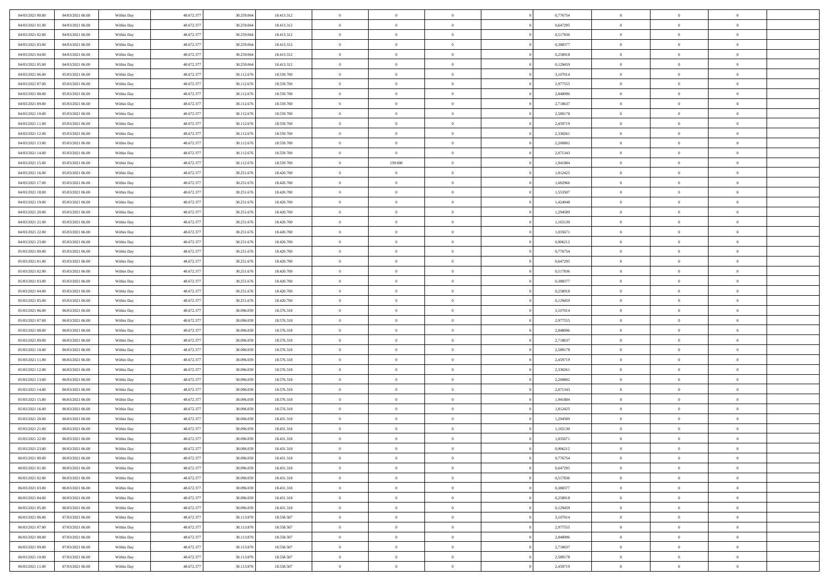| 04/03/2021 00:00 | 04/03/2021 06:00 | Within Day               | 48.672.377 | 30.259.064 | 18.413.312 | $\,0\,$                | $\overline{0}$ | $\bf{0}$       |                | 0,776754             | $\,$ 0 $\,$    | $\overline{0}$ | $\bf{0}$       |  |
|------------------|------------------|--------------------------|------------|------------|------------|------------------------|----------------|----------------|----------------|----------------------|----------------|----------------|----------------|--|
| 04/03/2021 01:00 | 04/03/2021 06:00 | Within Day               | 48.672.377 | 30.259.064 | 18.413.312 | $\overline{0}$         | $\overline{0}$ | $\overline{0}$ |                | 0,647295             | $\theta$       | $\overline{0}$ | $\theta$       |  |
| 04/03/2021 02:00 | 04/03/2021 06:00 | Within Day               | 48.672.377 | 30.259.064 | 18.413.312 | $\mathbf{0}$           | $\overline{0}$ | $\overline{0}$ |                | 0,517836             | $\theta$       | $\overline{0}$ | $\overline{0}$ |  |
| 04/03/2021 03:00 | 04/03/2021 06:00 | Within Day               | 48.672.377 | 30.259.064 | 18.413.312 | $\bf{0}$               | $\overline{0}$ | $\bf{0}$       |                | 0,388377             | $\bf{0}$       | $\overline{0}$ | $\bf{0}$       |  |
| 04/03/2021 04:00 | 04/03/2021 06:00 |                          | 48.672.377 | 30.259.064 | 18.413.312 | $\bf{0}$               | $\overline{0}$ | $\overline{0}$ |                | 0,258918             | $\bf{0}$       | $\bf{0}$       | $\bf{0}$       |  |
| 04/03/2021 05:00 | 04/03/2021 06:00 | Within Day<br>Within Day | 48.672.377 | 30.259.064 | 18.413.312 | $\mathbf{0}$           | $\overline{0}$ | $\overline{0}$ |                | 0,129459             | $\theta$       | $\overline{0}$ | $\theta$       |  |
|                  |                  |                          |            |            |            |                        |                |                |                |                      |                |                |                |  |
| 04/03/2021 06:00 | 05/03/2021 06:00 | Within Day               | 48.672.377 | 30.112.676 | 18.559.700 | $\mathbf{0}$           | $\overline{0}$ | $\overline{0}$ |                | 3,107014             | $\bf{0}$       | $\overline{0}$ | $\theta$       |  |
| 04/03/2021 07:00 | 05/03/2021 06:00 | Within Day               | 48.672.377 | 30.112.676 | 18.559.700 | $\overline{0}$         | $\Omega$       | $\overline{0}$ |                | 2,977555             | $\,$ 0 $\,$    | $\overline{0}$ | $\theta$       |  |
| 04/03/2021 08:00 | 05/03/2021 06:00 | Within Day               | 48.672.377 | 30.112.676 | 18.559.700 | $\mathbf{0}$           | $\overline{0}$ | $\overline{0}$ |                | 2,848096             | $\theta$       | $\overline{0}$ | $\theta$       |  |
| 04/03/2021 09:00 | 05/03/2021 06:00 | Within Day               | 48.672.377 | 30.112.676 | 18.559.700 | $\bf{0}$               | $\overline{0}$ | $\bf{0}$       |                | 2,718637             | $\bf{0}$       | $\overline{0}$ | $\bf{0}$       |  |
| 04/03/2021 10:00 | 05/03/2021 06:00 | Within Day               | 48.672.377 | 30.112.676 | 18.559.700 | $\bf{0}$               | $\overline{0}$ | $\overline{0}$ |                | 2,589178             | $\bf{0}$       | $\theta$       | $\theta$       |  |
| 04/03/2021 11:00 | 05/03/2021 06:00 | Within Day               | 48.672.377 | 30.112.676 | 18.559.700 | $\mathbf{0}$           | $\overline{0}$ | $\overline{0}$ |                | 2,459719             | $\theta$       | $\overline{0}$ | $\overline{0}$ |  |
| 04/03/2021 12:00 | 05/03/2021 06:00 | Within Day               | 48.672.377 | 30.112.676 | 18.559.700 | $\,0\,$                | $\overline{0}$ | $\bf{0}$       |                | 2,330261             | $\bf{0}$       | $\overline{0}$ | $\bf{0}$       |  |
| 04/03/2021 13:00 | 05/03/2021 06:00 | Within Day               | 48.672.377 | 30.112.676 | 18.559.700 | $\bf{0}$               | $\overline{0}$ | $\overline{0}$ |                | 2,200802             | $\,$ 0 $\,$    | $\overline{0}$ | $\theta$       |  |
| 04/03/2021 14:00 | 05/03/2021 06:00 | Within Day               | 48.672.377 | 30.112.676 | 18.559.700 | $\mathbf{0}$           | $\overline{0}$ | $\overline{0}$ |                | 2,071343             | $\theta$       | $\overline{0}$ | $\overline{0}$ |  |
| 04/03/2021 15:00 | 05/03/2021 06:00 | Within Day               | 48.672.377 | 30.112.676 | 18.559.700 | $\mathbf{0}$           | 139.000        | $\overline{0}$ |                | 1,941884             | $\bf{0}$       | $\overline{0}$ | $\bf{0}$       |  |
| 04/03/2021 16:00 | 05/03/2021 06:00 | Within Day               | 48.672.377 | 30.251.676 | 18.420.700 | $\bf{0}$               | $\overline{0}$ | $\overline{0}$ |                | 1,812425             | $\bf{0}$       | $\overline{0}$ | $\overline{0}$ |  |
| 04/03/2021 17:00 | 05/03/2021 06:00 | Within Day               | 48.672.377 | 30.251.676 | 18.420.700 | $\mathbf{0}$           | $\overline{0}$ | $\overline{0}$ |                | 1,682966             | $\theta$       | $\overline{0}$ | $\overline{0}$ |  |
| 04/03/2021 18:00 | 05/03/2021 06:00 | Within Day               | 48.672.377 | 30.251.676 | 18.420.700 | $\,0\,$                | $\overline{0}$ | $\bf{0}$       |                | 1,553507             | $\bf{0}$       | $\overline{0}$ | $\bf{0}$       |  |
| 04/03/2021 19:00 | 05/03/2021 06:00 | Within Day               | 48.672.377 | 30.251.676 | 18.420.700 | $\bf{0}$               | $\overline{0}$ | $\overline{0}$ |                | 1,424048             | $\,$ 0 $\,$    | $\overline{0}$ | $\bf{0}$       |  |
| 04/03/2021 20:00 | 05/03/2021 06:00 | Within Day               | 48.672.377 | 30.251.676 | 18.420.700 | $\mathbf{0}$           | $\overline{0}$ | $\overline{0}$ |                | 1,294589             | $\theta$       | $\overline{0}$ | $\overline{0}$ |  |
| 04/03/2021 21:00 | 05/03/2021 06:00 | Within Day               | 48.672.377 | 30.251.676 | 18.420.700 | $\mathbf{0}$           | $\overline{0}$ | $\overline{0}$ |                | 1,165130             | $\bf{0}$       | $\overline{0}$ | $\theta$       |  |
| 04/03/2021 22:00 | 05/03/2021 06:00 | Within Day               | 48.672.377 | 30.251.676 | 18.420.700 | $\overline{0}$         | $\overline{0}$ | $\overline{0}$ |                | 1.035671             | $\,$ 0 $\,$    | $\overline{0}$ | $\overline{0}$ |  |
| 04/03/2021 23:00 | 05/03/2021 06:00 | Within Day               | 48.672.377 | 30.251.676 | 18.420.700 | $\mathbf{0}$           | $\overline{0}$ | $\overline{0}$ |                | 0,906212             | $\theta$       | $\overline{0}$ | $\overline{0}$ |  |
| 05/03/2021 00:00 | 05/03/2021 06:00 | Within Day               | 48.672.377 | 30.251.676 | 18.420.700 | $\bf{0}$               | $\overline{0}$ | $\overline{0}$ |                | 0,776754             | $\bf{0}$       | $\overline{0}$ | $\bf{0}$       |  |
| 05/03/2021 01:00 | 05/03/2021 06:00 | Within Day               | 48.672.377 | 30.251.676 | 18.420.700 | $\bf{0}$               | $\overline{0}$ | $\overline{0}$ |                | 0,647295             | $\,$ 0         | $\mathbf{0}$   | $\bf{0}$       |  |
| 05/03/2021 02:00 | 05/03/2021 06:00 | Within Day               | 48.672.377 | 30.251.676 | 18.420.700 | $\mathbf{0}$           | $\overline{0}$ | $\overline{0}$ |                | 0,517836             | $\theta$       | $\overline{0}$ | $\overline{0}$ |  |
| 05/03/2021 03:00 | 05/03/2021 06:00 | Within Day               | 48.672.377 | 30.251.676 | 18.420.700 | $\,0\,$                | $\overline{0}$ | $\bf{0}$       |                | 0,388377             | $\bf{0}$       | $\overline{0}$ | $\bf{0}$       |  |
| 05/03/2021 04:00 | 05/03/2021 06:00 | Within Day               | 48.672.377 | 30.251.676 | 18.420.700 | $\bf{0}$               | $\overline{0}$ | $\overline{0}$ |                | 0,258918             | $\,$ 0 $\,$    | $\overline{0}$ | $\overline{0}$ |  |
| 05/03/2021 05:00 | 05/03/2021 06:00 | Within Day               | 48.672.377 | 30.251.676 | 18.420.700 | $\mathbf{0}$           | $\overline{0}$ | $\overline{0}$ |                | 0,129459             | $\theta$       | $\overline{0}$ | $\overline{0}$ |  |
| 05/03/2021 06:00 | 06/03/2021 06:00 |                          | 48.672.377 | 30.096.059 | 18.576.318 | $\mathbf{0}$           | $\overline{0}$ | $\theta$       |                | 3,107014             | $\,$ 0 $\,$    | $\overline{0}$ | $\theta$       |  |
| 05/03/2021 07:00 | 06/03/2021 06:00 | Within Day               | 48.672.377 | 30.096.059 | 18.576.318 | $\bf{0}$               | $\overline{0}$ | $\overline{0}$ |                |                      | $\bf{0}$       | $\mathbf{0}$   | $\bf{0}$       |  |
| 05/03/2021 08:00 | 06/03/2021 06:00 | Within Day<br>Within Day | 48.672.377 | 30.096.059 | 18.576.318 | $\mathbf{0}$           | $\overline{0}$ | $\overline{0}$ |                | 2,977555<br>2,848096 | $\theta$       | $\overline{0}$ | $\overline{0}$ |  |
|                  |                  |                          |            |            |            |                        |                |                |                |                      |                |                |                |  |
| 05/03/2021 09:00 | 06/03/2021 06:00 | Within Day               | 48.672.377 | 30.096.059 | 18.576.318 | $\mathbf{0}$           | $\overline{0}$ | $\overline{0}$ |                | 2,718637             | $\,$ 0 $\,$    | $\overline{0}$ | $\theta$       |  |
| 05/03/2021 10:00 | 06/03/2021 06:00 | Within Day               | 48.672.377 | 30,096,059 | 18.576.318 | $\overline{0}$         | $\overline{0}$ | $\overline{0}$ |                | 2,589178             | $\,$ 0 $\,$    | $\overline{0}$ | $\bf{0}$       |  |
| 05/03/2021 11:00 | 06/03/2021 06:00 | Within Day               | 48.672.377 | 30.096.059 | 18.576.318 | $\mathbf{0}$           | $\overline{0}$ | $\overline{0}$ |                | 2,459719             | $\theta$       | $\overline{0}$ | $\overline{0}$ |  |
| 05/03/2021 12:00 | 06/03/2021 06:00 | Within Day               | 48.672.377 | 30.096.059 | 18.576.318 | $\mathbf{0}$           | $\overline{0}$ | $\theta$       |                | 2,330261             | $\,$ 0 $\,$    | $\overline{0}$ | $\theta$       |  |
| 05/03/2021 13:00 | 06/03/2021 06:00 | Within Day               | 48.672.377 | 30,096,059 | 18.576.318 | $\bf{0}$               | $\overline{0}$ | $\overline{0}$ |                | 2,200802             | $\bf{0}$       | $\overline{0}$ | $\overline{0}$ |  |
| 05/03/2021 14:00 | 06/03/2021 06:00 | Within Day               | 48.672.377 | 30.096.059 | 18.576.318 | $\mathbf{0}$           | $\overline{0}$ | $\overline{0}$ |                | 2,071343             | $\theta$       | $\overline{0}$ | $\overline{0}$ |  |
| 05/03/2021 15:00 | 06/03/2021 06:00 | Within Day               | 48.672.377 | 30.096.059 | 18.576.318 | $\mathbf{0}$           | $\overline{0}$ | $\bf{0}$       |                | 1,941884             | $\,$ 0 $\,$    | $\overline{0}$ | $\theta$       |  |
| 05/03/2021 16:00 | 06/03/2021 06:00 | Within Day               | 48.672.377 | 30,096,059 | 18.576.318 | $\bf{0}$               | $\overline{0}$ | $\overline{0}$ |                | 1,812425             | $\bf{0}$       | $\overline{0}$ | $\bf{0}$       |  |
| 05/03/2021 20:00 | 06/03/2021 06:00 | Within Day               | 48.672.377 | 30.096.059 | 18.431.318 | $\mathbf{0}$           | $\overline{0}$ | $\overline{0}$ |                | 1,294589             | $\theta$       | $\overline{0}$ | $\overline{0}$ |  |
| 05/03/2021 21:00 | 06/03/2021 06:00 | Within Day               | 48.672.377 | 30.096.059 | 18.431.318 | $\mathbf{0}$           | $\overline{0}$ | $\overline{0}$ |                | 1,165130             | $\,$ 0 $\,$    | $\overline{0}$ | $\theta$       |  |
| 05/03/2021 22:00 | 06/03/2021 06:00 | Within Day               | 48.672.377 | 30,096,059 | 18.431.318 | $\bf{0}$               | $\overline{0}$ | $\overline{0}$ |                | 1,035671             | $\,$ 0 $\,$    | $\overline{0}$ | $\bf{0}$       |  |
| 05/03/2021 23:00 | 06/03/2021 06:00 | Within Day               | 48.672.377 | 30.096.059 | 18.431.318 | $\bf{0}$               | $\overline{0}$ | $\Omega$       |                | 0,906212             | $\overline{0}$ | $^{\circ}$     | $\theta$       |  |
| 06/03/2021 00:00 | 06/03/2021 06:00 | Within Day               | 48.672.377 | 30.096.059 | 18.431.318 | $\,$ 0 $\,$            | $\overline{0}$ | $\overline{0}$ |                | 0,776754             | $\,$ 0 $\,$    | $\overline{0}$ | $\theta$       |  |
| 06/03/2021 01:00 | 06/03/2021 06:00 | Within Day               | 48.672.377 | 30,096,059 | 18.431.318 | $\mathbf{0}$           | $\overline{0}$ | $\overline{0}$ |                | 0,647295             | $\overline{0}$ | $\overline{0}$ | $\overline{0}$ |  |
| 06/03/2021 02:00 | 06/03/2021 06:00 | Within Day               | 48.672.377 | 30.096.059 | 18.431.318 | $\mathbf{0}$           | $\overline{0}$ | $\overline{0}$ |                | 0,517836             | $\mathbf{0}$   | $\overline{0}$ | $\overline{0}$ |  |
| 06/03/2021 03:00 | 06/03/2021 06:00 | Within Day               | 48.672.377 | 30.096.059 | 18.431.318 | $\,$ 0                 | $\overline{0}$ | $\bf{0}$       | $\overline{0}$ | 0,388377             | $\,$ 0 $\,$    | $\bf{0}$       | $\theta$       |  |
| 06/03/2021 04:00 | 06/03/2021 06:00 | Within Day               | 48.672.377 | 30.096.059 | 18.431.318 | $\hspace{0.1mm}\bm{0}$ | $\overline{0}$ | $\overline{0}$ |                | 0,258918             | $\,$ 0 $\,$    | $\overline{0}$ | $\overline{0}$ |  |
| 06/03/2021 05:00 | 06/03/2021 06:00 | Within Day               | 48.672.377 | 30.096.059 | 18.431.318 | $\mathbf{0}$           | $\overline{0}$ | $\overline{0}$ |                | 0,129459             | $\overline{0}$ | $\overline{0}$ | $\overline{0}$ |  |
| 06/03/2021 06:00 | 07/03/2021 06:00 | Within Day               | 48.672.377 | 30.113.870 | 18.558.507 | $\,$ 0 $\,$            | $\overline{0}$ | $\overline{0}$ |                | 3,107014             | $\,$ 0 $\,$    | $\overline{0}$ | $\theta$       |  |
| 06/03/2021 07:00 | 07/03/2021 06:00 | Within Day               | 48.672.377 | 30.113.870 | 18.558.507 | $\overline{0}$         | $\overline{0}$ | $\overline{0}$ |                | 2,977555             | $\overline{0}$ | $\overline{0}$ | $\bf{0}$       |  |
| 06/03/2021 08:00 | 07/03/2021 06:00 | Within Day               | 48.672.377 | 30.113.870 | 18.558.507 | $\mathbf{0}$           | $\overline{0}$ | $\overline{0}$ |                | 2,848096             | $\mathbf{0}$   | $\overline{0}$ | $\mathbf{0}$   |  |
| 06/03/2021 09:00 | 07/03/2021 06:00 | Within Day               | 48.672.377 | 30.113.870 | 18.558.507 | $\,$ 0 $\,$            | $\overline{0}$ | $\bf{0}$       |                | 2,718637             | $\,$ 0 $\,$    | $\bf{0}$       | $\,$ 0 $\,$    |  |
| 06/03/2021 10:00 | 07/03/2021 06:00 | Within Day               | 48.672.377 | 30.113.870 | 18.558.507 | $\overline{0}$         | $\overline{0}$ | $\overline{0}$ |                | 2,589178             | $\,$ 0 $\,$    | $\mathbf{0}$   | $\bf{0}$       |  |
| 06/03/2021 11:00 | 07/03/2021 06:00 | Within Day               | 48.672.377 | 30.113.870 | 18.558.507 | $\overline{0}$         | $\overline{0}$ | $\overline{0}$ |                | 2,459719             | $\mathbf{0}$   | $\overline{0}$ | $\overline{0}$ |  |
|                  |                  |                          |            |            |            |                        |                |                |                |                      |                |                |                |  |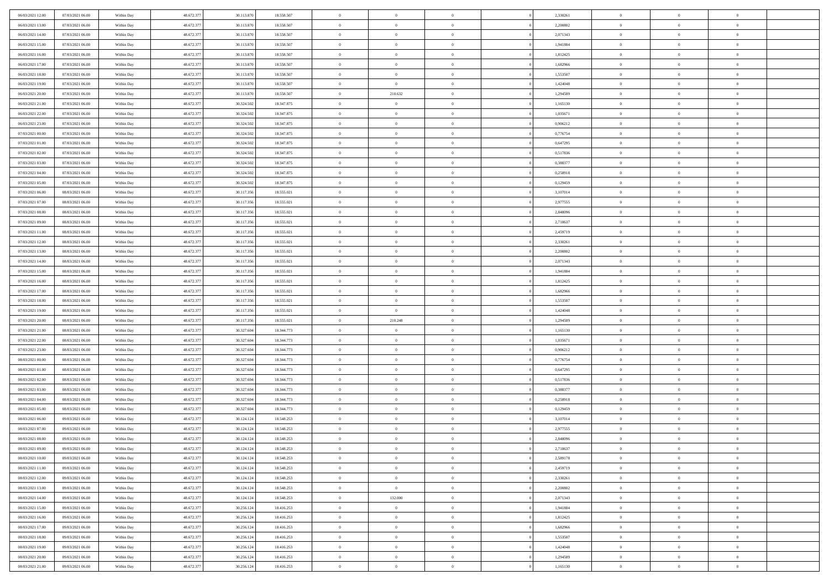| 06/03/2021 12:00                     | 07/03/2021 06:00 | Within Day | 48.672.377               | 30.113.870               | 18.558.507               | $\,$ 0                  | $\bf{0}$       | $\theta$       |          | 2,330261             | $\bf{0}$       | $\overline{0}$             | $\,0\,$        |  |
|--------------------------------------|------------------|------------|--------------------------|--------------------------|--------------------------|-------------------------|----------------|----------------|----------|----------------------|----------------|----------------------------|----------------|--|
| 06/03/2021 13:00                     | 07/03/2021 06:00 | Within Day | 48.672.377               | 30.113.870               | 18.558.507               | $\overline{0}$          | $\overline{0}$ | $\Omega$       |          | 2,200802             | $\overline{0}$ | $\overline{0}$             | $\theta$       |  |
| 06/03/2021 14:00                     | 07/03/2021 06:00 | Within Dav | 48.672.377               | 30.113.870               | 18.558.507               | $\mathbf{0}$            | $\overline{0}$ | $\overline{0}$ |          | 2,071343             | $\mathbf{0}$   | $\overline{0}$             | $\overline{0}$ |  |
| 06/03/2021 15:00                     | 07/03/2021 06:00 | Within Day | 48.672.377               | 30.113.870               | 18.558.507               | $\bf{0}$                | $\overline{0}$ | $\bf{0}$       |          | 1,941884             | $\bf{0}$       | $\overline{0}$             | $\,0\,$        |  |
| 06/03/2021 16:00                     | 07/03/2021 06:00 | Within Day | 48.672.377               | 30.113.870               | 18.558.507               | $\bf{0}$                | $\overline{0}$ | $\overline{0}$ |          | 1,812425             | $\bf{0}$       | $\theta$                   | $\theta$       |  |
| 06/03/2021 17:00                     | 07/03/2021 06:00 | Within Dav | 48.672.377               | 30.113.870               | 18.558.507               | $\mathbf{0}$            | $\overline{0}$ | $\overline{0}$ |          | 1,682966             | $\mathbf{0}$   | $\overline{0}$             | $\overline{0}$ |  |
| 06/03/2021 18:00                     | 07/03/2021 06:00 | Within Day | 48.672.377               | 30.113.870               | 18.558.507               | $\bf{0}$                | $\bf{0}$       | $\overline{0}$ |          | 1,553507             | $\bf{0}$       | $\overline{0}$             | $\,0\,$        |  |
| 06/03/2021 19:00                     | 07/03/2021 06:00 | Within Day | 48.672.377               | 30.113.870               | 18.558.507               | $\overline{0}$          | $\overline{0}$ | $\overline{0}$ |          | 1,424048             | $\mathbf{0}$   | $\overline{0}$             | $\theta$       |  |
| 06/03/2021 20:00                     | 07/03/2021 06:00 | Within Day | 48.672.377               | 30.113.870               | 18.558.507               | $\mathbf{0}$            | 210.632        | $\overline{0}$ |          | 1,294589             | $\mathbf{0}$   | $\bf{0}$                   | $\overline{0}$ |  |
| 06/03/2021 21:00                     | 07/03/2021 06:00 |            | 48.672.377               | 30.324.502               | 18.347.875               | $\bf{0}$                | $\bf{0}$       | $\overline{0}$ |          | 1,165130             | $\bf{0}$       | $\overline{0}$             | $\,0\,$        |  |
|                                      |                  | Within Day |                          |                          |                          | $\overline{0}$          | $\overline{0}$ |                |          |                      |                | $\mathbf{0}$               | $\theta$       |  |
| 06/03/2021 22.00<br>06/03/2021 23:00 | 07/03/2021 06:00 | Within Day | 48.672.377               | 30.324.502               | 18.347.875               |                         |                | $\overline{0}$ |          | 1,035671             | $\bf{0}$       |                            |                |  |
|                                      | 07/03/2021 06:00 | Within Dav | 48.672.377               | 30.324.502               | 18.347.875               | $\mathbf{0}$            | $\overline{0}$ | $\overline{0}$ |          | 0,906212             | $\mathbf{0}$   | $\overline{0}$             | $\overline{0}$ |  |
| 07/03/2021 00:00                     | 07/03/2021 06:00 | Within Day | 48.672.377               | 30.324.502               | 18.347.875               | $\bf{0}$                | $\overline{0}$ | $\bf{0}$       |          | 0,776754             | $\bf{0}$       | $\overline{0}$             | $\,0\,$        |  |
| 07/03/2021 01:00                     | 07/03/2021 06:00 | Within Day | 48.672.377               | 30.324.502               | 18.347.875               | $\bf{0}$                | $\overline{0}$ | $\overline{0}$ |          | 0,647295             | $\bf{0}$       | $\theta$                   | $\,0\,$        |  |
| 07/03/2021 02:00                     | 07/03/2021 06:00 | Within Dav | 48.672.377               | 30.324.502               | 18.347.875               | $\mathbf{0}$            | $\overline{0}$ | $\overline{0}$ |          | 0,517836             | $\mathbf{0}$   | $\overline{0}$             | $\overline{0}$ |  |
| 07/03/2021 03:00                     | 07/03/2021 06:00 | Within Day | 48.672.377               | 30.324.502               | 18.347.875               | $\bf{0}$                | $\overline{0}$ | $\overline{0}$ |          | 0,388377             | $\bf{0}$       | $\overline{0}$             | $\,0\,$        |  |
| 07/03/2021 04:00                     | 07/03/2021 06:00 | Within Day | 48.672.377               | 30.324.502               | 18.347.875               | $\overline{0}$          | $\overline{0}$ | $\overline{0}$ |          | 0,258918             | $\bf{0}$       | $\overline{0}$             | $\theta$       |  |
| 07/03/2021 05:00                     | 07/03/2021 06:00 | Within Day | 48.672.377               | 30.324.502               | 18.347.875               | $\mathbf{0}$            | $\overline{0}$ | $\overline{0}$ |          | 0,129459             | $\mathbf{0}$   | $\overline{0}$             | $\overline{0}$ |  |
| 07/03/2021 06:00                     | 08/03/2021 06:00 | Within Day | 48.672.377               | 30.117.356               | 18.555.021               | $\,$ 0                  | $\bf{0}$       | $\overline{0}$ |          | 3,107014             | $\bf{0}$       | $\overline{0}$             | $\,0\,$        |  |
| 07/03/2021 07:00                     | 08/03/2021 06:00 | Within Day | 48.672.377               | 30.117.356               | 18.555.021               | $\overline{0}$          | $\overline{0}$ | $\overline{0}$ |          | 2,977555             | $\bf{0}$       | $\mathbf{0}$               | $\overline{0}$ |  |
| 07/03/2021 08:00                     | 08/03/2021 06:00 | Within Dav | 48.672.377               | 30.117.356               | 18.555.021               | $\mathbf{0}$            | $\overline{0}$ | $\overline{0}$ |          | 2,848096             | $\mathbf{0}$   | $\overline{0}$             | $\overline{0}$ |  |
| 07/03/2021 09:00                     | 08/03/2021 06:00 | Within Day | 48.672.377               | 30.117.356               | 18.555.021               | $\bf{0}$                | $\bf{0}$       | $\bf{0}$       |          | 2,718637             | $\bf{0}$       | $\overline{0}$             | $\,0\,$        |  |
| 07/03/2021 11:00                     | 08/03/2021 06:00 | Within Day | 48.672.377               | 30.117.356               | 18.555.021               | $\bf{0}$                | $\bf{0}$       | $\overline{0}$ |          | 2,459719             | $\bf{0}$       | $\theta$                   | $\,0\,$        |  |
| 07/03/2021 12:00                     | 08/03/2021 06:00 | Within Dav | 48.672.377               | 30.117.356               | 18.555.021               | $\mathbf{0}$            | $\overline{0}$ | $\overline{0}$ |          | 2,330261             | $\mathbf{0}$   | $\overline{0}$             | $\theta$       |  |
| 07/03/2021 13:00                     | 08/03/2021 06:00 | Within Day | 48.672.377               | 30.117.356               | 18.555.021               | $\bf{0}$                | $\bf{0}$       | $\overline{0}$ |          | 2,200802             | $\bf{0}$       | $\overline{0}$             | $\,0\,$        |  |
| 07/03/2021 14:00                     | 08/03/2021 06:00 | Within Day | 48.672.377               | 30.117.356               | 18.555.021               | $\overline{0}$          | $\overline{0}$ | $\overline{0}$ |          | 2,071343             | $\bf{0}$       | $\overline{0}$             | $\overline{0}$ |  |
| 07/03/2021 15:00                     | 08/03/2021 06:00 | Within Dav | 48.672.377               | 30.117.356               | 18.555.021               | $\mathbf{0}$            | $\overline{0}$ | $\overline{0}$ |          | 1,941884             | $\mathbf{0}$   | $\bf{0}$                   | $\overline{0}$ |  |
| 07/03/2021 16:00                     | 08/03/2021 06:00 | Within Day | 48.672.377               | 30.117.356               | 18.555.021               | $\bf{0}$                | $\bf{0}$       | $\overline{0}$ |          | 1,812425             | $\bf{0}$       | $\overline{0}$             | $\,0\,$        |  |
| 07/03/2021 17:00                     | 08/03/2021 06:00 | Within Day | 48.672.377               | 30.117.356               | 18.555.021               | $\bf{0}$                | $\overline{0}$ | $\overline{0}$ |          | 1,682966             | $\bf{0}$       | $\mathbf{0}$               | $\overline{0}$ |  |
| 07/03/2021 18:00                     | 08/03/2021 06:00 | Within Dav | 48.672.377               | 30.117.356               | 18.555.021               | $\mathbf{0}$            | $\overline{0}$ | $\overline{0}$ |          | 1,553507             | $\mathbf{0}$   | $\overline{0}$             | $\overline{0}$ |  |
| 07/03/2021 19:00                     | 08/03/2021 06:00 | Within Day | 48.672.377               | 30.117.356               | 18.555.021               | $\bf{0}$                | $\overline{0}$ | $\overline{0}$ |          | 1,424048             | $\,$ 0         | $\overline{0}$             | $\theta$       |  |
| 07/03/2021 20:00                     | 08/03/2021 06:00 | Within Day | 48.672.377               | 30.117.356               | 18.555.021               | $\bf{0}$                | 210.248        | $\overline{0}$ |          | 1,294589             | $\bf{0}$       | $\mathbf{0}$               | $\overline{0}$ |  |
| 07/03/2021 21:00                     | 08/03/2021 06:00 | Within Dav | 48.672.377               | 30.327.604               | 18.344.773               | $\mathbf{0}$            | $\overline{0}$ | $\overline{0}$ |          | 1,165130             | $\mathbf{0}$   | $\bf{0}$                   | $\overline{0}$ |  |
| 07/03/2021 22:00                     | 08/03/2021 06:00 | Within Day | 48.672.377               | 30.327.604               | 18.344.773               | $\bf{0}$                | $\overline{0}$ | $\overline{0}$ |          | 1,035671             | $\,$ 0         | $\overline{0}$             | $\theta$       |  |
| 07/03/2021 23:00                     | 08/03/2021 06:00 | Within Day | 48.672.377               | 30.327.604               | 18.344.773               | $\overline{0}$          | $\overline{0}$ | $\overline{0}$ |          | 0,906212             | $\bf{0}$       | $\overline{0}$             | $\overline{0}$ |  |
| 08/03/2021 00:00                     | 08/03/2021 06:00 | Within Day | 48.672.377               | 30.327.604               | 18.344.773               | $\mathbf{0}$            | $\overline{0}$ | $\overline{0}$ |          | 0,776754             | $\mathbf{0}$   | $\overline{0}$             | $\overline{0}$ |  |
| 08/03/2021 01:00                     | 08/03/2021 06:00 | Within Day | 48.672.377               | 30.327.604               | 18.344.773               | $\bf{0}$                | $\overline{0}$ | $\overline{0}$ |          | 0,647295             | $\,$ 0         | $\overline{0}$             | $\theta$       |  |
| 08/03/2021 02:00                     | 08/03/2021 06:00 | Within Day | 48.672.377               | 30.327.604               | 18.344.773               | $\bf{0}$                | $\overline{0}$ | $\overline{0}$ |          | 0,517836             | $\bf{0}$       | $\mathbf{0}$               | $\bf{0}$       |  |
| 08/03/2021 03:00                     | 08/03/2021 06:00 | Within Dav | 48.672.377               | 30.327.604               | 18.344.773               | $\mathbf{0}$            | $\overline{0}$ | $\overline{0}$ |          | 0,388377             | $\mathbf{0}$   | $\overline{0}$             | $\overline{0}$ |  |
| 08/03/2021 04:00                     | 08/03/2021 06:00 | Within Day | 48.672.377               | 30.327.604               | 18.344.773               | $\bf{0}$                | $\overline{0}$ | $\overline{0}$ |          | 0,258918             | $\,$ 0         | $\overline{0}$             | $\theta$       |  |
| 08/03/2021 05:00                     | 08/03/2021 06:00 | Within Day | 48.672.377               | 30.327.604               | 18.344.773               | $\bf{0}$                | $\overline{0}$ | $\overline{0}$ |          | 0,129459             | $\bf{0}$       | $\overline{0}$             | $\bf{0}$       |  |
| 08/03/2021 06:00                     | 09/03/2021 06:00 | Within Dav | 48.672.377               | 30.124.124               | 18.548.253               | $\mathbf{0}$            | $\overline{0}$ | $\overline{0}$ |          | 3,107014             | $\mathbf{0}$   | $\overline{0}$             | $\theta$       |  |
| 08/03/2021 07:00                     | 09/03/2021 06:00 | Within Day | 48.672.377               | 30.124.124               | 18.548.253               | $\bf{0}$                | $\overline{0}$ | $\overline{0}$ |          | 2,977555             | $\,$ 0         | $\overline{0}$             | $\theta$       |  |
| 08/03/2021 08:00                     | 09/03/2021 06:00 | Within Day | 48.672.377               | 30.124.124               | 18.548.253               | $\bf{0}$                | $\overline{0}$ | $\overline{0}$ |          | 2,848096             | $\bf{0}$       | $\overline{0}$             | $\overline{0}$ |  |
| 08/03/2021 09:00                     | 09/03/2021 06:00 | Within Day | 48.672.377               | 30.124.124               | 18.548.253               | $\overline{0}$          | $\overline{0}$ |                |          | 2,718637             | $\overline{0}$ | $^{\circ}$                 | $\theta$       |  |
| 08/03/2021 10:00                     | 09/03/2021 06:00 | Within Day | 48.672.377               | 30.124.124               | 18.548.253               | $\,0\,$                 | $\overline{0}$ | $\overline{0}$ |          | 2,589178             | $\,$ 0 $\,$    | $\overline{0}$             | $\theta$       |  |
| 08/03/2021 11:00                     | 09/03/2021 06:00 | Within Day | 48.672.377               | 30.124.124               | 18.548.253               | $\overline{0}$          | $\overline{0}$ | $\overline{0}$ |          | 2,459719             | $\overline{0}$ | $\overline{0}$             | $\overline{0}$ |  |
| 08/03/2021 12:00                     | 09/03/2021 06:00 | Within Day | 48.672.377               | 30.124.124               | 18.548.253               | $\bf{0}$                | $\overline{0}$ | $\overline{0}$ |          | 2,330261             | $\overline{0}$ | $\bf{0}$                   | $\mathbf{0}$   |  |
|                                      |                  |            |                          |                          |                          |                         |                |                |          |                      |                |                            |                |  |
| 08/03/2021 13:00                     | 09/03/2021 06:00 | Within Day | 48.672.377<br>48.672.377 | 30.124.124<br>30.124.124 | 18.548.253<br>18.548.253 | $\,$ 0 $\,$<br>$\bf{0}$ | $\overline{0}$ | $\overline{0}$ | $\theta$ | 2,200802<br>2,071343 | $\,$ 0 $\,$    | $\bf{0}$<br>$\overline{0}$ | $\,$ 0 $\,$    |  |
| 08/03/2021 14:00                     | 09/03/2021 06:00 | Within Day |                          |                          |                          |                         | 132.000        | $\overline{0}$ |          |                      | $\,$ 0 $\,$    |                            | $\overline{0}$ |  |
| 08/03/2021 15:00                     | 09/03/2021 06:00 | Within Day | 48.672.377               | 30.256.124               | 18.416.253               | $\bf{0}$                | $\overline{0}$ | $\overline{0}$ |          | 1,941884             | $\mathbf{0}$   | $\overline{0}$             | $\overline{0}$ |  |
| 08/03/2021 16:00                     | 09/03/2021 06:00 | Within Day | 48.672.377               | 30.256.124               | 18.416.253               | $\,0\,$                 | $\overline{0}$ | $\mathbf{0}$   | $\theta$ | 1,812425             | $\,$ 0 $\,$    | $\overline{0}$             | $\overline{0}$ |  |
| 08/03/2021 17:00                     | 09/03/2021 06:00 | Within Day | 48.672.377               | 30.256.124               | 18.416.253               | $\bf{0}$                | $\overline{0}$ | $\overline{0}$ |          | 1,682966             | $\overline{0}$ | $\overline{0}$             | $\overline{0}$ |  |
| 08/03/2021 18:00                     | 09/03/2021 06:00 | Within Day | 48.672.377               | 30.256.124               | 18.416.253               | $\bf{0}$                | $\overline{0}$ | $\overline{0}$ |          | 1,553507             | $\mathbf{0}$   | $\overline{0}$             | $\mathbf{0}$   |  |
| 08/03/2021 19:00                     | 09/03/2021 06:00 | Within Day | 48.672.377               | 30.256.124               | 18.416.253               | $\,0\,$                 | $\overline{0}$ | $\overline{0}$ |          | 1,424048             | $\,$ 0 $\,$    | $\mathbf{0}$               | $\theta$       |  |
| 08/03/2021 20:00                     | 09/03/2021 06:00 | Within Day | 48.672.377               | 30.256.124               | 18.416.253               | $\bf{0}$                | $\overline{0}$ | $\overline{0}$ |          | 1,294589             | $\bf{0}$       | $\mathbf{0}$               | $\overline{0}$ |  |
| 08/03/2021 21:00                     | 09/03/2021 06:00 | Within Day | 48.672.377               | 30.256.124               | 18.416.253               | $\overline{0}$          | $\overline{0}$ | $\overline{0}$ |          | 1,165130             | $\mathbf{0}$   | $\overline{0}$             | $\overline{0}$ |  |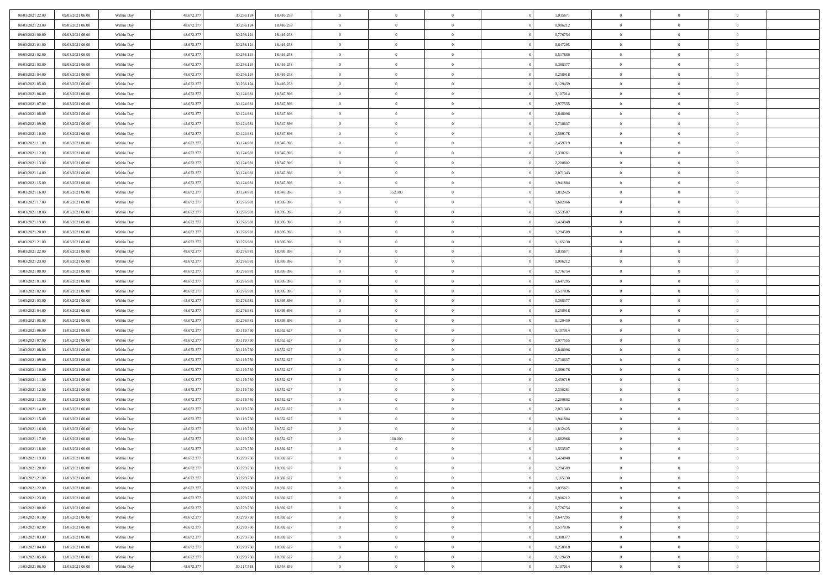| 08/03/2021 22.00                     | 09/03/2021 06:00                     | Within Day               | 48.672.377               | 30.256.124               | 18.416.253               | $\,$ 0               | $\bf{0}$                         | $\overline{0}$             |          | 1,035671             | $\bf{0}$                 | $\overline{0}$                   | $\,0\,$                          |  |
|--------------------------------------|--------------------------------------|--------------------------|--------------------------|--------------------------|--------------------------|----------------------|----------------------------------|----------------------------|----------|----------------------|--------------------------|----------------------------------|----------------------------------|--|
| 08/03/2021 23:00                     | 09/03/2021 06:00                     | Within Day               | 48.672.377               | 30.256.124               | 18.416.253               | $\overline{0}$       | $\overline{0}$                   | $\Omega$                   |          | 0.906212             | $\overline{0}$           | $\overline{0}$                   | $\theta$                         |  |
| 09/03/2021 00:00                     | 09/03/2021 06:00                     | Within Dav               | 48.672.377               | 30.256.124               | 18.416.253               | $\mathbf{0}$         | $\overline{0}$                   | $\overline{0}$             |          | 0,776754             | $\mathbf{0}$             | $\overline{0}$                   | $\overline{0}$                   |  |
| 09/03/2021 01:00                     | 09/03/2021 06:00                     | Within Day               | 48.672.377               | 30.256.124               | 18.416.253               | $\bf{0}$             | $\overline{0}$                   | $\bf{0}$                   |          | 0,647295             | $\bf{0}$                 | $\overline{0}$                   | $\bf{0}$                         |  |
| 09/03/2021 02:00                     | 09/03/2021 06:00                     | Within Day               | 48.672.377               | 30.256.124               | 18.416.253               | $\bf{0}$             | $\bf{0}$                         | $\overline{0}$             |          | 0,517836             | $\bf{0}$                 | $\theta$                         | $\theta$                         |  |
| 09/03/2021 03:00                     | 09/03/2021 06:00                     | Within Dav               | 48.672.377               | 30.256.124               | 18.416.253               | $\mathbf{0}$         | $\overline{0}$                   | $\overline{0}$             |          | 0,388377             | $\mathbf{0}$             | $\overline{0}$                   | $\overline{0}$                   |  |
|                                      |                                      |                          |                          |                          |                          |                      |                                  |                            |          |                      |                          |                                  |                                  |  |
| 09/03/2021 04:00                     | 09/03/2021 06:00                     | Within Day               | 48.672.377               | 30.256.124               | 18.416.253               | $\bf{0}$             | $\bf{0}$                         | $\overline{0}$             |          | 0,258918             | $\bf{0}$                 | $\overline{0}$                   | $\,0\,$                          |  |
| 09/03/2021 05:00                     | 09/03/2021 06:00                     | Within Day               | 48.672.377               | 30.256.124               | 18.416.253               | $\overline{0}$       | $\overline{0}$                   | $\overline{0}$             |          | 0,129459             | $\,$ 0 $\,$              | $\overline{0}$                   | $\theta$                         |  |
| 09/03/2021 06:00                     | 10/03/2021 06:00                     | Within Day               | 48.672.377               | 30.124.981               | 18.547.396               | $\mathbf{0}$         | $\overline{0}$                   | $\overline{0}$             |          | 3,107014             | $\mathbf{0}$             | $\overline{0}$                   | $\overline{0}$                   |  |
| 09/03/2021 07:00                     | 10/03/2021 06:00                     | Within Day               | 48.672.377               | 30.124.981               | 18.547.396               | $\bf{0}$             | $\bf{0}$                         | $\overline{0}$             |          | 2,977555             | $\bf{0}$                 | $\overline{0}$                   | $\,0\,$                          |  |
| 09/03/2021 08:00                     | 10/03/2021 06:00                     | Within Day               | 48.672.377               | 30.124.981               | 18.547.396               | $\overline{0}$       | $\overline{0}$                   | $\overline{0}$             |          | 2,848096             | $\bf{0}$                 | $\mathbf{0}$                     | $\theta$                         |  |
| 09/03/2021 09:00                     | 10/03/2021 06:00                     | Within Dav               | 48.672.377               | 30.124.981               | 18.547.396               | $\mathbf{0}$         | $\overline{0}$                   | $\overline{0}$             |          | 2,718637             | $\mathbf{0}$             | $\overline{0}$                   | $\overline{0}$                   |  |
| 09/03/2021 10:00                     | 10/03/2021 06:00                     | Within Day               | 48.672.377               | 30.124.981               | 18.547.396               | $\bf{0}$             | $\overline{0}$                   | $\bf{0}$                   |          | 2,589178             | $\bf{0}$                 | $\overline{0}$                   | $\,0\,$                          |  |
| 09/03/2021 11:00                     | 10/03/2021 06:00                     | Within Day               | 48.672.377               | 30.124.981               | 18.547.396               | $\bf{0}$             | $\overline{0}$                   | $\overline{0}$             |          | 2,459719             | $\bf{0}$                 | $\theta$                         | $\,0\,$                          |  |
| 09/03/2021 12:00                     | 10/03/2021 06:00                     | Within Dav               | 48.672.377               | 30.124.981               | 18.547.396               | $\mathbf{0}$         | $\overline{0}$                   | $\overline{0}$             |          | 2,330261             | $\mathbf{0}$             | $\overline{0}$                   | $\overline{0}$                   |  |
| 09/03/2021 13:00                     | 10/03/2021 06:00                     | Within Day               | 48.672.377               | 30.124.981               | 18.547.396               | $\bf{0}$             | $\overline{0}$                   | $\overline{0}$             |          | 2,200802             | $\bf{0}$                 | $\overline{0}$                   | $\,0\,$                          |  |
| 09/03/2021 14:00                     | 10/03/2021 06:00                     | Within Day               | 48.672.377               | 30.124.981               | 18.547.396               | $\overline{0}$       | $\overline{0}$                   | $\overline{0}$             |          | 2,071343             | $\bf{0}$                 | $\overline{0}$                   | $\theta$                         |  |
| 09/03/2021 15:00                     | 10/03/2021 06:00                     | Within Day               | 48.672.377               | 30.124.981               | 18.547.396               | $\mathbf{0}$         | $\overline{0}$                   | $\overline{0}$             |          | 1,941884             | $\mathbf{0}$             | $\overline{0}$                   | $\overline{0}$                   |  |
| 09/03/2021 16:00                     | 10/03/2021 06:00                     | Within Day               | 48.672.377               | 30.124.981               | 18.547.396               | $\bf{0}$             | 152.000                          | $\overline{0}$             |          | 1,812425             | $\bf{0}$                 | $\overline{0}$                   | $\,0\,$                          |  |
| 09/03/2021 17:00                     | 10/03/2021 06:00                     | Within Day               | 48.672.377               | 30.276.981               | 18.395.396               | $\overline{0}$       | $\bf{0}$                         | $\overline{0}$             |          | 1,682966             | $\bf{0}$                 | $\overline{0}$                   | $\overline{0}$                   |  |
| 09/03/2021 18:00                     | 10/03/2021 06:00                     | Within Dav               | 48.672.377               | 30.276.981               | 18.395.396               | $\mathbf{0}$         | $\overline{0}$                   | $\overline{0}$             |          | 1,553507             | $\mathbf{0}$             | $\overline{0}$                   | $\overline{0}$                   |  |
| 09/03/2021 19:00                     | 10/03/2021 06:00                     | Within Day               | 48.672.377               | 30.276.981               | 18.395.396               | $\bf{0}$             | $\overline{0}$                   | $\bf{0}$                   |          | 1,424048             | $\bf{0}$                 | $\overline{0}$                   | $\bf{0}$                         |  |
| 09/03/2021 20:00                     | 10/03/2021 06:00                     | Within Day               | 48.672.377               | 30.276.981               | 18.395.396               | $\bf{0}$             | $\bf{0}$                         | $\overline{0}$             |          | 1,294589             | $\bf{0}$                 | $\overline{0}$                   | $\,0\,$                          |  |
| 09/03/2021 21:00                     | 10/03/2021 06:00                     | Within Dav               | 48.672.377               | 30.276.981               | 18.395.396               | $\mathbf{0}$         | $\overline{0}$                   | $\overline{0}$             |          | 1,165130             | $\mathbf{0}$             | $\overline{0}$                   | $\overline{0}$                   |  |
| 09/03/2021 22.00                     | 10/03/2021 06:00                     | Within Day               | 48.672.377               | 30.276.981               | 18.395.396               | $\bf{0}$             | $\bf{0}$                         | $\overline{0}$             |          | 1,035671             | $\bf{0}$                 | $\overline{0}$                   | $\,0\,$                          |  |
| 09/03/2021 23:00                     | 10/03/2021 06:00                     | Within Day               | 48.672.377               | 30.276.981               | 18.395.396               | $\overline{0}$       | $\overline{0}$                   | $\overline{0}$             |          | 0,906212             | $\bf{0}$                 | $\overline{0}$                   | $\overline{0}$                   |  |
| 10/03/2021 00:00                     | 10/03/2021 06:00                     | Within Day               | 48.672.377               | 30.276.981               | 18.395.396               | $\mathbf{0}$         | $\overline{0}$                   | $\overline{0}$             |          | 0,776754             | $\mathbf{0}$             | $\overline{0}$                   | $\overline{0}$                   |  |
| 10/03/2021 01:00                     | 10/03/2021 06:00                     | Within Day               | 48.672.377               | 30.276.981               | 18.395.396               | $\bf{0}$             | $\bf{0}$                         | $\overline{0}$             |          | 0,647295             | $\bf{0}$                 | $\overline{0}$                   | $\,0\,$                          |  |
| 10/03/2021 02:00                     | 10/03/2021 06:00                     | Within Day               | 48.672.377               | 30.276.981               | 18.395.396               | $\bf{0}$             | $\overline{0}$                   | $\overline{0}$             |          | 0,517836             | $\bf{0}$                 | $\mathbf{0}$                     | $\overline{0}$                   |  |
| 10/03/2021 03:00                     | 10/03/2021 06:00                     | Within Dav               | 48.672.377               | 30.276.981               | 18.395.396               | $\mathbf{0}$         | $\overline{0}$                   | $\overline{0}$             |          | 0,388377             | $\mathbf{0}$             | $\overline{0}$                   | $\overline{0}$                   |  |
| 10/03/2021 04:00                     | 10/03/2021 06:00                     | Within Day               | 48.672.377               | 30.276.981               | 18.395.396               | $\bf{0}$             | $\overline{0}$                   | $\theta$                   |          | 0,258918             | $\,$ 0                   | $\overline{0}$                   | $\theta$                         |  |
| 10/03/2021 05:00                     | 10/03/2021 06:00                     | Within Day               | 48.672.377               | 30.276.981               | 18.395.396               | $\bf{0}$             | $\overline{0}$                   | $\overline{0}$             |          | 0,129459             | $\bf{0}$                 | $\mathbf{0}$                     | $\overline{0}$                   |  |
| 10/03/2021 06:00                     | 11/03/2021 06:00                     | Within Dav               | 48.672.377               | 30.119.750               | 18.552.627               | $\mathbf{0}$         | $\overline{0}$                   | $\overline{0}$             |          | 3,107014             | $\mathbf{0}$             | $\overline{0}$                   | $\overline{0}$                   |  |
| 10/03/2021 07:00                     | 11/03/2021 06:00                     | Within Day               | 48.672.377               | 30.119.750               | 18.552.627               | $\bf{0}$             | $\overline{0}$                   | $\theta$                   |          | 2,977555             | $\,$ 0                   | $\overline{0}$                   | $\theta$                         |  |
| 10/03/2021 08:00                     | 11/03/2021 06:00                     | Within Day               | 48.672.377               | 30.119.750               | 18.552.627               | $\overline{0}$       | $\overline{0}$                   | $\overline{0}$             |          | 2,848096             | $\bf{0}$                 | $\overline{0}$                   | $\overline{0}$                   |  |
| 10/03/2021 09:00                     | 11/03/2021 06:00                     | Within Day               | 48.672.377               | 30.119.750               | 18.552.627               | $\mathbf{0}$         | $\overline{0}$                   | $\overline{0}$             |          | 2,718637             | $\mathbf{0}$             | $\overline{0}$                   | $\overline{0}$                   |  |
| 10/03/2021 10:00                     | 11/03/2021 06:00                     | Within Day               | 48.672.377               | 30.119.750               | 18.552.627               | $\bf{0}$             | $\overline{0}$                   | $\theta$                   |          | 2,589178             | $\,$ 0                   | $\overline{0}$                   | $\theta$                         |  |
| 10/03/2021 11:00                     | 11/03/2021 06:00                     | Within Day               | 48.672.377               | 30.119.750               | 18.552.627               | $\bf{0}$             | $\overline{0}$                   | $\overline{0}$             |          | 2,459719             | $\bf{0}$                 | $\mathbf{0}$                     | $\overline{0}$                   |  |
| 10/03/2021 12:00                     | 11/03/2021 06:00                     | Within Dav               | 48.672.377               | 30.119.750               | 18.552.627               | $\mathbf{0}$         | $\overline{0}$                   | $\overline{0}$             |          | 2,330261             | $\mathbf{0}$             | $\overline{0}$                   | $\overline{0}$                   |  |
|                                      |                                      |                          |                          |                          |                          |                      |                                  |                            |          |                      |                          |                                  | $\theta$                         |  |
| 10/03/2021 13:00                     | 11/03/2021 06:00                     | Within Day               | 48.672.377<br>48.672.377 | 30.119.750               | 18.552.627               | $\bf{0}$<br>$\bf{0}$ | $\overline{0}$<br>$\overline{0}$ | $\theta$                   |          | 2,200802<br>2,071343 | $\,$ 0                   | $\overline{0}$<br>$\overline{0}$ |                                  |  |
| 10/03/2021 14:00<br>10/03/2021 15:00 | 11/03/2021 06:00<br>11/03/2021 06:00 | Within Day<br>Within Dav | 48.672.377               | 30.119.750<br>30.119.750 | 18.552.627<br>18.552.627 | $\mathbf{0}$         | $\overline{0}$                   | $\overline{0}$             |          | 1,941884             | $\bf{0}$<br>$\mathbf{0}$ | $\overline{0}$                   | $\overline{0}$<br>$\overline{0}$ |  |
| 10/03/2021 16:00                     | 11/03/2021 06:00                     | Within Day               | 48.672.377               | 30.119.750               | 18.552.627               | $\bf{0}$             | $\overline{0}$                   | $\overline{0}$<br>$\theta$ |          | 1,812425             | $\,$ 0                   | $\overline{0}$                   | $\theta$                         |  |
|                                      |                                      |                          | 48.672.377               |                          |                          | $\bf{0}$             | 160.000                          |                            |          |                      | $\,$ 0 $\,$              | $\overline{0}$                   |                                  |  |
| 10/03/2021 17:00<br>10/03/2021 18:00 | 11/03/2021 06:00<br>11/03/2021 06:00 | Within Day               | 48.672.377               | 30.119.750<br>30.279.750 | 18.552.627<br>18.392.627 |                      | $\overline{0}$                   | $\overline{0}$             |          | 1,682966<br>1,553507 |                          |                                  | $\overline{0}$                   |  |
|                                      |                                      | Within Day               |                          |                          |                          | $\bf{0}$             |                                  | $\Omega$                   |          |                      | $\overline{0}$           | $\theta$                         | $\theta$                         |  |
| 10/03/2021 19:00                     | 11/03/2021 06:00                     | Within Day               | 48.672.377               | 30.279.750               | 18.392.627               | $\,0\,$              | $\overline{0}$                   | $\theta$                   |          | 1,424048             | $\,$ 0 $\,$              | $\bf{0}$                         | $\theta$                         |  |
| 10/03/2021 20:00                     | 11/03/2021 06:00                     | Within Day               | 48.672.377               | 30.279.750               | 18.392.627               | $\overline{0}$       | $\overline{0}$                   | $\overline{0}$             |          | 1,294589             | $\overline{0}$           | $\overline{0}$                   | $\overline{0}$                   |  |
| 10/03/2021 21:00                     | 11/03/2021 06:00                     | Within Day               | 48.672.377               | 30.279.750               | 18.392.627               | $\bf{0}$             | $\overline{0}$                   | $\overline{0}$             |          | 1,165130             | $\overline{0}$           | $\bf{0}$                         | $\mathbf{0}$                     |  |
| 10/03/2021 22:00                     | 11/03/2021 06:00                     | Within Day               | 48.672.377               | 30.279.750               | 18.392.627               | $\bf{0}$             | $\overline{0}$                   | $\overline{0}$             | $\theta$ | 1,035671             | $\mathbf{0}$             | $\bf{0}$                         | $\,$ 0 $\,$                      |  |
| 10/03/2021 23:00                     | 11/03/2021 06:00                     | Within Day               | 48.672.377               | 30.279.750               | 18.392.627               | $\bf{0}$             | $\overline{0}$                   | $\overline{0}$             |          | 0,906212             | $\,$ 0 $\,$              | $\overline{0}$                   | $\overline{0}$                   |  |
| 11/03/2021 00:00                     | 11/03/2021 06:00                     | Within Day               | 48.672.377               | 30.279.750               | 18.392.627               | $\bf{0}$             | $\overline{0}$                   | $\overline{0}$             |          | 0,776754             | $\mathbf{0}$             | $\overline{0}$                   | $\overline{0}$                   |  |
| 11/03/2021 01:00                     | 11/03/2021 06:00                     | Within Day               | 48.672.377               | 30.279.750               | 18.392.627               | $\,0\,$              | $\overline{0}$                   | $\overline{0}$             | $\theta$ | 0,647295             | $\,$ 0 $\,$              | $\overline{0}$                   | $\overline{0}$                   |  |
| 11/03/2021 02:00                     | 11/03/2021 06:00                     | Within Day               | 48.672.377               | 30.279.750               | 18.392.627               | $\bf{0}$             | $\overline{0}$                   | $\overline{0}$             |          | 0,517836             | $\overline{0}$           | $\overline{0}$                   | $\overline{0}$                   |  |
| 11/03/2021 03:00                     | 11/03/2021 06:00                     | Within Day               | 48.672.377               | 30.279.750               | 18.392.627               | $\bf{0}$             | $\overline{0}$                   | $\overline{0}$             |          | 0,388377             | $\mathbf{0}$             | $\bf{0}$                         | $\overline{0}$                   |  |
| 11/03/2021 04:00                     | 11/03/2021 06:00                     | Within Day               | 48.672.377               | 30.279.750               | 18.392.627               | $\,0\,$              | $\overline{0}$                   | $\overline{0}$             |          | 0,258918             | $\mathbf{0}$             | $\mathbf{0}$                     | $\overline{0}$                   |  |
| 11/03/2021 05:00                     | 11/03/2021 06:00                     | Within Day               | 48.672.377               | 30.279.750               | 18.392.627               | $\overline{0}$       | $\overline{0}$                   | $\overline{0}$             |          | 0,129459             | $\mathbf{0}$             | $\mathbf{0}$                     | $\overline{0}$                   |  |
| 11/03/2021 06:00                     | 12/03/2021 06:00                     | Within Day               | 48.672.377               | 30.117.518               | 18.554.859               | $\mathbf{0}$         | $\overline{0}$                   | $\overline{0}$             |          | 3,107014             | $\mathbf{0}$             | $\overline{0}$                   | $\overline{0}$                   |  |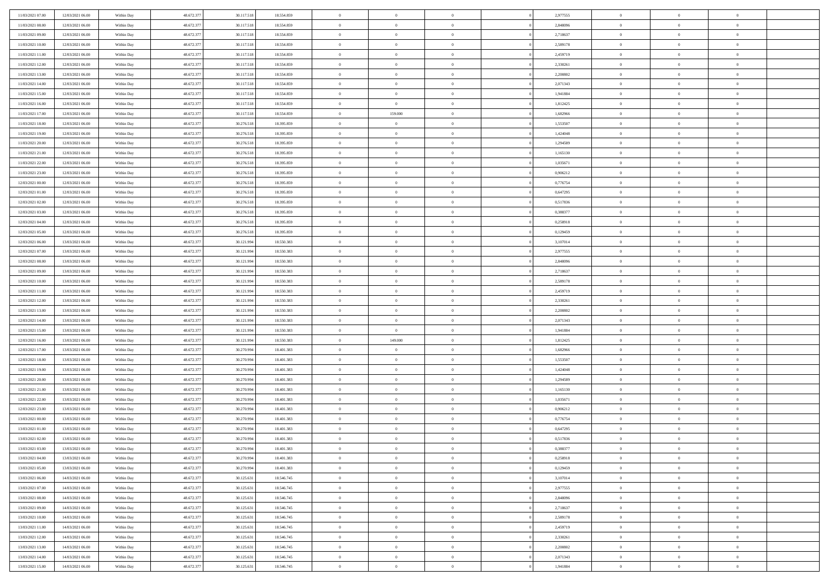| 11/03/2021 07:00 | 12/03/2021 06:00 | Within Day | 48.672.377 | 30.117.518 | 18.554.859 | $\,$ 0         | $\bf{0}$       | $\theta$       |                | 2,977555 | $\bf{0}$       | $\overline{0}$ | $\theta$       |  |
|------------------|------------------|------------|------------|------------|------------|----------------|----------------|----------------|----------------|----------|----------------|----------------|----------------|--|
| 11/03/2021 08:00 | 12/03/2021 06:00 | Within Day | 48.672.377 | 30.117.518 | 18.554.859 | $\overline{0}$ | $\overline{0}$ | $\overline{0}$ |                | 2,848096 | $\theta$       | $\theta$       | $\overline{0}$ |  |
| 11/03/2021 09:00 | 12/03/2021 06:00 | Within Day | 48.672.377 | 30.117.518 | 18.554.859 | $\mathbf{0}$   | $\overline{0}$ | $\overline{0}$ |                | 2,718637 | $\theta$       | $\overline{0}$ | $\theta$       |  |
| 11/03/2021 10:00 | 12/03/2021 06:00 | Within Day | 48.672.377 | 30.117.518 | 18.554.859 | $\bf{0}$       | $\overline{0}$ | $\bf{0}$       |                | 2,589178 | $\bf{0}$       | $\overline{0}$ | $\bf{0}$       |  |
| 11/03/2021 11:00 | 12/03/2021 06:00 | Within Day | 48.672.377 | 30.117.518 | 18.554.859 | $\bf{0}$       | $\bf{0}$       | $\overline{0}$ |                | 2,459719 | $\bf{0}$       | $\Omega$       | $\bf{0}$       |  |
| 11/03/2021 12:00 | 12/03/2021 06:00 | Within Day | 48.672.377 | 30.117.518 | 18.554.859 | $\overline{0}$ | $\overline{0}$ | $\overline{0}$ |                | 2,330261 | $\theta$       | $\overline{0}$ | $\theta$       |  |
| 11/03/2021 13:00 | 12/03/2021 06:00 | Within Day | 48.672.377 | 30.117.518 | 18.554.859 | $\bf{0}$       | $\bf{0}$       | $\overline{0}$ |                | 2,200802 | $\bf{0}$       | $\overline{0}$ | $\theta$       |  |
| 11/03/2021 14:00 | 12/03/2021 06:00 | Within Day | 48.672.377 | 30.117.518 | 18.554.859 | $\overline{0}$ | $\overline{0}$ | $\overline{0}$ |                | 2,071343 | $\,$ 0 $\,$    | $\overline{0}$ | $\overline{0}$ |  |
| 11/03/2021 15:00 | 12/03/2021 06:00 | Within Day | 48.672.377 | 30.117.518 | 18.554.859 | $\mathbf{0}$   | $\overline{0}$ | $\overline{0}$ |                | 1,941884 | $\theta$       | $\overline{0}$ | $\theta$       |  |
| 11/03/2021 16:00 | 12/03/2021 06:00 | Within Day | 48.672.377 | 30.117.518 | 18.554.859 | $\bf{0}$       | $\bf{0}$       | $\overline{0}$ |                | 1,812425 | $\bf{0}$       | $\overline{0}$ | $\theta$       |  |
| 11/03/2021 17:00 | 12/03/2021 06:00 | Within Day | 48.672.377 | 30.117.518 | 18.554.859 | $\bf{0}$       | 159.000        | $\overline{0}$ |                | 1,682966 | $\bf{0}$       | $\theta$       | $\overline{0}$ |  |
| 11/03/2021 18:00 | 12/03/2021 06:00 | Within Day | 48.672.377 | 30.276.518 | 18.395.859 | $\mathbf{0}$   | $\overline{0}$ | $\overline{0}$ |                | 1,553507 | $\theta$       | $\overline{0}$ | $\theta$       |  |
| 11/03/2021 19:00 | 12/03/2021 06:00 | Within Day | 48.672.377 | 30.276.518 | 18.395.859 | $\bf{0}$       | $\overline{0}$ | $\bf{0}$       |                | 1,424048 | $\bf{0}$       | $\overline{0}$ | $\bf{0}$       |  |
| 11/03/2021 20:00 | 12/03/2021 06:00 | Within Day | 48.672.377 | 30.276.518 | 18.395.859 | $\bf{0}$       | $\overline{0}$ | $\overline{0}$ |                | 1,294589 | $\bf{0}$       | $\Omega$       | $\bf{0}$       |  |
| 11/03/2021 21:00 | 12/03/2021 06:00 | Within Day | 48.672.377 | 30.276.518 | 18.395.859 | $\overline{0}$ | $\overline{0}$ | $\overline{0}$ |                | 1,165130 | $\theta$       | $\overline{0}$ | $\theta$       |  |
| 11/03/2021 22:00 | 12/03/2021 06:00 | Within Day | 48.672.377 | 30.276.518 | 18.395.859 | $\bf{0}$       | $\bf{0}$       | $\overline{0}$ |                | 1,035671 | $\bf{0}$       | $\overline{0}$ | $\theta$       |  |
| 11/03/2021 23:00 | 12/03/2021 06:00 | Within Day | 48.672.377 | 30.276.518 | 18.395.859 | $\bf{0}$       | $\overline{0}$ | $\overline{0}$ |                | 0,906212 | $\,$ 0 $\,$    | $\overline{0}$ | $\overline{0}$ |  |
| 12/03/2021 00:00 | 12/03/2021 06:00 | Within Day | 48.672.377 | 30.276.518 | 18.395.859 | $\mathbf{0}$   | $\overline{0}$ | $\overline{0}$ |                | 0,776754 | $\theta$       | $\overline{0}$ | $\theta$       |  |
| 12/03/2021 01:00 | 12/03/2021 06:00 | Within Day | 48.672.377 | 30.276.518 | 18.395.859 | $\bf{0}$       | $\bf{0}$       | $\overline{0}$ |                | 0,647295 | $\bf{0}$       | $\overline{0}$ | $\theta$       |  |
| 12/03/2021 02:00 | 12/03/2021 06:00 | Within Day | 48.672.377 | 30.276.518 | 18.395.859 | $\bf{0}$       | $\overline{0}$ | $\overline{0}$ |                | 0,517836 | $\bf{0}$       | $\theta$       | $\overline{0}$ |  |
| 12/03/2021 03:00 | 12/03/2021 06:00 | Within Day | 48.672.377 | 30.276.518 | 18.395.859 | $\mathbf{0}$   | $\overline{0}$ | $\overline{0}$ |                | 0,388377 | $\theta$       | $\overline{0}$ | $\theta$       |  |
| 12/03/2021 04:00 | 12/03/2021 06:00 | Within Day | 48.672.377 | 30.276.518 | 18.395.859 | $\bf{0}$       | $\bf{0}$       | $\bf{0}$       |                | 0,258918 | $\bf{0}$       | $\overline{0}$ | $\bf{0}$       |  |
| 12/03/2021 05:00 | 12/03/2021 06:00 | Within Day | 48.672.377 | 30.276.518 | 18.395.859 | $\bf{0}$       | $\bf{0}$       | $\overline{0}$ |                | 0,129459 | $\bf{0}$       | $\overline{0}$ | $\bf{0}$       |  |
| 12/03/2021 06:00 | 13/03/2021 06:00 | Within Day | 48.672.377 | 30.121.994 | 18.550.383 | $\mathbf{0}$   | $\overline{0}$ | $\overline{0}$ |                | 3,107014 | $\theta$       | $\overline{0}$ | $\theta$       |  |
| 12/03/2021 07:00 | 13/03/2021 06:00 | Within Day | 48.672.377 | 30.121.994 | 18.550.383 | $\bf{0}$       | $\overline{0}$ | $\overline{0}$ |                | 2,977555 | $\bf{0}$       | $\overline{0}$ | $\theta$       |  |
| 12/03/2021 08:00 | 13/03/2021 06:00 | Within Day | 48.672.377 | 30.121.994 | 18.550.383 | $\bf{0}$       | $\overline{0}$ | $\overline{0}$ |                | 2,848096 | $\,$ 0 $\,$    | $\overline{0}$ | $\overline{0}$ |  |
| 12/03/2021 09:00 | 13/03/2021 06:00 | Within Day | 48.672.377 | 30.121.994 | 18.550.383 | $\mathbf{0}$   | $\overline{0}$ | $\overline{0}$ |                | 2,718637 | $\theta$       | $\overline{0}$ | $\theta$       |  |
| 12/03/2021 10:00 | 13/03/2021 06:00 | Within Day | 48.672.377 | 30.121.994 | 18.550.383 | $\bf{0}$       | $\overline{0}$ | $\overline{0}$ |                | 2,589178 | $\bf{0}$       | $\overline{0}$ | $\theta$       |  |
| 12/03/2021 11:00 | 13/03/2021 06:00 | Within Day | 48.672.377 | 30.121.994 | 18.550.383 | $\bf{0}$       | $\overline{0}$ | $\overline{0}$ |                | 2,459719 | $\bf{0}$       | $\theta$       | $\bf{0}$       |  |
| 12/03/2021 12:00 | 13/03/2021 06:00 | Within Day | 48.672.377 | 30.121.994 | 18.550.383 | $\mathbf{0}$   | $\overline{0}$ | $\overline{0}$ |                | 2,330261 | $\theta$       | $\overline{0}$ | $\theta$       |  |
| 12/03/2021 13:00 | 13/03/2021 06:00 | Within Day | 48.672.377 | 30.121.994 | 18.550.383 | $\bf{0}$       | $\overline{0}$ | $\overline{0}$ |                | 2,200802 | $\,0\,$        | $\overline{0}$ | $\theta$       |  |
| 12/03/2021 14:00 | 13/03/2021 06:00 | Within Day | 48.672.377 | 30.121.994 | 18.550.383 | $\bf{0}$       | $\overline{0}$ | $\overline{0}$ |                | 2,071343 | $\bf{0}$       | $\overline{0}$ | $\bf{0}$       |  |
| 12/03/2021 15:00 | 13/03/2021 06:00 | Within Day | 48.672.377 | 30.121.994 | 18.550.383 | $\mathbf{0}$   | $\overline{0}$ | $\overline{0}$ |                | 1,941884 | $\theta$       | $\overline{0}$ | $\theta$       |  |
| 12/03/2021 16:00 | 13/03/2021 06:00 | Within Day | 48.672.377 | 30.121.994 | 18.550.383 | $\bf{0}$       | 149.000        | $\theta$       |                | 1,812425 | $\,0\,$        | $\overline{0}$ | $\theta$       |  |
| 12/03/2021 17:00 | 13/03/2021 06:00 | Within Day | 48.672.377 | 30.270.994 | 18.401.383 | $\overline{0}$ | $\overline{0}$ | $\overline{0}$ |                | 1,682966 | $\bf{0}$       | $\overline{0}$ | $\bf{0}$       |  |
| 12/03/2021 18:00 | 13/03/2021 06:00 | Within Day | 48.672.377 | 30.270.994 | 18.401.383 | $\mathbf{0}$   | $\overline{0}$ | $\overline{0}$ |                | 1,553507 | $\theta$       | $\overline{0}$ | $\theta$       |  |
| 12/03/2021 19:00 | 13/03/2021 06:00 | Within Day | 48.672.377 | 30.270.994 | 18.401.383 | $\bf{0}$       | $\overline{0}$ | $\theta$       |                | 1,424048 | $\,0\,$        | $\overline{0}$ | $\theta$       |  |
| 12/03/2021 20:00 | 13/03/2021 06:00 | Within Day | 48.672.377 | 30.270.994 | 18.401.383 | $\bf{0}$       | $\overline{0}$ | $\overline{0}$ |                | 1,294589 | $\bf{0}$       | $\theta$       | $\bf{0}$       |  |
| 12/03/2021 21:00 | 13/03/2021 06:00 | Within Day | 48.672.377 | 30.270.994 | 18.401.383 | $\mathbf{0}$   | $\overline{0}$ | $\overline{0}$ |                | 1,165130 | $\theta$       | $\overline{0}$ | $\theta$       |  |
| 12/03/2021 22:00 | 13/03/2021 06:00 | Within Day | 48.672.377 | 30.270.994 | 18.401.383 | $\,0\,$        | $\overline{0}$ | $\theta$       |                | 1,035671 | $\,0\,$        | $\overline{0}$ | $\theta$       |  |
| 12/03/2021 23:00 | 13/03/2021 06:00 | Within Day | 48.672.377 | 30.270.994 | 18.401.383 | $\bf{0}$       | $\overline{0}$ | $\overline{0}$ |                | 0,906212 | $\bf{0}$       | $\overline{0}$ | $\bf{0}$       |  |
| 13/03/2021 00:00 | 13/03/2021 06:00 | Within Day | 48.672.377 | 30.270.994 | 18.401.383 | $\mathbf{0}$   | $\overline{0}$ | $\overline{0}$ |                | 0,776754 | $\theta$       | $\overline{0}$ | $\overline{0}$ |  |
| 13/03/2021 01:00 | 13/03/2021 06:00 | Within Day | 48.672.377 | 30.270.994 | 18.401.383 | $\bf{0}$       | $\overline{0}$ | $\theta$       |                | 0,647295 | $\,0\,$        | $\overline{0}$ | $\theta$       |  |
| 13/03/2021 02:00 | 13/03/2021 06:00 | Within Day | 48.672.377 | 30.270.994 | 18.401.383 | $\bf{0}$       | $\overline{0}$ | $\overline{0}$ |                | 0,517836 | $\,$ 0 $\,$    | $\overline{0}$ | $\bf{0}$       |  |
| 13/03/2021 03:00 | 13/03/2021 06:00 | Within Day | 48.672.377 | 30.270.994 | 18.401.383 | $\bf{0}$       | $\overline{0}$ |                |                | 0,388377 | $\bf{0}$       | $\Omega$       | $\Omega$       |  |
| 13/03/2021 04:00 | 13/03/2021 06:00 | Within Day | 48.672.377 | 30.270.994 | 18.401.383 | $\,0\,$        | $\overline{0}$ | $\theta$       |                | 0,258918 | $\,$ 0 $\,$    | $\overline{0}$ | $\theta$       |  |
| 13/03/2021 05:00 | 13/03/2021 06:00 | Within Day | 48.672.377 | 30.270.994 | 18.401.383 | $\overline{0}$ | $\overline{0}$ | $\overline{0}$ |                | 0,129459 | $\overline{0}$ | $\overline{0}$ | $\overline{0}$ |  |
| 13/03/2021 06:00 | 14/03/2021 06:00 | Within Day | 48.672.377 | 30.125.631 | 18.546.745 | $\mathbf{0}$   | $\overline{0}$ | $\overline{0}$ |                | 3,107014 | $\mathbf{0}$   | $\overline{0}$ | $\overline{0}$ |  |
| 13/03/2021 07:00 | 14/03/2021 06:00 | Within Day | 48.672.377 | 30.125.631 | 18.546.745 | $\,$ 0 $\,$    | $\overline{0}$ | $\overline{0}$ | $\overline{0}$ | 2,977555 | $\,$ 0 $\,$    | $\overline{0}$ | $\,$ 0         |  |
| 13/03/2021 08:00 | 14/03/2021 06:00 | Within Day | 48.672.377 | 30.125.631 | 18.546.745 | $\,$ 0 $\,$    | $\overline{0}$ | $\overline{0}$ |                | 2,848096 | $\,$ 0 $\,$    | $\overline{0}$ | $\overline{0}$ |  |
| 13/03/2021 09:00 | 14/03/2021 06:00 | Within Day | 48.672.377 | 30.125.631 | 18.546.745 | $\mathbf{0}$   | $\overline{0}$ | $\overline{0}$ |                | 2,718637 | $\overline{0}$ | $\overline{0}$ | $\overline{0}$ |  |
| 13/03/2021 10:00 | 14/03/2021 06:00 | Within Day | 48.672.377 | 30.125.631 | 18.546.745 | $\,$ 0 $\,$    | $\overline{0}$ | $\overline{0}$ | $\theta$       | 2,589178 | $\,$ 0 $\,$    | $\overline{0}$ | $\theta$       |  |
| 13/03/2021 11:00 | 14/03/2021 06:00 | Within Day | 48.672.377 | 30.125.631 | 18.546.745 | $\bf{0}$       | $\overline{0}$ | $\overline{0}$ |                | 2,459719 | $\overline{0}$ | $\overline{0}$ | $\overline{0}$ |  |
| 13/03/2021 12:00 | 14/03/2021 06:00 | Within Day | 48.672.377 | 30.125.631 | 18.546.745 | $\mathbf{0}$   | $\overline{0}$ | $\overline{0}$ |                | 2,330261 | $\mathbf{0}$   | $\overline{0}$ | $\overline{0}$ |  |
| 13/03/2021 13:00 | 14/03/2021 06:00 | Within Day | 48.672.377 | 30.125.631 | 18.546.745 | $\,0\,$        | $\overline{0}$ | $\overline{0}$ |                | 2,200802 | $\,$ 0 $\,$    | $\overline{0}$ | $\,$ 0 $\,$    |  |
| 13/03/2021 14:00 | 14/03/2021 06:00 | Within Day | 48.672.377 | 30.125.631 | 18.546.745 | $\bf{0}$       | $\bf{0}$       | $\overline{0}$ |                | 2,071343 | $\bf{0}$       | $\overline{0}$ | $\overline{0}$ |  |
| 13/03/2021 15:00 | 14/03/2021 06:00 | Within Day | 48.672.377 | 30.125.631 | 18.546.745 | $\mathbf{0}$   | $\overline{0}$ | $\overline{0}$ |                | 1,941884 | $\mathbf{0}$   | $\overline{0}$ | $\overline{0}$ |  |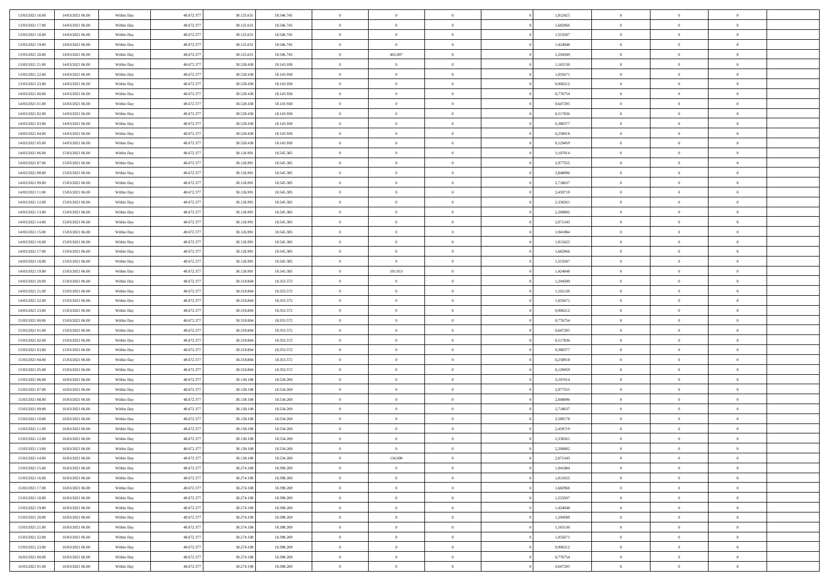| 13/03/2021 16:00                     | 14/03/2021 06:00                     | Within Day               | 48.672.377               | 30.125.631               | 18.546.745               | $\bf{0}$                       | $\bf{0}$                         | $\theta$                         |                | 1,812425             | $\bf{0}$             | $\overline{0}$                   | $\theta$                   |  |
|--------------------------------------|--------------------------------------|--------------------------|--------------------------|--------------------------|--------------------------|--------------------------------|----------------------------------|----------------------------------|----------------|----------------------|----------------------|----------------------------------|----------------------------|--|
| 13/03/2021 17:00                     | 14/03/2021 06:00                     | Within Day               | 48.672.377               | 30.125.631               | 18.546.745               | $\overline{0}$                 | $\overline{0}$                   | $\overline{0}$                   |                | 1,682966             | $\theta$             | $\theta$                         | $\overline{0}$             |  |
| 13/03/2021 18:00                     | 14/03/2021 06:00                     | Within Dav               | 48.672.377               | 30.125.631               | 18.546.745               | $\mathbf{0}$                   | $\overline{0}$                   | $\overline{0}$                   |                | 1,553507             | $\theta$             | $\overline{0}$                   | $\theta$                   |  |
| 13/03/2021 19:00                     | 14/03/2021 06:00                     | Within Day               | 48.672.377               | 30.125.631               | 18.546.745               | $\bf{0}$                       | $\overline{0}$                   | $\bf{0}$                         |                | 1,424048             | $\bf{0}$             | $\overline{0}$                   | $\bf{0}$                   |  |
| 13/03/2021 20:00                     | 14/03/2021 06:00                     | Within Day               | 48.672.377               | 30.125.631               | 18.546.745               | $\bf{0}$                       | 402.807                          | $\bf{0}$                         |                | 1,294589             | $\bf{0}$             | $\Omega$                         | $\bf{0}$                   |  |
| 13/03/2021 21:00                     | 14/03/2021 06:00                     | Within Dav               | 48.672.377               | 30.528.438               | 18.143.938               | $\overline{0}$                 | $\overline{0}$                   | $\overline{0}$                   |                | 1,165130             | $\theta$             | $\overline{0}$                   | $\theta$                   |  |
| 13/03/2021 22:00                     | 14/03/2021 06:00                     | Within Day               | 48.672.377               | 30.528.438               | 18.143.938               | $\bf{0}$                       | $\bf{0}$                         | $\overline{0}$                   |                | 1,035671             | $\bf{0}$             | $\overline{0}$                   | $\theta$                   |  |
| 13/03/2021 23:00                     | 14/03/2021 06:00                     | Within Day               | 48.672.377               | 30.528.438               | 18.143.938               | $\overline{0}$                 | $\overline{0}$                   | $\overline{0}$                   |                | 0,906212             | $\,$ 0 $\,$          | $\overline{0}$                   | $\overline{0}$             |  |
| 14/03/2021 00:00                     | 14/03/2021 06:00                     | Within Day               | 48.672.377               | 30.528.438               | 18.143.938               | $\mathbf{0}$                   | $\overline{0}$                   | $\overline{0}$                   |                | 0,776754             | $\theta$             | $\overline{0}$                   | $\theta$                   |  |
| 14/03/2021 01:00                     | 14/03/2021 06:00                     | Within Day               | 48.672.377               | 30.528.438               | 18.143.938               | $\bf{0}$                       | $\bf{0}$                         | $\overline{0}$                   |                | 0,647295             | $\bf{0}$             | $\overline{0}$                   | $\theta$                   |  |
| 14/03/2021 02:00                     | 14/03/2021 06:00                     | Within Day               | 48.672.377               | 30.528.438               | 18.143.938               | $\bf{0}$                       | $\overline{0}$                   | $\overline{0}$                   |                | 0,517836             | $\bf{0}$             | $\theta$                         | $\overline{0}$             |  |
| 14/03/2021 03:00                     | 14/03/2021 06:00                     | Within Dav               | 48.672.377               | 30.528.438               | 18.143.938               | $\mathbf{0}$                   | $\overline{0}$                   | $\overline{0}$                   |                | 0,388377             | $\theta$             | $\overline{0}$                   | $\theta$                   |  |
| 14/03/2021 04:00                     | 14/03/2021 06:00                     | Within Day               | 48.672.377               | 30.528.438               | 18.143.938               | $\bf{0}$                       | $\overline{0}$                   | $\bf{0}$                         |                | 0,258918             | $\bf{0}$             | $\overline{0}$                   | $\bf{0}$                   |  |
| 14/03/2021 05:00                     | 14/03/2021 06:00                     | Within Day               | 48.672.377               | 30.528.438               | 18.143.938               | $\bf{0}$                       | $\overline{0}$                   | $\overline{0}$                   |                | 0,129459             | $\bf{0}$             | $\Omega$                         | $\bf{0}$                   |  |
| 14/03/2021 06:00                     | 15/03/2021 06:00                     | Within Dav               | 48.672.377               | 30.126.991               | 18.545.385               | $\overline{0}$                 | $\overline{0}$                   | $\overline{0}$                   |                | 3,107014             | $\theta$             | $\overline{0}$                   | $\theta$                   |  |
| 14/03/2021 07:00                     | 15/03/2021 06:00                     | Within Day               | 48.672.377               | 30.126.991               | 18.545.385               | $\bf{0}$                       | $\overline{0}$                   | $\overline{0}$                   |                | 2,977555             | $\bf{0}$             | $\overline{0}$                   | $\theta$                   |  |
| 14/03/2021 08:00                     | 15/03/2021 06:00                     | Within Day               | 48.672.377               | 30.126.991               | 18.545.385               | $\bf{0}$                       | $\overline{0}$                   | $\overline{0}$                   |                | 2,848096             | $\,$ 0 $\,$          | $\overline{0}$                   | $\overline{0}$             |  |
| 14/03/2021 09:00                     | 15/03/2021 06:00                     | Within Day               | 48.672.377               | 30.126.991               | 18.545.385               | $\mathbf{0}$                   | $\overline{0}$                   | $\overline{0}$                   |                | 2,718637             | $\theta$             | $\overline{0}$                   | $\theta$                   |  |
| 14/03/2021 11:00                     | 15/03/2021 06:00                     | Within Day               | 48.672.377               | 30.126.991               | 18.545.385               | $\bf{0}$                       | $\overline{0}$                   | $\overline{0}$                   |                | 2,459719             | $\bf{0}$             | $\overline{0}$                   | $\theta$                   |  |
| 14/03/2021 12:00                     | 15/03/2021 06:00                     |                          | 48.672.377               | 30.126.991               | 18.545.385               | $\bf{0}$                       | $\overline{0}$                   | $\overline{0}$                   |                | 2,330261             | $\bf{0}$             | $\theta$                         | $\overline{0}$             |  |
| 14/03/2021 13:00                     | 15/03/2021 06:00                     | Within Day<br>Within Dav | 48.672.377               | 30.126.991               | 18.545.385               | $\mathbf{0}$                   | $\overline{0}$                   | $\overline{0}$                   |                | 2,200802             | $\theta$             | $\overline{0}$                   | $\theta$                   |  |
| 14/03/2021 14:00                     | 15/03/2021 06:00                     | Within Day               | 48.672.377               | 30.126.991               | 18.545.385               | $\bf{0}$                       | $\overline{0}$                   | $\bf{0}$                         |                | 2,071343             | $\bf{0}$             | $\overline{0}$                   | $\bf{0}$                   |  |
|                                      |                                      |                          | 48.672.377               |                          |                          | $\bf{0}$                       | $\overline{0}$                   | $\overline{0}$                   |                | 1,941884             | $\bf{0}$             | $\overline{0}$                   | $\bf{0}$                   |  |
| 14/03/2021 15:00<br>14/03/2021 16:00 | 15/03/2021 06:00<br>15/03/2021 06:00 | Within Day<br>Within Dav | 48.672.377               | 30.126.991<br>30.126.991 | 18.545.385<br>18.545.385 | $\mathbf{0}$                   | $\overline{0}$                   | $\overline{0}$                   |                | 1,812425             | $\theta$             | $\overline{0}$                   | $\theta$                   |  |
| 14/03/2021 17:00                     | 15/03/2021 06:00                     | Within Day               | 48.672.377               |                          | 18.545.385               | $\bf{0}$                       | $\overline{0}$                   | $\overline{0}$                   |                | 1,682966             | $\bf{0}$             | $\overline{0}$                   | $\theta$                   |  |
|                                      |                                      |                          | 48.672.377               | 30.126.991               |                          | $\bf{0}$                       | $\overline{0}$                   | $\overline{0}$                   |                |                      | $\,$ 0 $\,$          | $\overline{0}$                   | $\bf{0}$                   |  |
| 14/03/2021 18:00<br>14/03/2021 19:00 | 15/03/2021 06:00<br>15/03/2021 06:00 | Within Day               |                          | 30.126.991               | 18.545.385               | $\mathbf{0}$                   |                                  |                                  |                | 1,553507             | $\theta$             |                                  |                            |  |
|                                      |                                      | Within Day               | 48.672.377               | 30.126.991               | 18.545.385               |                                | 191.813                          | $\overline{0}$<br>$\overline{0}$ |                | 1,424048             |                      | $\overline{0}$<br>$\overline{0}$ | $\theta$<br>$\theta$       |  |
| 14/03/2021 20:00                     | 15/03/2021 06:00                     | Within Day               | 48.672.377               | 30.318.804               | 18.353.572               | $\bf{0}$                       | $\overline{0}$                   |                                  |                | 1,294589             | $\bf{0}$             |                                  |                            |  |
| 14/03/2021 21:00                     | 15/03/2021 06:00                     | Within Day               | 48.672.377               | 30.318.804               | 18.353.572               | $\bf{0}$<br>$\mathbf{0}$       | $\overline{0}$                   | $\overline{0}$                   |                | 1,165130             | $\bf{0}$<br>$\theta$ | $\theta$                         | $\bf{0}$<br>$\theta$       |  |
| 14/03/2021 22:00                     | 15/03/2021 06:00                     | Within Dav               | 48.672.377               | 30.318.804               | 18.353.572               |                                | $\overline{0}$                   | $\overline{0}$                   |                | 1,035671             |                      | $\overline{0}$                   |                            |  |
| 14/03/2021 23:00                     | 15/03/2021 06:00                     | Within Day               | 48.672.377               | 30.318.804               | 18.353.572               | $\bf{0}$                       | $\overline{0}$                   | $\overline{0}$                   |                | 0,906212             | $\,0\,$              | $\overline{0}$                   | $\theta$                   |  |
| 15/03/2021 00:00                     | 15/03/2021 06:00                     | Within Day               | 48.672.377               | 30.318.804               | 18.353.572               | $\bf{0}$<br>$\mathbf{0}$       | $\bf{0}$                         | $\overline{0}$                   |                | 0,776754             | $\bf{0}$<br>$\theta$ | $\overline{0}$                   | $\bf{0}$                   |  |
| 15/03/2021 01:00                     | 15/03/2021 06:00                     | Within Day               | 48.672.377               | 30.318.804               | 18.353.572               | $\bf{0}$                       | $\overline{0}$                   | $\overline{0}$                   |                | 0,647295             |                      | $\overline{0}$                   | $\theta$<br>$\theta$       |  |
| 15/03/2021 02:00                     | 15/03/2021 06:00                     | Within Day               | 48.672.377               | 30.318.804               | 18.353.572               |                                | $\overline{0}$<br>$\overline{0}$ | $\overline{0}$<br>$\overline{0}$ |                | 0,517836<br>0.388377 | $\,0\,$              | $\overline{0}$                   |                            |  |
| 15/03/2021 03:00<br>15/03/2021 04:00 | 15/03/2021 06:00<br>15/03/2021 06:00 | Within Day<br>Within Day | 48.672.377<br>48.672.377 | 30.318.804<br>30.318.804 | 18.353.572<br>18.353.572 | $\overline{0}$<br>$\mathbf{0}$ | $\overline{0}$                   |                                  |                | 0,258918             | $\bf{0}$<br>$\theta$ | $\overline{0}$                   | $\bf{0}$<br>$\theta$       |  |
|                                      |                                      |                          |                          |                          |                          | $\bf{0}$                       |                                  | $\overline{0}$                   |                |                      |                      | $\overline{0}$                   | $\theta$                   |  |
| 15/03/2021 05:00                     | 15/03/2021 06:00                     | Within Day               | 48.672.377               | 30.318.804               | 18.353.572               |                                | $\overline{0}$<br>$\overline{0}$ | $\overline{0}$                   |                | 0,129459             | $\,0\,$              | $\overline{0}$<br>$\theta$       |                            |  |
| 15/03/2021 06:00                     | 16/03/2021 06:00                     | Within Day               | 48.672.377               | 30.138.108               | 18.534.269               | $\bf{0}$<br>$\mathbf{0}$       |                                  | $\overline{0}$                   |                | 3,107014             | $\bf{0}$<br>$\theta$ |                                  | $\bf{0}$<br>$\theta$       |  |
| 15/03/2021 07:00                     | 16/03/2021 06:00                     | Within Day               | 48.672.377               | 30.138.108               | 18.534.269               |                                | $\overline{0}$                   | $\overline{0}$                   |                | 2,977555             |                      | $\overline{0}$                   |                            |  |
| 15/03/2021 08:00                     | 16/03/2021 06:00                     | Within Day               | 48.672.377               | 30.138.108               | 18.534.269               | $\,0\,$                        | $\overline{0}$                   | $\overline{0}$                   |                | 2,848096             | $\,0\,$              | $\overline{0}$                   | $\theta$                   |  |
| 15/03/2021 09:00<br>15/03/2021 10:00 | 16/03/2021 06:00<br>16/03/2021 06:00 | Within Day<br>Within Day | 48.672.377<br>48.672.377 | 30.138.108<br>30.138.108 | 18.534.269<br>18.534.269 | $\bf{0}$<br>$\mathbf{0}$       | $\bf{0}$<br>$\overline{0}$       | $\overline{0}$                   |                | 2,718637<br>2,589178 | $\bf{0}$<br>$\theta$ | $\overline{0}$                   | $\bf{0}$<br>$\overline{0}$ |  |
| 15/03/2021 11:00                     | 16/03/2021 06:00                     | Within Day               | 48.672.377               | 30.138.108               | 18.534.269               | $\bf{0}$                       | $\overline{0}$                   | $\overline{0}$<br>$\overline{0}$ |                | 2,459719             | $\,0\,$              | $\overline{0}$<br>$\overline{0}$ | $\theta$                   |  |
| 15/03/2021 12:00                     | 16/03/2021 06:00                     | Within Day               | 48.672.377               | 30.138.108               | 18.534.269               | $\bf{0}$                       | $\overline{0}$                   | $\overline{0}$                   |                | 2,330261             | $\,$ 0 $\,$          | $\overline{0}$                   | $\bf{0}$                   |  |
| 15/03/2021 13:00                     | 16/03/2021 06:00                     | Within Day               | 48.672.377               | 30.138.108               | 18.534.269               | $\bf{0}$                       | $\overline{0}$                   |                                  |                | 2,200802             | $\bf{0}$             | $\Omega$                         | $\Omega$                   |  |
|                                      |                                      |                          |                          |                          |                          |                                |                                  |                                  |                |                      |                      | $\overline{0}$                   |                            |  |
| 15/03/2021 14:00                     | 16/03/2021 06:00                     | Within Day               | 48.672.377               | 30.138.108<br>30.274.108 | 18.534.269               | $\,0\,$                        | 136.000                          | $\overline{0}$                   |                | 2,071343             | $\,$ 0 $\,$          | $\overline{0}$                   | $\theta$                   |  |
| 15/03/2021 15:00                     | 16/03/2021 06:00<br>16/03/2021 06:00 | Within Day               | 48.672.377               |                          | 18.398.269               | $\overline{0}$                 | $\bf{0}$                         | $\overline{0}$                   |                | 1,941884             | $\overline{0}$       |                                  | $\overline{0}$             |  |
| 15/03/2021 16:00                     |                                      | Within Day               | 48.672.377               | 30.274.108               | 18.398.269               | $\mathbf{0}$                   | $\overline{0}$                   | $\overline{0}$                   |                | 1,812425             | $\mathbf{0}$         | $\overline{0}$                   | $\overline{0}$             |  |
| 15/03/2021 17:00                     | 16/03/2021 06:00                     | Within Day               | 48.672.377               | 30.274.108               | 18.398.269               | $\,$ 0 $\,$                    | $\overline{0}$                   | $\overline{0}$                   | $\overline{0}$ | 1,682966             | $\,$ 0 $\,$          | $\overline{0}$                   | $\,$ 0                     |  |
| 15/03/2021 18:00                     | 16/03/2021 06:00<br>16/03/2021 06:00 | Within Day               | 48.672.377               | 30.274.108               | 18.398.269               | $\,$ 0 $\,$                    | $\overline{0}$                   | $\overline{0}$                   |                | 1,553507             | $\,$ 0 $\,$          | $\overline{0}$                   | $\overline{0}$             |  |
| 15/03/2021 19:00                     |                                      | Within Day               | 48.672.377               | 30.274.108               | 18.398.269               | $\overline{0}$                 | $\overline{0}$                   | $\overline{0}$                   |                | 1,424048             | $\overline{0}$       | $\overline{0}$                   | $\overline{0}$             |  |
| 15/03/2021 20:00                     | 16/03/2021 06:00                     | Within Day               | 48.672.377               | 30.274.108               | 18.398.269               | $\,$ 0 $\,$                    | $\overline{0}$                   | $\overline{0}$                   |                | 1,294589             | $\,$ 0 $\,$          | $\overline{0}$                   | $\theta$                   |  |
| 15/03/2021 21:00                     | 16/03/2021 06:00                     | Within Day               | 48.672.377               | 30.274.108               | 18.398.269               | $\bullet$                      | $\overline{0}$                   | $\overline{0}$                   |                | 1,165130             | $\overline{0}$       | $\overline{0}$                   | $\overline{0}$             |  |
| 15/03/2021 22:00                     | 16/03/2021 06:00                     | Within Day               | 48.672.377               | 30.274.108               | 18.398.269               | $\overline{0}$                 | $\overline{0}$                   | $\overline{0}$                   |                | 1,035671             | $\mathbf{0}$         | $\overline{0}$                   | $\overline{0}$             |  |
| 15/03/2021 23:00                     | 16/03/2021 06:00                     | Within Day               | 48.672.377               | 30.274.108               | 18.398.269               | $\,0\,$                        | $\overline{0}$                   | $\overline{0}$                   |                | 0,906212             | $\,$ 0 $\,$          | $\overline{0}$                   | $\,$ 0 $\,$                |  |
| 16/03/2021 00:00                     | 16/03/2021 06:00                     | Within Day               | 48.672.377               | 30.274.108               | 18.398.269               | $\bf{0}$                       | $\overline{0}$                   | $\overline{0}$                   |                | 0,776754             | $\bf{0}$             | $\overline{0}$                   | $\overline{0}$             |  |
| 16/03/2021 01:00                     | 16/03/2021 06:00                     | Within Day               | 48.672.377               | 30.274.108               | 18.398.269               | $\mathbf{0}$                   | $\overline{0}$                   | $\overline{0}$                   |                | 0,647295             | $\overline{0}$       | $\overline{0}$                   | $\overline{0}$             |  |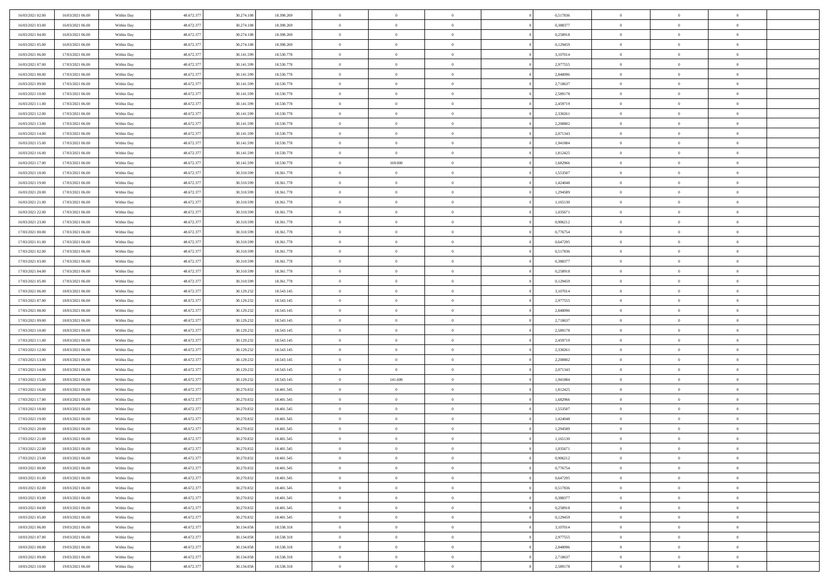| 16/03/2021 02:00                     | 16/03/2021 06:00                     | Within Day               | 48.672.377 | 30.274.108 | 18.398.269 | $\,$ 0         | $\overline{0}$ | $\overline{0}$ |          | 0,517836 | $\bf{0}$       | $\overline{0}$ | $\,0\,$        |  |
|--------------------------------------|--------------------------------------|--------------------------|------------|------------|------------|----------------|----------------|----------------|----------|----------|----------------|----------------|----------------|--|
| 16/03/2021 03:00                     | 16/03/2021 06:00                     | Within Day               | 48.672.377 | 30.274.108 | 18.398.269 | $\overline{0}$ | $\overline{0}$ | $\overline{0}$ |          | 0.388377 | $\overline{0}$ | $\overline{0}$ | $\theta$       |  |
| 16/03/2021 04:00                     | 16/03/2021 06:00                     | Within Dav               | 48.672.377 | 30.274.108 | 18.398.269 | $\mathbf{0}$   | $\overline{0}$ | $\overline{0}$ |          | 0,258918 | $\mathbf{0}$   | $\overline{0}$ | $\overline{0}$ |  |
| 16/03/2021 05:00                     | 16/03/2021 06:00                     | Within Day               | 48.672.377 | 30.274.108 | 18.398.269 | $\bf{0}$       | $\overline{0}$ | $\bf{0}$       |          | 0,129459 | $\bf{0}$       | $\overline{0}$ | $\bf{0}$       |  |
| 16/03/2021 06:00                     | 17/03/2021 06:00                     | Within Day               | 48.672.377 | 30.141.599 | 18.530.778 | $\bf{0}$       | $\overline{0}$ | $\overline{0}$ |          | 3,107014 | $\bf{0}$       | $\bf{0}$       | $\,0\,$        |  |
| 16/03/2021 07:00                     | 17/03/2021 06:00                     | Within Dav               | 48.672.377 | 30.141.599 | 18.530.778 | $\mathbf{0}$   | $\overline{0}$ | $\overline{0}$ |          | 2,977555 | $\mathbf{0}$   | $\overline{0}$ | $\overline{0}$ |  |
| 16/03/2021 08:00                     | 17/03/2021 06:00                     | Within Day               | 48.672.377 | 30.141.599 | 18.530.778 | $\bf{0}$       | $\overline{0}$ | $\overline{0}$ |          | 2,848096 | $\bf{0}$       | $\overline{0}$ | $\,0\,$        |  |
| 16/03/2021 09:00                     | 17/03/2021 06:00                     | Within Day               | 48.672.377 | 30.141.599 | 18.530.778 | $\overline{0}$ | $\overline{0}$ | $\overline{0}$ |          | 2,718637 | $\,$ 0 $\,$    | $\overline{0}$ | $\overline{0}$ |  |
| 16/03/2021 10:00                     | 17/03/2021 06:00                     | Within Day               | 48.672.377 | 30.141.599 | 18.530.778 | $\mathbf{0}$   | $\overline{0}$ | $\overline{0}$ |          | 2,589178 | $\mathbf{0}$   | $\overline{0}$ | $\overline{0}$ |  |
| 16/03/2021 11:00                     | 17/03/2021 06:00                     | Within Day               | 48.672.377 | 30.141.599 | 18.530.778 | $\bf{0}$       | $\overline{0}$ | $\overline{0}$ |          | 2,459719 | $\bf{0}$       | $\overline{0}$ | $\,0\,$        |  |
| 16/03/2021 12:00                     | 17/03/2021 06:00                     |                          | 48.672.377 | 30.141.599 | 18.530.778 | $\overline{0}$ | $\overline{0}$ | $\overline{0}$ |          | 2,330261 | $\bf{0}$       | $\overline{0}$ | $\theta$       |  |
| 16/03/2021 13:00                     | 17/03/2021 06:00                     | Within Day<br>Within Dav | 48.672.377 | 30.141.599 | 18.530.778 | $\mathbf{0}$   | $\overline{0}$ | $\overline{0}$ |          | 2,200802 | $\mathbf{0}$   | $\overline{0}$ | $\overline{0}$ |  |
|                                      | 17/03/2021 06:00                     |                          |            |            |            | $\bf{0}$       |                |                |          |          | $\bf{0}$       |                |                |  |
| 16/03/2021 14:00                     |                                      | Within Day               | 48.672.377 | 30.141.599 | 18.530.778 |                | $\overline{0}$ | $\bf{0}$       |          | 2,071343 |                | $\overline{0}$ | $\overline{0}$ |  |
| 16/03/2021 15:00                     | 17/03/2021 06:00                     | Within Day               | 48.672.377 | 30.141.599 | 18.530.778 | $\bf{0}$       | $\overline{0}$ | $\overline{0}$ |          | 1,941884 | $\bf{0}$       | $\mathbf{0}$   | $\,0\,$        |  |
| 16/03/2021 16:00                     | 17/03/2021 06:00                     | Within Dav               | 48.672.377 | 30.141.599 | 18.530.778 | $\overline{0}$ | $\overline{0}$ | $\overline{0}$ |          | 1,812425 | $\mathbf{0}$   | $\overline{0}$ | $\overline{0}$ |  |
| 16/03/2021 17:00                     | 17/03/2021 06:00                     | Within Day               | 48.672.377 | 30.141.599 | 18.530.778 | $\bf{0}$       | 169.000        | $\overline{0}$ |          | 1,682966 | $\bf{0}$       | $\overline{0}$ | $\bf{0}$       |  |
| 16/03/2021 18:00                     | 17/03/2021 06:00                     | Within Day               | 48.672.377 | 30.310.599 | 18.361.778 | $\overline{0}$ | $\overline{0}$ | $\overline{0}$ |          | 1,553507 | $\bf{0}$       | $\overline{0}$ | $\theta$       |  |
| 16/03/2021 19:00                     | 17/03/2021 06:00                     | Within Day               | 48.672.377 | 30.310.599 | 18.361.778 | $\mathbf{0}$   | $\overline{0}$ | $\overline{0}$ |          | 1,424048 | $\mathbf{0}$   | $\overline{0}$ | $\overline{0}$ |  |
| 16/03/2021 20:00                     | 17/03/2021 06:00                     | Within Day               | 48.672.377 | 30.310.599 | 18.361.778 | $\bf{0}$       | $\bf{0}$       | $\overline{0}$ |          | 1,294589 | $\bf{0}$       | $\overline{0}$ | $\,0\,$        |  |
| 16/03/2021 21:00                     | 17/03/2021 06:00                     | Within Day               | 48.672.377 | 30.310.599 | 18.361.778 | $\overline{0}$ | $\overline{0}$ | $\overline{0}$ |          | 1,165130 | $\bf{0}$       | $\overline{0}$ | $\overline{0}$ |  |
| 16/03/2021 22:00                     | 17/03/2021 06:00                     | Within Dav               | 48.672.377 | 30.310.599 | 18.361.778 | $\mathbf{0}$   | $\overline{0}$ | $\overline{0}$ |          | 1,035671 | $\mathbf{0}$   | $\overline{0}$ | $\overline{0}$ |  |
| 16/03/2021 23:00                     | 17/03/2021 06:00                     | Within Day               | 48.672.377 | 30.310.599 | 18.361.778 | $\bf{0}$       | $\overline{0}$ | $\overline{0}$ |          | 0,906212 | $\bf{0}$       | $\overline{0}$ | $\bf{0}$       |  |
| 17/03/2021 00:00                     | 17/03/2021 06:00                     | Within Day               | 48.672.377 | 30.310.599 | 18.361.778 | $\bf{0}$       | $\bf{0}$       | $\overline{0}$ |          | 0,776754 | $\bf{0}$       | $\overline{0}$ | $\,0\,$        |  |
| 17/03/2021 01:00                     | 17/03/2021 06:00                     | Within Dav               | 48.672.377 | 30.310.599 | 18.361.778 | $\mathbf{0}$   | $\overline{0}$ | $\overline{0}$ |          | 0,647295 | $\mathbf{0}$   | $\overline{0}$ | $\overline{0}$ |  |
| 17/03/2021 02:00                     | 17/03/2021 06:00                     | Within Day               | 48.672.377 | 30.310.599 | 18.361.778 | $\bf{0}$       | $\bf{0}$       | $\overline{0}$ |          | 0,517836 | $\bf{0}$       | $\overline{0}$ | $\,0\,$        |  |
| 17/03/2021 03:00                     | 17/03/2021 06:00                     | Within Day               | 48.672.377 | 30.310.599 | 18.361.778 | $\overline{0}$ | $\overline{0}$ | $\overline{0}$ |          | 0.388377 | $\bf{0}$       | $\overline{0}$ | $\overline{0}$ |  |
| 17/03/2021 04:00                     | 17/03/2021 06:00                     | Within Day               | 48.672.377 | 30.310.599 | 18.361.778 | $\mathbf{0}$   | $\overline{0}$ | $\overline{0}$ |          | 0,258918 | $\mathbf{0}$   | $\overline{0}$ | $\overline{0}$ |  |
| 17/03/2021 05:00                     | 17/03/2021 06:00                     | Within Day               | 48.672.377 | 30.310.599 | 18.361.778 | $\bf{0}$       | $\bf{0}$       | $\overline{0}$ |          | 0,129459 | $\bf{0}$       | $\overline{0}$ | $\,0\,$        |  |
| 17/03/2021 06:00                     | 18/03/2021 06:00                     | Within Day               | 48.672.377 | 30.129.232 | 18.543.145 | $\bf{0}$       | $\bf{0}$       | $\overline{0}$ |          | 3,107014 | $\bf{0}$       | $\bf{0}$       | $\overline{0}$ |  |
| 17/03/2021 07:00                     | 18/03/2021 06:00                     | Within Dav               | 48.672.377 | 30.129.232 | 18.543.145 | $\mathbf{0}$   | $\overline{0}$ | $\overline{0}$ |          | 2,977555 | $\mathbf{0}$   | $\overline{0}$ | $\overline{0}$ |  |
| 17/03/2021 08:00                     | 18/03/2021 06:00                     | Within Day               | 48.672.377 | 30.129.232 | 18.543.145 | $\bf{0}$       | $\overline{0}$ | $\theta$       |          | 2,848096 | $\,$ 0         | $\overline{0}$ | $\theta$       |  |
| 17/03/2021 09:00                     | 18/03/2021 06:00                     | Within Day               | 48.672.377 | 30.129.232 | 18.543.145 | $\bf{0}$       | $\bf{0}$       | $\overline{0}$ |          | 2,718637 | $\bf{0}$       | $\mathbf{0}$   | $\overline{0}$ |  |
| 17/03/2021 10:00                     | 18/03/2021 06:00                     | Within Dav               | 48.672.377 | 30.129.232 | 18.543.145 | $\overline{0}$ | $\overline{0}$ | $\overline{0}$ |          | 2,589178 | $\mathbf{0}$   | $\overline{0}$ | $\overline{0}$ |  |
| 17/03/2021 11:00                     | 18/03/2021 06:00                     | Within Day               | 48.672.377 | 30.129.232 | 18.543.145 | $\bf{0}$       | $\overline{0}$ | $\theta$       |          | 2,459719 | $\,$ 0         | $\overline{0}$ | $\theta$       |  |
| 17/03/2021 12:00                     | 18/03/2021 06:00                     | Within Day               | 48.672.377 | 30.129.232 | 18.543.145 | $\overline{0}$ | $\overline{0}$ | $\overline{0}$ |          | 2,330261 | $\bf{0}$       | $\overline{0}$ | $\overline{0}$ |  |
| 17/03/2021 13:00                     | 18/03/2021 06:00                     | Within Day               | 48.672.377 | 30.129.232 | 18.543.145 | $\mathbf{0}$   | $\overline{0}$ | $\overline{0}$ |          | 2,200802 | $\mathbf{0}$   | $\overline{0}$ | $\overline{0}$ |  |
| 17/03/2021 14:00                     | 18/03/2021 06:00                     | Within Day               | 48.672.377 | 30.129.232 | 18.543.145 | $\bf{0}$       | $\overline{0}$ | $\theta$       |          | 2,071343 | $\,$ 0         | $\overline{0}$ | $\theta$       |  |
| 17/03/2021 15:00                     | 18/03/2021 06:00                     | Within Day               | 48.672.377 | 30.129.232 | 18.543.145 | $\bf{0}$       | 141.600        | $\overline{0}$ |          | 1,941884 | $\bf{0}$       | $\mathbf{0}$   | $\overline{0}$ |  |
| 17/03/2021 16:00                     | 18/03/2021 06:00                     | Within Dav               | 48.672.377 | 30.270.832 | 18.401.545 | $\mathbf{0}$   | $\overline{0}$ | $\overline{0}$ |          | 1,812425 | $\mathbf{0}$   | $\overline{0}$ | $\overline{0}$ |  |
| 17/03/2021 17:00                     | 18/03/2021 06:00                     | Within Day               | 48.672.377 | 30.270.832 | 18.401.545 | $\,0\,$        | $\overline{0}$ | $\theta$       |          | 1,682966 | $\,$ 0         | $\overline{0}$ | $\theta$       |  |
| 17/03/2021 18:00                     | 18/03/2021 06:00                     | Within Day               | 48.672.377 | 30.270.832 | 18.401.545 | $\bf{0}$       | $\overline{0}$ | $\overline{0}$ |          | 1,553507 | $\bf{0}$       | $\overline{0}$ | $\overline{0}$ |  |
| 17/03/2021 19:00                     | 18/03/2021 06:00                     | Within Dav               | 48.672.377 | 30.270.832 | 18.401.545 | $\mathbf{0}$   | $\overline{0}$ | $\overline{0}$ |          | 1,424048 | $\mathbf{0}$   | $\overline{0}$ | $\overline{0}$ |  |
| 17/03/2021 20:00                     | 18/03/2021 06:00                     | Within Day               | 48.672.377 | 30.270.832 | 18.401.545 | $\bf{0}$       | $\overline{0}$ | $\theta$       |          | 1,294589 | $\,$ 0         | $\overline{0}$ | $\theta$       |  |
| 17/03/2021 21:00                     | 18/03/2021 06:00                     | Within Day               | 48.672.377 | 30.270.832 | 18.401.545 | $\bf{0}$       | $\overline{0}$ | $\overline{0}$ |          | 1,165130 | $\bf{0}$       | $\overline{0}$ | $\overline{0}$ |  |
| 17/03/2021 22:00                     | 18/03/2021 06:00                     | Within Day               | 48.672.377 | 30.270.832 | 18.401.545 | $\bf{0}$       | $\overline{0}$ |                |          | 1,035671 | $\overline{0}$ | $\theta$       | $\theta$       |  |
| 17/03/2021 23:00                     | 18/03/2021 06:00                     | Within Day               | 48.672.377 | 30.270.832 | 18.401.545 | $\,0\,$        | $\overline{0}$ | $\theta$       |          | 0,906212 | $\,$ 0 $\,$    | $\overline{0}$ | $\theta$       |  |
| 18/03/2021 00:00                     | 18/03/2021 06:00                     | Within Day               | 48.672.377 | 30.270.832 | 18.401.545 | $\overline{0}$ | $\overline{0}$ | $\overline{0}$ |          | 0,776754 | $\overline{0}$ | $\overline{0}$ | $\overline{0}$ |  |
| 18/03/2021 01:00                     | 18/03/2021 06:00                     | Within Day               | 48.672.377 | 30.270.832 | 18.401.545 | $\bf{0}$       | $\overline{0}$ | $\overline{0}$ |          | 0,647295 | $\overline{0}$ | $\bf{0}$       | $\mathbf{0}$   |  |
| 18/03/2021 02:00                     | 18/03/2021 06:00                     | Within Day               | 48.672.377 | 30.270.832 | 18.401.545 | $\bf{0}$       | $\overline{0}$ | $\overline{0}$ | $\theta$ | 0,517836 | $\,$ 0 $\,$    | $\bf{0}$       | $\,$ 0 $\,$    |  |
| 18/03/2021 03:00                     | 18/03/2021 06:00                     | Within Day               | 48.672.377 | 30.270.832 | 18.401.545 | $\bf{0}$       | $\overline{0}$ | $\overline{0}$ |          | 0,388377 | $\,$ 0 $\,$    | $\overline{0}$ | $\overline{0}$ |  |
| 18/03/2021 04:00                     | 18/03/2021 06:00                     | Within Day               | 48.672.377 | 30.270.832 | 18.401.545 | $\bf{0}$       | $\overline{0}$ | $\overline{0}$ |          | 0,258918 | $\mathbf{0}$   | $\overline{0}$ | $\overline{0}$ |  |
| 18/03/2021 05:00                     | 18/03/2021 06:00                     | Within Day               | 48.672.377 | 30.270.832 |            | $\,0\,$        | $\overline{0}$ | $\overline{0}$ | $\theta$ | 0,129459 | $\,$ 0 $\,$    | $\overline{0}$ | $\overline{0}$ |  |
|                                      |                                      |                          | 48.672.377 | 30.134.058 | 18.401.545 | $\bf{0}$       | $\overline{0}$ | $\overline{0}$ |          | 3,107014 | $\overline{0}$ | $\overline{0}$ |                |  |
| 18/03/2021 06:00<br>18/03/2021 07:00 | 19/03/2021 06:00<br>19/03/2021 06:00 | Within Day               | 48.672.377 |            | 18.538.318 |                |                |                |          |          |                |                | $\overline{0}$ |  |
|                                      |                                      | Within Day               |            | 30.134.058 | 18.538.318 | $\bf{0}$       | $\overline{0}$ | $\overline{0}$ |          | 2,977555 | $\mathbf{0}$   | $\overline{0}$ | $\overline{0}$ |  |
| 18/03/2021 08:00                     | 19/03/2021 06:00                     | Within Day               | 48.672.377 | 30.134.058 | 18.538.318 | $\,0\,$        | $\overline{0}$ | $\overline{0}$ |          | 2,848096 | $\,$ 0 $\,$    | $\overline{0}$ | $\overline{0}$ |  |
| 18/03/2021 09:00                     | 19/03/2021 06:00                     | Within Day               | 48.672.377 | 30.134.058 | 18.538.318 | $\bf{0}$       | $\overline{0}$ | $\overline{0}$ |          | 2,718637 | $\bf{0}$       | $\mathbf{0}$   | $\overline{0}$ |  |
| 18/03/2021 10:00                     | 19/03/2021 06:00                     | Within Day               | 48.672.377 | 30.134.058 | 18.538.318 | $\mathbf{0}$   | $\overline{0}$ | $\overline{0}$ |          | 2,589178 | $\mathbf{0}$   | $\overline{0}$ | $\overline{0}$ |  |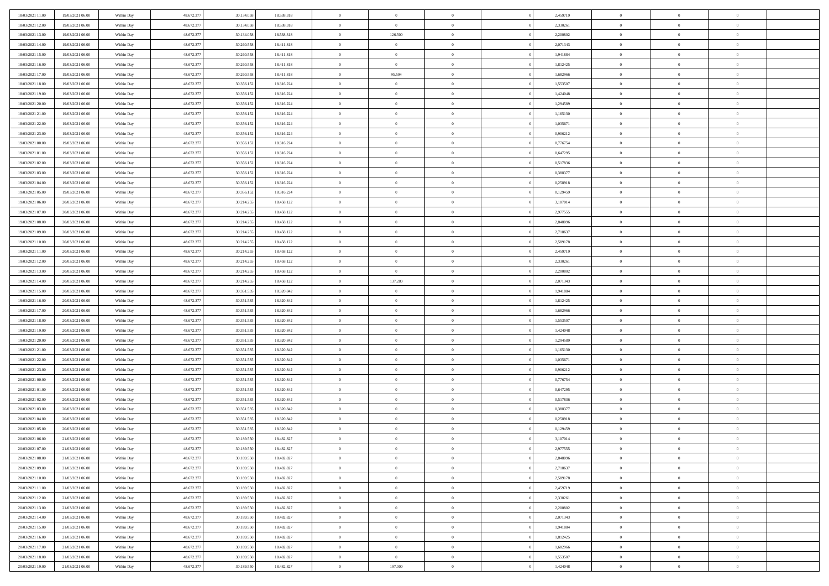| 18/03/2021 11:00                     | 19/03/2021 06:00 | Within Day | 48.672.377 | 30.134.058 | 18.538.318 | $\bf{0}$       | $\overline{0}$ | $\theta$       |          | 2,459719 | $\bf{0}$       | $\overline{0}$ | $\,0\,$        |  |
|--------------------------------------|------------------|------------|------------|------------|------------|----------------|----------------|----------------|----------|----------|----------------|----------------|----------------|--|
| 18/03/2021 12:00                     | 19/03/2021 06:00 | Within Day | 48.672.377 | 30.134.058 | 18.538.318 | $\overline{0}$ | $\overline{0}$ | $\Omega$       |          | 2,330261 | $\overline{0}$ | $\overline{0}$ | $\theta$       |  |
| 18/03/2021 13:00                     | 19/03/2021 06:00 | Within Dav | 48.672.377 | 30.134.058 | 18.538.318 | $\overline{0}$ | 126.500        | $\overline{0}$ |          | 2,200802 | $\mathbf{0}$   | $\overline{0}$ | $\overline{0}$ |  |
| 18/03/2021 14:00                     | 19/03/2021 06:00 | Within Day | 48.672.377 | 30.260.558 | 18.411.818 | $\bf{0}$       | $\overline{0}$ | $\bf{0}$       |          | 2,071343 | $\bf{0}$       | $\overline{0}$ | $\bf{0}$       |  |
| 18/03/2021 15:00                     | 19/03/2021 06:00 | Within Day | 48.672.377 | 30.260.558 | 18.411.818 | $\bf{0}$       | $\overline{0}$ | $\overline{0}$ |          | 1,941884 | $\bf{0}$       | $\theta$       | $\,0\,$        |  |
| 18/03/2021 16:00                     | 19/03/2021 06:00 | Within Dav | 48.672.377 | 30.260.558 | 18.411.818 | $\overline{0}$ | $\overline{0}$ | $\overline{0}$ |          | 1,812425 | $\mathbf{0}$   | $\overline{0}$ | $\overline{0}$ |  |
| 18/03/2021 17:00                     | 19/03/2021 06:00 | Within Day | 48.672.377 | 30.260.558 | 18.411.818 | $\bf{0}$       | 95.594         | $\overline{0}$ |          | 1,682966 | $\bf{0}$       | $\overline{0}$ | $\,0\,$        |  |
| 18/03/2021 18:00                     | 19/03/2021 06:00 | Within Day | 48.672.377 | 30.356.152 | 18.316.224 | $\overline{0}$ | $\overline{0}$ | $\overline{0}$ |          | 1,553507 | $\,$ 0 $\,$    | $\overline{0}$ | $\overline{0}$ |  |
| 18/03/2021 19:00                     | 19/03/2021 06:00 | Within Dav | 48.672.377 | 30.356.152 | 18.316.224 | $\mathbf{0}$   | $\overline{0}$ | $\overline{0}$ |          | 1,424048 | $\mathbf{0}$   | $\bf{0}$       | $\overline{0}$ |  |
| 18/03/2021 20:00                     | 19/03/2021 06:00 | Within Day | 48.672.377 | 30.356.152 | 18.316.224 | $\bf{0}$       | $\bf{0}$       | $\overline{0}$ |          | 1,294589 | $\bf{0}$       | $\overline{0}$ | $\,0\,$        |  |
|                                      |                  |            | 48.672.377 |            |            | $\bf{0}$       | $\overline{0}$ | $\overline{0}$ |          | 1,165130 | $\bf{0}$       | $\mathbf{0}$   | $\theta$       |  |
| 18/03/2021 21:00<br>18/03/2021 22:00 | 19/03/2021 06:00 | Within Day |            | 30.356.152 | 18.316.224 | $\mathbf{0}$   |                |                |          |          | $\mathbf{0}$   |                | $\overline{0}$ |  |
|                                      | 19/03/2021 06:00 | Within Dav | 48.672.377 | 30.356.152 | 18.316.224 |                | $\overline{0}$ | $\overline{0}$ |          | 1,035671 |                | $\overline{0}$ |                |  |
| 18/03/2021 23:00                     | 19/03/2021 06:00 | Within Day | 48.672.377 | 30.356.152 | 18.316.224 | $\bf{0}$       | $\overline{0}$ | $\bf{0}$       |          | 0,906212 | $\bf{0}$       | $\overline{0}$ | $\,0\,$        |  |
| 19/03/2021 00:00                     | 19/03/2021 06:00 | Within Day | 48.672.377 | 30.356.152 | 18.316.224 | $\bf{0}$       | $\overline{0}$ | $\overline{0}$ |          | 0,776754 | $\bf{0}$       | $\theta$       | $\,0\,$        |  |
| 19/03/2021 01:00                     | 19/03/2021 06:00 | Within Dav | 48.672.377 | 30.356.152 | 18.316.224 | $\overline{0}$ | $\overline{0}$ | $\overline{0}$ |          | 0,647295 | $\mathbf{0}$   | $\overline{0}$ | $\overline{0}$ |  |
| 19/03/2021 02:00                     | 19/03/2021 06:00 | Within Day | 48.672.377 | 30.356.152 | 18.316.224 | $\bf{0}$       | $\bf{0}$       | $\overline{0}$ |          | 0,517836 | $\bf{0}$       | $\overline{0}$ | $\,0\,$        |  |
| 19/03/2021 03:00                     | 19/03/2021 06:00 | Within Day | 48.672.377 | 30.356.152 | 18.316.224 | $\overline{0}$ | $\overline{0}$ | $\overline{0}$ |          | 0.388377 | $\bf{0}$       | $\overline{0}$ | $\theta$       |  |
| 19/03/2021 04:00                     | 19/03/2021 06:00 | Within Day | 48.672.377 | 30.356.152 | 18.316.224 | $\mathbf{0}$   | $\overline{0}$ | $\overline{0}$ |          | 0,258918 | $\mathbf{0}$   | $\overline{0}$ | $\overline{0}$ |  |
| 19/03/2021 05:00                     | 19/03/2021 06:00 | Within Day | 48.672.377 | 30.356.152 | 18.316.224 | $\bf{0}$       | $\bf{0}$       | $\overline{0}$ |          | 0,129459 | $\bf{0}$       | $\overline{0}$ | $\,0\,$        |  |
| 19/03/2021 06:00                     | 20/03/2021 06:00 | Within Day | 48.672.377 | 30.214.255 | 18.458.122 | $\overline{0}$ | $\overline{0}$ | $\overline{0}$ |          | 3,107014 | $\bf{0}$       | $\overline{0}$ | $\overline{0}$ |  |
| 19/03/2021 07:00                     | 20/03/2021 06:00 | Within Dav | 48.672.377 | 30.214.255 | 18.458.122 | $\overline{0}$ | $\overline{0}$ | $\overline{0}$ |          | 2,977555 | $\mathbf{0}$   | $\overline{0}$ | $\overline{0}$ |  |
| 19/03/2021 08:00                     | 20/03/2021 06:00 | Within Day | 48.672.377 | 30.214.255 | 18.458.122 | $\bf{0}$       | $\bf{0}$       | $\bf{0}$       |          | 2,848096 | $\bf{0}$       | $\overline{0}$ | $\bf{0}$       |  |
| 19/03/2021 09:00                     | 20/03/2021 06:00 | Within Day | 48.672.377 | 30.214.255 | 18.458.122 | $\bf{0}$       | $\bf{0}$       | $\overline{0}$ |          | 2,718637 | $\bf{0}$       | $\bf{0}$       | $\,0\,$        |  |
| 19/03/2021 10:00                     | 20/03/2021 06:00 | Within Dav | 48.672.377 | 30.214.255 | 18.458.122 | $\mathbf{0}$   | $\overline{0}$ | $\overline{0}$ |          | 2,589178 | $\mathbf{0}$   | $\overline{0}$ | $\theta$       |  |
| 19/03/2021 11:00                     | 20/03/2021 06:00 | Within Day | 48.672.377 | 30.214.255 | 18.458.122 | $\bf{0}$       | $\bf{0}$       | $\overline{0}$ |          | 2,459719 | $\bf{0}$       | $\overline{0}$ | $\,0\,$        |  |
| 19/03/2021 12:00                     | 20/03/2021 06:00 | Within Day | 48.672.377 | 30.214.255 | 18.458.122 | $\overline{0}$ | $\overline{0}$ | $\overline{0}$ |          | 2,330261 | $\bf{0}$       | $\overline{0}$ | $\overline{0}$ |  |
| 19/03/2021 13:00                     | 20/03/2021 06:00 | Within Dav | 48.672.377 | 30.214.255 | 18.458.122 | $\mathbf{0}$   | $\overline{0}$ | $\overline{0}$ |          | 2,200802 | $\mathbf{0}$   | $\bf{0}$       | $\overline{0}$ |  |
| 19/03/2021 14:00                     | 20/03/2021 06:00 | Within Day | 48.672.377 | 30.214.255 | 18.458.122 | $\bf{0}$       | 137.280        | $\overline{0}$ |          | 2,071343 | $\bf{0}$       | $\overline{0}$ | $\,0\,$        |  |
| 19/03/2021 15:00                     | 20/03/2021 06:00 | Within Day | 48.672.377 | 30.351.535 | 18.320.842 | $\bf{0}$       | $\overline{0}$ | $\overline{0}$ |          | 1,941884 | $\bf{0}$       | $\mathbf{0}$   | $\overline{0}$ |  |
| 19/03/2021 16:00                     | 20/03/2021 06:00 | Within Day | 48.672.377 | 30.351.535 | 18.320.842 | $\mathbf{0}$   | $\overline{0}$ | $\overline{0}$ |          | 1,812425 | $\mathbf{0}$   | $\overline{0}$ | $\overline{0}$ |  |
| 19/03/2021 17:00                     | 20/03/2021 06:00 | Within Day | 48.672.377 | 30.351.535 | 18.320.842 | $\bf{0}$       | $\overline{0}$ | $\overline{0}$ |          | 1,682966 | $\,$ 0         | $\overline{0}$ | $\theta$       |  |
| 19/03/2021 18:00                     | 20/03/2021 06:00 | Within Day | 48.672.377 | 30.351.535 | 18.320.842 | $\bf{0}$       | $\overline{0}$ | $\overline{0}$ |          | 1,553507 | $\bf{0}$       | $\mathbf{0}$   | $\overline{0}$ |  |
| 19/03/2021 19:00                     | 20/03/2021 06:00 | Within Dav | 48.672.377 | 30.351.535 | 18.320.842 | $\overline{0}$ | $\overline{0}$ | $\overline{0}$ |          | 1,424048 | $\mathbf{0}$   | $\overline{0}$ | $\overline{0}$ |  |
| 19/03/2021 20:00                     | 20/03/2021 06:00 | Within Day | 48.672.377 | 30.351.535 | 18.320.842 | $\bf{0}$       | $\overline{0}$ | $\overline{0}$ |          | 1,294589 | $\,$ 0         | $\overline{0}$ | $\theta$       |  |
| 19/03/2021 21:00                     | 20/03/2021 06:00 | Within Day | 48.672.377 | 30.351.535 | 18.320.842 | $\bf{0}$       | $\overline{0}$ | $\overline{0}$ |          | 1,165130 | $\bf{0}$       | $\overline{0}$ | $\overline{0}$ |  |
| 19/03/2021 22:00                     | 20/03/2021 06:00 | Within Day | 48.672.377 | 30.351.535 | 18.320.842 | $\mathbf{0}$   | $\overline{0}$ | $\overline{0}$ |          | 1,035671 | $\mathbf{0}$   | $\overline{0}$ | $\overline{0}$ |  |
| 19/03/2021 23:00                     | 20/03/2021 06:00 | Within Day | 48.672.377 | 30.351.535 | 18.320.842 | $\bf{0}$       | $\overline{0}$ | $\overline{0}$ |          | 0,906212 | $\,$ 0         | $\overline{0}$ | $\theta$       |  |
| 20/03/2021 00:00                     | 20/03/2021 06:00 | Within Day | 48.672.377 | 30.351.535 | 18.320.842 | $\bf{0}$       | $\overline{0}$ | $\overline{0}$ |          | 0,776754 | $\bf{0}$       | $\mathbf{0}$   | $\overline{0}$ |  |
| 20/03/2021 01:00                     | 20/03/2021 06:00 | Within Dav | 48.672.377 | 30.351.535 | 18.320.842 | $\mathbf{0}$   | $\overline{0}$ | $\overline{0}$ |          | 0,647295 | $\mathbf{0}$   | $\overline{0}$ | $\overline{0}$ |  |
| 20/03/2021 02:00                     | 20/03/2021 06:00 | Within Day | 48.672.377 | 30.351.535 | 18.320.842 | $\bf{0}$       | $\overline{0}$ | $\overline{0}$ |          | 0,517836 | $\,$ 0         | $\overline{0}$ | $\theta$       |  |
| 20/03/2021 03:00                     | 20/03/2021 06:00 | Within Day | 48.672.377 | 30.351.535 | 18.320.842 | $\bf{0}$       | $\overline{0}$ | $\overline{0}$ |          | 0,388377 | $\bf{0}$       | $\overline{0}$ | $\overline{0}$ |  |
| 20/03/2021 04:00                     | 20/03/2021 06:00 | Within Dav | 48.672.377 | 30.351.535 | 18.320.842 | $\mathbf{0}$   | $\overline{0}$ | $\overline{0}$ |          | 0,258918 | $\mathbf{0}$   | $\overline{0}$ | $\theta$       |  |
| 20/03/2021 05:00                     | 20/03/2021 06:00 | Within Day | 48.672.377 | 30.351.535 | 18.320.842 | $\bf{0}$       | $\overline{0}$ | $\overline{0}$ |          | 0,129459 | $\,$ 0         | $\overline{0}$ | $\theta$       |  |
| 20/03/2021 06:00                     | 21/03/2021 06:00 | Within Day | 48.672.377 | 30.189.550 | 18.482.827 | $\bf{0}$       | $\overline{0}$ | $\overline{0}$ |          | 3,107014 | $\,$ 0 $\,$    | $\overline{0}$ | $\overline{0}$ |  |
| 20/03/2021 07:00                     | 21/03/2021 06:00 | Within Day | 48.672.377 | 30.189.550 | 18.482.827 | $\overline{0}$ | $\overline{0}$ |                |          | 2,977555 | $\overline{0}$ | $\theta$       | $\theta$       |  |
| 20/03/2021 08:00                     | 21/03/2021 06:00 | Within Day | 48.672.377 | 30.189.550 | 18.482.827 | $\,0\,$        | $\overline{0}$ | $\overline{0}$ |          | 2,848096 | $\,$ 0 $\,$    | $\bf{0}$       | $\theta$       |  |
| 20/03/2021 09:00                     | 21/03/2021 06:00 | Within Day | 48.672.377 | 30.189.550 | 18.482.827 | $\overline{0}$ | $\overline{0}$ | $\overline{0}$ |          | 2,718637 | $\overline{0}$ | $\overline{0}$ | $\overline{0}$ |  |
| 20/03/2021 10:00                     | 21/03/2021 06:00 | Within Day | 48.672.377 | 30.189.550 | 18.482.827 | $\bf{0}$       | $\overline{0}$ | $\overline{0}$ |          | 2,589178 | $\overline{0}$ | $\bf{0}$       | $\mathbf{0}$   |  |
| 20/03/2021 11:00                     | 21/03/2021 06:00 | Within Day | 48.672.377 | 30.189.550 | 18.482.827 | $\bf{0}$       | $\overline{0}$ | $\overline{0}$ | $\theta$ | 2,459719 | $\,$ 0 $\,$    | $\bf{0}$       | $\,$ 0 $\,$    |  |
| 20/03/2021 12:00                     | 21/03/2021 06:00 | Within Day | 48.672.377 | 30.189.550 | 18.482.827 | $\bf{0}$       | $\overline{0}$ | $\overline{0}$ |          | 2,330261 | $\,$ 0 $\,$    | $\overline{0}$ | $\overline{0}$ |  |
| 20/03/2021 13:00                     | 21/03/2021 06:00 | Within Day | 48.672.377 | 30.189.550 | 18.482.827 | $\bf{0}$       | $\overline{0}$ | $\overline{0}$ |          | 2,200802 | $\mathbf{0}$   | $\overline{0}$ | $\overline{0}$ |  |
|                                      |                  |            |            |            |            |                |                |                |          |          |                |                |                |  |
| 20/03/2021 14:00                     | 21/03/2021 06:00 | Within Day | 48.672.377 | 30.189.550 | 18.482.827 | $\,0\,$        | $\overline{0}$ | $\overline{0}$ | $\theta$ | 2,071343 | $\,$ 0 $\,$    | $\overline{0}$ | $\overline{0}$ |  |
| 20/03/2021 15:00                     | 21/03/2021 06:00 | Within Day | 48.672.377 | 30.189.550 | 18.482.827 | $\bf{0}$       | $\overline{0}$ | $\overline{0}$ |          | 1,941884 | $\overline{0}$ | $\overline{0}$ | $\overline{0}$ |  |
| 20/03/2021 16:00                     | 21/03/2021 06:00 | Within Day | 48.672.377 | 30.189.550 | 18.482.827 | $\bf{0}$       | $\overline{0}$ | $\overline{0}$ |          | 1,812425 | $\mathbf{0}$   | $\overline{0}$ | $\overline{0}$ |  |
| 20/03/2021 17:00                     | 21/03/2021 06:00 | Within Day | 48.672.377 | 30.189.550 | 18.482.827 | $\,0\,$        | $\overline{0}$ | $\overline{0}$ |          | 1,682966 | $\,$ 0 $\,$    | $\overline{0}$ | $\overline{0}$ |  |
| 20/03/2021 18:00                     | 21/03/2021 06:00 | Within Day | 48.672.377 | 30.189.550 | 18.482.827 | $\bf{0}$       | $\overline{0}$ | $\overline{0}$ |          | 1,553507 | $\bf{0}$       | $\mathbf{0}$   | $\overline{0}$ |  |
| 20/03/2021 19:00                     | 21/03/2021 06:00 | Within Day | 48.672.377 | 30.189.550 | 18.482.827 | $\bf{0}$       | 197.000        | $\overline{0}$ |          | 1,424048 | $\mathbf{0}$   | $\overline{0}$ | $\overline{0}$ |  |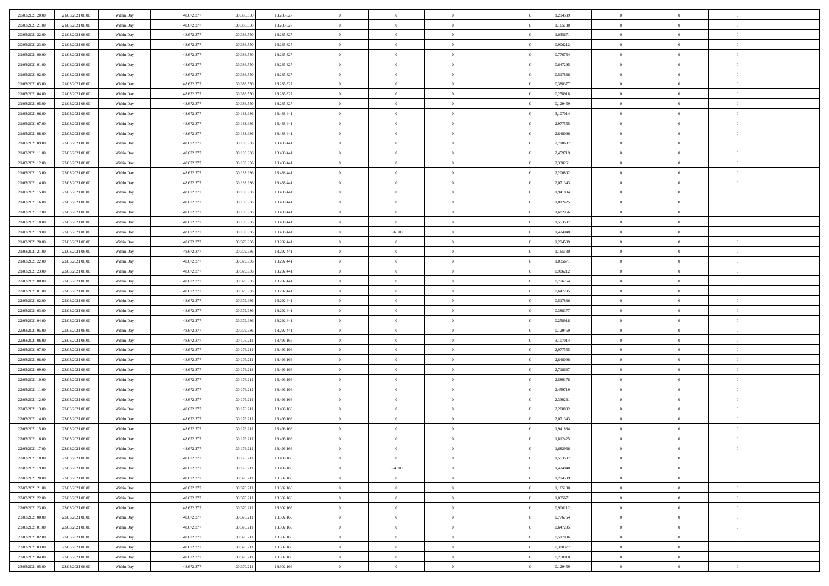| 20/03/2021 20:00 | 21/03/2021 06:00 | Within Day | 48.672.377 | 30.386.550 | 18.285.827 | $\,$ 0         | $\overline{0}$ | $\overline{0}$ |          | 1,294589 | $\bf{0}$       | $\overline{0}$ | $\,0\,$        |  |
|------------------|------------------|------------|------------|------------|------------|----------------|----------------|----------------|----------|----------|----------------|----------------|----------------|--|
| 20/03/2021 21:00 | 21/03/2021 06:00 | Within Day | 48.672.377 | 30.386.550 | 18.285.827 | $\overline{0}$ | $\overline{0}$ | $\overline{0}$ |          | 1,165130 | $\overline{0}$ | $\overline{0}$ | $\theta$       |  |
| 20/03/2021 22:00 | 21/03/2021 06:00 | Within Dav | 48.672.377 | 30.386.550 | 18.285.827 | $\mathbf{0}$   | $\overline{0}$ | $\overline{0}$ |          | 1,035671 | $\mathbf{0}$   | $\overline{0}$ | $\overline{0}$ |  |
| 20/03/2021 23:00 | 21/03/2021 06:00 | Within Day | 48.672.377 | 30.386.550 | 18.285.827 | $\bf{0}$       | $\overline{0}$ | $\bf{0}$       |          | 0,906212 | $\bf{0}$       | $\overline{0}$ | $\bf{0}$       |  |
| 21/03/2021 00:00 | 21/03/2021 06:00 | Within Day | 48.672.377 | 30.386.550 | 18.285.827 | $\bf{0}$       | $\overline{0}$ | $\overline{0}$ |          | 0,776754 | $\bf{0}$       | $\bf{0}$       | $\,0\,$        |  |
| 21/03/2021 01:00 | 21/03/2021 06:00 | Within Dav | 48.672.377 | 30.386.550 | 18.285.827 | $\mathbf{0}$   | $\overline{0}$ | $\overline{0}$ |          | 0,647295 | $\mathbf{0}$   | $\overline{0}$ | $\overline{0}$ |  |
|                  |                  |            |            |            |            |                |                |                |          |          |                |                |                |  |
| 21/03/2021 02:00 | 21/03/2021 06:00 | Within Day | 48.672.377 | 30.386.550 | 18.285.827 | $\bf{0}$       | $\bf{0}$       | $\overline{0}$ |          | 0,517836 | $\bf{0}$       | $\overline{0}$ | $\,0\,$        |  |
| 21/03/2021 03:00 | 21/03/2021 06:00 | Within Day | 48.672.377 | 30.386.550 | 18.285.827 | $\overline{0}$ | $\overline{0}$ | $\overline{0}$ |          | 0.388377 | $\,$ 0 $\,$    | $\overline{0}$ | $\theta$       |  |
| 21/03/2021 04:00 | 21/03/2021 06:00 | Within Dav | 48.672.377 | 30.386.550 | 18.285.827 | $\mathbf{0}$   | $\overline{0}$ | $\overline{0}$ |          | 0,258918 | $\mathbf{0}$   | $\overline{0}$ | $\overline{0}$ |  |
| 21/03/2021 05:00 | 21/03/2021 06:00 | Within Day | 48.672.377 | 30.386.550 | 18.285.827 | $\bf{0}$       | $\bf{0}$       | $\overline{0}$ |          | 0,129459 | $\bf{0}$       | $\overline{0}$ | $\,0\,$        |  |
| 21/03/2021 06:00 | 22/03/2021 06:00 | Within Day | 48.672.377 | 30.183.936 | 18.488.441 | $\bf{0}$       | $\overline{0}$ | $\overline{0}$ |          | 3,107014 | $\bf{0}$       | $\mathbf{0}$   | $\theta$       |  |
| 21/03/2021 07:00 | 22/03/2021 06:00 | Within Dav | 48.672.377 | 30.183.936 | 18.488.441 | $\mathbf{0}$   | $\overline{0}$ | $\overline{0}$ |          | 2,977555 | $\mathbf{0}$   | $\overline{0}$ | $\overline{0}$ |  |
| 21/03/2021 08:00 | 22/03/2021 06:00 | Within Day | 48.672.377 | 30.183.936 | 18.488.441 | $\bf{0}$       | $\overline{0}$ | $\bf{0}$       |          | 2,848096 | $\bf{0}$       | $\overline{0}$ | $\bf{0}$       |  |
| 21/03/2021 09:00 | 22/03/2021 06:00 | Within Day | 48.672.377 | 30.183.936 | 18.488.441 | $\bf{0}$       | $\overline{0}$ | $\overline{0}$ |          | 2,718637 | $\bf{0}$       | $\mathbf{0}$   | $\,0\,$        |  |
| 21/03/2021 11:00 | 22/03/2021 06:00 | Within Dav | 48.672.377 | 30.183.936 | 18.488.441 | $\overline{0}$ | $\overline{0}$ | $\overline{0}$ |          | 2,459719 | $\mathbf{0}$   | $\overline{0}$ | $\overline{0}$ |  |
| 21/03/2021 12:00 | 22/03/2021 06:00 | Within Day | 48.672.377 | 30.183.936 | 18.488.441 | $\bf{0}$       | $\bf{0}$       | $\overline{0}$ |          | 2,330261 | $\bf{0}$       | $\overline{0}$ | $\bf{0}$       |  |
| 21/03/2021 13:00 | 22/03/2021 06:00 | Within Day | 48.672.377 | 30.183.936 | 18.488.441 | $\overline{0}$ | $\overline{0}$ | $\overline{0}$ |          | 2,200802 | $\bf{0}$       | $\overline{0}$ | $\theta$       |  |
| 21/03/2021 14:00 | 22/03/2021 06:00 | Within Day | 48.672.377 | 30.183.936 | 18.488.441 | $\mathbf{0}$   | $\overline{0}$ | $\overline{0}$ |          | 2,071343 | $\mathbf{0}$   | $\overline{0}$ | $\overline{0}$ |  |
| 21/03/2021 15:00 | 22/03/2021 06:00 | Within Day | 48.672.377 | 30.183.936 | 18.488.441 | $\bf{0}$       | $\bf{0}$       | $\overline{0}$ |          | 1,941884 | $\bf{0}$       | $\overline{0}$ | $\,0\,$        |  |
| 21/03/2021 16:00 | 22/03/2021 06:00 | Within Day | 48.672.377 | 30.183.936 | 18.488.441 | $\bf{0}$       | $\overline{0}$ | $\overline{0}$ |          | 1,812425 | $\bf{0}$       | $\overline{0}$ | $\overline{0}$ |  |
| 21/03/2021 17:00 | 22/03/2021 06:00 | Within Dav | 48.672.377 | 30.183.936 | 18.488.441 | $\mathbf{0}$   | $\overline{0}$ | $\overline{0}$ |          | 1,682966 | $\mathbf{0}$   | $\overline{0}$ | $\overline{0}$ |  |
| 21/03/2021 18:00 | 22/03/2021 06:00 | Within Day | 48.672.377 | 30.183.936 | 18.488.441 | $\bf{0}$       | $\overline{0}$ | $\bf{0}$       |          | 1,553507 | $\bf{0}$       | $\overline{0}$ | $\bf{0}$       |  |
| 21/03/2021 19:00 | 22/03/2021 06:00 | Within Day | 48.672.377 | 30.183.936 | 18.488.441 | $\bf{0}$       | 196.000        | $\overline{0}$ |          | 1,424048 | $\bf{0}$       | $\overline{0}$ | $\,0\,$        |  |
| 21/03/2021 20:00 | 22/03/2021 06:00 | Within Dav | 48.672.377 | 30.379.936 | 18.292.441 | $\mathbf{0}$   | $\overline{0}$ | $\overline{0}$ |          | 1,294589 | $\mathbf{0}$   | $\overline{0}$ | $\overline{0}$ |  |
| 21/03/2021 21:00 | 22/03/2021 06:00 | Within Day | 48.672.377 | 30.379.936 | 18.292.441 | $\bf{0}$       | $\bf{0}$       | $\overline{0}$ |          | 1,165130 | $\bf{0}$       | $\overline{0}$ | $\,0\,$        |  |
| 21/03/2021 22:00 | 22/03/2021 06:00 | Within Day | 48.672.377 | 30.379.936 | 18.292.441 | $\bf{0}$       | $\overline{0}$ | $\overline{0}$ |          | 1,035671 | $\bf{0}$       | $\overline{0}$ | $\overline{0}$ |  |
| 21/03/2021 23:00 | 22/03/2021 06:00 | Within Dav | 48.672.377 | 30.379.936 | 18.292.441 | $\mathbf{0}$   | $\overline{0}$ | $\overline{0}$ |          | 0,906212 | $\mathbf{0}$   | $\overline{0}$ | $\overline{0}$ |  |
|                  |                  |            |            |            |            |                |                | $\overline{0}$ |          |          |                | $\overline{0}$ |                |  |
| 22/03/2021 00:00 | 22/03/2021 06:00 | Within Day | 48.672.377 | 30.379.936 | 18.292.441 | $\bf{0}$       | $\bf{0}$       |                |          | 0,776754 | $\bf{0}$       |                | $\,0\,$        |  |
| 22/03/2021 01:00 | 22/03/2021 06:00 | Within Day | 48.672.377 | 30.379.936 | 18.292.441 | $\bf{0}$       | $\bf{0}$       | $\overline{0}$ |          | 0,647295 | $\bf{0}$       | $\overline{0}$ | $\overline{0}$ |  |
| 22/03/2021 02:00 | 22/03/2021 06:00 | Within Dav | 48.672.377 | 30.379.936 | 18.292.441 | $\mathbf{0}$   | $\overline{0}$ | $\overline{0}$ |          | 0,517836 | $\mathbf{0}$   | $\overline{0}$ | $\overline{0}$ |  |
| 22/03/2021 03:00 | 22/03/2021 06:00 | Within Day | 48.672.377 | 30.379.936 | 18.292.441 | $\bf{0}$       | $\overline{0}$ | $\theta$       |          | 0,388377 | $\,$ 0         | $\overline{0}$ | $\theta$       |  |
| 22/03/2021 04:00 | 22/03/2021 06:00 | Within Day | 48.672.377 | 30.379.936 | 18.292.441 | $\bf{0}$       | $\overline{0}$ | $\overline{0}$ |          | 0,258918 | $\bf{0}$       | $\overline{0}$ | $\overline{0}$ |  |
| 22/03/2021 05:00 | 22/03/2021 06:00 | Within Dav | 48.672.377 | 30.379.936 | 18.292.441 | $\mathbf{0}$   | $\overline{0}$ | $\overline{0}$ |          | 0,129459 | $\mathbf{0}$   | $\overline{0}$ | $\overline{0}$ |  |
| 22/03/2021 06:00 | 23/03/2021 06:00 | Within Day | 48.672.377 | 30.176.211 | 18.496.166 | $\bf{0}$       | $\overline{0}$ | $\theta$       |          | 3,107014 | $\,$ 0         | $\overline{0}$ | $\theta$       |  |
| 22/03/2021 07:00 | 23/03/2021 06:00 | Within Day | 48.672.377 | 30.176.211 | 18.496.166 | $\bf{0}$       | $\overline{0}$ | $\overline{0}$ |          | 2,977555 | $\bf{0}$       | $\overline{0}$ | $\overline{0}$ |  |
| 22/03/2021 08:00 | 23/03/2021 06:00 | Within Day | 48.672.377 | 30.176.211 | 18.496.166 | $\mathbf{0}$   | $\overline{0}$ | $\overline{0}$ |          | 2,848096 | $\mathbf{0}$   | $\overline{0}$ | $\overline{0}$ |  |
| 22/03/2021 09:00 | 23/03/2021 06:00 | Within Day | 48.672.377 | 30.176.211 | 18.496.166 | $\bf{0}$       | $\overline{0}$ | $\theta$       |          | 2,718637 | $\,$ 0         | $\overline{0}$ | $\theta$       |  |
| 22/03/2021 10:00 | 23/03/2021 06:00 | Within Day | 48.672.377 | 30.176.211 | 18.496.166 | $\bf{0}$       | $\overline{0}$ | $\overline{0}$ |          | 2,589178 | $\bf{0}$       | $\overline{0}$ | $\overline{0}$ |  |
| 22/03/2021 11:00 | 23/03/2021 06:00 | Within Dav | 48.672.377 | 30.176.211 | 18.496.166 | $\mathbf{0}$   | $\overline{0}$ | $\overline{0}$ |          | 2,459719 | $\mathbf{0}$   | $\overline{0}$ | $\overline{0}$ |  |
| 22/03/2021 12:00 | 23/03/2021 06:00 | Within Day | 48.672.377 | 30.176.211 | 18.496.166 | $\,0\,$        | $\overline{0}$ | $\theta$       |          | 2,330261 | $\,$ 0         | $\overline{0}$ | $\theta$       |  |
| 22/03/2021 13:00 | 23/03/2021 06:00 | Within Day | 48.672.377 | 30.176.211 | 18.496.166 | $\bf{0}$       | $\overline{0}$ | $\overline{0}$ |          | 2,200802 | $\bf{0}$       | $\overline{0}$ | $\overline{0}$ |  |
| 22/03/2021 14:00 | 23/03/2021 06:00 | Within Dav | 48.672.377 | 30.176.211 | 18,496,166 | $\mathbf{0}$   | $\overline{0}$ | $\overline{0}$ |          | 2,071343 | $\mathbf{0}$   | $\overline{0}$ | $\overline{0}$ |  |
| 22/03/2021 15:00 | 23/03/2021 06:00 | Within Day | 48.672.377 | 30.176.211 | 18.496.166 | $\bf{0}$       | $\overline{0}$ | $\theta$       |          | 1,941884 | $\,$ 0         | $\overline{0}$ | $\theta$       |  |
| 22/03/2021 16:00 | 23/03/2021 06:00 | Within Day | 48.672.377 | 30.176.211 | 18.496.166 | $\bf{0}$       | $\overline{0}$ | $\overline{0}$ |          | 1,812425 | $\,$ 0 $\,$    | $\overline{0}$ | $\overline{0}$ |  |
| 22/03/2021 17:00 | 23/03/2021 06:00 | Within Day | 48.672.377 | 30.176.211 | 18.496.166 | $\bf{0}$       | $\overline{0}$ | $\Omega$       |          | 1,682966 | $\overline{0}$ | $\theta$       | $\theta$       |  |
| 22/03/2021 18:00 | 23/03/2021 06:00 | Within Day | 48.672.377 | 30.176.211 | 18.496.166 | $\,0\,$        | $\overline{0}$ | $\theta$       |          | 1,553507 | $\,$ 0 $\,$    | $\bf{0}$       | $\theta$       |  |
| 22/03/2021 19:00 | 23/03/2021 06:00 | Within Day | 48.672.377 | 30.176.211 | 18.496.166 | $\overline{0}$ | 194.000        | $\overline{0}$ |          | 1,424048 | $\overline{0}$ | $\overline{0}$ | $\overline{0}$ |  |
| 22/03/2021 20:00 | 23/03/2021 06:00 | Within Day | 48.672.377 | 30.370.211 | 18.302.166 | $\bf{0}$       | $\overline{0}$ | $\overline{0}$ |          | 1,294589 | $\overline{0}$ | $\bf{0}$       | $\mathbf{0}$   |  |
| 22/03/2021 21:00 | 23/03/2021 06:00 | Within Day | 48.672.377 | 30.370.211 | 18.302.166 | $\bf{0}$       | $\overline{0}$ | $\overline{0}$ | $\theta$ | 1,165130 | $\mathbf{0}$   | $\bf{0}$       | $\,$ 0 $\,$    |  |
| 22/03/2021 22:00 | 23/03/2021 06:00 | Within Day | 48.672.377 | 30.370.211 | 18.302.166 | $\bf{0}$       | $\overline{0}$ | $\overline{0}$ |          | 1,035671 | $\,$ 0 $\,$    | $\overline{0}$ | $\overline{0}$ |  |
| 22/03/2021 23:00 | 23/03/2021 06:00 | Within Day | 48.672.377 | 30.370.211 | 18.302.166 | $\bf{0}$       | $\overline{0}$ | $\overline{0}$ |          | 0,906212 | $\mathbf{0}$   | $\overline{0}$ | $\overline{0}$ |  |
| 23/03/2021 00:00 | 23/03/2021 06:00 | Within Day | 48.672.377 | 30.370.211 | 18.302.166 | $\,0\,$        | $\overline{0}$ | $\overline{0}$ | $\theta$ | 0,776754 | $\,$ 0 $\,$    | $\overline{0}$ | $\overline{0}$ |  |
| 23/03/2021 01:00 | 23/03/2021 06:00 | Within Day | 48.672.377 | 30.370.211 | 18.302.166 | $\bf{0}$       | $\overline{0}$ | $\overline{0}$ |          | 0,647295 | $\overline{0}$ | $\overline{0}$ | $\overline{0}$ |  |
| 23/03/2021 02:00 | 23/03/2021 06:00 | Within Day | 48.672.377 | 30.370.211 | 18.302.166 | $\bf{0}$       | $\overline{0}$ | $\overline{0}$ |          | 0,517836 | $\mathbf{0}$   | $\bf{0}$       | $\overline{0}$ |  |
| 23/03/2021 03:00 | 23/03/2021 06:00 | Within Day | 48.672.377 | 30.370.211 | 18.302.166 | $\,0\,$        | $\overline{0}$ | $\overline{0}$ |          | 0,388377 | $\,$ 0 $\,$    | $\mathbf{0}$   | $\overline{0}$ |  |
| 23/03/2021 04:00 | 23/03/2021 06:00 | Within Day | 48.672.377 | 30.370.211 | 18.302.166 | $\overline{0}$ | $\bf{0}$       | $\overline{0}$ |          | 0,258918 |                | $\mathbf{0}$   | $\overline{0}$ |  |
|                  |                  |            |            |            |            |                |                |                |          |          | $\bf{0}$       |                |                |  |
| 23/03/2021 05:00 | 23/03/2021 06:00 | Within Day | 48.672.377 | 30.370.211 | 18.302.166 | $\bf{0}$       | $\overline{0}$ | $\overline{0}$ |          | 0,129459 | $\mathbf{0}$   | $\overline{0}$ | $\overline{0}$ |  |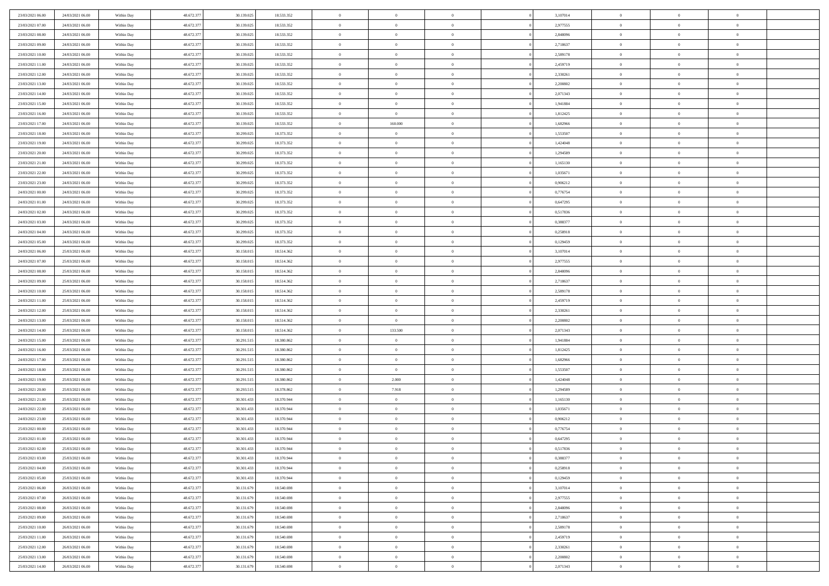| 23/03/2021 06:00                     | 24/03/2021 06:00 | Within Day               | 48.672.377 | 30.139.025 | 18.533.352               | $\bf{0}$       | $\bf{0}$       | $\theta$       |          | 3,107014             | $\bf{0}$       | $\overline{0}$ | $\,0\,$        |  |
|--------------------------------------|------------------|--------------------------|------------|------------|--------------------------|----------------|----------------|----------------|----------|----------------------|----------------|----------------|----------------|--|
| 23/03/2021 07:00                     | 24/03/2021 06:00 | Within Day               | 48.672.377 | 30.139.025 | 18.533.352               | $\overline{0}$ | $\overline{0}$ | $\overline{0}$ |          | 2,977555             | $\overline{0}$ | $\overline{0}$ | $\theta$       |  |
| 23/03/2021 08:00                     | 24/03/2021 06:00 | Within Dav               | 48.672.377 | 30.139.025 | 18.533.352               | $\mathbf{0}$   | $\overline{0}$ | $\overline{0}$ |          | 2,848096             | $\mathbf{0}$   | $\overline{0}$ | $\overline{0}$ |  |
| 23/03/2021 09:00                     | 24/03/2021 06:00 | Within Day               | 48.672.377 | 30.139.025 | 18.533.352               | $\bf{0}$       | $\overline{0}$ | $\bf{0}$       |          | 2,718637             | $\bf{0}$       | $\overline{0}$ | $\bf{0}$       |  |
| 23/03/2021 10:00                     | 24/03/2021 06:00 | Within Day               | 48.672.377 | 30.139.025 | 18.533.352               | $\bf{0}$       | $\bf{0}$       | $\overline{0}$ |          | 2,589178             | $\bf{0}$       | $\bf{0}$       | $\,0\,$        |  |
| 23/03/2021 11:00                     | 24/03/2021 06:00 | Within Dav               | 48.672.377 | 30.139.025 | 18.533.352               | $\overline{0}$ | $\overline{0}$ | $\overline{0}$ |          | 2,459719             | $\mathbf{0}$   | $\overline{0}$ | $\overline{0}$ |  |
|                                      |                  |                          |            |            |                          |                |                |                |          |                      |                |                |                |  |
| 23/03/2021 12:00                     | 24/03/2021 06:00 | Within Day               | 48.672.377 | 30.139.025 | 18.533.352               | $\bf{0}$       | $\bf{0}$       | $\overline{0}$ |          | 2,330261             | $\bf{0}$       | $\overline{0}$ | $\,0\,$        |  |
| 23/03/2021 13:00                     | 24/03/2021 06:00 | Within Day               | 48.672.377 | 30.139.025 | 18.533.352               | $\overline{0}$ | $\overline{0}$ | $\overline{0}$ |          | 2,200802             | $\,$ 0 $\,$    | $\overline{0}$ | $\overline{0}$ |  |
| 23/03/2021 14:00                     | 24/03/2021 06:00 | Within Day               | 48.672.377 | 30.139.025 | 18.533.352               | $\mathbf{0}$   | $\overline{0}$ | $\overline{0}$ |          | 2,071343             | $\mathbf{0}$   | $\overline{0}$ | $\overline{0}$ |  |
| 23/03/2021 15:00                     | 24/03/2021 06:00 | Within Day               | 48.672.377 | 30.139.025 | 18.533.352               | $\bf{0}$       | $\bf{0}$       | $\overline{0}$ |          | 1,941884             | $\bf{0}$       | $\overline{0}$ | $\,0\,$        |  |
| 23/03/2021 16:00                     | 24/03/2021 06:00 | Within Day               | 48.672.377 | 30.139.025 | 18.533.352               | $\bf{0}$       | $\overline{0}$ | $\overline{0}$ |          | 1,812425             | $\bf{0}$       | $\overline{0}$ | $\theta$       |  |
| 23/03/2021 17:00                     | 24/03/2021 06:00 | Within Dav               | 48.672.377 | 30.139.025 | 18.533.352               | $\mathbf{0}$   | 160.000        | $\overline{0}$ |          | 1,682966             | $\mathbf{0}$   | $\overline{0}$ | $\overline{0}$ |  |
| 23/03/2021 18:00                     | 24/03/2021 06:00 | Within Day               | 48.672.377 | 30.299.025 | 18.373.352               | $\bf{0}$       | $\overline{0}$ | $\bf{0}$       |          | 1,553507             | $\bf{0}$       | $\overline{0}$ | $\bf{0}$       |  |
| 23/03/2021 19:00                     | 24/03/2021 06:00 | Within Day               | 48.672.377 | 30.299.025 | 18.373.352               | $\bf{0}$       | $\overline{0}$ | $\overline{0}$ |          | 1,424048             | $\bf{0}$       | $\theta$       | $\,0\,$        |  |
| 23/03/2021 20:00                     | 24/03/2021 06:00 | Within Dav               | 48.672.377 | 30.299.025 | 18.373.352               | $\overline{0}$ | $\overline{0}$ | $\overline{0}$ |          | 1,294589             | $\mathbf{0}$   | $\overline{0}$ | $\overline{0}$ |  |
| 23/03/2021 21:00                     | 24/03/2021 06:00 | Within Day               | 48.672.377 | 30.299.025 | 18.373.352               | $\bf{0}$       | $\bf{0}$       | $\overline{0}$ |          | 1,165130             | $\bf{0}$       | $\overline{0}$ | $\bf{0}$       |  |
| 23/03/2021 22:00                     | 24/03/2021 06:00 | Within Day               | 48.672.377 | 30.299.025 | 18.373.352               | $\overline{0}$ | $\overline{0}$ | $\overline{0}$ |          | 1,035671             | $\bf{0}$       | $\overline{0}$ | $\theta$       |  |
| 23/03/2021 23:00                     | 24/03/2021 06:00 | Within Day               | 48.672.377 | 30.299.025 | 18.373.352               | $\mathbf{0}$   | $\overline{0}$ | $\overline{0}$ |          | 0,906212             | $\mathbf{0}$   | $\overline{0}$ | $\overline{0}$ |  |
| 24/03/2021 00:00                     | 24/03/2021 06:00 | Within Day               | 48.672.377 | 30.299.025 | 18.373.352               | $\bf{0}$       | $\bf{0}$       | $\overline{0}$ |          | 0,776754             | $\bf{0}$       | $\overline{0}$ | $\,0\,$        |  |
| 24/03/2021 01:00                     | 24/03/2021 06:00 | Within Day               | 48.672.377 | 30.299.025 | 18.373.352               | $\bf{0}$       | $\overline{0}$ | $\overline{0}$ |          | 0,647295             | $\bf{0}$       | $\overline{0}$ | $\overline{0}$ |  |
| 24/03/2021 02:00                     | 24/03/2021 06:00 | Within Dav               | 48.672.377 | 30.299.025 | 18.373.352               | $\mathbf{0}$   | $\overline{0}$ | $\overline{0}$ |          | 0,517836             | $\mathbf{0}$   | $\overline{0}$ | $\overline{0}$ |  |
| 24/03/2021 03:00                     | 24/03/2021 06:00 | Within Day               | 48.672.377 | 30.299.025 | 18.373.352               | $\bf{0}$       | $\overline{0}$ | $\overline{0}$ |          | 0,388377             | $\bf{0}$       | $\overline{0}$ | $\bf{0}$       |  |
| 24/03/2021 04:00                     | 24/03/2021 06:00 | Within Day               | 48.672.377 | 30.299.025 | 18.373.352               | $\bf{0}$       | $\overline{0}$ | $\overline{0}$ |          | 0,258918             | $\bf{0}$       | $\bf{0}$       | $\,0\,$        |  |
| 24/03/2021 05:00                     | 24/03/2021 06:00 | Within Dav               | 48.672.377 | 30.299.025 | 18.373.352               | $\mathbf{0}$   | $\overline{0}$ | $\overline{0}$ |          | 0,129459             | $\mathbf{0}$   | $\overline{0}$ | $\overline{0}$ |  |
| 24/03/2021 06:00                     | 25/03/2021 06:00 | Within Day               | 48.672.377 | 30.158.015 | 18.514.362               | $\bf{0}$       | $\overline{0}$ | $\overline{0}$ |          | 3,107014             | $\bf{0}$       | $\overline{0}$ | $\,0\,$        |  |
| 24/03/2021 07:00                     | 25/03/2021 06:00 | Within Day               | 48.672.377 | 30.158.015 | 18.514.362               | $\overline{0}$ | $\overline{0}$ | $\overline{0}$ |          | 2,977555             | $\bf{0}$       | $\overline{0}$ | $\overline{0}$ |  |
| 24/03/2021 08:00                     | 25/03/2021 06:00 | Within Dav               | 48.672.377 | 30.158.015 | 18.514.362               | $\mathbf{0}$   | $\overline{0}$ | $\overline{0}$ |          | 2,848096             | $\mathbf{0}$   | $\overline{0}$ | $\overline{0}$ |  |
| 24/03/2021 09:00                     | 25/03/2021 06:00 | Within Day               | 48.672.377 | 30.158.015 | 18.514.362               | $\bf{0}$       | $\overline{0}$ | $\overline{0}$ |          | 2,718637             | $\bf{0}$       | $\overline{0}$ | $\,0\,$        |  |
| 24/03/2021 10:00                     | 25/03/2021 06:00 | Within Day               | 48.672.377 | 30.158.015 | 18.514.362               | $\bf{0}$       | $\overline{0}$ | $\overline{0}$ |          | 2,589178             | $\bf{0}$       | $\bf{0}$       | $\overline{0}$ |  |
| 24/03/2021 11:00                     | 25/03/2021 06:00 | Within Dav               | 48.672.377 | 30.158.015 | 18.514.362               | $\mathbf{0}$   | $\overline{0}$ | $\overline{0}$ |          | 2,459719             | $\mathbf{0}$   | $\overline{0}$ | $\overline{0}$ |  |
| 24/03/2021 12:00                     | 25/03/2021 06:00 |                          | 48.672.377 | 30.158.015 | 18.514.362               | $\bf{0}$       | $\overline{0}$ | $\overline{0}$ |          | 2,330261             | $\,$ 0         | $\overline{0}$ | $\theta$       |  |
|                                      | 25/03/2021 06:00 | Within Day               | 48.672.377 | 30.158.015 |                          | $\bf{0}$       | $\overline{0}$ | $\overline{0}$ |          |                      | $\bf{0}$       | $\bf{0}$       | $\overline{0}$ |  |
| 24/03/2021 13:00<br>24/03/2021 14:00 | 25/03/2021 06:00 | Within Day<br>Within Dav | 48.672.377 | 30.158.015 | 18.514.362<br>18.514.362 | $\overline{0}$ | 133.500        | $\overline{0}$ |          | 2,200802<br>2,071343 | $\mathbf{0}$   | $\overline{0}$ | $\overline{0}$ |  |
|                                      |                  |                          |            |            |                          | $\bf{0}$       |                |                |          |                      |                |                | $\theta$       |  |
| 24/03/2021 15:00                     | 25/03/2021 06:00 | Within Day               | 48.672.377 | 30.291.515 | 18.380.862               |                | $\overline{0}$ | $\overline{0}$ |          | 1,941884             | $\,$ 0         | $\overline{0}$ |                |  |
| 24/03/2021 16:00                     | 25/03/2021 06:00 | Within Day               | 48.672.377 | 30.291.515 | 18.380.862               | $\bf{0}$       | $\overline{0}$ | $\overline{0}$ |          | 1,812425             | $\bf{0}$       | $\overline{0}$ | $\overline{0}$ |  |
| 24/03/2021 17:00                     | 25/03/2021 06:00 | Within Day               | 48.672.377 | 30.291.515 | 18.380.862               | $\mathbf{0}$   | $\overline{0}$ | $\overline{0}$ |          | 1,682966             | $\mathbf{0}$   | $\overline{0}$ | $\overline{0}$ |  |
| 24/03/2021 18:00                     | 25/03/2021 06:00 | Within Day               | 48.672.377 | 30.291.515 | 18.380.862               | $\bf{0}$       | $\overline{0}$ | $\overline{0}$ |          | 1,553507             | $\,$ 0         | $\overline{0}$ | $\theta$       |  |
| 24/03/2021 19:00                     | 25/03/2021 06:00 | Within Day               | 48.672.377 | 30.291.515 | 18.380.862               | $\bf{0}$       | 2.000          | $\overline{0}$ |          | 1,424048             | $\bf{0}$       | $\bf{0}$       | $\overline{0}$ |  |
| 24/03/2021 20:00                     | 25/03/2021 06:00 | Within Dav               | 48.672.377 | 30.293.515 | 18.378.862               | $\mathbf{0}$   | 7.918          | $\overline{0}$ |          | 1,294589             | $\mathbf{0}$   | $\overline{0}$ | $\overline{0}$ |  |
| 24/03/2021 21:00                     | 25/03/2021 06:00 | Within Day               | 48.672.377 | 30.301.433 | 18.370.944               | $\,0\,$        | $\overline{0}$ | $\overline{0}$ |          | 1,165130             | $\,$ 0         | $\overline{0}$ | $\theta$       |  |
| 24/03/2021 22:00                     | 25/03/2021 06:00 | Within Day               | 48.672.377 | 30.301.433 | 18.370.944               | $\bf{0}$       | $\overline{0}$ | $\overline{0}$ |          | 1,035671             | $\bf{0}$       | $\overline{0}$ | $\overline{0}$ |  |
| 24/03/2021 23:00                     | 25/03/2021 06:00 | Within Dav               | 48.672.377 | 30.301.433 | 18.370.944               | $\mathbf{0}$   | $\overline{0}$ | $\overline{0}$ |          | 0,906212             | $\mathbf{0}$   | $\overline{0}$ | $\overline{0}$ |  |
| 25/03/2021 00:00                     | 25/03/2021 06:00 | Within Day               | 48.672.377 | 30.301.433 | 18.370.944               | $\bf{0}$       | $\overline{0}$ | $\overline{0}$ |          | 0,776754             | $\,$ 0         | $\overline{0}$ | $\theta$       |  |
| 25/03/2021 01:00                     | 25/03/2021 06:00 | Within Day               | 48.672.377 | 30.301.433 | 18.370.944               | $\bf{0}$       | $\overline{0}$ | $\overline{0}$ |          | 0,647295             | $\,$ 0 $\,$    | $\overline{0}$ | $\overline{0}$ |  |
| 25/03/2021 02:00                     | 25/03/2021 06:00 | Within Day               | 48.672.377 | 30.301.433 | 18.370.944               | $\bf{0}$       | $\overline{0}$ |                |          | 0,517836             | $\overline{0}$ | $\theta$       | $\theta$       |  |
| 25/03/2021 03:00                     | 25/03/2021 06:00 | Within Day               | 48.672.377 | 30.301.433 | 18.370.944               | $\,0\,$        | $\overline{0}$ | $\overline{0}$ |          | 0,388377             | $\,$ 0 $\,$    | $\bf{0}$       | $\theta$       |  |
| 25/03/2021 04:00                     | 25/03/2021 06:00 | Within Day               | 48.672.377 | 30.301.433 | 18.370.944               | $\overline{0}$ | $\overline{0}$ | $\overline{0}$ |          | 0,258918             | $\overline{0}$ | $\overline{0}$ | $\overline{0}$ |  |
| 25/03/2021 05:00                     | 25/03/2021 06:00 | Within Day               | 48.672.377 | 30.301.433 | 18.370.944               | $\bf{0}$       | $\overline{0}$ | $\overline{0}$ |          | 0,129459             | $\overline{0}$ | $\bf{0}$       | $\mathbf{0}$   |  |
| 25/03/2021 06:00                     | 26/03/2021 06:00 | Within Day               | 48.672.377 | 30.131.679 | 18.540.698               | $\bf{0}$       | $\overline{0}$ | $\overline{0}$ | $\theta$ | 3,107014             | $\mathbf{0}$   | $\bf{0}$       | $\,$ 0 $\,$    |  |
| 25/03/2021 07:00                     | 26/03/2021 06:00 | Within Day               | 48.672.377 | 30.131.679 | 18.540.698               | $\bf{0}$       | $\overline{0}$ | $\overline{0}$ |          | 2,977555             | $\,$ 0 $\,$    | $\overline{0}$ | $\overline{0}$ |  |
| 25/03/2021 08:00                     | 26/03/2021 06:00 | Within Day               | 48.672.377 | 30.131.679 | 18.540.698               | $\bf{0}$       | $\overline{0}$ | $\overline{0}$ |          | 2,848096             | $\mathbf{0}$   | $\overline{0}$ | $\overline{0}$ |  |
| 25/03/2021 09:00                     | 26/03/2021 06:00 | Within Day               | 48.672.377 | 30.131.679 | 18.540.698               | $\,0\,$        | $\overline{0}$ | $\overline{0}$ | $\theta$ | 2,718637             | $\,$ 0 $\,$    | $\overline{0}$ | $\overline{0}$ |  |
| 25/03/2021 10:00                     | 26/03/2021 06:00 | Within Day               | 48.672.377 | 30.131.679 | 18.540.698               | $\bf{0}$       | $\overline{0}$ | $\overline{0}$ |          | 2,589178             | $\overline{0}$ | $\overline{0}$ | $\overline{0}$ |  |
| 25/03/2021 11:00                     | 26/03/2021 06:00 | Within Day               | 48.672.377 | 30.131.679 | 18.540.698               | $\bf{0}$       | $\overline{0}$ | $\overline{0}$ |          | 2,459719             | $\mathbf{0}$   | $\overline{0}$ | $\overline{0}$ |  |
| 25/03/2021 12:00                     | 26/03/2021 06:00 | Within Day               | 48.672.377 | 30.131.679 | 18.540.698               | $\,0\,$        | $\overline{0}$ | $\overline{0}$ |          | 2,330261             | $\,$ 0 $\,$    | $\mathbf{0}$   | $\overline{0}$ |  |
| 25/03/2021 13:00                     | 26/03/2021 06:00 | Within Day               | 48.672.377 | 30.131.679 | 18.540.698               | $\bf{0}$       | $\bf{0}$       | $\overline{0}$ |          | 2,200802             | $\bf{0}$       | $\mathbf{0}$   | $\overline{0}$ |  |
| 25/03/2021 14:00                     | 26/03/2021 06:00 | Within Day               | 48.672.377 | 30.131.679 | 18.540.698               | $\bf{0}$       | $\overline{0}$ | $\overline{0}$ |          | 2,071343             | $\mathbf{0}$   | $\overline{0}$ | $\overline{0}$ |  |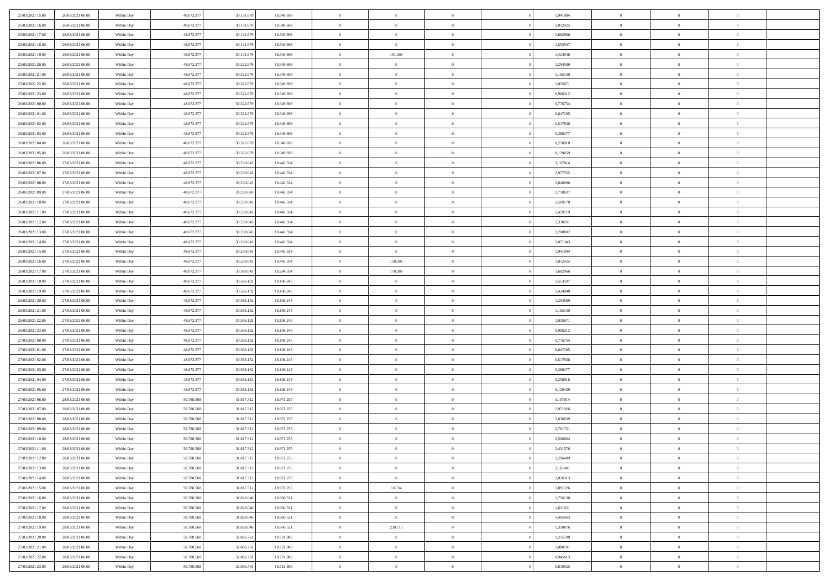| 25/03/2021 15:00                     | 26/03/2021 06:00                     | Within Day | 48.672.377 | 30.131.679 | 18.540.698 | $\,$ 0         | $\bf{0}$       | $\overline{0}$ |          | 1,941884 | $\bf{0}$       | $\overline{0}$ | $\,0\,$        |  |
|--------------------------------------|--------------------------------------|------------|------------|------------|------------|----------------|----------------|----------------|----------|----------|----------------|----------------|----------------|--|
| 25/03/2021 16:00                     | 26/03/2021 06:00                     | Within Day | 48.672.377 | 30.131.679 | 18.540.698 | $\overline{0}$ | $\overline{0}$ | $\overline{0}$ |          | 1,812425 | $\overline{0}$ | $\overline{0}$ | $\theta$       |  |
| 25/03/2021 17:00                     | 26/03/2021 06:00                     | Within Dav | 48.672.377 | 30.131.679 | 18.540.698 | $\mathbf{0}$   | $\overline{0}$ | $\overline{0}$ |          | 1,682966 | $\mathbf{0}$   | $\overline{0}$ | $\overline{0}$ |  |
| 25/03/2021 18:00                     | 26/03/2021 06:00                     | Within Day | 48.672.377 | 30.131.679 | 18.540.698 | $\bf{0}$       | $\overline{0}$ | $\bf{0}$       |          | 1,553507 | $\bf{0}$       | $\overline{0}$ | $\bf{0}$       |  |
| 25/03/2021 19:00                     | 26/03/2021 06:00                     | Within Day | 48.672.377 | 30.131.679 | 18.540.698 | $\bf{0}$       | 191.000        | $\overline{0}$ |          | 1,424048 | $\bf{0}$       | $\bf{0}$       | $\,0\,$        |  |
| 25/03/2021 20:00                     | 26/03/2021 06:00                     | Within Dav | 48.672.377 | 30.322.679 | 18.349.698 | $\mathbf{0}$   | $\overline{0}$ | $\overline{0}$ |          | 1,294589 | $\mathbf{0}$   | $\overline{0}$ | $\overline{0}$ |  |
| 25/03/2021 21:00                     | 26/03/2021 06:00                     | Within Day | 48.672.377 | 30.322.679 | 18.349.698 | $\bf{0}$       | $\bf{0}$       | $\overline{0}$ |          | 1,165130 | $\bf{0}$       | $\overline{0}$ | $\,0\,$        |  |
| 25/03/2021 22:00                     | 26/03/2021 06:00                     | Within Day | 48.672.377 | 30.322.679 | 18.349.698 | $\overline{0}$ | $\overline{0}$ | $\overline{0}$ |          | 1,035671 | $\,$ 0 $\,$    | $\overline{0}$ | $\theta$       |  |
| 25/03/2021 23:00                     | 26/03/2021 06:00                     | Within Dav | 48.672.377 | 30.322.679 | 18.349.698 | $\mathbf{0}$   | $\overline{0}$ | $\overline{0}$ |          | 0,906212 | $\mathbf{0}$   | $\overline{0}$ | $\overline{0}$ |  |
| 26/03/2021 00:00                     | 26/03/2021 06:00                     |            | 48.672.377 |            | 18.349.698 | $\bf{0}$       | $\bf{0}$       | $\overline{0}$ |          | 0,776754 | $\bf{0}$       | $\overline{0}$ | $\,0\,$        |  |
|                                      |                                      | Within Day | 48.672.377 | 30.322.679 |            | $\bf{0}$       | $\overline{0}$ | $\overline{0}$ |          |          | $\bf{0}$       | $\overline{0}$ | $\theta$       |  |
| 26/03/2021 01:00<br>26/03/2021 02:00 | 26/03/2021 06:00<br>26/03/2021 06:00 | Within Day |            | 30.322.679 | 18.349.698 | $\mathbf{0}$   |                |                |          | 0,647295 | $\mathbf{0}$   |                | $\overline{0}$ |  |
|                                      |                                      | Within Dav | 48.672.377 | 30.322.679 | 18.349.698 |                | $\overline{0}$ | $\overline{0}$ |          | 0,517836 |                | $\overline{0}$ |                |  |
| 26/03/2021 03:00                     | 26/03/2021 06:00                     | Within Day | 48.672.377 | 30.322.679 | 18.349.698 | $\bf{0}$       | $\overline{0}$ | $\bf{0}$       |          | 0,388377 | $\bf{0}$       | $\overline{0}$ | $\bf{0}$       |  |
| 26/03/2021 04:00                     | 26/03/2021 06:00                     | Within Day | 48.672.377 | 30.322.679 | 18.349.698 | $\bf{0}$       | $\overline{0}$ | $\overline{0}$ |          | 0,258918 | $\bf{0}$       | $\mathbf{0}$   | $\,0\,$        |  |
| 26/03/2021 05:00                     | 26/03/2021 06:00                     | Within Dav | 48.672.377 | 30.322.679 | 18.349.698 | $\overline{0}$ | $\overline{0}$ | $\overline{0}$ |          | 0,129459 | $\mathbf{0}$   | $\overline{0}$ | $\overline{0}$ |  |
| 26/03/2021 06:00                     | 27/03/2021 06:00                     | Within Day | 48.672.377 | 30.230.043 | 18.442.334 | $\bf{0}$       | $\overline{0}$ | $\overline{0}$ |          | 3,107014 | $\bf{0}$       | $\overline{0}$ | $\bf{0}$       |  |
| 26/03/2021 07:00                     | 27/03/2021 06:00                     | Within Day | 48.672.377 | 30.230.043 | 18.442.334 | $\overline{0}$ | $\overline{0}$ | $\overline{0}$ |          | 2,977555 | $\bf{0}$       | $\overline{0}$ | $\theta$       |  |
| 26/03/2021 08:00                     | 27/03/2021 06:00                     | Within Day | 48.672.377 | 30.230.043 | 18.442.334 | $\mathbf{0}$   | $\overline{0}$ | $\overline{0}$ |          | 2,848096 | $\mathbf{0}$   | $\overline{0}$ | $\overline{0}$ |  |
| 26/03/2021 09:00                     | 27/03/2021 06:00                     | Within Day | 48.672.377 | 30.230.043 | 18.442.334 | $\bf{0}$       | $\overline{0}$ | $\overline{0}$ |          | 2,718637 | $\bf{0}$       | $\overline{0}$ | $\,0\,$        |  |
| 26/03/2021 10:00                     | 27/03/2021 06:00                     | Within Day | 48.672.377 | 30.230.043 | 18.442.334 | $\bf{0}$       | $\overline{0}$ | $\overline{0}$ |          | 2,589178 | $\bf{0}$       | $\overline{0}$ | $\overline{0}$ |  |
| 26/03/2021 11:00                     | 27/03/2021 06:00                     | Within Dav | 48.672.377 | 30.230.043 | 18.442.334 | $\mathbf{0}$   | $\overline{0}$ | $\overline{0}$ |          | 2,459719 | $\mathbf{0}$   | $\overline{0}$ | $\overline{0}$ |  |
| 26/03/2021 12:00                     | 27/03/2021 06:00                     | Within Day | 48.672.377 | 30.230.043 | 18.442.334 | $\bf{0}$       | $\overline{0}$ | $\bf{0}$       |          | 2,330261 | $\bf{0}$       | $\overline{0}$ | $\bf{0}$       |  |
| 26/03/2021 13:00                     | 27/03/2021 06:00                     | Within Day | 48.672.377 | 30.230.043 | 18.442.334 | $\bf{0}$       | $\overline{0}$ | $\overline{0}$ |          | 2,200802 | $\bf{0}$       | $\overline{0}$ | $\,0\,$        |  |
| 26/03/2021 14:00                     | 27/03/2021 06:00                     | Within Dav | 48.672.377 | 30.230.043 | 18.442.334 | $\mathbf{0}$   | $\overline{0}$ | $\overline{0}$ |          | 2,071343 | $\mathbf{0}$   | $\overline{0}$ | $\overline{0}$ |  |
| 26/03/2021 15:00                     | 27/03/2021 06:00                     | Within Day | 48.672.377 | 30.230.043 | 18.442.334 | $\bf{0}$       | $\overline{0}$ | $\overline{0}$ |          | 1,941884 | $\bf{0}$       | $\overline{0}$ | $\,0\,$        |  |
| 26/03/2021 16:00                     | 27/03/2021 06:00                     | Within Day | 48.672.377 | 30.230.043 | 18.442.334 | $\overline{0}$ | 158,000        | $\overline{0}$ |          | 1,812425 | $\bf{0}$       | $\mathbf{0}$   | $\overline{0}$ |  |
| 26/03/2021 17:00                     | 27/03/2021 06:00                     | Within Dav | 48.672.377 | 30.388.043 | 18.284.334 | $\mathbf{0}$   | 178.089        | $\overline{0}$ |          | 1,682966 | $\mathbf{0}$   | $\overline{0}$ | $\overline{0}$ |  |
| 26/03/2021 18:00                     | 27/03/2021 06:00                     | Within Day | 48.672.377 | 30.566.132 | 18.106.245 | $\bf{0}$       | $\overline{0}$ | $\overline{0}$ |          | 1,553507 | $\bf{0}$       | $\overline{0}$ | $\,0\,$        |  |
| 26/03/2021 19:00                     | 27/03/2021 06:00                     | Within Day | 48.672.377 | 30.566.132 | 18.106.245 | $\bf{0}$       | $\overline{0}$ | $\overline{0}$ |          | 1,424048 | $\bf{0}$       | $\overline{0}$ | $\overline{0}$ |  |
| 26/03/2021 20:00                     | 27/03/2021 06:00                     | Within Dav | 48.672.377 | 30.566.132 | 18.106.245 | $\mathbf{0}$   | $\overline{0}$ | $\overline{0}$ |          | 1,294589 | $\mathbf{0}$   | $\overline{0}$ | $\overline{0}$ |  |
| 26/03/2021 21:00                     | 27/03/2021 06:00                     | Within Day | 48.672.377 | 30.566.132 | 18.106.245 | $\bf{0}$       | $\overline{0}$ | $\theta$       |          | 1,165130 | $\,$ 0         | $\overline{0}$ | $\theta$       |  |
| 26/03/2021 22:00                     | 27/03/2021 06:00                     | Within Day | 48.672.377 | 30.566.132 | 18.106.245 | $\bf{0}$       | $\overline{0}$ | $\overline{0}$ |          | 1,035671 | $\bf{0}$       | $\overline{0}$ | $\overline{0}$ |  |
| 26/03/2021 23:00                     | 27/03/2021 06:00                     | Within Dav | 48.672.377 | 30.566.132 | 18.106.245 | $\overline{0}$ | $\overline{0}$ | $\overline{0}$ |          | 0,906212 | $\mathbf{0}$   | $\overline{0}$ | $\overline{0}$ |  |
| 27/03/2021 00:00                     | 27/03/2021 06:00                     | Within Day | 48.672.377 | 30.566.132 | 18.106.245 | $\bf{0}$       | $\overline{0}$ | $\theta$       |          | 0,776754 | $\,$ 0         | $\overline{0}$ | $\theta$       |  |
| 27/03/2021 01:00                     | 27/03/2021 06:00                     | Within Day | 48.672.377 | 30.566.132 | 18.106.245 | $\bf{0}$       | $\overline{0}$ | $\overline{0}$ |          | 0,647295 | $\bf{0}$       | $\overline{0}$ | $\overline{0}$ |  |
| 27/03/2021 02:00                     | 27/03/2021 06:00                     | Within Day | 48.672.377 | 30.566.132 | 18.106.245 | $\mathbf{0}$   | $\overline{0}$ | $\overline{0}$ |          | 0,517836 | $\mathbf{0}$   | $\overline{0}$ | $\overline{0}$ |  |
| 27/03/2021 03:00                     | 27/03/2021 06:00                     | Within Day | 48.672.377 | 30.566.132 | 18.106.245 | $\bf{0}$       | $\overline{0}$ | $\theta$       |          | 0,388377 | $\,$ 0         | $\overline{0}$ | $\theta$       |  |
| 27/03/2021 04:00                     | 27/03/2021 06:00                     | Within Day | 48.672.377 | 30.566.132 | 18.106.245 | $\bf{0}$       | $\overline{0}$ | $\overline{0}$ |          | 0,258918 | $\bf{0}$       | $\overline{0}$ | $\bf{0}$       |  |
| 27/03/2021 05:00                     | 27/03/2021 06:00                     | Within Dav | 48.672.377 | 30.566.132 | 18.106.245 | $\mathbf{0}$   | $\overline{0}$ | $\overline{0}$ |          | 0,129459 | $\mathbf{0}$   | $\overline{0}$ | $\overline{0}$ |  |
| 27/03/2021 06:00                     | 28/03/2021 06:00                     | Within Day | 50.788.568 | 31.817.312 | 18.971.255 | $\,0\,$        | $\overline{0}$ | $\theta$       |          | 3,107014 | $\,$ 0         | $\overline{0}$ | $\theta$       |  |
| 27/03/2021 07:00                     | 28/03/2021 06:00                     | Within Day | 50.788.568 | 31.817.312 | 18.971.255 | $\bf{0}$       | $\overline{0}$ | $\overline{0}$ |          | 2,971926 | $\bf{0}$       | $\overline{0}$ | $\bf{0}$       |  |
| 27/03/2021 08:00                     | 28/03/2021 06:00                     | Within Dav | 50.788.568 | 31.817.312 | 18.971.255 | $\mathbf{0}$   | $\overline{0}$ | $\overline{0}$ |          | 2,836839 | $\mathbf{0}$   | $\overline{0}$ | $\overline{0}$ |  |
| 27/03/2021 09:00                     | 28/03/2021 06:00                     | Within Day | 50.788.568 | 31.817.312 | 18.971.255 | $\bf{0}$       | $\overline{0}$ | $\theta$       |          | 2,701751 | $\,$ 0         | $\overline{0}$ | $\theta$       |  |
| 27/03/2021 10:00                     | 28/03/2021 06:00                     | Within Day | 50.788.568 | 31.817.312 | 18.971.255 | $\bf{0}$       | $\overline{0}$ | $\overline{0}$ |          | 2,566664 | $\,$ 0 $\,$    | $\overline{0}$ | $\bf{0}$       |  |
| 27/03/2021 11:00                     | 28/03/2021 06:00                     | Within Day | 50.788.568 | 31.817.312 | 18.971.255 | $\bf{0}$       | $\overline{0}$ |                |          | 2,431576 | $\overline{0}$ | $\theta$       | $\theta$       |  |
| 27/03/2021 12:00                     | 28/03/2021 06:00                     | Within Day | 50.788.568 | 31.817.312 | 18.971.255 | $\,0\,$        | $\overline{0}$ | $\theta$       |          | 2,296489 | $\,$ 0 $\,$    | $\bf{0}$       | $\theta$       |  |
| 27/03/2021 13:00                     | 28/03/2021 06:00                     | Within Day | 50.788.568 | 31.817.312 | 18.971.255 | $\overline{0}$ | $\overline{0}$ | $\overline{0}$ |          | 2,161401 | $\overline{0}$ | $\overline{0}$ | $\overline{0}$ |  |
| 27/03/2021 14:00                     | 28/03/2021 06:00                     | Within Day | 50.788.568 | 31.817.312 | 18.971.255 | $\bf{0}$       | $\overline{0}$ | $\overline{0}$ |          | 2,026313 | $\overline{0}$ | $\bf{0}$       | $\overline{0}$ |  |
| 27/03/2021 15:00                     | 28/03/2021 06:00                     | Within Day | 50.788.568 | 31.817.312 | 18.971.255 | $\bf{0}$       | 10.734         | $\overline{0}$ | $\theta$ | 1,891226 | $\,$ 0 $\,$    | $\bf{0}$       | $\,$ 0 $\,$    |  |
| 27/03/2021 16:00                     | 28/03/2021 06:00                     | Within Day | 50.788.568 | 31.828.046 | 18.960.521 | $\bf{0}$       | $\overline{0}$ | $\overline{0}$ |          | 1,756138 | $\,$ 0 $\,$    | $\overline{0}$ | $\overline{0}$ |  |
| 27/03/2021 17:00                     | 28/03/2021 06:00                     | Within Day | 50.788.568 | 31.828.046 | 18.960.521 | $\bf{0}$       | $\overline{0}$ | $\overline{0}$ |          | 1,621051 | $\mathbf{0}$   | $\overline{0}$ | $\overline{0}$ |  |
|                                      |                                      |            |            |            |            |                |                |                |          |          |                |                |                |  |
| 27/03/2021 18:00                     | 28/03/2021 06:00                     | Within Day | 50.788.568 | 31.828.046 | 18.960.521 | $\,$ 0 $\,$    | $\overline{0}$ | $\overline{0}$ | $\theta$ | 1,485963 | $\,$ 0 $\,$    | $\mathbf{0}$   | $\overline{0}$ |  |
| 27/03/2021 19:00                     | 28/03/2021 06:00                     | Within Day | 50.788.568 | 31.828.046 | 18.960.521 | $\bf{0}$       | 238.715        | $\overline{0}$ |          | 1,350876 | $\overline{0}$ | $\overline{0}$ | $\overline{0}$ |  |
| 27/03/2021 20:00                     | 28/03/2021 06:00                     | Within Day | 50.788.568 | 32.066.761 | 18.721.806 | $\bf{0}$       | $\overline{0}$ | $\overline{0}$ |          | 1,215788 | $\overline{0}$ | $\bf{0}$       | $\overline{0}$ |  |
| 27/03/2021 21:00                     | 28/03/2021 06:00                     | Within Day | 50.788.568 | 32.066.761 | 18.721.806 | $\,0\,$        | $\overline{0}$ | $\overline{0}$ |          | 1,080701 | $\,$ 0 $\,$    | $\mathbf{0}$   | $\overline{0}$ |  |
| 27/03/2021 22.00                     | 28/03/2021 06:00                     | Within Day | 50.788.568 | 32.066.761 | 18.721.806 | $\overline{0}$ | $\bf{0}$       | $\overline{0}$ |          | 0.945613 | $\mathbf{0}$   | $\overline{0}$ | $\overline{0}$ |  |
| 27/03/2021 23:00                     | 28/03/2021 06:00                     | Within Day | 50.788.568 | 32.066.761 | 18.721.806 | $\overline{0}$ | $\overline{0}$ | $\overline{0}$ |          | 0,810525 | $\mathbf{0}$   | $\overline{0}$ | $\overline{0}$ |  |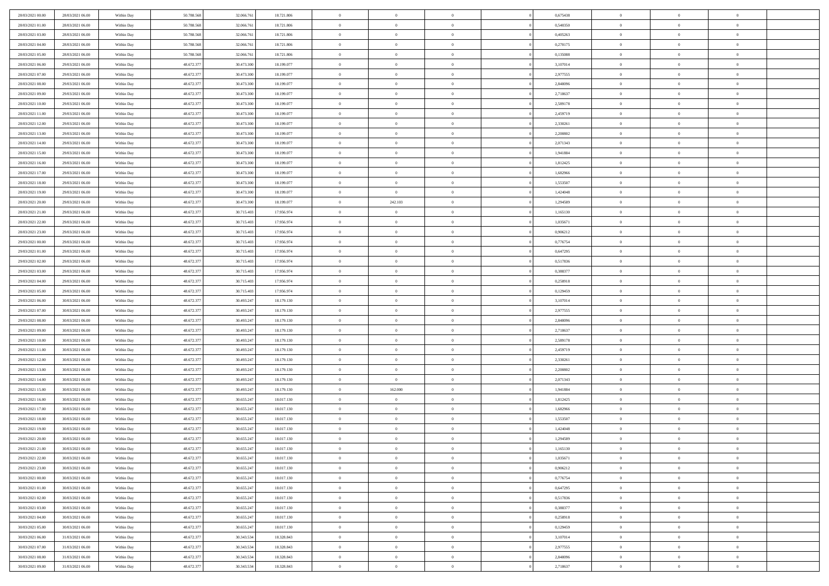| 28/03/2021 00:00 | 28/03/2021 06:00 | Within Day | 50.788.568 | 32.066.761 | 18.721.806 | $\bf{0}$       | $\bf{0}$       | $\theta$       |          | 0,675438 | $\bf{0}$       | $\overline{0}$ | $\,0\,$        |  |
|------------------|------------------|------------|------------|------------|------------|----------------|----------------|----------------|----------|----------|----------------|----------------|----------------|--|
| 28/03/2021 01:00 | 28/03/2021 06:00 | Within Day | 50.788.568 | 32.066.761 | 18.721.806 | $\overline{0}$ | $\overline{0}$ | $\overline{0}$ |          | 0.540350 | $\overline{0}$ | $\overline{0}$ | $\theta$       |  |
| 28/03/2021 03:00 | 28/03/2021 06:00 | Within Dav | 50.788.568 | 32.066.761 | 18.721.806 | $\mathbf{0}$   | $\overline{0}$ | $\overline{0}$ |          | 0,405263 | $\mathbf{0}$   | $\overline{0}$ | $\overline{0}$ |  |
| 28/03/2021 04:00 | 28/03/2021 06:00 | Within Day | 50.788.568 | 32.066.761 | 18.721.806 | $\bf{0}$       | $\overline{0}$ | $\bf{0}$       |          | 0,270175 | $\bf{0}$       | $\overline{0}$ | $\bf{0}$       |  |
| 28/03/2021 05:00 | 28/03/2021 06:00 | Within Day | 50.788.568 | 32.066.761 | 18.721.806 | $\bf{0}$       | $\overline{0}$ | $\overline{0}$ |          | 0,135088 | $\bf{0}$       | $\bf{0}$       | $\,0\,$        |  |
| 28/03/2021 06:00 | 29/03/2021 06:00 | Within Dav | 48.672.377 | 30.473.300 | 18.199.077 | $\mathbf{0}$   | $\overline{0}$ | $\overline{0}$ |          | 3,107014 | $\mathbf{0}$   | $\overline{0}$ | $\overline{0}$ |  |
|                  |                  |            |            |            |            | $\bf{0}$       |                | $\overline{0}$ |          |          | $\bf{0}$       | $\overline{0}$ | $\,0\,$        |  |
| 28/03/2021 07:00 | 29/03/2021 06:00 | Within Day | 48.672.377 | 30.473.300 | 18.199.077 |                | $\overline{0}$ |                |          | 2,977555 |                |                |                |  |
| 28/03/2021 08:00 | 29/03/2021 06:00 | Within Day | 48.672.377 | 30.473.300 | 18.199.077 | $\overline{0}$ | $\overline{0}$ | $\overline{0}$ |          | 2,848096 | $\,$ 0 $\,$    | $\overline{0}$ | $\theta$       |  |
| 28/03/2021 09:00 | 29/03/2021 06:00 | Within Dav | 48.672.377 | 30.473.300 | 18.199.077 | $\mathbf{0}$   | $\overline{0}$ | $\overline{0}$ |          | 2,718637 | $\mathbf{0}$   | $\overline{0}$ | $\overline{0}$ |  |
| 28/03/2021 10:00 | 29/03/2021 06:00 | Within Day | 48.672.377 | 30.473.300 | 18.199.077 | $\bf{0}$       | $\overline{0}$ | $\overline{0}$ |          | 2,589178 | $\bf{0}$       | $\overline{0}$ | $\,0\,$        |  |
| 28/03/2021 11:00 | 29/03/2021 06:00 | Within Day | 48.672.377 | 30.473.300 | 18.199.077 | $\overline{0}$ | $\overline{0}$ | $\overline{0}$ |          | 2,459719 | $\bf{0}$       | $\overline{0}$ | $\theta$       |  |
| 28/03/2021 12:00 | 29/03/2021 06:00 | Within Dav | 48.672.377 | 30.473.300 | 18.199.077 | $\mathbf{0}$   | $\overline{0}$ | $\overline{0}$ |          | 2,330261 | $\mathbf{0}$   | $\overline{0}$ | $\overline{0}$ |  |
| 28/03/2021 13:00 | 29/03/2021 06:00 | Within Day | 48.672.377 | 30.473.300 | 18.199.077 | $\bf{0}$       | $\overline{0}$ | $\bf{0}$       |          | 2,200802 | $\bf{0}$       | $\overline{0}$ | $\overline{0}$ |  |
| 28/03/2021 14:00 | 29/03/2021 06:00 | Within Day | 48.672.377 | 30.473.300 | 18.199.077 | $\bf{0}$       | $\overline{0}$ | $\overline{0}$ |          | 2,071343 | $\bf{0}$       | $\theta$       | $\,0\,$        |  |
| 28/03/2021 15:00 | 29/03/2021 06:00 | Within Dav | 48.672.377 | 30.473.300 | 18.199.077 | $\overline{0}$ | $\overline{0}$ | $\overline{0}$ |          | 1,941884 | $\mathbf{0}$   | $\overline{0}$ | $\overline{0}$ |  |
| 28/03/2021 16:00 | 29/03/2021 06:00 | Within Day | 48.672.377 | 30.473.300 | 18.199.077 | $\bf{0}$       | $\overline{0}$ | $\overline{0}$ |          | 1,812425 | $\bf{0}$       | $\overline{0}$ | $\bf{0}$       |  |
| 28/03/2021 17:00 | 29/03/2021 06:00 | Within Day | 48.672.377 | 30.473.300 | 18.199.077 | $\overline{0}$ | $\overline{0}$ | $\overline{0}$ |          | 1,682966 | $\bf{0}$       | $\overline{0}$ | $\theta$       |  |
| 28/03/2021 18:00 | 29/03/2021 06:00 | Within Day | 48.672.377 | 30.473.300 | 18.199.077 | $\mathbf{0}$   | $\overline{0}$ | $\overline{0}$ |          | 1,553507 | $\mathbf{0}$   | $\overline{0}$ | $\overline{0}$ |  |
| 28/03/2021 19:00 | 29/03/2021 06:00 | Within Day | 48.672.377 | 30.473.300 | 18.199.077 | $\bf{0}$       | $\overline{0}$ | $\overline{0}$ |          | 1,424048 | $\bf{0}$       | $\overline{0}$ | $\,0\,$        |  |
| 28/03/2021 20:00 | 29/03/2021 06:00 | Within Day | 48.672.377 | 30.473.300 | 18.199.077 | $\bf{0}$       | 242.103        | $\overline{0}$ |          | 1,294589 | $\bf{0}$       | $\overline{0}$ | $\overline{0}$ |  |
| 28/03/2021 21:00 | 29/03/2021 06:00 | Within Dav | 48.672.377 | 30.715.403 | 17.956.974 | $\mathbf{0}$   | $\overline{0}$ | $\overline{0}$ |          | 1,165130 | $\mathbf{0}$   | $\overline{0}$ | $\overline{0}$ |  |
| 28/03/2021 22:00 | 29/03/2021 06:00 | Within Day | 48.672.377 | 30.715.403 | 17.956.974 | $\bf{0}$       | $\overline{0}$ | $\bf{0}$       |          | 1,035671 | $\bf{0}$       | $\overline{0}$ | $\bf{0}$       |  |
| 28/03/2021 23:00 | 29/03/2021 06:00 | Within Day | 48.672.377 | 30.715.403 | 17.956.974 | $\bf{0}$       | $\overline{0}$ | $\overline{0}$ |          | 0,906212 | $\bf{0}$       | $\bf{0}$       | $\,0\,$        |  |
| 29/03/2021 00:00 | 29/03/2021 06:00 | Within Dav | 48.672.377 | 30.715.403 | 17.956.974 | $\mathbf{0}$   | $\overline{0}$ | $\overline{0}$ |          | 0,776754 | $\mathbf{0}$   | $\overline{0}$ | $\overline{0}$ |  |
| 29/03/2021 01:00 | 29/03/2021 06:00 | Within Day | 48.672.377 | 30.715.403 | 17.956.974 | $\bf{0}$       | $\overline{0}$ | $\overline{0}$ |          | 0,647295 | $\bf{0}$       | $\overline{0}$ | $\,0\,$        |  |
| 29/03/2021 02:00 | 29/03/2021 06:00 | Within Day | 48.672.377 | 30.715.403 | 17.956.974 | $\overline{0}$ | $\overline{0}$ | $\overline{0}$ |          | 0,517836 | $\bf{0}$       | $\overline{0}$ | $\overline{0}$ |  |
| 29/03/2021 03:00 | 29/03/2021 06:00 | Within Dav | 48.672.377 | 30.715.403 | 17.956.974 | $\mathbf{0}$   | $\overline{0}$ | $\overline{0}$ |          | 0,388377 | $\mathbf{0}$   | $\overline{0}$ | $\overline{0}$ |  |
| 29/03/2021 04:00 | 29/03/2021 06:00 |            | 48.672.377 | 30.715.403 | 17.956.974 | $\bf{0}$       | $\bf{0}$       | $\overline{0}$ |          | 0,258918 | $\bf{0}$       | $\overline{0}$ | $\,0\,$        |  |
|                  |                  | Within Day |            |            |            |                |                |                |          |          |                |                | $\overline{0}$ |  |
| 29/03/2021 05:00 | 29/03/2021 06:00 | Within Day | 48.672.377 | 30.715.403 | 17.956.974 | $\bf{0}$       | $\bf{0}$       | $\overline{0}$ |          | 0,129459 | $\bf{0}$       | $\bf{0}$       |                |  |
| 29/03/2021 06:00 | 30/03/2021 06:00 | Within Dav | 48.672.377 | 30.493.247 | 18.179.130 | $\mathbf{0}$   | $\overline{0}$ | $\overline{0}$ |          | 3,107014 | $\mathbf{0}$   | $\overline{0}$ | $\overline{0}$ |  |
| 29/03/2021 07:00 | 30/03/2021 06:00 | Within Day | 48.672.377 | 30.493.247 | 18.179.130 | $\bf{0}$       | $\overline{0}$ | $\theta$       |          | 2,977555 | $\,$ 0         | $\overline{0}$ | $\theta$       |  |
| 29/03/2021 08:00 | 30/03/2021 06:00 | Within Day | 48.672.377 | 30.493.247 | 18.179.130 | $\bf{0}$       | $\bf{0}$       | $\overline{0}$ |          | 2,848096 | $\bf{0}$       | $\bf{0}$       | $\bf{0}$       |  |
| 29/03/2021 09:00 | 30/03/2021 06:00 | Within Dav | 48.672.377 | 30.493.247 | 18.179.130 | $\mathbf{0}$   | $\overline{0}$ | $\overline{0}$ |          | 2,718637 | $\mathbf{0}$   | $\overline{0}$ | $\overline{0}$ |  |
| 29/03/2021 10:00 | 30/03/2021 06:00 | Within Day | 48.672.377 | 30.493.247 | 18.179.130 | $\bf{0}$       | $\overline{0}$ | $\theta$       |          | 2,589178 | $\,$ 0         | $\overline{0}$ | $\theta$       |  |
| 29/03/2021 11:00 | 30/03/2021 06:00 | Within Day | 48.672.377 | 30.493.247 | 18.179.130 | $\overline{0}$ | $\overline{0}$ | $\overline{0}$ |          | 2,459719 | $\bf{0}$       | $\overline{0}$ | $\overline{0}$ |  |
| 29/03/2021 12:00 | 30/03/2021 06:00 | Within Day | 48.672.377 | 30.493.247 | 18.179.130 | $\mathbf{0}$   | $\overline{0}$ | $\overline{0}$ |          | 2,330261 | $\mathbf{0}$   | $\overline{0}$ | $\overline{0}$ |  |
| 29/03/2021 13:00 | 30/03/2021 06:00 | Within Day | 48.672.377 | 30.493.247 | 18.179.130 | $\bf{0}$       | $\overline{0}$ | $\theta$       |          | 2,200802 | $\,$ 0         | $\overline{0}$ | $\theta$       |  |
| 29/03/2021 14:00 | 30/03/2021 06:00 | Within Day | 48.672.377 | 30.493.247 | 18.179.130 | $\bf{0}$       | $\overline{0}$ | $\overline{0}$ |          | 2,071343 | $\bf{0}$       | $\bf{0}$       | $\bf{0}$       |  |
| 29/03/2021 15:00 | 30/03/2021 06:00 | Within Dav | 48.672.377 | 30.493.247 | 18.179.130 | $\mathbf{0}$   | 162.000        | $\overline{0}$ |          | 1,941884 | $\mathbf{0}$   | $\overline{0}$ | $\overline{0}$ |  |
| 29/03/2021 16:00 | 30/03/2021 06:00 | Within Day | 48.672.377 | 30.655.247 | 18.017.130 | $\bf{0}$       | $\overline{0}$ | $\theta$       |          | 1,812425 | $\,$ 0         | $\overline{0}$ | $\theta$       |  |
| 29/03/2021 17:00 | 30/03/2021 06:00 | Within Day | 48.672.377 | 30.655.247 | 18.017.130 | $\bf{0}$       | $\overline{0}$ | $\overline{0}$ |          | 1,682966 | $\bf{0}$       | $\overline{0}$ | $\bf{0}$       |  |
| 29/03/2021 18:00 | 30/03/2021 06:00 | Within Dav | 48.672.377 | 30.655.247 | 18.017.130 | $\mathbf{0}$   | $\overline{0}$ | $\overline{0}$ |          | 1,553507 | $\mathbf{0}$   | $\overline{0}$ | $\overline{0}$ |  |
| 29/03/2021 19:00 | 30/03/2021 06:00 | Within Day | 48.672.377 | 30.655.247 | 18.017.130 | $\bf{0}$       | $\overline{0}$ | $\theta$       |          | 1,424048 | $\,$ 0         | $\overline{0}$ | $\theta$       |  |
| 29/03/2021 20:00 | 30/03/2021 06:00 | Within Day | 48.672.377 | 30.655.247 | 18.017.130 | $\bf{0}$       | $\overline{0}$ | $\overline{0}$ |          | 1,294589 | $\,$ 0 $\,$    | $\overline{0}$ | $\overline{0}$ |  |
| 29/03/2021 21:00 | 30/03/2021 06:00 | Within Day | 48.672.377 | 30.655.247 | 18.017.130 | $\bf{0}$       | $\overline{0}$ |                |          | 1,165130 | $\overline{0}$ | $\theta$       | $\theta$       |  |
| 29/03/2021 22:00 | 30/03/2021 06:00 | Within Day | 48.672.377 | 30.655.247 | 18.017.130 | $\,0\,$        | $\overline{0}$ | $\theta$       |          | 1,035671 | $\,$ 0 $\,$    | $\bf{0}$       | $\theta$       |  |
| 29/03/2021 23:00 | 30/03/2021 06:00 | Within Day | 48.672.377 | 30.655.247 | 18.017.130 | $\overline{0}$ | $\overline{0}$ | $\overline{0}$ |          | 0,906212 | $\overline{0}$ | $\overline{0}$ | $\overline{0}$ |  |
| 30/03/2021 00:00 | 30/03/2021 06:00 | Within Day | 48.672.377 | 30.655.247 | 18.017.130 | $\bf{0}$       | $\overline{0}$ | $\overline{0}$ |          | 0,776754 | $\overline{0}$ | $\bf{0}$       | $\mathbf{0}$   |  |
| 30/03/2021 01:00 | 30/03/2021 06:00 | Within Day | 48.672.377 | 30.655.247 | 18.017.130 | $\bf{0}$       | $\overline{0}$ | $\overline{0}$ | $\theta$ | 0,647295 | $\,$ 0 $\,$    | $\bf{0}$       | $\,$ 0 $\,$    |  |
| 30/03/2021 02:00 | 30/03/2021 06:00 | Within Day | 48.672.377 | 30.655.247 | 18.017.130 | $\bf{0}$       | $\overline{0}$ | $\overline{0}$ |          | 0,517836 | $\,$ 0 $\,$    | $\overline{0}$ | $\overline{0}$ |  |
| 30/03/2021 03:00 | 30/03/2021 06:00 | Within Day | 48.672.377 | 30.655.247 | 18.017.130 | $\bf{0}$       | $\overline{0}$ | $\overline{0}$ |          | 0,388377 | $\mathbf{0}$   | $\overline{0}$ | $\overline{0}$ |  |
| 30/03/2021 04:00 | 30/03/2021 06:00 | Within Day | 48.672.377 | 30.655.247 | 18.017.130 | $\,0\,$        | $\overline{0}$ | $\overline{0}$ | $\theta$ | 0,258918 | $\,$ 0 $\,$    | $\overline{0}$ | $\overline{0}$ |  |
| 30/03/2021 05:00 | 30/03/2021 06:00 | Within Day | 48.672.377 | 30.655.247 | 18.017.130 | $\bf{0}$       | $\overline{0}$ | $\overline{0}$ |          | 0,129459 | $\overline{0}$ | $\overline{0}$ | $\overline{0}$ |  |
| 30/03/2021 06:00 | 31/03/2021 06:00 | Within Day | 48.672.377 | 30.343.534 | 18.328.843 | $\bf{0}$       | $\overline{0}$ | $\overline{0}$ |          | 3,107014 | $\mathbf{0}$   | $\overline{0}$ | $\overline{0}$ |  |
| 30/03/2021 07:00 | 31/03/2021 06:00 | Within Day | 48.672.377 | 30.343.534 | 18.328.843 | $\,0\,$        | $\overline{0}$ | $\overline{0}$ |          | 2,977555 | $\,$ 0 $\,$    | $\overline{0}$ | $\overline{0}$ |  |
| 30/03/2021 08:00 | 31/03/2021 06:00 | Within Day | 48.672.377 | 30.343.534 | 18.328.843 | $\bf{0}$       | $\overline{0}$ | $\overline{0}$ |          | 2,848096 | $\bf{0}$       | $\mathbf{0}$   | $\overline{0}$ |  |
| 30/03/2021 09:00 | 31/03/2021 06:00 | Within Day | 48.672.377 | 30.343.534 | 18.328.843 | $\bf{0}$       | $\overline{0}$ | $\overline{0}$ |          | 2,718637 | $\mathbf{0}$   | $\overline{0}$ | $\overline{0}$ |  |
|                  |                  |            |            |            |            |                |                |                |          |          |                |                |                |  |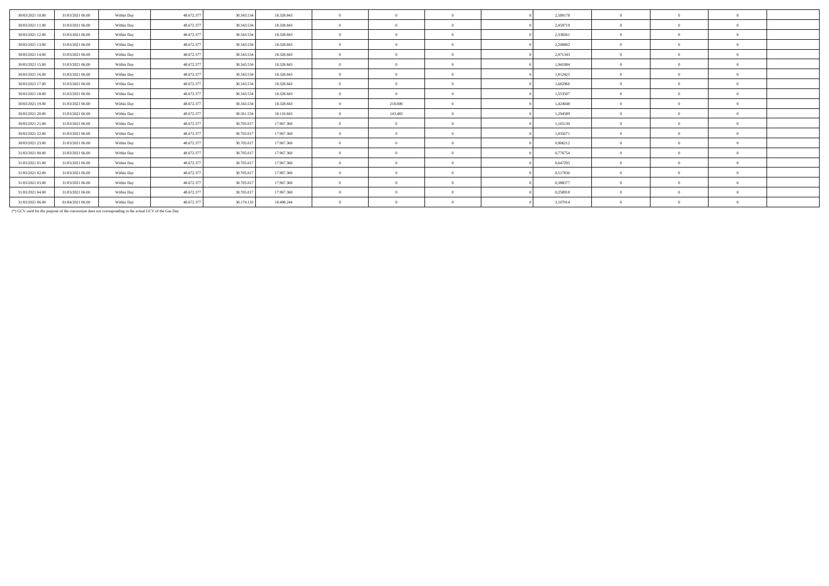| 30/03/2021 10:00 | 31/03/2021 06:00 | Within Day | 48.672.377 | 30, 343, 534 | 18.328.843 | $\theta$       |         | $\Omega$ | 2,589178 | $\Omega$       | $\Omega$   | $\Omega$ |  |
|------------------|------------------|------------|------------|--------------|------------|----------------|---------|----------|----------|----------------|------------|----------|--|
| 30/03/2021 11:00 | 31/03/2021 06:00 | Within Day | 48.672.377 | 30.343.534   | 18.328.843 | $\theta$       |         | $\Omega$ | 2,459719 | $\Omega$       | $\Omega$   | $\Omega$ |  |
| 30/03/2021 12:00 | 31/03/2021 06:00 | Within Day | 48.672.377 | 30.343.534   | 18.328.843 | $\theta$       |         | $\Omega$ | 2,330261 | $\Omega$       |            | $\Omega$ |  |
| 30/03/2021 13:00 | 31/03/2021 06:00 | Within Day | 48.672.377 | 30.343.534   | 18.328.843 | $\theta$       |         | $\Omega$ | 2,200802 | $\Omega$       |            | $\Omega$ |  |
| 30/03/2021 14:00 | 31/03/2021 06:00 | Within Day | 48.672.377 | 30, 343, 534 | 18.328.843 | $\theta$       |         | $\Omega$ | 2.071343 | $\Omega$       |            | $\Omega$ |  |
| 30/03/2021 15:00 | 31/03/2021 06:00 | Within Day | 48.672.377 | 30.343.534   | 18.328.843 | $\theta$       |         | $\Omega$ | 1,941884 | $\Omega$       |            | $\Omega$ |  |
| 30/03/2021 16:00 | 31/03/2021 06:00 | Within Day | 48.672.377 | 30.343.534   | 18.328.843 | $\overline{0}$ |         | $\Omega$ | 1,812425 | $\overline{0}$ | $\Omega$   | $\Omega$ |  |
| 30/03/2021 17:00 | 31/03/2021 06:00 | Within Day | 48.672.377 | 30.343.534   | 18.328.843 | $\theta$       |         | $\Omega$ | 1,682966 | $\Omega$       |            | $\Omega$ |  |
| 30/03/2021 18:00 | 31/03/2021 06:00 | Within Day | 48.672.377 | 30.343.534   | 18.328.843 | $\theta$       |         | $\Omega$ | 1,553507 | $\Omega$       |            | $\Omega$ |  |
| 30/03/2021 19:00 | 31/03/2021 06:00 | Within Day | 48.672.377 | 30.343.534   | 18.328.843 | $\overline{0}$ | 218.000 | $\Omega$ | 1,424048 | $\overline{0}$ |            | $\Omega$ |  |
| 30/03/2021 20:00 | 31/03/2021 06:00 | Within Day | 48.672.377 | 30.561.534   | 18.110.843 | $\theta$       | 143,483 | $\Omega$ | 1.294589 | $\Omega$       |            | $\Omega$ |  |
| 30/03/2021 21:00 | 31/03/2021 06:00 | Within Day | 48.672.377 | 30,705,017   | 17.967.360 | $\theta$       |         | $\Omega$ | 1,165130 | $\Omega$       | $\Omega$   | $\Omega$ |  |
| 30/03/2021 22.00 | 31/03/2021 06:00 | Within Day | 48.672.377 | 30.705.017   | 17.967.360 | $\overline{0}$ |         | $\Omega$ | 1,035671 | $\Omega$       | $\Omega$   | $\Omega$ |  |
| 30/03/2021 23:00 | 31/03/2021 06:00 | Within Day | 48.672.377 | 30.705.017   | 17.967.360 | $\theta$       |         | $\Omega$ | 0,906212 | $\Omega$       |            | $\Omega$ |  |
| 31/03/2021 00:00 | 31/03/2021 06:00 | Within Day | 48.672.377 | 30.705.017   | 17.967.360 | $\theta$       |         | $\Omega$ | 0,776754 | $\Omega$       |            | $\Omega$ |  |
| 31/03/2021 01:00 | 31/03/2021 06:00 | Within Day | 48.672.377 | 30.705.017   | 17.967.360 | $\overline{0}$ |         | $\Omega$ | 0,647295 | $\Omega$       |            | $\Omega$ |  |
| 31/03/2021 02:00 | 31/03/2021 06:00 | Within Day | 48.672.377 | 30,705,017   | 17.967.360 | $\theta$       |         | $\Omega$ | 0.517836 | $\Omega$       |            | $\theta$ |  |
| 31/03/2021 03:00 | 31/03/2021 06:00 | Within Day | 48.672.377 | 30,705,017   | 17.967.360 | $\theta$       |         | $\Omega$ | 0.388377 | $\Omega$       | $\sqrt{2}$ | $\Omega$ |  |
| 31/03/2021 04:00 | 31/03/2021 06:00 | Within Day | 48.672.377 | 30.705.017   | 17.967.360 | $\overline{0}$ |         | $\Omega$ | 0,258918 | $\Omega$       | $\Omega$   | $\Omega$ |  |
| 31/03/2021 06:00 | 01/04/2021 06:00 | Within Day | 48.672.377 | 30.174.133   | 18.498.244 | $\theta$       |         | $\Omega$ | 3,107014 | $\theta$       |            | $\Omega$ |  |

(\*) GCV used for the purpose of the conversion does not corresponding to the actual GCV of the Gas Day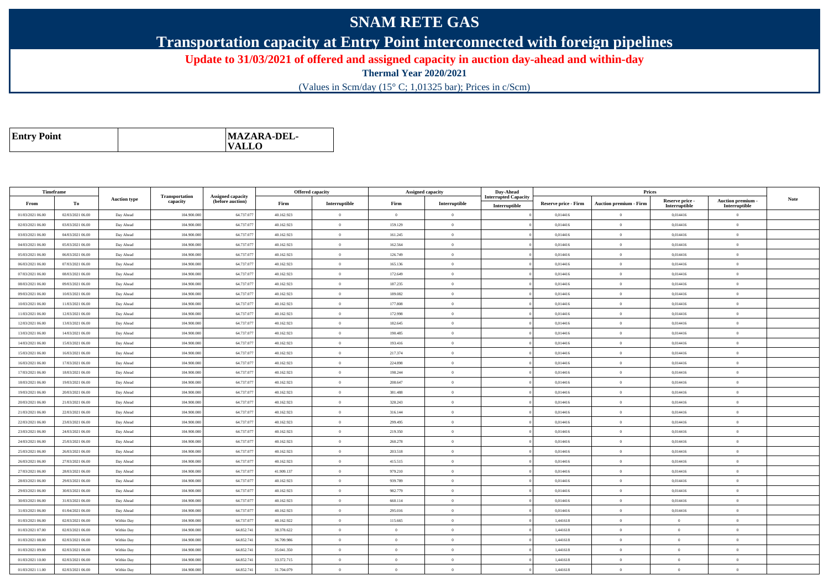## **SNAM RETE GAS**

**Transportation capacity at Entry Point interconnected with foreign pipelines**

**Update to 31/03/2021 of offered and assigned capacity in auction day-ahead and within-day**

**Thermal Year 2020/2021**

(Values in Scm/day (15° C; 1,01325 bar); Prices in c/Scm)

| <b>Entry Point</b> | MAZARA-DEL-<br>$\mathbf{VALLO}$ |
|--------------------|---------------------------------|
|--------------------|---------------------------------|

| Timeframe        |                  |                     |                            |                                              |            | <b>Offered capacity</b> |                | <b>Assigned capacity</b> | Day-Ahead                   |                             | Prices                          |                           |                                 |             |
|------------------|------------------|---------------------|----------------------------|----------------------------------------------|------------|-------------------------|----------------|--------------------------|-----------------------------|-----------------------------|---------------------------------|---------------------------|---------------------------------|-------------|
| From             | To               | <b>Auction type</b> | Transportation<br>capacity | <b>Assigned capacity</b><br>(before auction) | Firm       | Interruptible           | Firm           | Interruptible            | <b>Interrupted Capacity</b> | <b>Reserve price - Firm</b> | <b>Auction premium - Firm</b>   | Reserve price -           | Auction premium -               | <b>Note</b> |
| 01/03/2021 06:00 | 02/03/2021 06:00 | Day Ahead           | 104.900.000                | 64.737.07                                    | 40.162.923 | $\overline{0}$          | $\overline{0}$ | $\overline{0}$           | Interruptible               | 0,014416                    | $\theta$                        | Interruptible<br>0,014416 | Interruptible<br>$\overline{0}$ |             |
| 02/03/2021 06:00 | 03/03/2021 06:00 | Day Ahead           | 104,900,000                | 64.737.07                                    | 40.162.923 | $\overline{0}$          | 159.129        | $\Omega$                 |                             | 0.014416                    | $\theta$                        | 0.014416                  | $\overline{0}$                  |             |
| 03/03/2021 06:00 | 04/03/2021 06:00 | Day Ahead           | 104.900.00                 | 64.737.07                                    | 40.162.923 | $\overline{0}$          | 161.245        | $\overline{0}$           |                             | 0,014416                    | $\overline{0}$                  | 0,014416                  | $\overline{0}$                  |             |
| 04/03/2021 06:00 | 05/03/2021 06:00 | Day Ahead           | 104,900,000                | 64.737.077                                   | 40.162.923 | $\alpha$                | 162.564        | $\Omega$                 |                             | 0.014416                    | $\bf{0}$                        | 0,014416                  | $\theta$                        |             |
| 05/03/2021 06:00 | 06/03/2021 06:00 | Day Ahead           | 104.900.000                | 64.737.07                                    | 40.162.923 | $\overline{0}$          | 126.749        | $\overline{0}$           |                             | 0,014416                    | $\overline{0}$                  | 0,014416                  | $\overline{0}$                  |             |
| 06/03/2021 06:00 | 07/03/2021 06:00 | Day Ahead           | 104,900,000                | 64.737.077                                   | 40.162.923 | $\overline{0}$          | 165.136        | $\theta$                 |                             | 0.014416                    | $\bf{0}$                        | 0.014416                  | $\overline{0}$                  |             |
| 07/03/2021 06:00 | 08/03/2021 06:00 | Day Ahead           | 104.900.000                | 64.737.077                                   | 40.162.923 | $\theta$                | 172.649        | $\mathbf{0}$             |                             | 0,014416                    | $\overline{0}$                  | 0,014416                  | $\theta$                        |             |
| 08/03/2021 06:00 | 09/03/2021 06:00 | Day Ahead           | 104.900.000                | 64.737.077                                   | 40.162.923 | $\overline{0}$          | 187.235        | $\overline{0}$           |                             | 0,014416                    | $\bf{0}$                        | 0,014416                  | $\overline{0}$                  |             |
| 09/03/2021 06:00 | 10/03/2021 06:00 | Day Ahead           | 104.900.000                | 64.737.077                                   | 40.162.923 | $\overline{0}$          | 189.082        | $\theta$                 |                             | 0,014416                    | $\overline{0}$                  | 0,014416                  | $\overline{0}$                  |             |
| 10/03/2021 06:00 | 11/03/2021 06:00 | Day Ahead           | 104.900.000                | 64.737.077                                   | 40.162.923 | $\overline{0}$          | 177.808        | $\theta$                 |                             | 0,014416                    | $\overline{0}$                  | 0,014416                  | $\overline{0}$                  |             |
| 11/03/2021 06:00 | 12/03/2021 06:00 | Day Ahead           | 104,900,000                | 64.737.07                                    | 40.162.923 | $\theta$                | 172.998        | $\Omega$                 |                             | 0.014416                    | $\theta$                        | 0.014416                  | $\theta$                        |             |
| 12/03/2021 06:00 | 13/03/2021 06:00 | Day Ahead           | 104.900.000                | 64.737.077                                   | 40.162.923 | $\overline{0}$          | 182.645        | $\mathbf{0}$             |                             | 0,014416                    | $\,$ 0 $\,$                     | 0,014416                  | $\overline{0}$                  |             |
| 13/03/2021 06:00 | 14/03/2021 06:00 | Day Ahead           | 104,900,000                | 64.737.07                                    | 40.162.923 | $\overline{0}$          | 190.485        | $\Omega$                 |                             | 0.014416                    | $\bf{0}$                        | 0.014416                  | $\overline{0}$                  |             |
| 14/03/2021 06:00 | 15/03/2021 06:00 | Day Ahead           | 104.900.000                | 64.737.07                                    | 40.162.923 | $\overline{0}$          | 193.416        | $\theta$                 |                             | 0,014416                    | $\bf{0}$                        | 0,014416                  | $\overline{0}$                  |             |
| 15/03/2021 06:00 | 16/03/2021 06:00 | Day Ahead           | 104,900,000                | 64.737.07                                    | 40.162.923 | $\overline{0}$          | 217.374        | $\overline{0}$           |                             | 0.014416                    | $\overline{0}$                  | 0.014416                  | $\overline{0}$                  |             |
| 16/03/2021 06:00 | 17/03/2021 06:00 | Day Ahead           | 104.900.000                | 64.737.077                                   | 40.162.923 | $\overline{0}$          | 224.898        | $\mathbf{0}$             |                             | 0,014416                    | $\overline{0}$                  | 0,014416                  | $\overline{0}$                  |             |
| 17/03/2021 06:00 | 18/03/2021 06:00 | Day Ahead           | 104,900,000                | 64.737.077                                   | 40.162.923 | $\overline{0}$          | 198.244        | $\theta$                 |                             | 0.014416                    | $\overline{0}$                  | 0.014416                  | $\overline{0}$                  |             |
| 18/03/2021 06:00 | 19/03/2021 06:00 | Day Ahead           | 104.900.000                | 64.737.077                                   | 40.162.923 | $\overline{0}$          | 208.647        | $\mathbf{0}$             |                             | 0,014416                    | $\theta$                        | 0,014416                  | $\overline{0}$                  |             |
| 19/03/2021 06:00 | 20/03/2021 06:00 | Day Ahead           | 104,900,000                | 64.737.077                                   | 40.162.923 | $\overline{0}$          | 381.488        | $\Omega$                 |                             | 0.014416                    | $\theta$                        | 0.014416                  | $\overline{0}$                  |             |
| 20/03/2021 06:00 | 21/03/2021 06:00 | Day Ahead           | 104.900.00                 | 64.737.07                                    | 40.162.923 | $\Omega$                | 328.243        | $\theta$                 |                             | 0,014416                    | $\theta$                        | 0,014416                  | $\theta$                        |             |
| 21/03/2021 06:00 | 22/03/2021 06:00 | Day Ahead           | 104,900,000                | 64.737.077                                   | 40.162.923 | $\overline{0}$          | 316.144        | $\theta$                 |                             | 0,014416                    | $\hspace{0.1mm}0\hspace{0.1mm}$ | 0,014416                  | $\overline{0}$                  |             |
| 22/03/2021 06:00 | 23/03/2021 06:00 | Day Ahead           | 104,900,000                | 64,737.07                                    | 40.162.923 | $\theta$                | 299.495        | $\Omega$                 |                             | 0,014416                    | $\overline{0}$                  | 0,014416                  | $\overline{0}$                  |             |
| 23/03/2021 06:00 | 24/03/2021 06:00 | Day Ahead           | 104,900,000                | 64.737.07                                    | 40.162.923 | $\overline{0}$          | 219.350        | $\theta$                 |                             | 0.014416                    | $\bf{0}$                        | 0,014416                  | $\overline{0}$                  |             |
| 24/03/2021 06:00 | 25/03/2021 06:00 | Day Ahead           | 104.900.00                 | 64.737.07                                    | 40.162.923 | $\overline{0}$          | 260.278        | $\overline{0}$           |                             | 0,014416                    | $\overline{0}$                  | 0,014416                  | $\overline{0}$                  |             |
| 25/03/2021 06:00 | 26/03/2021 06:00 | Day Ahead           | 104,900,000                | 64.737.077                                   | 40.162.923 | $\overline{0}$          | 203.518        | $\mathbf{0}$             |                             | 0,014416                    | $\,$ 0 $\,$                     | 0,014416                  | $\overline{0}$                  |             |
| 26/03/2021 06:00 | 27/03/2021 06:00 | Day Ahead           | 104.900.000                | 64.737.077                                   | 40.162.923 | $\theta$                | 415.515        | $\theta$                 |                             | 0,014416                    | $\overline{0}$                  | 0,014416                  | $\overline{0}$                  |             |
| 27/03/2021 06:00 | 28/03/2021 06:00 | Day Ahead           | 104,900,000                | 64.737.077                                   | 41.909.137 | $\alpha$                | 979.210        | $\Omega$                 |                             | 0.014416                    | $\theta$                        | 0.014416                  | $\theta$                        |             |
| 28/03/2021 06:00 | 29/03/2021 06:00 | Day Ahead           | 104.900.000                | 64.737.07                                    | 40.162.923 | $\theta$                | 939.789        | $\overline{0}$           |                             | 0,014416                    | $\overline{0}$                  | 0,014416                  | $\theta$                        |             |
| 29/03/2021 06:00 | 30/03/2021 06:00 | Day Ahead           | 104.900.000                | 64.737.07                                    | 40.162.923 | $\overline{0}$          | 982.779        | $\theta$                 |                             | 0,014416                    | $\bf{0}$                        | 0,014416                  | $\overline{0}$                  |             |
| 30/03/2021 06:00 | 31/03/2021 06:00 | Day Ahead           | 104.900.000                | 64.737.07                                    | 40.162.923 | $\theta$                | 660.114        | $\theta$                 |                             | 0,014416                    | $\bf{0}$                        | 0,014416                  | $\overline{0}$                  |             |
| 31/03/2021 06:00 | 01/04/2021 06:00 | Day Ahead           | 104.900.000                | 64.737.07                                    | 40.162.923 | $\overline{0}$          | 295.016        | $\theta$                 |                             | 0,014416                    | $\overline{0}$                  | 0,014416                  | $\overline{0}$                  |             |
| 01/03/2021 06:00 | 02/03/2021 06:00 | Within Day          | 104,900,000                | 64.737.077                                   | 40.162.922 | $\overline{0}$          | 115.665        | $\Omega$                 |                             | 1.441618                    | $\bf{0}$                        | $\theta$                  | $\overline{0}$                  |             |
| 01/03/2021 07:00 | 02/03/2021 06:00 | Within Day          | 104.900.000                | 64.852.741                                   | 38.378.622 | $\theta$                | $\overline{0}$ | $\,$ 0 $\,$              |                             | 1,441618                    | $\bf{0}$                        | $\overline{0}$            | $\overline{0}$                  |             |
| 01/03/2021 08:00 | 02/03/2021 06:00 | Within Day          | 104,900,000                | 64.852.741                                   | 36,709,986 | $\overline{0}$          | $\overline{0}$ | $\Omega$                 |                             | 1.441618                    | $\overline{0}$                  | $\theta$                  | $\overline{0}$                  |             |
| 01/03/2021 09:00 | 02/03/2021 06:00 | Within Day          | 104.900.000                | 64.852.741                                   | 35.041.350 | $\overline{0}$          | $\Omega$       | $\overline{0}$           |                             | 1,441618                    | $\theta$                        | $\overline{0}$            | $\overline{0}$                  |             |
| 01/03/2021 10:00 | 02/03/2021 06:00 | Within Day          | 104,900,000                | 64.852.741                                   | 33.372.715 | $\theta$                | $\Omega$       | $\Omega$                 |                             | 1.441618                    | $\theta$                        | $\Omega$                  | $\overline{0}$                  |             |
| 01/03/2021 11:00 | 02/03/2021 06:00 | Within Day          | 104.900.000                | 64.852.74                                    | 31.704.079 | $\overline{0}$          | $\theta$       | $\overline{0}$           |                             | 1,441618                    | $\theta$                        | $\overline{0}$            | $\Omega$                        |             |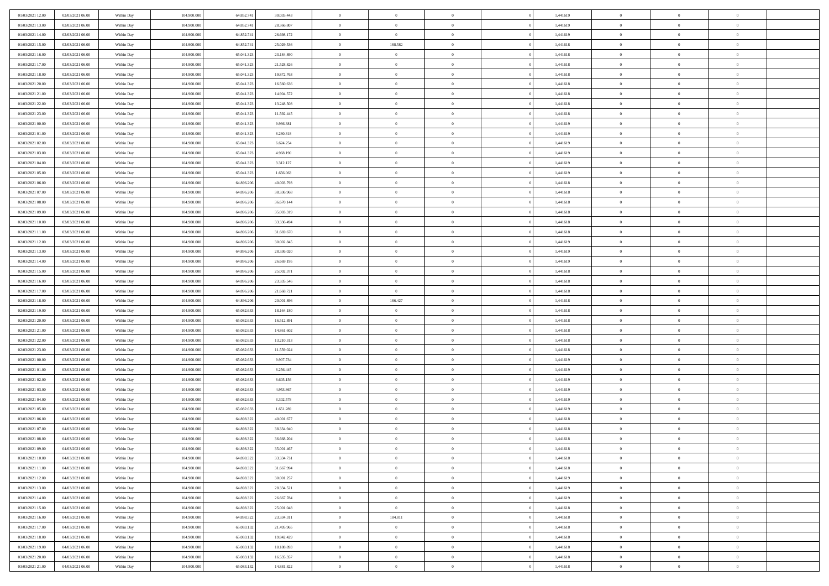| 01/03/2021 12:00                     | 02/03/2021 06:00                     | Within Day               | 104.900.000                | 64.852.741               | 30.035.443               | $\,$ 0                   | $\bf{0}$                   | $\theta$                         |          | 1,441619             | $\bf{0}$                 | $\overline{0}$                 | $\,0\,$                          |  |
|--------------------------------------|--------------------------------------|--------------------------|----------------------------|--------------------------|--------------------------|--------------------------|----------------------------|----------------------------------|----------|----------------------|--------------------------|--------------------------------|----------------------------------|--|
| 01/03/2021 13:00                     | 02/03/2021 06:00                     | Within Day               | 104,900,000                | 64.852.741               | 28.366.807               | $\overline{0}$           | $\overline{0}$             | $\Omega$                         |          | 1,441619             | $\overline{0}$           | $\overline{0}$                 | $\theta$                         |  |
| 01/03/2021 14:00                     | 02/03/2021 06:00                     | Within Dav               | 104.900.000                | 64.852.741               | 26.698.172               | $\mathbf{0}$             | $\overline{0}$             | $\overline{0}$                   |          | 1,441619             | $\mathbf{0}$             | $\overline{0}$                 | $\overline{0}$                   |  |
| 01/03/2021 15:00                     | 02/03/2021 06:00                     | Within Day               | 104.900.000                | 64.852.741               | 25.029.536               | $\bf{0}$                 | 188.582                    | $\bf{0}$                         |          | 1,441618             | $\bf{0}$                 | $\overline{0}$                 | $\,0\,$                          |  |
| 01/03/2021 16:00                     | 02/03/2021 06:00                     | Within Day               | 104,900,000                | 65.041.323               | 23.184.890               | $\bf{0}$                 | $\bf{0}$                   | $\overline{0}$                   |          | 1,441618             | $\bf{0}$                 | $\bf{0}$                       | $\,0\,$                          |  |
| 01/03/2021 17:00                     | 02/03/2021 06:00                     | Within Dav               | 104.900.000                | 65.041.323               | 21.528.826               | $\mathbf{0}$             | $\overline{0}$             | $\overline{0}$                   |          | 1,441618             | $\mathbf{0}$             | $\overline{0}$                 | $\theta$                         |  |
| 01/03/2021 18:00                     | 02/03/2021 06:00                     | Within Day               | 104.900.000                | 65.041.323               | 19.872.763               | $\bf{0}$                 | $\bf{0}$                   | $\overline{0}$                   |          | 1,441618             | $\bf{0}$                 | $\overline{0}$                 | $\,0\,$                          |  |
| 01/03/2021 20:00                     | 02/03/2021 06:00                     | Within Day               | 104,900,000                | 65.041.323               | 16.560.636               | $\overline{0}$           | $\overline{0}$             | $\overline{0}$                   |          | 1,441618             | $\,$ 0 $\,$              | $\overline{0}$                 | $\theta$                         |  |
| 01/03/2021 21:00                     | 02/03/2021 06:00                     | Within Dav               | 104.900.000                | 65.041.323               | 14.904.572               | $\mathbf{0}$             | $\overline{0}$             | $\overline{0}$                   |          | 1,441618             | $\mathbf{0}$             | $\overline{0}$                 | $\overline{0}$                   |  |
| 01/03/2021 22.00                     | 02/03/2021 06:00                     |                          | 104.900.000                | 65.041.323               | 13.248.508               | $\bf{0}$                 | $\bf{0}$                   | $\overline{0}$                   |          | 1,441618             | $\bf{0}$                 | $\overline{0}$                 | $\,0\,$                          |  |
|                                      |                                      | Within Day               | 104,900,000                | 65.041.323               |                          | $\overline{0}$           | $\overline{0}$             |                                  |          |                      |                          | $\mathbf{0}$                   | $\theta$                         |  |
| 01/03/2021 23:00                     | 02/03/2021 06:00                     | Within Day               |                            |                          | 11.592.445               | $\mathbf{0}$             |                            | $\overline{0}$                   |          | 1,441618             | $\bf{0}$<br>$\mathbf{0}$ |                                | $\overline{0}$                   |  |
| 02/03/2021 00:00                     | 02/03/2021 06:00                     | Within Dav               | 104.900.000                | 65.041.323               | 9.936.381                |                          | $\overline{0}$             | $\overline{0}$                   |          | 1,441619             |                          | $\overline{0}$                 |                                  |  |
| 02/03/2021 01:00                     | 02/03/2021 06:00                     | Within Day               | 104.900.000                | 65.041.323               | 8.280.318                | $\bf{0}$                 | $\overline{0}$             | $\bf{0}$                         |          | 1,441619             | $\bf{0}$                 | $\overline{0}$                 | $\bf{0}$                         |  |
| 02/03/2021 02:00                     | 02/03/2021 06:00                     | Within Day               | 104.900.000                | 65.041.32                | 6.624.254                | $\bf{0}$                 | $\overline{0}$             | $\overline{0}$                   |          | 1,441619             | $\bf{0}$                 | $\theta$                       | $\,0\,$                          |  |
| 02/03/2021 03:00                     | 02/03/2021 06:00                     | Within Dav               | 104.900.000                | 65.041.323               | 4.968.190                | $\overline{0}$           | $\overline{0}$             | $\overline{0}$                   |          | 1,441619             | $\mathbf{0}$             | $\overline{0}$                 | $\overline{0}$                   |  |
| 02/03/2021 04:00                     | 02/03/2021 06:00                     | Within Day               | 104.900.000                | 65.041.323               | 3.312.127                | $\bf{0}$                 | $\bf{0}$                   | $\overline{0}$                   |          | 1,441619             | $\bf{0}$                 | $\overline{0}$                 | $\,0\,$                          |  |
| 02/03/2021 05:00                     | 02/03/2021 06:00                     | Within Day               | 104,900,000                | 65.041.323               | 1.656.063                | $\overline{0}$           | $\overline{0}$             | $\overline{0}$                   |          | 1,441619             | $\bf{0}$                 | $\overline{0}$                 | $\theta$                         |  |
| 02/03/2021 06:00                     | 03/03/2021 06:00                     | Within Day               | 104.900.000                | 64.896.206               | 40.003.793               | $\mathbf{0}$             | $\overline{0}$             | $\overline{0}$                   |          | 1,441618             | $\mathbf{0}$             | $\overline{0}$                 | $\overline{0}$                   |  |
| 02/03/2021 07:00                     | 03/03/2021 06:00                     | Within Day               | 104.900.000                | 64.896.206               | 38.336.968               | $\bf{0}$                 | $\bf{0}$                   | $\overline{0}$                   |          | 1,441618             | $\bf{0}$                 | $\overline{0}$                 | $\,0\,$                          |  |
| 02/03/2021 08:00                     | 03/03/2021 06:00                     | Within Day               | 104,900,000                | 64.896.206               | 36.670.144               | $\overline{0}$           | $\overline{0}$             | $\overline{0}$                   |          | 1,441618             | $\bf{0}$                 | $\overline{0}$                 | $\overline{0}$                   |  |
| 02/03/2021 09:00                     | 03/03/2021 06:00                     | Within Dav               | 104.900.000                | 64.896.206               | 35.003.319               | $\mathbf{0}$             | $\overline{0}$             | $\overline{0}$                   |          | 1,441618             | $\mathbf{0}$             | $\overline{0}$                 | $\overline{0}$                   |  |
| 02/03/2021 10:00                     | 03/03/2021 06:00                     | Within Day               | 104.900.000                | 64.896.206               | 33.336.494               | $\bf{0}$                 | $\overline{0}$             | $\bf{0}$                         |          | 1,441618             | $\bf{0}$                 | $\overline{0}$                 | $\bf{0}$                         |  |
| 02/03/2021 11:00                     | 03/03/2021 06:00                     | Within Day               | 104,900,000                | 64.896.206               | 31.669.670               | $\bf{0}$                 | $\bf{0}$                   | $\overline{0}$                   |          | 1,441618             | $\bf{0}$                 | $\overline{0}$                 | $\,0\,$                          |  |
| 02/03/2021 12:00                     | 03/03/2021 06:00                     | Within Dav               | 104.900.000                | 64.896.206               | 30.002.845               | $\mathbf{0}$             | $\overline{0}$             | $\overline{0}$                   |          | 1,441619             | $\mathbf{0}$             | $\overline{0}$                 | $\overline{0}$                   |  |
| 02/03/2021 13:00                     | 03/03/2021 06:00                     | Within Day               | 104.900.000                | 64.896.206               | 28.336.020               | $\bf{0}$                 | $\bf{0}$                   | $\overline{0}$                   |          | 1,441619             | $\bf{0}$                 | $\overline{0}$                 | $\,0\,$                          |  |
| 02/03/2021 14:00                     | 03/03/2021 06:00                     | Within Day               | 104,900,000                | 64.896.206               | 26.669.195               | $\overline{0}$           | $\overline{0}$             | $\overline{0}$                   |          | 1,441619             | $\bf{0}$                 | $\overline{0}$                 | $\overline{0}$                   |  |
| 02/03/2021 15:00                     | 03/03/2021 06:00                     | Within Dav               | 104.900.000                | 64.896.206               | 25.002.371               | $\mathbf{0}$             | $\overline{0}$             | $\overline{0}$                   |          | 1,441618             | $\mathbf{0}$             | $\overline{0}$                 | $\overline{0}$                   |  |
| 02/03/2021 16:00                     | 03/03/2021 06:00                     | Within Day               | 104.900.000                | 64.896.206               | 23.335.546               | $\bf{0}$                 | $\bf{0}$                   | $\overline{0}$                   |          | 1,441618             | $\bf{0}$                 | $\overline{0}$                 | $\,0\,$                          |  |
| 02/03/2021 17:00                     | 03/03/2021 06:00                     | Within Day               | 104,900,000                | 64.896.206               | 21.668.721               | $\bf{0}$                 | $\overline{0}$             | $\overline{0}$                   |          | 1,441618             | $\bf{0}$                 | $\overline{0}$                 | $\overline{0}$                   |  |
|                                      |                                      |                          |                            |                          |                          |                          |                            |                                  |          |                      |                          |                                |                                  |  |
| 02/03/2021 18:00                     | 03/03/2021 06:00                     | Within Dav               | 104.900.000                | 64.896.206               | 20.001.896               | $\mathbf{0}$             | 186.427                    | $\overline{0}$                   |          | 1,441618             | $\mathbf{0}$             | $\overline{0}$                 | $\overline{0}$                   |  |
| 02/03/2021 19:00                     | 03/03/2021 06:00                     | Within Day               | 104.900.000                | 65.082.633               | 18.164.180               | $\bf{0}$                 | $\overline{0}$             | $\theta$                         |          | 1,441618             | $\,$ 0                   | $\overline{0}$                 | $\theta$                         |  |
| 02/03/2021 20:00                     | 03/03/2021 06:00                     | Within Day               | 104,900,000                | 65.082.633               | 16.512.891               | $\bf{0}$                 | $\bf{0}$                   | $\overline{0}$                   |          | 1,441618             | $\bf{0}$                 | $\mathbf{0}$                   | $\overline{0}$                   |  |
| 02/03/2021 21:00                     | 03/03/2021 06:00                     | Within Dav               | 104.900.000                | 65.082.633               | 14.861.602               | $\overline{0}$           | $\overline{0}$             | $\overline{0}$                   |          | 1,441618             | $\mathbf{0}$             | $\overline{0}$                 | $\overline{0}$                   |  |
| 02/03/2021 22:00                     | 03/03/2021 06:00                     | Within Day               | 104.900.000                | 65.082.633               | 13.210.313               | $\bf{0}$                 | $\overline{0}$             | $\theta$                         |          | 1,441618             | $\,$ 0                   | $\overline{0}$                 | $\theta$                         |  |
| 02/03/2021 23:00                     | 03/03/2021 06:00                     | Within Day               | 104,900,000                | 65.082.633               | 11.559.024               | $\overline{0}$           | $\overline{0}$             | $\overline{0}$                   |          | 1,441618             | $\bf{0}$                 | $\overline{0}$                 | $\overline{0}$                   |  |
| 03/03/2021 00:00                     | 03/03/2021 06:00                     | Within Day               | 104.900.000                | 65.082.633               | 9.907.734                | $\mathbf{0}$             | $\overline{0}$             | $\overline{0}$                   |          | 1,441619             | $\mathbf{0}$             | $\overline{0}$                 | $\overline{0}$                   |  |
| 03/03/2021 01:00                     | 03/03/2021 06:00                     | Within Day               | 104.900.000                | 65.082.633               | 8.256.445                | $\bf{0}$                 | $\overline{0}$             | $\theta$                         |          | 1,441619             | $\,$ 0                   | $\overline{0}$                 | $\theta$                         |  |
| 03/03/2021 02:00                     | 03/03/2021 06:00                     | Within Day               | 104,900,000                | 65.082.633               | 6.605.156                | $\bf{0}$                 | $\bf{0}$                   | $\overline{0}$                   |          | 1,441619             | $\bf{0}$                 | $\mathbf{0}$                   | $\overline{0}$                   |  |
| 03/03/2021 03:00                     | 03/03/2021 06:00                     | Within Dav               | 104.900.000                | 65.082.633               | 4.953.867                | $\mathbf{0}$             | $\overline{0}$             | $\overline{0}$                   |          | 1,441619             | $\mathbf{0}$             | $\overline{0}$                 | $\overline{0}$                   |  |
| 03/03/2021 04:00                     | 03/03/2021 06:00                     | Within Day               | 104.900.000                | 65.082.633               | 3.302.578                | $\,0\,$                  | $\overline{0}$             | $\theta$                         |          | 1,441619             | $\,$ 0                   | $\overline{0}$                 | $\theta$                         |  |
| 03/03/2021 05:00                     | 03/03/2021 06:00                     | Within Day               | 104,900,000                | 65.082.633               | 1.651.289                | $\bf{0}$                 | $\bf{0}$                   | $\overline{0}$                   |          | 1,441619             | $\bf{0}$                 | $\overline{0}$                 | $\overline{0}$                   |  |
| 03/03/2021 06:00                     | 04/03/2021 06:00                     | Within Dav               | 104.900.000                | 64.898.322               | 40.001.677               | $\mathbf{0}$             | $\overline{0}$             | $\overline{0}$                   |          | 1,441618             | $\overline{0}$           | $\overline{0}$                 | $\overline{0}$                   |  |
|                                      |                                      |                          |                            |                          |                          | $\bf{0}$                 |                            | $\theta$                         |          |                      |                          | $\overline{0}$                 | $\theta$                         |  |
| 03/03/2021 07:00                     | 04/03/2021 06:00<br>04/03/2021 06:00 | Within Day               | 104.900.000<br>104,900,000 | 64.898.322               | 38.334.940               |                          | $\overline{0}$             | $\overline{0}$                   |          | 1,441618             | $\,$ 0                   | $\overline{0}$                 |                                  |  |
| 03/03/2021 08:00                     |                                      | Within Day               |                            | 64.898.322               | 36.668.204               | $\bf{0}$                 | $\overline{0}$             |                                  |          | 1,441618             | $\,$ 0 $\,$              | $\theta$                       | $\overline{0}$                   |  |
| 03/03/2021 09:00                     | 04/03/2021 06:00                     | Within Day               | 104.900.000                | 64.898.322               | 35.001.467               | $\bf{0}$                 | $\overline{0}$             |                                  |          | 1,441618             | $\overline{0}$           |                                | $\theta$                         |  |
| 03/03/2021 10:00                     | 04/03/2021 06:00                     | Within Day               | 104.900.000                | 64.898.322               | 33.334.731               | $\,0\,$                  | $\overline{0}$             | $\theta$                         |          | 1,441618             | $\,$ 0 $\,$              | $\overline{0}$                 | $\theta$                         |  |
| 03/03/2021 11:00                     | 04/03/2021 06:00                     | Within Day               | 104.900.000                | 64.898.322               | 31.667.994               | $\overline{0}$           | $\overline{0}$             | $\overline{0}$                   |          | 1,441618             | $\overline{0}$           | $\overline{0}$                 | $\overline{0}$                   |  |
| 03/03/2021 12:00                     | 04/03/2021 06:00                     | Within Day               | 104.900.000                | 64.898.322               | 30.001.257               | $\bf{0}$                 | $\overline{0}$             | $\overline{0}$                   |          | 1,441619             | $\overline{0}$           | $\bf{0}$                       | $\mathbf{0}$                     |  |
| 03/03/2021 13:00                     | 04/03/2021 06:00                     | Within Day               | 104.900.000                | 64.898.322               | 28.334.521               | $\bf{0}$                 | $\overline{0}$             | $\overline{0}$                   | $\theta$ | 1,441619             | $\,$ 0 $\,$              | $\mathbf{0}$                   | $\,$ 0 $\,$                      |  |
| 03/03/2021 14:00                     | 04/03/2021 06:00                     | Within Day               | 104.900.000                | 64.898.322               | 26.667.784               | $\bf{0}$                 | $\overline{0}$             | $\overline{0}$                   |          | 1,441619             | $\,$ 0 $\,$              | $\overline{0}$                 | $\overline{0}$                   |  |
| 03/03/2021 15:00                     | 04/03/2021 06:00                     | Within Day               | 104.900.000                | 64.898.322               | 25.001.048               | $\bf{0}$                 | $\overline{0}$             | $\overline{0}$                   |          | 1,441618             | $\mathbf{0}$             | $\overline{0}$                 | $\overline{0}$                   |  |
| 03/03/2021 16:00                     | 04/03/2021 06:00                     | Within Day               | 104.900.000                | 64.898.322               | 23.334.311               | $\,0\,$                  | 184.811                    | $\overline{0}$                   | $\theta$ | 1,441618             | $\,$ 0 $\,$              | $\overline{0}$                 | $\overline{0}$                   |  |
| 03/03/2021 17:00                     | 04/03/2021 06:00                     | Within Day               | 104.900.000                | 65.083.132               | 21.495.965               | $\bf{0}$                 | $\overline{0}$             | $\overline{0}$                   |          | 1,441618             | $\overline{0}$           | $\overline{0}$                 | $\overline{0}$                   |  |
| 03/03/2021 18:00                     | 04/03/2021 06:00                     | Within Day               | 104.900.000                | 65.083.132               | 19.842.429               | $\bf{0}$                 | $\overline{0}$             | $\overline{0}$                   |          | 1,441618             | $\mathbf{0}$             | $\overline{0}$                 | $\mathbf{0}$                     |  |
| 03/03/2021 19:00                     | 04/03/2021 06:00                     | Within Day               | 104.900.000                | 65.083.132               | 18.188.893               | $\,0\,$                  | $\overline{0}$             | $\overline{0}$                   |          | 1,441618             | $\,$ 0 $\,$              | $\overline{0}$                 | $\theta$                         |  |
| 03/03/2021 20:00<br>03/03/2021 21:00 | 04/03/2021 06:00<br>04/03/2021 06:00 | Within Day<br>Within Day | 104,900,000<br>104.900.000 | 65.083.132<br>65.083.132 | 16.535.357<br>14.881.822 | $\bf{0}$<br>$\mathbf{0}$ | $\bf{0}$<br>$\overline{0}$ | $\overline{0}$<br>$\overline{0}$ |          | 1,441618<br>1,441618 | $\bf{0}$<br>$\mathbf{0}$ | $\mathbf{0}$<br>$\overline{0}$ | $\overline{0}$<br>$\overline{0}$ |  |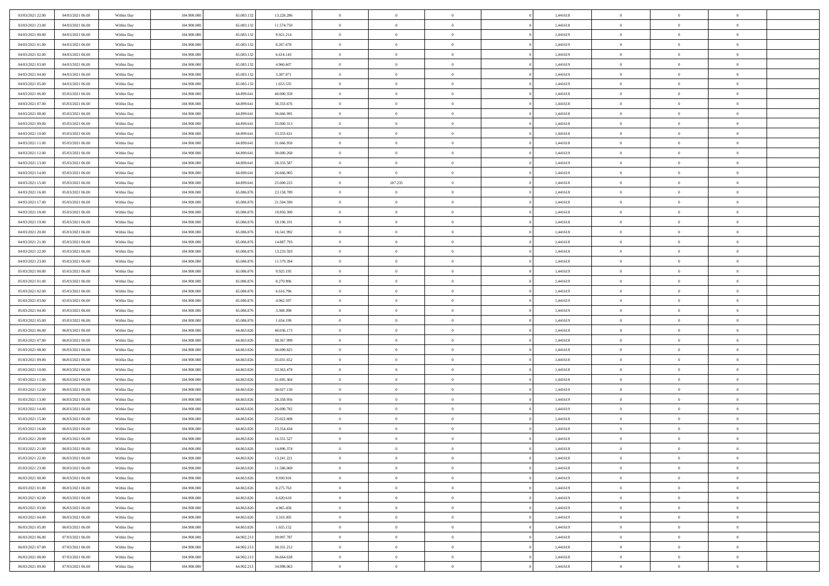| 03/03/2021 22:00 | 04/03/2021 06:00 | Within Day | 104,900,000 | 65.083.132 | 13.228.286 | $\overline{0}$ | $\overline{0}$ | $\Omega$       | 1,441618 | $\bf{0}$       | $\mathbf{0}$   | $\bf{0}$       |  |
|------------------|------------------|------------|-------------|------------|------------|----------------|----------------|----------------|----------|----------------|----------------|----------------|--|
| 03/03/2021 23:00 | 04/03/2021 06:00 | Within Day | 104.900.000 | 65.083.132 | 11.574.750 | $\mathbf{0}$   | $\overline{0}$ | $\overline{0}$ | 1,441618 | $\overline{0}$ | $\overline{0}$ | $\theta$       |  |
| 04/03/2021 00:00 | 04/03/2021 06:00 | Within Day | 104.900.000 | 65.083.132 | 9.921.214  | $\,$ 0         | $\overline{0}$ | $\bf{0}$       | 1,441619 | $\,$ 0         | $\overline{0}$ | $\,$ 0 $\,$    |  |
| 04/03/2021 01:00 | 04/03/2021 06:00 | Within Day | 104,900,000 | 65.083.132 | 8.267.678  | $\bf{0}$       | $\overline{0}$ | $\Omega$       | 1,441619 | $\bf{0}$       | $\mathbf{0}$   | $\theta$       |  |
| 04/03/2021 02:00 | 04/03/2021 06:00 | Within Dav | 104.900.000 | 65.083.132 | 6.614.143  | $\bf{0}$       | $\overline{0}$ | $\overline{0}$ | 1,441619 | $\mathbf{0}$   | $\overline{0}$ | $\overline{0}$ |  |
| 04/03/2021 03:00 | 04/03/2021 06:00 | Within Day | 104.900.000 | 65.083.132 | 4.960.607  | $\bf{0}$       | $\overline{0}$ | $\bf{0}$       | 1,441619 | $\,$ 0         | $\overline{0}$ | $\,$ 0 $\,$    |  |
| 04/03/2021 04:00 | 04/03/2021 06:00 | Within Day | 104,900,000 | 65.083.132 | 3.307.071  | $\bf{0}$       | $\overline{0}$ | $\overline{0}$ | 1,441619 | $\overline{0}$ | $\overline{0}$ | $\theta$       |  |
| 04/03/2021 05:00 | 04/03/2021 06:00 | Within Dav | 104.900.000 | 65.083.132 | 1.653.535  | $\overline{0}$ | $\overline{0}$ | $\overline{0}$ | 1,441619 | $\mathbf{0}$   | $\overline{0}$ | $\overline{0}$ |  |
| 04/03/2021 06:00 | 05/03/2021 06:00 | Within Day | 104.900.000 | 64.899.641 | 40.000.358 | $\bf{0}$       | $\overline{0}$ | $\bf{0}$       | 1,441618 | $\,$ 0         | $\overline{0}$ | $\,$ 0 $\,$    |  |
| 04/03/2021 07:00 | 05/03/2021 06:00 | Within Day | 104,900,000 | 64.899.641 | 38.333.676 | $\bf{0}$       | $\overline{0}$ | $\Omega$       | 1,441618 | $\theta$       | $\mathbf{0}$   | $\theta$       |  |
| 04/03/2021 08:00 | 05/03/2021 06:00 | Within Day | 104.900.000 | 64.899.641 | 36.666.995 | $\overline{0}$ | $\overline{0}$ | $\overline{0}$ | 1,441618 | $\overline{0}$ | $\overline{0}$ | $\overline{0}$ |  |
| 04/03/2021 09:00 | 05/03/2021 06:00 | Within Day | 104.900.000 | 64.899.641 | 35.000.313 | $\,$ 0         | $\overline{0}$ | $\bf{0}$       | 1,441618 | $\,$ 0         | $\overline{0}$ | $\,$ 0 $\,$    |  |
| 04/03/2021 10:00 | 05/03/2021 06:00 | Within Day | 104,900,000 | 64.899.641 | 33.333.631 | $\bf{0}$       | $\overline{0}$ | $\Omega$       | 1,441618 | $\overline{0}$ | $\theta$       | $\theta$       |  |
| 04/03/2021 11:00 | 05/03/2021 06:00 | Within Dav | 104.900.000 | 64.899.641 | 31.666.950 | $\overline{0}$ | $\overline{0}$ | $\overline{0}$ | 1,441618 | $\mathbf{0}$   | $\overline{0}$ | $\overline{0}$ |  |
| 04/03/2021 12:00 | 05/03/2021 06:00 | Within Day | 104.900.000 | 64.899.641 | 30.000.268 | $\bf{0}$       | $\overline{0}$ | $\bf{0}$       | 1,441619 | $\,$ 0         | $\overline{0}$ | $\,$ 0 $\,$    |  |
| 04/03/2021 13:00 | 05/03/2021 06:00 | Within Day | 104,900,000 | 64.899.641 | 28.333.587 | $\bf{0}$       | $\overline{0}$ | $\overline{0}$ | 1,441619 | $\bf{0}$       | $\mathbf{0}$   | $\bf{0}$       |  |
| 04/03/2021 14:00 | 05/03/2021 06:00 | Within Day | 104.900.000 | 64.899.641 | 26.666.905 | $\overline{0}$ | $\overline{0}$ | $\overline{0}$ | 1,441619 | $\mathbf{0}$   | $\overline{0}$ | $\overline{0}$ |  |
| 04/03/2021 15:00 | 05/03/2021 06:00 | Within Day | 104.900.000 | 64.899.641 | 25.000.223 | $\bf{0}$       | 187.235        | $\bf{0}$       | 1,441618 | $\,$ 0         | $\overline{0}$ | $\,0\,$        |  |
| 04/03/2021 16:00 | 05/03/2021 06:00 | Within Day | 104,900,000 | 65,086,876 | 23.158.789 | $\bf{0}$       | $\overline{0}$ | $\Omega$       | 1,441618 | $\overline{0}$ | $\mathbf{0}$   | $\theta$       |  |
| 04/03/2021 17:00 | 05/03/2021 06:00 | Within Day | 104.900.000 | 65.086.876 | 21.504.590 | $\overline{0}$ | $\overline{0}$ | $\overline{0}$ | 1,441618 | $\overline{0}$ | $\overline{0}$ | $\overline{0}$ |  |
| 04/03/2021 18:00 | 05/03/2021 06:00 | Within Day | 104.900.000 | 65.086.876 | 19.850.390 | $\bf{0}$       | $\overline{0}$ | $\bf{0}$       | 1,441618 | $\,$ 0         | $\overline{0}$ | $\,$ 0 $\,$    |  |
| 04/03/2021 19:00 | 05/03/2021 06:00 | Within Day | 104,900,000 | 65,086,876 | 18.196.191 | $\bf{0}$       | $\overline{0}$ | $\Omega$       | 1,441618 | $\overline{0}$ | $\theta$       | $\theta$       |  |
| 04/03/2021 20:00 | 05/03/2021 06:00 | Within Dav | 104.900.000 | 65.086.876 | 16.541.992 | $\overline{0}$ | $\overline{0}$ | $\overline{0}$ | 1,441618 | $\mathbf{0}$   | $\overline{0}$ | $\overline{0}$ |  |
| 04/03/2021 21:00 | 05/03/2021 06:00 | Within Day | 104.900.000 | 65.086.876 | 14.887.793 | $\bf{0}$       | $\overline{0}$ | $\bf{0}$       | 1,441618 | $\,$ 0         | $\overline{0}$ | $\,$ 0 $\,$    |  |
| 04/03/2021 22.00 | 05/03/2021 06:00 | Within Day | 104,900,000 | 65.086.876 | 13.233.593 | $\bf{0}$       | $\overline{0}$ | $\overline{0}$ | 1,441618 | $\bf{0}$       | $\overline{0}$ | $\bf{0}$       |  |
| 04/03/2021 23:00 | 05/03/2021 06:00 | Within Day | 104.900.000 | 65.086.876 | 11.579.394 | $\overline{0}$ | $\overline{0}$ | $\overline{0}$ | 1,441618 | $\overline{0}$ | $\overline{0}$ | $\overline{0}$ |  |
| 05/03/2021 00:00 | 05/03/2021 06:00 | Within Day | 104.900.000 | 65.086.876 | 9.925.195  | $\bf{0}$       | $\overline{0}$ | $\bf{0}$       | 1,441619 | $\,$ 0         | $\overline{0}$ | $\,$ 0 $\,$    |  |
| 05/03/2021 01:00 | 05/03/2021 06:00 | Within Day | 104,900,000 | 65.086.876 | 8.270.996  | $\bf{0}$       | $\overline{0}$ | $\Omega$       | 1,441619 | $\theta$       | $\mathbf{0}$   | $\theta$       |  |
| 05/03/2021 02:00 | 05/03/2021 06:00 | Within Day | 104.900.000 | 65.086.876 | 6.616.796  | $\overline{0}$ | $\overline{0}$ | $\overline{0}$ | 1,441619 | $\mathbf{0}$   | $\overline{0}$ | $\overline{0}$ |  |
| 05/03/2021 03:00 | 05/03/2021 06:00 | Within Day | 104.900.000 | 65.086.876 | 4.962.597  | $\bf{0}$       | $\overline{0}$ | $\bf{0}$       | 1,441619 | $\,$ 0         | $\overline{0}$ | $\,$ 0 $\,$    |  |
| 05/03/2021 04:00 | 05/03/2021 06:00 | Within Day | 104.900.000 | 65.086.876 | 3.308.398  | $\,$ 0         | $\bf{0}$       | $\overline{0}$ | 1,441619 | $\bf{0}$       | $\overline{0}$ | $\,0\,$        |  |
| 05/03/2021 05:00 | 05/03/2021 06:00 | Within Dav | 104.900.000 | 65.086.876 | 1.654.199  | $\overline{0}$ | $\overline{0}$ | $\overline{0}$ | 1,441619 | $\mathbf{0}$   | $\overline{0}$ | $\overline{0}$ |  |
| 05/03/2021 06:00 | 06/03/2021 06:00 | Within Day | 104.900.000 | 64.863.826 | 40.036.173 | $\bf{0}$       | $\overline{0}$ | $\bf{0}$       | 1,441618 | $\,$ 0         | $\overline{0}$ | $\,$ 0 $\,$    |  |
| 05/03/2021 07:00 | 06/03/2021 06:00 | Within Day | 104.900.000 | 64.863.826 | 38.367.999 | $\bf{0}$       | $\bf{0}$       | $\bf{0}$       | 1,441618 | $\bf{0}$       | $\overline{0}$ | $\,0\,$        |  |
| 05/03/2021 08:00 | 06/03/2021 06:00 | Within Day | 104.900.000 | 64.863.826 | 36.699.825 | $\overline{0}$ | $\overline{0}$ | $\overline{0}$ | 1,441618 | $\overline{0}$ | $\overline{0}$ | $\overline{0}$ |  |
| 05/03/2021 09:00 | 06/03/2021 06:00 | Within Day | 104.900.000 | 64.863.826 | 35.031.652 | $\bf{0}$       | $\overline{0}$ | $\bf{0}$       | 1,441618 | $\,$ 0         | $\overline{0}$ | $\,$ 0 $\,$    |  |
| 05/03/2021 10:00 | 06/03/2021 06:00 | Within Day | 104.900.000 | 64.863.826 | 33.363.478 | $\bf{0}$       | $\bf{0}$       | $\overline{0}$ | 1,441618 | $\bf{0}$       | $\overline{0}$ | $\,0\,$        |  |
| 05/03/2021 11:00 | 06/03/2021 06:00 | Within Day | 104.900.000 | 64.863.826 | 31.695.304 | $\overline{0}$ | $\overline{0}$ | $\overline{0}$ | 1,441618 | $\mathbf{0}$   | $\overline{0}$ | $\overline{0}$ |  |
| 05/03/2021 12:00 | 06/03/2021 06:00 | Within Day | 104.900.000 | 64.863.826 | 30.027.130 | $\bf{0}$       | $\overline{0}$ | $\bf{0}$       | 1,441619 | $\,$ 0         | $\overline{0}$ | $\,$ 0 $\,$    |  |
| 05/03/2021 13:00 | 06/03/2021 06:00 | Within Day | 104.900.000 | 64.863.826 | 28.358.956 | $\bf{0}$       | $\bf{0}$       | $\overline{0}$ | 1,441619 | $\bf{0}$       | $\overline{0}$ | $\,0\,$        |  |
| 05/03/2021 14:00 | 06/03/2021 06:00 | Within Dav | 104.900.000 | 64.863.826 | 26.690.782 | $\overline{0}$ | $\overline{0}$ | $\overline{0}$ | 1,441619 | $\overline{0}$ | $\overline{0}$ | $\overline{0}$ |  |
| 05/03/2021 15:00 | 06/03/2021 06:00 | Within Day | 104.900.000 | 64.863.826 | 25.022.608 | $\bf{0}$       | $\overline{0}$ | $\bf{0}$       | 1,441618 | $\,$ 0         | $\overline{0}$ | $\,$ 0 $\,$    |  |
| 05/03/2021 16:00 | 06/03/2021 06:00 | Within Day | 104.900.000 | 64.863.826 | 23.354.434 | $\bf{0}$       | $\bf{0}$       | $\bf{0}$       | 1,441618 | $\bf{0}$       | $\overline{0}$ | $\,0\,$        |  |
| 05/03/2021 20:00 | 06/03/2021 06:00 | Within Day | 104.900.000 | 64.863.826 | 16.551.527 | $\mathbf{0}$   | $\overline{0}$ | $\overline{0}$ | 1,441618 | $\overline{0}$ | $\overline{0}$ | $\overline{0}$ |  |
| 05/03/2021 21:00 | 06/03/2021 06:00 | Within Day | 104.900.000 | 64.863.826 | 14.896.374 | $\bf{0}$       | $\overline{0}$ | $\theta$       | 1,441618 | $\overline{0}$ | $\theta$       | $\theta$       |  |
| 05/03/2021 22.00 | 06/03/2021 06:00 | Within Day | 104.900.000 | 64.863.826 | 13.241.221 | $\bf{0}$       | $\bf{0}$       | $\bf{0}$       | 1,441618 | $\bf{0}$       | $\overline{0}$ | $\,0\,$        |  |
| 05/03/2021 23:00 | 06/03/2021 06:00 | Within Day | 104.900.000 | 64.863.826 | 11.586.069 | $\overline{0}$ | $\overline{0}$ | $\overline{0}$ | 1,441618 | $\overline{0}$ | $\bf{0}$       | $\overline{0}$ |  |
| 06/03/2021 00:00 | 06/03/2021 06:00 | Within Day | 104.900.000 | 64.863.826 | 9.930.916  | $\,$ 0 $\,$    | $\overline{0}$ | $\overline{0}$ | 1,441619 | $\,$ 0 $\,$    | $\overline{0}$ | $\,$ 0 $\,$    |  |
| 06/03/2021 01:00 | 06/03/2021 06:00 | Within Day | 104.900.000 | 64.863.826 | 8.275.763  | $\bf{0}$       | $\bf{0}$       | $\overline{0}$ | 1,441619 | $\mathbf{0}$   | $\overline{0}$ | $\bf{0}$       |  |
| 06/03/2021 02:00 | 06/03/2021 06:00 | Within Day | 104.900.000 | 64.863.826 | 6.620.610  | $\bf{0}$       | $\overline{0}$ | $\overline{0}$ | 1,441619 | $\overline{0}$ | $\overline{0}$ | $\overline{0}$ |  |
| 06/03/2021 03:00 | 06/03/2021 06:00 | Within Day | 104.900.000 | 64.863.826 | 4.965.458  | $\,$ 0 $\,$    | $\overline{0}$ | $\overline{0}$ | 1,441619 | $\,$ 0 $\,$    | $\overline{0}$ | $\,$ 0 $\,$    |  |
| 06/03/2021 04:00 | 06/03/2021 06:00 | Within Day | 104.900.000 | 64.863.826 | 3.310.305  | $\bf{0}$       | $\overline{0}$ | $\overline{0}$ | 1,441619 | $\bf{0}$       | $\overline{0}$ | $\overline{0}$ |  |
| 06/03/2021 05:00 | 06/03/2021 06:00 | Within Day | 104.900.000 | 64.863.826 | 1.655.152  | $\overline{0}$ | $\overline{0}$ | $\overline{0}$ | 1,441619 | $\overline{0}$ | $\overline{0}$ | $\overline{0}$ |  |
| 06/03/2021 06:00 | 07/03/2021 06:00 | Within Day | 104.900.000 | 64.902.213 | 39.997.787 | $\,$ 0 $\,$    | $\overline{0}$ | $\overline{0}$ | 1,441618 | $\,$ 0 $\,$    | $\overline{0}$ | $\,$ 0 $\,$    |  |
| 06/03/2021 07:00 | 07/03/2021 06:00 | Within Day | 104.900.000 | 64.902.213 | 38.331.212 | $\bf{0}$       | $\bf{0}$       | $\overline{0}$ | 1,441618 | $\mathbf{0}$   | $\overline{0}$ | $\bf{0}$       |  |
| 06/03/2021 08:00 | 07/03/2021 06:00 | Within Day | 104.900.000 | 64.902.213 | 36.664.638 | $\bf{0}$       | $\overline{0}$ | $\overline{0}$ | 1,441618 | $\overline{0}$ | $\bf{0}$       | $\overline{0}$ |  |
| 06/03/2021 09:00 | 07/03/2021 06:00 | Within Day | 104.900.000 | 64.902.213 | 34.998.063 | $\,0\,$        | $\overline{0}$ | $\bf{0}$       | 1,441618 | $\,$ 0         | $\overline{0}$ | $\,$ 0 $\,$    |  |
|                  |                  |            |             |            |            |                |                |                |          |                |                |                |  |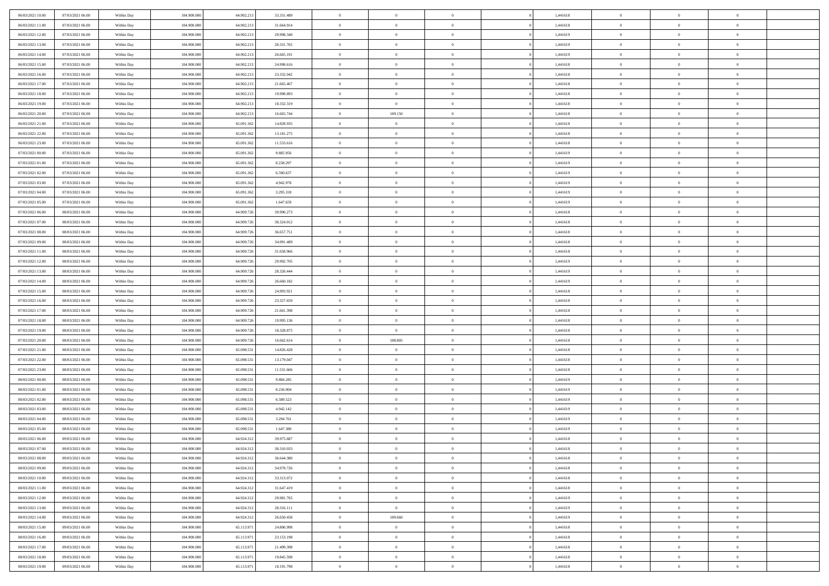| 06/03/2021 10:00                     | 07/03/2021 06:00 | Within Day               | 104.900.000 | 64.902.213 | 33.331.489 | $\,$ 0         | $\bf{0}$       | $\theta$                         |          | 1,441618             | $\bf{0}$       | $\overline{0}$ | $\,0\,$        |  |
|--------------------------------------|------------------|--------------------------|-------------|------------|------------|----------------|----------------|----------------------------------|----------|----------------------|----------------|----------------|----------------|--|
| 06/03/2021 11:00                     | 07/03/2021 06:00 | Within Day               | 104,900,000 | 64.902.213 | 31.664.914 | $\overline{0}$ | $\overline{0}$ | $\overline{0}$                   |          | 1,441618             | $\overline{0}$ | $\overline{0}$ | $\theta$       |  |
| 06/03/2021 12:00                     | 07/03/2021 06:00 | Within Dav               | 104.900.000 | 64.902.213 | 29.998.340 | $\mathbf{0}$   | $\overline{0}$ | $\overline{0}$                   |          | 1,441619             | $\mathbf{0}$   | $\overline{0}$ | $\overline{0}$ |  |
| 06/03/2021 13:00                     | 07/03/2021 06:00 | Within Day               | 104.900.000 | 64.902.213 | 28.331.765 | $\bf{0}$       | $\overline{0}$ | $\bf{0}$                         |          | 1,441619             | $\bf{0}$       | $\overline{0}$ | $\,0\,$        |  |
| 06/03/2021 14:00                     | 07/03/2021 06:00 | Within Day               | 104,900,000 | 64.902.213 | 26.665.191 | $\bf{0}$       | $\bf{0}$       | $\overline{0}$                   |          | 1,441619             | $\bf{0}$       | $\bf{0}$       | $\,0\,$        |  |
| 06/03/2021 15:00                     | 07/03/2021 06:00 | Within Dav               | 104.900.000 | 64.902.213 | 24.998.616 | $\mathbf{0}$   | $\overline{0}$ | $\overline{0}$                   |          | 1,441618             | $\mathbf{0}$   | $\overline{0}$ | $\theta$       |  |
| 06/03/2021 16:00                     | 07/03/2021 06:00 | Within Day               | 104.900.000 | 64.902.213 | 23.332.042 | $\bf{0}$       | $\bf{0}$       | $\overline{0}$                   |          | 1,441618             | $\bf{0}$       | $\overline{0}$ | $\,0\,$        |  |
| 06/03/2021 17:00                     | 07/03/2021 06:00 | Within Day               | 104,900,000 | 64.902.213 | 21.665.467 | $\overline{0}$ | $\overline{0}$ | $\overline{0}$                   |          | 1,441618             | $\,$ 0 $\,$    | $\overline{0}$ | $\theta$       |  |
| 06/03/2021 18:00                     | 07/03/2021 06:00 | Within Day               | 104.900.000 | 64.902.213 | 19.998.893 | $\mathbf{0}$   | $\overline{0}$ | $\overline{0}$                   |          | 1,441618             | $\mathbf{0}$   | $\overline{0}$ | $\overline{0}$ |  |
| 06/03/2021 19:00                     | 07/03/2021 06:00 | Within Day               | 104.900.000 | 64.902.213 | 18.332.319 | $\bf{0}$       | $\bf{0}$       | $\theta$                         |          | 1,441618             | $\bf{0}$       | $\overline{0}$ | $\,0\,$        |  |
| 06/03/2021 20:00                     | 07/03/2021 06:00 |                          | 104,900,000 | 64.902.213 | 16.665.744 | $\overline{0}$ | 189.150        | $\overline{0}$                   |          | 1,441618             | $\bf{0}$       | $\mathbf{0}$   | $\theta$       |  |
| 06/03/2021 21:00                     | 07/03/2021 06:00 | Within Day<br>Within Dav | 104.900.000 | 65.091.362 | 14.828.935 | $\mathbf{0}$   | $\overline{0}$ | $\overline{0}$                   |          | 1,441618             | $\mathbf{0}$   | $\overline{0}$ | $\overline{0}$ |  |
| 06/03/2021 22.00                     | 07/03/2021 06:00 | Within Day               | 104.900.000 | 65.091.362 | 13.181.275 | $\bf{0}$       | $\overline{0}$ | $\bf{0}$                         |          | 1,441618             | $\bf{0}$       | $\overline{0}$ | $\bf{0}$       |  |
|                                      | 07/03/2021 06:00 |                          | 104.900.000 | 65.091.362 | 11.533.616 | $\bf{0}$       | $\overline{0}$ | $\overline{0}$                   |          |                      | $\bf{0}$       | $\theta$       | $\,0\,$        |  |
| 06/03/2021 23:00<br>07/03/2021 00:00 | 07/03/2021 06:00 | Within Day<br>Within Dav | 104.900.000 | 65.091.362 | 9.885.956  | $\overline{0}$ | $\overline{0}$ |                                  |          | 1,441618<br>1,441619 | $\mathbf{0}$   | $\overline{0}$ | $\overline{0}$ |  |
|                                      |                  |                          |             |            |            |                |                | $\overline{0}$<br>$\overline{0}$ |          |                      |                | $\overline{0}$ |                |  |
| 07/03/2021 01:00                     | 07/03/2021 06:00 | Within Day               | 104.900.000 | 65.091.362 | 8.238.297  | $\bf{0}$       | $\bf{0}$       |                                  |          | 1,441619             | $\bf{0}$       | $\overline{0}$ | $\,0\,$        |  |
| 07/03/2021 02:00                     | 07/03/2021 06:00 | Within Day               | 104,900,000 | 65.091.362 | 6.590.637  | $\overline{0}$ | $\overline{0}$ | $\overline{0}$                   |          | 1,441619             | $\bf{0}$       |                | $\theta$       |  |
| 07/03/2021 03:00                     | 07/03/2021 06:00 | Within Day               | 104.900.000 | 65.091.362 | 4.942.978  | $\mathbf{0}$   | $\overline{0}$ | $\overline{0}$                   |          | 1,441619             | $\mathbf{0}$   | $\overline{0}$ | $\overline{0}$ |  |
| 07/03/2021 04:00                     | 07/03/2021 06:00 | Within Day               | 104.900.000 | 65.091.362 | 3.295.318  | $\bf{0}$       | $\bf{0}$       | $\overline{0}$                   |          | 1,441619             | $\bf{0}$       | $\overline{0}$ | $\,0\,$        |  |
| 07/03/2021 05:00                     | 07/03/2021 06:00 | Within Day               | 104,900,000 | 65.091.362 | 1.647.659  | $\overline{0}$ | $\overline{0}$ | $\overline{0}$                   |          | 1,441619             | $\bf{0}$       | $\overline{0}$ | $\overline{0}$ |  |
| 07/03/2021 06:00                     | 08/03/2021 06:00 | Within Dav               | 104.900.000 | 64.909.726 | 39.990.273 | $\mathbf{0}$   | $\overline{0}$ | $\overline{0}$                   |          | 1,441618             | $\mathbf{0}$   | $\overline{0}$ | $\overline{0}$ |  |
| 07/03/2021 07:00                     | 08/03/2021 06:00 | Within Day               | 104.900.000 | 64.909.726 | 38.324.012 | $\bf{0}$       | $\overline{0}$ | $\bf{0}$                         |          | 1,441618             | $\bf{0}$       | $\overline{0}$ | $\bf{0}$       |  |
| 07/03/2021 08:00                     | 08/03/2021 06:00 | Within Day               | 104,900,000 | 64.909.726 | 36.657.751 | $\bf{0}$       | $\bf{0}$       | $\overline{0}$                   |          | 1,441618             | $\bf{0}$       | $\overline{0}$ | $\,0\,$        |  |
| 07/03/2021 09:00                     | 08/03/2021 06:00 | Within Dav               | 104.900.000 | 64.909.726 | 34.991.489 | $\mathbf{0}$   | $\overline{0}$ | $\overline{0}$                   |          | 1,441618             | $\mathbf{0}$   | $\overline{0}$ | $\theta$       |  |
| 07/03/2021 11:00                     | 08/03/2021 06:00 | Within Day               | 104.900.000 | 64.909.726 | 31.658.966 | $\bf{0}$       | $\bf{0}$       | $\overline{0}$                   |          | 1,441618             | $\bf{0}$       | $\overline{0}$ | $\,0\,$        |  |
| 07/03/2021 12:00                     | 08/03/2021 06:00 | Within Day               | 104,900,000 | 64.909.726 | 29.992.705 | $\overline{0}$ | $\overline{0}$ | $\overline{0}$                   |          | 1,441619             | $\bf{0}$       | $\overline{0}$ | $\overline{0}$ |  |
| 07/03/2021 13:00                     | 08/03/2021 06:00 | Within Dav               | 104.900.000 | 64.909.726 | 28.326.444 | $\mathbf{0}$   | $\overline{0}$ | $\overline{0}$                   |          | 1,441619             | $\mathbf{0}$   | $\overline{0}$ | $\overline{0}$ |  |
| 07/03/2021 14:00                     | 08/03/2021 06:00 | Within Day               | 104.900.000 | 64.909.726 | 26.660.182 | $\bf{0}$       | $\bf{0}$       | $\overline{0}$                   |          | 1,441619             | $\bf{0}$       | $\overline{0}$ | $\,0\,$        |  |
| 07/03/2021 15:00                     | 08/03/2021 06:00 | Within Day               | 104,900,000 | 64.909.726 | 24.993.921 | $\bf{0}$       | $\bf{0}$       | $\overline{0}$                   |          | 1,441618             | $\bf{0}$       | $\bf{0}$       | $\overline{0}$ |  |
| 07/03/2021 16:00                     | 08/03/2021 06:00 | Within Dav               | 104.900.000 | 64.909.726 | 23.327.659 | $\mathbf{0}$   | $\overline{0}$ | $\overline{0}$                   |          | 1,441618             | $\mathbf{0}$   | $\overline{0}$ | $\overline{0}$ |  |
| 07/03/2021 17:00                     | 08/03/2021 06:00 | Within Day               | 104.900.000 | 64.909.726 | 21.661.398 | $\bf{0}$       | $\overline{0}$ | $\theta$                         |          | 1,441618             | $\,$ 0         | $\overline{0}$ | $\theta$       |  |
| 07/03/2021 18:00                     | 08/03/2021 06:00 | Within Day               | 104.900.000 | 64.909.72  | 19.995.136 | $\bf{0}$       | $\bf{0}$       | $\overline{0}$                   |          | 1,441618             | $\bf{0}$       | $\mathbf{0}$   | $\overline{0}$ |  |
| 07/03/2021 19:00                     | 08/03/2021 06:00 | Within Dav               | 104.900.000 | 64.909.726 | 18.328.875 | $\mathbf{0}$   | $\overline{0}$ | $\overline{0}$                   |          | 1,441618             | $\mathbf{0}$   | $\overline{0}$ | $\overline{0}$ |  |
| 07/03/2021 20:00                     | 08/03/2021 06:00 | Within Day               | 104.900.000 | 64.909.726 | 16.662.614 | $\bf{0}$       | 188.805        | $\theta$                         |          | 1,441618             | $\,$ 0         | $\overline{0}$ | $\theta$       |  |
| 07/03/2021 21:00                     | 08/03/2021 06:00 | Within Day               | 104,900,000 | 65.098.531 | 14.826.428 | $\bf{0}$       | $\overline{0}$ | $\overline{0}$                   |          | 1,441618             | $\bf{0}$       | $\overline{0}$ | $\overline{0}$ |  |
| 07/03/2021 22:00                     | 08/03/2021 06:00 | Within Day               | 104.900.000 | 65.098.531 | 13.179.047 | $\mathbf{0}$   | $\overline{0}$ | $\overline{0}$                   |          | 1,441618             | $\mathbf{0}$   | $\overline{0}$ | $\overline{0}$ |  |
| 07/03/2021 23:00                     | 08/03/2021 06:00 | Within Day               | 104.900.000 | 65.098.531 | 11.531.666 | $\bf{0}$       | $\overline{0}$ | $\theta$                         |          | 1,441618             | $\,$ 0         | $\overline{0}$ | $\theta$       |  |
| 08/03/2021 00:00                     | 08/03/2021 06:00 | Within Day               | 104,900,000 | 65.098.531 | 9.884.285  | $\bf{0}$       | $\bf{0}$       | $\overline{0}$                   |          | 1,441619             | $\bf{0}$       | $\mathbf{0}$   | $\overline{0}$ |  |
| 08/03/2021 01:00                     | 08/03/2021 06:00 | Within Dav               | 104.900.000 | 65.098.531 | 8.236.904  | $\mathbf{0}$   | $\overline{0}$ | $\overline{0}$                   |          | 1,441619             | $\mathbf{0}$   | $\overline{0}$ | $\overline{0}$ |  |
| 08/03/2021 02:00                     | 08/03/2021 06:00 | Within Day               | 104.900.000 | 65.098.531 | 6.589.523  | $\,0\,$        | $\overline{0}$ | $\theta$                         |          | 1,441619             | $\,$ 0         | $\overline{0}$ | $\theta$       |  |
| 08/03/2021 03:00                     | 08/03/2021 06:00 | Within Day               | 104,900,000 | 65.098.531 | 4.942.142  | $\bf{0}$       | $\bf{0}$       | $\overline{0}$                   |          | 1,441619             | $\bf{0}$       | $\overline{0}$ | $\overline{0}$ |  |
| 08/03/2021 04:00                     | 08/03/2021 06:00 | Within Dav               | 104.900.000 | 65.098.531 | 3.294.761  | $\mathbf{0}$   | $\overline{0}$ | $\overline{0}$                   |          | 1,441619             | $\mathbf{0}$   | $\overline{0}$ | $\overline{0}$ |  |
| 08/03/2021 05:00                     | 08/03/2021 06:00 | Within Day               | 104.900.000 | 65.098.531 | 1.647.380  | $\bf{0}$       | $\overline{0}$ | $\theta$                         |          | 1,441619             | $\,$ 0         | $\overline{0}$ | $\theta$       |  |
| 08/03/2021 06:00                     | 09/03/2021 06:00 | Within Day               | 104,900,000 | 64.924.312 | 39.975.687 | $\bf{0}$       | $\overline{0}$ | $\overline{0}$                   |          | 1,441618             | $\,$ 0 $\,$    | $\overline{0}$ | $\overline{0}$ |  |
| 08/03/2021 07:00                     | 09/03/2021 06:00 | Within Day               | 104.900.000 | 64.924.312 | 38.310.033 | $\bf{0}$       | $\overline{0}$ |                                  |          | 1,441618             | $\overline{0}$ | $\theta$       | $\theta$       |  |
| 08/03/2021 08:00                     | 09/03/2021 06:00 | Within Day               | 104.900.000 | 64.924.312 | 36.644.380 | $\,0\,$        | $\overline{0}$ | $\theta$                         |          | 1,441618             | $\,$ 0 $\,$    | $\overline{0}$ | $\theta$       |  |
| 08/03/2021 09:00                     | 09/03/2021 06:00 | Within Day               | 104.900.000 | 64.924.312 | 34.978.726 | $\overline{0}$ | $\overline{0}$ | $\overline{0}$                   |          | 1,441618             | $\overline{0}$ | $\overline{0}$ | $\overline{0}$ |  |
| 08/03/2021 10:00                     | 09/03/2021 06:00 | Within Day               | 104.900.000 | 64.924.312 | 33.313.072 | $\bf{0}$       | $\overline{0}$ | $\overline{0}$                   |          | 1,441618             | $\overline{0}$ | $\bf{0}$       | $\mathbf{0}$   |  |
| 08/03/2021 11:00                     | 09/03/2021 06:00 | Within Day               | 104.900.000 | 64.924.312 | 31.647.419 | $\bf{0}$       | $\overline{0}$ | $\overline{0}$                   | $\theta$ | 1,441618             | $\,$ 0 $\,$    | $\mathbf{0}$   | $\,$ 0 $\,$    |  |
| 08/03/2021 12:00                     | 09/03/2021 06:00 | Within Day               | 104.900.000 | 64.924.312 | 29.981.765 | $\bf{0}$       | $\overline{0}$ | $\overline{0}$                   |          | 1,441619             | $\,$ 0 $\,$    | $\overline{0}$ | $\overline{0}$ |  |
| 08/03/2021 13:00                     | 09/03/2021 06:00 | Within Day               | 104.900.000 | 64.924.312 | 28.316.111 | $\bf{0}$       | $\overline{0}$ | $\overline{0}$                   |          | 1,441619             | $\mathbf{0}$   | $\overline{0}$ | $\overline{0}$ |  |
| 08/03/2021 14:00                     | 09/03/2021 06:00 | Within Day               | 104.900.000 | 64.924.312 | 26.650.458 | $\,0\,$        | 189.660        | $\mathbf{0}$                     | $\theta$ | 1,441619             | $\,$ 0 $\,$    | $\overline{0}$ | $\overline{0}$ |  |
| 08/03/2021 15:00                     | 09/03/2021 06:00 | Within Day               | 104.900.000 | 65.113.971 | 24.806.998 | $\bf{0}$       | $\overline{0}$ | $\overline{0}$                   |          | 1,441618             | $\overline{0}$ | $\overline{0}$ | $\overline{0}$ |  |
| 08/03/2021 16:00                     | 09/03/2021 06:00 | Within Day               | 104.900.000 | 65.113.971 | 23.153.198 | $\bf{0}$       | $\overline{0}$ | $\overline{0}$                   |          | 1,441618             | $\mathbf{0}$   | $\overline{0}$ | $\mathbf{0}$   |  |
| 08/03/2021 17:00                     | 09/03/2021 06:00 | Within Day               | 104.900.000 | 65.113.971 | 21.499.398 | $\,0\,$        | $\overline{0}$ | $\overline{0}$                   |          | 1,441618             | $\,$ 0 $\,$    | $\overline{0}$ | $\theta$       |  |
| 08/03/2021 18:00                     | 09/03/2021 06:00 | Within Day               | 104,900,000 | 65.113.971 | 19.845.598 | $\bf{0}$       | $\bf{0}$       | $\overline{0}$                   |          | 1,441618             | $\mathbf{0}$   | $\mathbf{0}$   | $\overline{0}$ |  |
| 08/03/2021 19:00                     | 09/03/2021 06:00 | Within Day               | 104.900.000 | 65.113.971 | 18.191.798 | $\mathbf{0}$   | $\overline{0}$ | $\overline{0}$                   |          | 1,441618             | $\mathbf{0}$   | $\overline{0}$ | $\overline{0}$ |  |
|                                      |                  |                          |             |            |            |                |                |                                  |          |                      |                |                |                |  |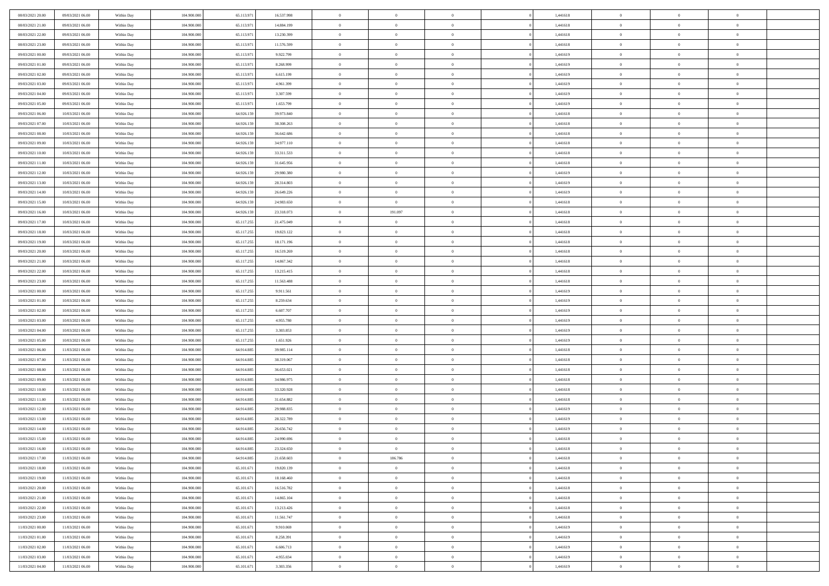| 08/03/2021 20:00                     | 09/03/2021 06:00                     | Within Day | 104,900,000                | 65.113.971               | 16.537.998               | $\overline{0}$             | $\overline{0}$             | $\Omega$                   | 1,441618             | $\bf{0}$                 | $\mathbf{0}$   | $\bf{0}$                  |  |
|--------------------------------------|--------------------------------------|------------|----------------------------|--------------------------|--------------------------|----------------------------|----------------------------|----------------------------|----------------------|--------------------------|----------------|---------------------------|--|
| 08/03/2021 21:00                     | 09/03/2021 06:00                     | Within Day | 104.900.000                | 65.113.971               | 14.884.199               | $\mathbf{0}$               | $\overline{0}$             | $\overline{0}$             | 1,441618             | $\overline{0}$           | $\overline{0}$ | $\theta$                  |  |
| 08/03/2021 22:00                     | 09/03/2021 06:00                     | Within Day | 104.900.000                | 65.113.971               | 13.230.399               | $\,$ 0                     | $\overline{0}$             | $\bf{0}$                   | 1,441618             | $\,$ 0                   | $\overline{0}$ | $\,$ 0 $\,$               |  |
| 08/03/2021 23:00                     | 09/03/2021 06:00                     | Within Day | 104,900,000                | 65.113.971               | 11.576.599               | $\bf{0}$                   | $\overline{0}$             | $\Omega$                   | 1,441618             | $\bf{0}$                 | $\mathbf{0}$   | $\theta$                  |  |
| 09/03/2021 00:00                     | 09/03/2021 06:00                     | Within Dav | 104.900.000                | 65.113.971               | 9.922.799                | $\bf{0}$                   | $\overline{0}$             | $\overline{0}$             | 1,441619             | $\mathbf{0}$             | $\overline{0}$ | $\overline{0}$            |  |
| 09/03/2021 01:00                     | 09/03/2021 06:00                     | Within Day | 104.900.000                | 65.113.971               | 8.268.999                | $\bf{0}$                   | $\overline{0}$             | $\bf{0}$                   | 1,441619             | $\,$ 0                   | $\overline{0}$ | $\,$ 0 $\,$               |  |
|                                      |                                      |            | 104,900,000                |                          |                          |                            |                            | $\overline{0}$             |                      | $\overline{0}$           | $\mathbf{0}$   | $\theta$                  |  |
| 09/03/2021 02:00                     | 09/03/2021 06:00                     | Within Day |                            | 65.113.971               | 6.615.199                | $\bf{0}$                   | $\overline{0}$             |                            | 1,441619             |                          |                |                           |  |
| 09/03/2021 03:00                     | 09/03/2021 06:00                     | Within Dav | 104.900.000                | 65.113.971               | 4.961.399                | $\overline{0}$             | $\overline{0}$             | $\overline{0}$             | 1,441619             | $\mathbf{0}$             | $\overline{0}$ | $\overline{0}$            |  |
| 09/03/2021 04:00                     | 09/03/2021 06:00                     | Within Day | 104.900.000                | 65.113.971               | 3.307.599                | $\bf{0}$                   | $\overline{0}$             | $\bf{0}$                   | 1,441619             | $\,$ 0                   | $\overline{0}$ | $\,$ 0 $\,$               |  |
| 09/03/2021 05:00                     | 09/03/2021 06:00                     | Within Day | 104,900,000                | 65.113.971               | 1.653.799                | $\bf{0}$                   | $\overline{0}$             | $\Omega$                   | 1,441619             | $\bf{0}$                 | $\mathbf{0}$   | $\theta$                  |  |
| 09/03/2021 06:00                     | 10/03/2021 06:00                     | Within Day | 104.900.000                | 64.926.159               | 39.973.840               | $\overline{0}$             | $\overline{0}$             | $\overline{0}$             | 1,441618             | $\overline{0}$           | $\overline{0}$ | $\overline{0}$            |  |
| 09/03/2021 07:00                     | 10/03/2021 06:00                     | Within Day | 104.900.000                | 64.926.159               | 38.308.263               | $\,$ 0                     | $\overline{0}$             | $\bf{0}$                   | 1,441618             | $\,$ 0                   | $\overline{0}$ | $\,$ 0 $\,$               |  |
| 09/03/2021 08:00                     | 10/03/2021 06:00                     | Within Day | 104,900,000                | 64.926.159               | 36.642.686               | $\bf{0}$                   | $\overline{0}$             | $\Omega$                   | 1,441618             | $\overline{0}$           | $\mathbf{0}$   | $\theta$                  |  |
| 09/03/2021 09:00                     | 10/03/2021 06:00                     | Within Dav | 104.900.000                | 64.926.159               | 34.977.110               | $\overline{0}$             | $\overline{0}$             | $\overline{0}$             | 1,441618             | $\mathbf{0}$             | $\overline{0}$ | $\overline{0}$            |  |
| 09/03/2021 10:00                     | 10/03/2021 06:00                     | Within Day | 104.900.000                | 64.926.159               | 33.311.533               | $\bf{0}$                   | $\overline{0}$             | $\bf{0}$                   | 1,441618             | $\,$ 0                   | $\overline{0}$ | $\,$ 0 $\,$               |  |
| 09/03/2021 11:00                     | 10/03/2021 06:00                     | Within Day | 104,900,000                | 64.926.159               | 31.645.956               | $\bf{0}$                   | $\overline{0}$             | $\overline{0}$             | 1,441618             | $\bf{0}$                 | $\mathbf{0}$   | $\bf{0}$                  |  |
| 09/03/2021 12:00                     | 10/03/2021 06:00                     | Within Day | 104.900.000                | 64.926.159               | 29.980.380               | $\overline{0}$             | $\overline{0}$             | $\overline{0}$             | 1,441619             | $\mathbf{0}$             | $\overline{0}$ | $\overline{0}$            |  |
| 09/03/2021 13:00                     | 10/03/2021 06:00                     | Within Day | 104.900.000                | 64.926.159               | 28.314.803               | $\bf{0}$                   | $\overline{0}$             | $\bf{0}$                   | 1,441619             | $\,$ 0                   | $\overline{0}$ | $\,0\,$                   |  |
| 09/03/2021 14:00                     | 10/03/2021 06:00                     | Within Day | 104,900,000                | 64.926.159               | 26.649.226               | $\bf{0}$                   | $\overline{0}$             | $\Omega$                   | 1,441619             | $\overline{0}$           | $\mathbf{0}$   | $\theta$                  |  |
| 09/03/2021 15:00                     | 10/03/2021 06:00                     | Within Day | 104.900.000                | 64.926.159               | 24.983.650               | $\overline{0}$             | $\overline{0}$             | $\overline{0}$             | 1,441618             | $\overline{0}$           | $\overline{0}$ | $\overline{0}$            |  |
| 09/03/2021 16:00                     | 10/03/2021 06:00                     | Within Day | 104.900.000                | 64.926.159               | 23.318.073               | $\bf{0}$                   | 191.097                    | $\bf{0}$                   | 1,441618             | $\,$ 0                   | $\overline{0}$ | $\,$ 0 $\,$               |  |
| 09/03/2021 17:00                     | 10/03/2021 06:00                     | Within Day | 104,900,000                | 65.117.255               | 21.475.049               | $\bf{0}$                   | $\overline{0}$             | $\Omega$                   | 1,441618             | $\overline{0}$           | $\theta$       | $\theta$                  |  |
| 09/03/2021 18:00                     | 10/03/2021 06:00                     | Within Dav | 104.900.000                | 65.117.255               | 19.823.122               | $\overline{0}$             | $\overline{0}$             | $\overline{0}$             | 1,441618             | $\mathbf{0}$             | $\overline{0}$ | $\overline{0}$            |  |
| 09/03/2021 19:00                     | 10/03/2021 06:00                     | Within Day | 104.900.000                | 65.117.255               | 18.171.196               | $\bf{0}$                   | $\overline{0}$             | $\bf{0}$                   | 1,441618             | $\,$ 0                   | $\overline{0}$ | $\,$ 0 $\,$               |  |
| 09/03/2021 20:00                     | 10/03/2021 06:00                     | Within Day | 104,900,000                | 65.117.255               | 16.519.269               | $\bf{0}$                   | $\overline{0}$             | $\overline{0}$             | 1,441618             | $\bf{0}$                 | $\bf{0}$       | $\bf{0}$                  |  |
| 09/03/2021 21:00                     | 10/03/2021 06:00                     | Within Day | 104.900.000                | 65.117.255               | 14.867.342               | $\overline{0}$             | $\overline{0}$             | $\overline{0}$             | 1,441618             | $\overline{0}$           | $\overline{0}$ | $\overline{0}$            |  |
| 09/03/2021 22.00                     | 10/03/2021 06:00                     | Within Day | 104.900.000                | 65.117.255               | 13.215.415               | $\bf{0}$                   | $\overline{0}$             | $\bf{0}$                   | 1,441618             | $\,$ 0                   | $\overline{0}$ | $\,$ 0 $\,$               |  |
| 09/03/2021 23:00                     | 10/03/2021 06:00                     | Within Day | 104,900,000                | 65.117.255               | 11.563.488               | $\bf{0}$                   | $\overline{0}$             | $\Omega$                   | 1,441618             | $\theta$                 | $\mathbf{0}$   | $\theta$                  |  |
| 10/03/2021 00:00                     | 10/03/2021 06:00                     | Within Day | 104.900.000                | 65.117.255               | 9.911.561                | $\overline{0}$             | $\overline{0}$             | $\overline{0}$             | 1,441619             | $\mathbf{0}$             | $\overline{0}$ | $\overline{0}$            |  |
| 10/03/2021 01:00                     | 10/03/2021 06:00                     | Within Day | 104.900.000                | 65.117.255               | 8.259.634                | $\bf{0}$                   | $\overline{0}$             | $\bf{0}$                   | 1,441619             | $\,$ 0                   | $\overline{0}$ | $\,$ 0 $\,$               |  |
| 10/03/2021 02:00                     | 10/03/2021 06:00                     | Within Day | 104.900.000                | 65.117.255               | 6.607.707                | $\,$ 0                     | $\bf{0}$                   | $\overline{0}$             | 1,441619             | $\bf{0}$                 | $\overline{0}$ | $\,0\,$                   |  |
| 10/03/2021 03:00                     | 10/03/2021 06:00                     | Within Dav | 104.900.000                | 65.117.255               | 4.955.780                | $\overline{0}$             | $\overline{0}$             | $\overline{0}$             | 1,441619             | $\mathbf{0}$             | $\overline{0}$ | $\overline{0}$            |  |
| 10/03/2021 04:00                     | 10/03/2021 06:00                     | Within Day | 104.900.000                | 65.117.255               | 3.303.853                | $\bf{0}$                   | $\overline{0}$             | $\bf{0}$                   | 1,441619             | $\,$ 0                   | $\overline{0}$ | $\,$ 0 $\,$               |  |
| 10/03/2021 05:00                     | 10/03/2021 06:00                     | Within Day | 104.900.000                | 65.117.255               | 1.651.926                | $\bf{0}$                   | $\bf{0}$                   | $\bf{0}$                   | 1,441619             | $\bf{0}$                 | $\overline{0}$ | $\,0\,$                   |  |
| 10/03/2021 06:00                     | 11/03/2021 06:00                     | Within Day | 104.900.000                | 64.914.885               | 39.985.114               | $\overline{0}$             | $\overline{0}$             | $\overline{0}$             | 1,441618             | $\overline{0}$           | $\overline{0}$ | $\overline{0}$            |  |
| 10/03/2021 07:00                     | 11/03/2021 06:00                     |            | 104.900.000                | 64.914.885               | 38.319.067               | $\bf{0}$                   | $\overline{0}$             |                            | 1,441618             | $\,$ 0                   | $\overline{0}$ | $\,$ 0 $\,$               |  |
|                                      |                                      | Within Day |                            |                          |                          |                            |                            | $\bf{0}$<br>$\overline{0}$ |                      |                          | $\overline{0}$ |                           |  |
| 10/03/2021 08:00<br>10/03/2021 09:00 | 11/03/2021 06:00<br>11/03/2021 06:00 | Within Day | 104.900.000<br>104.900.000 | 64.914.885<br>64.914.885 | 36.653.021<br>34.986.975 | $\bf{0}$<br>$\overline{0}$ | $\bf{0}$<br>$\overline{0}$ | $\overline{0}$             | 1,441618<br>1,441618 | $\bf{0}$<br>$\mathbf{0}$ | $\overline{0}$ | $\,0\,$<br>$\overline{0}$ |  |
|                                      |                                      | Within Day |                            |                          |                          |                            |                            |                            |                      |                          |                |                           |  |
| 10/03/2021 10:00                     | 11/03/2021 06:00                     | Within Day | 104.900.000                | 64.914.885               | 33.320.928               | $\bf{0}$                   | $\overline{0}$             | $\bf{0}$                   | 1,441618             | $\,$ 0                   | $\overline{0}$ | $\,$ 0 $\,$               |  |
| 10/03/2021 11:00                     | 11/03/2021 06:00                     | Within Day | 104.900.000                | 64.914.885               | 31.654.882               | $\bf{0}$                   | $\bf{0}$                   | $\overline{0}$             | 1,441618             | $\bf{0}$                 | $\overline{0}$ | $\,0\,$                   |  |
| 10/03/2021 12:00                     | 11/03/2021 06:00                     | Within Dav | 104.900.000                | 64.914.885               | 29.988.835               | $\overline{0}$             | $\overline{0}$             | $\overline{0}$             | 1,441619             | $\overline{0}$           | $\overline{0}$ | $\overline{0}$            |  |
| 10/03/2021 13:00                     | 11/03/2021 06:00                     | Within Day | 104.900.000                | 64.914.885               | 28.322.789               | $\bf{0}$                   | $\overline{0}$             | $\bf{0}$                   | 1,441619             | $\,$ 0                   | $\overline{0}$ | $\,$ 0 $\,$               |  |
| 10/03/2021 14:00                     | 11/03/2021 06:00                     | Within Day | 104.900.000                | 64.914.885               | 26.656.742               | $\bf{0}$                   | $\bf{0}$                   | $\bf{0}$                   | 1,441619             | $\bf{0}$                 | $\overline{0}$ | $\,0\,$                   |  |
| 10/03/2021 15:00                     | 11/03/2021 06:00                     | Within Day | 104.900.000                | 64.914.885               | 24.990.696               | $\mathbf{0}$               | $\overline{0}$             | $\overline{0}$             | 1,441618             | $\overline{0}$           | $\overline{0}$ | $\overline{0}$            |  |
| 10/03/2021 16:00                     | 11/03/2021 06:00                     | Within Day | 104.900.000                | 64.914.885               | 23.324.650               | $\bf{0}$                   | $\overline{0}$             | $\theta$                   | 1,441618             | $\overline{0}$           | $\theta$       | $\theta$                  |  |
| 10/03/2021 17:00                     | 11/03/2021 06:00                     | Within Day | 104.900.000                | 64.914.885               | 21.658.603               | $\bf{0}$                   | 186.786                    | $\bf{0}$                   | 1,441618             | $\bf{0}$                 | $\overline{0}$ | $\,0\,$                   |  |
| 10/03/2021 18:00                     | 11/03/2021 06:00                     | Within Day | 104.900.000                | 65.101.671               | 19.820.139               | $\overline{0}$             | $\overline{0}$             | $\overline{0}$             | 1,441618             | $\overline{0}$           | $\bf{0}$       | $\overline{0}$            |  |
| 10/03/2021 19:00                     | 11/03/2021 06:00                     | Within Day | 104.900.000                | 65.101.671               | 18.168.460               | $\,$ 0 $\,$                | $\overline{0}$             | $\overline{0}$             | 1,441618             | $\mathbf{0}$             | $\,$ 0 $\,$    | $\,$ 0 $\,$               |  |
| 10/03/2021 20:00                     | 11/03/2021 06:00                     | Within Day | 104.900.000                | 65.101.671               | 16.516.782               | $\bf{0}$                   | $\bf{0}$                   | $\overline{0}$             | 1,441618             | $\bf{0}$                 | $\overline{0}$ | $\bf{0}$                  |  |
| 10/03/2021 21:00                     | 11/03/2021 06:00                     | Within Day | 104.900.000                | 65.101.671               | 14.865.104               | $\bf{0}$                   | $\overline{0}$             | $\overline{0}$             | 1,441618             | $\overline{0}$           | $\overline{0}$ | $\overline{0}$            |  |
| 10/03/2021 22:00                     | 11/03/2021 06:00                     | Within Day | 104.900.000                | 65.101.671               | 13.213.426               | $\,$ 0 $\,$                | $\overline{0}$             | $\overline{0}$             | 1,441618             | $\,$ 0 $\,$              | $\overline{0}$ | $\,$ 0 $\,$               |  |
| 10/03/2021 23:00                     | 11/03/2021 06:00                     | Within Day | 104.900.000                | 65.101.671               | 11.561.747               | $\bf{0}$                   | $\overline{0}$             | $\overline{0}$             | 1,441618             | $\bf{0}$                 | $\overline{0}$ | $\overline{0}$            |  |
| 11/03/2021 00:00                     | 11/03/2021 06:00                     | Within Day | 104.900.000                | 65.101.671               | 9.910.069                | $\overline{0}$             | $\overline{0}$             | $\overline{0}$             | 1,441619             | $\overline{0}$           | $\bf{0}$       | $\overline{0}$            |  |
| 11/03/2021 01:00                     | 11/03/2021 06:00                     | Within Day | 104.900.000                | 65.101.671               | 8.258.391                | $\,$ 0 $\,$                | $\overline{0}$             | $\overline{0}$             | 1,441619             | $\,$ 0 $\,$              | $\,$ 0 $\,$    | $\,$ 0 $\,$               |  |
| 11/03/2021 02:00                     | 11/03/2021 06:00                     | Within Day | 104.900.000                | 65.101.671               | 6.606.713                | $\bf{0}$                   | $\bf{0}$                   | $\overline{0}$             | 1,441619             | $\mathbf{0}$             | $\overline{0}$ | $\bf{0}$                  |  |
| 11/03/2021 03:00                     | 11/03/2021 06:00                     | Within Day | 104.900.000                | 65.101.671               | 4.955.034                | $\overline{0}$             | $\overline{0}$             | $\overline{0}$             | 1,441619             | $\mathbf{0}$             | $\bf{0}$       | $\overline{0}$            |  |
| 11/03/2021 04:00                     | 11/03/2021 06:00                     | Within Day | 104.900.000                | 65.101.671               | 3.303.356                | $\,0\,$                    | $\overline{0}$             | $\overline{0}$             | 1,441619             | $\,$ 0                   | $\overline{0}$ | $\,$ 0 $\,$               |  |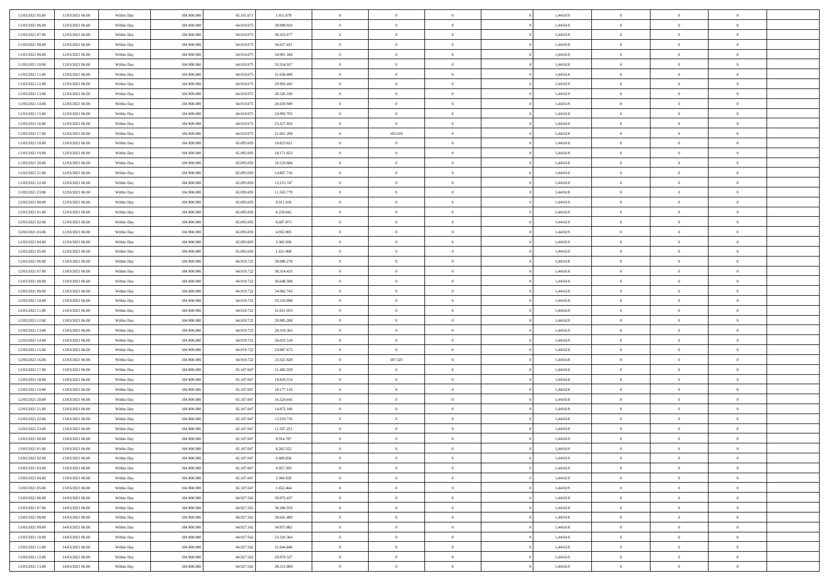| 11/03/2021 05:00                     | 11/03/2021 06:00                     | Within Day               | 104.900.000                | 65.101.67                | 1.651.678                | $\bf{0}$                    | $\bf{0}$                      | $\Omega$                         | 1,441619             | $\bf{0}$                    | $\overline{0}$             | $\bf{0}$                         |  |
|--------------------------------------|--------------------------------------|--------------------------|----------------------------|--------------------------|--------------------------|-----------------------------|-------------------------------|----------------------------------|----------------------|-----------------------------|----------------------------|----------------------------------|--|
| 11/03/2021 06:00                     | 12/03/2021 06:00                     | Within Day               | 104,900,000                | 64,910.07                | 39.989.924               | $\overline{0}$              | $\overline{0}$                | $\Omega$                         | 1.441618             | $\overline{0}$              | $\theta$                   | $\theta$                         |  |
| 11/03/2021 07:00                     | 12/03/2021 06:00                     | Within Day               | 104.900.000                | 64.910.075               | 38.323.677               | $\overline{0}$              | $\overline{0}$                | $\overline{0}$                   | 1,441618             | $\mathbf{0}$                | $\overline{0}$             | $\theta$                         |  |
| 11/03/2021 08:00                     | 12/03/2021 06:00                     | Within Day               | 104.900.000                | 64.910.075               | 36.657.431               | $\bf{0}$                    | $\overline{0}$                | $\overline{0}$                   | 1,441618             | $\mathbf{0}$                | $\overline{0}$             | $\bf{0}$                         |  |
| 11/03/2021 09:00                     | 12/03/2021 06:00                     | Within Day               | 104,900,000                | 64.910.07                | 34.991.184               | $\bf{0}$                    | $\overline{0}$                | $\overline{0}$                   | 1,441618             | $\bf{0}$                    | $\overline{0}$             | $\bf{0}$                         |  |
| 11/03/2021 10:00                     | 12/03/2021 06:00                     | Within Day               | 104.900.000                | 64.910.075               | 33.324.937               | $\overline{0}$              | $\overline{0}$                | $\overline{0}$                   | 1,441618             | $\mathbf{0}$                | $\overline{0}$             | $\theta$                         |  |
| 11/03/2021 11:00                     | 12/03/2021 06:00                     | Within Day               | 104.900.000                | 64.910.075               | 31.658.690               | $\bf{0}$                    | $\overline{0}$                | $\overline{0}$                   | 1,441618             | $\bf{0}$                    | $\overline{0}$             | $\bf{0}$                         |  |
| 11/03/2021 12:00                     | 12/03/2021 06:00                     | Within Day               | 104,900,000                | 64.910.07                | 29.992.443               | $\overline{0}$              | $\overline{0}$                | $\overline{0}$                   | 1,441619             | $\mathbf{0}$                | $\theta$                   | $\theta$                         |  |
| 11/03/2021 13:00                     | 12/03/2021 06:00                     | Within Day               | 104.900.000                | 64.910.075               | 28.326.196               | $\overline{0}$              | $\overline{0}$                | $\overline{0}$                   | 1,441619             | $\mathbf{0}$                | $\overline{0}$             | $\theta$                         |  |
| 11/03/2021 14:00                     | 12/03/2021 06:00                     | Within Day               | 104.900.000                | 64.910.075               | 26.659.949               | $\bf{0}$                    | $\overline{0}$                | $\Omega$                         | 1,441619             | $\mathbf{0}$                | $\overline{0}$             | $\bf{0}$                         |  |
| 11/03/2021 15:00                     | 12/03/2021 06:00                     | Within Day               | 104,900,000                | 64.910.07                | 24.993.703               | $\bf{0}$                    | $\overline{0}$                | $\overline{0}$                   | 1.441618             | $\mathbf{0}$                | $\theta$                   | $\overline{0}$                   |  |
| 11/03/2021 16:00                     | 12/03/2021 06:00                     | Within Day               | 104.900.000                | 64.910.075               | 23.327.456               | $\overline{0}$              | $\overline{0}$                | $\overline{0}$                   | 1,441618             | $\mathbf{0}$                | $\overline{0}$             | $\theta$                         |  |
| 11/03/2021 17:00                     | 12/03/2021 06:00                     | Within Day               | 104.900.000                | 64.910.075               | 21.661.209               | $\bf{0}$                    | 185.619                       | $\overline{0}$                   | 1,441618             | $\mathbf{0}$                | $\overline{0}$             | $\bf{0}$                         |  |
| 11/03/2021 18:00                     | 12/03/2021 06:00                     | Within Day               | 104,900,000                | 65.095.693               | 19.823.621               | $\bf{0}$                    | $\overline{0}$                | $\overline{0}$                   | 1,441618             | $\bf{0}$                    | $\theta$                   | $\bf{0}$                         |  |
| 11/03/2021 19:00                     | 12/03/2021 06:00                     | Within Day               | 104.900.000                | 65.095.693               | 18.171.653               | $\overline{0}$              | $\overline{0}$                | $\overline{0}$                   | 1,441618             | $\mathbf{0}$                | $\overline{0}$             | $\theta$                         |  |
| 11/03/2021 20:00                     | 12/03/2021 06:00                     | Within Day               | 104.900.000                | 65.095.693               | 16.519.684               | $\bf{0}$                    | $\overline{0}$                | $\Omega$                         | 1,441618             | $\bf{0}$                    | $\overline{0}$             | $\bf{0}$                         |  |
| 11/03/2021 21:00                     | 12/03/2021 06:00                     | Within Day               | 104,900,000                | 65.095.69                | 14.867.716               | $\,$ 0 $\,$                 | $\overline{0}$                | $\overline{0}$                   | 1,441618             | $\mathbf{0}$                | $\theta$                   | $\theta$                         |  |
| 11/03/2021 22:00                     | 12/03/2021 06:00                     | Within Day               | 104.900.000                | 65.095.693               | 13.215.747               | $\overline{0}$              | $\overline{0}$                | $\overline{0}$                   | 1,441618             | $\mathbf{0}$                | $\overline{0}$             | $\theta$                         |  |
| 11/03/2021 23:00                     | 12/03/2021 06:00                     | Within Day               | 104.900.000                | 65.095.693               | 11.563.779               | $\bf{0}$                    | $\overline{0}$                | $\Omega$                         | 1,441618             | $\bf{0}$                    | $\overline{0}$             | $\bf{0}$                         |  |
| 12/03/2021 00:00                     | 12/03/2021 06:00                     | Within Day               | 104,900,000                | 65.095.693               | 9.911.810                | $\bf{0}$                    | $\overline{0}$                | $\overline{0}$                   | 1,441619             | $\mathbf{0}$                | $\theta$                   | $\overline{0}$                   |  |
| 12/03/2021 01:00                     | 12/03/2021 06:00                     | Within Day               | 104.900.000                | 65.095.693               | 8.259.842                | $\overline{0}$              | $\overline{0}$                | $\overline{0}$                   | 1,441619             | $\mathbf{0}$                | $\overline{0}$             | $\theta$                         |  |
| 12/03/2021 02:00                     | 12/03/2021 06:00                     | Within Day               | 104.900.000                | 65.095.693               | 6.607.873                | $\bf{0}$                    | $\overline{0}$                | $\overline{0}$                   | 1,441619             | $\mathbf{0}$                | $\overline{0}$             | $\bf{0}$                         |  |
| 12/03/2021 03:00                     | 12/03/2021 06:00                     | Within Day               | 104,900,000                | 65.095.693               | 4.955.905                | $\,$ 0 $\,$                 | $\overline{0}$                | $\overline{0}$                   | 1,441619             | $\,$ 0 $\,$                 | $\overline{0}$             | $\bf{0}$                         |  |
| 12/03/2021 04:00                     | 12/03/2021 06:00                     | Within Day               | 104.900.000                | 65.095.693               | 3.303.936                | $\overline{0}$              | $\overline{0}$                | $\overline{0}$                   | 1,441619             | $\mathbf{0}$                | $\overline{0}$             | $\theta$                         |  |
| 12/03/2021 05:00                     | 12/03/2021 06:00                     | Within Day               | 104.900.000                | 65.095.693               | 1.651.968                | $\bf{0}$                    | $\overline{0}$                | $\overline{0}$                   | 1,441619             | $\bf{0}$                    | $\overline{0}$             | $\bf{0}$                         |  |
| 12/03/2021 06:00                     | 13/03/2021 06:00                     | Within Day               | 104,900,000                | 64.919.72                | 39.980.278               | $\,$ 0 $\,$                 | $\overline{0}$                | $\overline{0}$                   | 1,441618             | $\mathbf{0}$                | $\overline{0}$             | $\overline{0}$                   |  |
| 12/03/2021 07:00                     | 13/03/2021 06:00                     | Within Day               | 104.900.000                | 64.919.722               | 38.314.433               | $\overline{0}$              | $\overline{0}$                | $\overline{0}$                   | 1,441618             | $\mathbf{0}$                | $\overline{0}$             | $\theta$                         |  |
| 12/03/2021 08:00                     | 13/03/2021 06:00                     | Within Day               | 104.900.000                | 64.919.722               | 36.648.588               | $\bf{0}$                    | $\overline{0}$                | $\Omega$                         | 1,441618             | $\mathbf{0}$                | $\overline{0}$             | $\bf{0}$                         |  |
| 12/03/2021 09:00                     | 13/03/2021 06:00                     | Within Day               | 104,900,000                | 64.919.72                | 34.982.743               | $\bf{0}$                    | $\overline{0}$                | $\overline{0}$                   | 1,441618             | $\mathbf{0}$                | $\theta$                   | $\overline{0}$                   |  |
| 12/03/2021 10:00                     | 13/03/2021 06:00                     | Within Day               | 104.900.000                | 64.919.722               | 33.316.898               | $\overline{0}$              | $\overline{0}$                | $\overline{0}$                   | 1,441618             | $\mathbf{0}$                | $\overline{0}$             | $\theta$                         |  |
| 12/03/2021 11:00                     | 13/03/2021 06:00                     | Within Day               | 104.900.000                | 64.919.722               | 31.651.053               | $\,$ 0                      | $\overline{0}$                | $\overline{0}$                   | 1,441618             | $\,$ 0 $\,$                 | $\overline{0}$             | $\,$ 0 $\,$                      |  |
| 12/03/2021 12:00                     | 13/03/2021 06:00                     | Within Day               | 104,900,000                | 64.919.72                | 29.985.208               | $\bf{0}$                    | $\overline{0}$                | $\overline{0}$                   | 1,441619             | $\bf{0}$                    | $\overline{0}$             | $\overline{0}$                   |  |
| 12/03/2021 13:00                     | 13/03/2021 06:00                     | Within Day               | 104.900.000                | 64.919.722               | 28.319.363               | $\overline{0}$              | $\overline{0}$                | $\overline{0}$                   | 1,441619             | $\mathbf{0}$                | $\overline{0}$             | $\theta$                         |  |
| 12/03/2021 14:00                     | 13/03/2021 06:00                     | Within Day               | 104.900.000                | 64.919.722               | 26.653.518               | $\,$ 0                      | $\overline{0}$                | $\overline{0}$                   | 1,441619             | $\,$ 0 $\,$                 | $\overline{0}$             | $\mathbf{0}$                     |  |
| 12/03/2021 15:00                     | 13/03/2021 06:00                     | Within Day               | 104,900,000                | 64.919.72                | 24.987.673               | $\bf{0}$                    | $\overline{0}$                | $\overline{0}$                   | 1,441618             | $\mathbf{0}$                | $\overline{0}$             | $\overline{0}$                   |  |
| 12/03/2021 16:00                     | 13/03/2021 06:00                     | Within Day               | 104.900.000                | 64.919.722               | 23.321.828               | $\overline{0}$              | 187.325                       | $\overline{0}$                   | 1,441618             | $\mathbf{0}$                | $\overline{0}$             | $\theta$                         |  |
| 12/03/2021 17:00                     | 13/03/2021 06:00                     | Within Day               | 104.900.000                | 65.107.047               | 21.482.039               | $\,$ 0                      | $\overline{0}$                | $\overline{0}$                   | 1,441618             | $\,$ 0 $\,$                 | $\overline{0}$             | $\mathbf{0}$                     |  |
| 12/03/2021 18:00                     | 13/03/2021 06:00                     | Within Day               | 104,900,000                | 65.107.04                | 19.829.574               | $\bf{0}$                    | $\overline{0}$                | $\overline{0}$                   | 1,441618             | $\mathbf{0}$                | $\overline{0}$             | $\overline{0}$                   |  |
| 12/03/2021 19:00                     | 13/03/2021 06:00                     | Within Day               | 104.900.000                | 65.107.047               | 18.177.110               | $\overline{0}$              | $\overline{0}$                | $\overline{0}$                   | 1,441618             | $\mathbf{0}$                | $\overline{0}$             | $\theta$                         |  |
| 12/03/2021 20:00                     | 13/03/2021 06:00                     | Within Day               | 104.900.000                | 65.107.047               | 16.524.645               | $\,$ 0                      | $\overline{0}$                | $\overline{0}$                   | 1,441618             | $\,$ 0 $\,$                 | $\overline{0}$             | $\,0\,$                          |  |
| 12/03/2021 21:00                     | 13/03/2021 06:00                     | Within Day               | 104,900,000                | 65.107.047               | 14.872.180               | $\,$ 0 $\,$                 | $\,$ 0 $\,$                   | $\overline{0}$                   | 1,441618             | $\,$ 0 $\,$                 | $\overline{0}$             | $\bf{0}$                         |  |
| 12/03/2021 22:00                     | 13/03/2021 06:00                     | Within Day               | 104.900.000                | 65.107.047               | 13.219.716               | $\overline{0}$              | $\overline{0}$                | $\overline{0}$                   | 1,441618             | $\mathbf{0}$                | $\overline{0}$             | $\theta$                         |  |
| 12/03/2021 23:00                     | 13/03/2021 06:00                     | Within Day               | 104.900.000                | 65.107.047               | 11.567.251               | $\overline{0}$              | $\overline{0}$                | $\overline{0}$                   | 1,441618             | $\,$ 0                      | $\overline{0}$             | $\mathbf{0}$                     |  |
| 13/03/2021 00:00                     | 13/03/2021 06:00                     | Within Day               | 104,900,000                | 65.107.047               | 9.914.787                | $\bf{0}$                    | $\overline{0}$                | $\overline{0}$                   | 1,441619             | $\mathbf{0}$                | $\overline{0}$             | $\bf{0}$                         |  |
| 13/03/2021 01:00                     | 13/03/2021 06:00                     | Within Day               | 104.900.000                | 65.107.047               | 8.262.322                | $\overline{0}$              | $\theta$                      |                                  | 1,441619             | $\overline{0}$              | $\Omega$                   | $\overline{0}$                   |  |
| 13/03/2021 02:00                     | 13/03/2021 06:00                     | Within Day               | 104.900.000<br>104,900,000 | 65.107.047<br>65.107.047 | 6.609.858                | $\,$ 0                      | $\overline{0}$                | $\overline{0}$                   | 1,441619<br>1.441619 | $\,$ 0 $\,$                 | $\bf{0}$<br>$\overline{0}$ | $\mathbf{0}$                     |  |
| 13/03/2021 03:00                     | 13/03/2021 06:00                     | Within Day               |                            |                          | 4.957.393                | $\mathbf{0}$                | $\overline{0}$                | $\overline{0}$                   |                      | $\,$ 0 $\,$                 |                            | $\overline{0}$                   |  |
| 13/03/2021 04:00                     | 13/03/2021 06:00                     | Within Day               | 104.900.000                | 65.107.047               | 3.304.929                | $\mathbf{0}$                | $\overline{0}$                | $\overline{0}$                   | 1,441619             | $\mathbf{0}$                | $\bf{0}$                   | $\overline{0}$                   |  |
| 13/03/2021 05:00                     | 13/03/2021 06:00                     | Within Day               | 104.900.000<br>104,900,000 | 65.107.047<br>64.927.562 | 1.652.464                | $\,$ 0 $\,$                 | $\overline{0}$                | $\overline{0}$                   | 1,441619             | $\,$ 0 $\,$                 | $\bf{0}$<br>$\overline{0}$ | $\theta$                         |  |
| 13/03/2021 06:00<br>13/03/2021 07:00 | 14/03/2021 06:00<br>14/03/2021 06:00 | Within Day<br>Within Day | 104.900.000                | 64.927.562               | 39.972.437<br>38.306.919 | $\,$ 0 $\,$<br>$\mathbf{0}$ | $\,$ 0 $\,$<br>$\overline{0}$ | $\overline{0}$<br>$\overline{0}$ | 1,441618<br>1,441618 | $\,$ 0 $\,$<br>$\mathbf{0}$ | $\bf{0}$                   | $\overline{0}$<br>$\overline{0}$ |  |
| 13/03/2021 08:00                     | 14/03/2021 06:00                     | Within Day               | 104.900.000                | 64.927.562               | 36.641.400               | $\,$ 0 $\,$                 | $\overline{0}$                | $\overline{0}$                   | 1,441618             | $\,$ 0 $\,$                 | $\mathbf{0}$               | $\theta$                         |  |
| 13/03/2021 09:00                     | 14/03/2021 06:00                     | Within Day               | 104,900,000                | 64.927.562               | 34.975.882               | $\mathbf{0}$                | $\overline{0}$                | $\overline{0}$                   | 1,441618             | $\mathbf{0}$                | $\overline{0}$             | $\overline{0}$                   |  |
| 13/03/2021 10:00                     | 14/03/2021 06:00                     | Within Day               | 104.900.000                | 64.927.562               | 33.310.364               | $\mathbf{0}$                | $\overline{0}$                | $\overline{0}$                   | 1,441618             | $\mathbf{0}$                | $\bf{0}$                   | $\overline{0}$                   |  |
| 13/03/2021 11:00                     | 14/03/2021 06:00                     | Within Day               | 104.900.000                | 64.927.562               | 31.644.846               | $\,$ 0 $\,$                 | $\overline{0}$                | $\overline{0}$                   | 1,441618             | $\,$ 0 $\,$                 | $\mathbf{0}$               | $\theta$                         |  |
| 13/03/2021 12:00                     | 14/03/2021 06:00                     | Within Day               | 104,900,000                | 64.927.562               | 29.979.327               | $\mathbf{0}$                | $\overline{0}$                | $\overline{0}$                   | 1.441619             | $\,$ 0 $\,$                 | $\overline{0}$             | $\overline{0}$                   |  |
| 13/03/2021 13:00                     | 14/03/2021 06:00                     | Within Day               | 104.900.000                | 64.927.562               | 28.313.809               | $\overline{0}$              | $\overline{0}$                | $\overline{0}$                   | 1,441619             | $\mathbf{0}$                | $\overline{0}$             | $\overline{0}$                   |  |
|                                      |                                      |                          |                            |                          |                          |                             |                               |                                  |                      |                             |                            |                                  |  |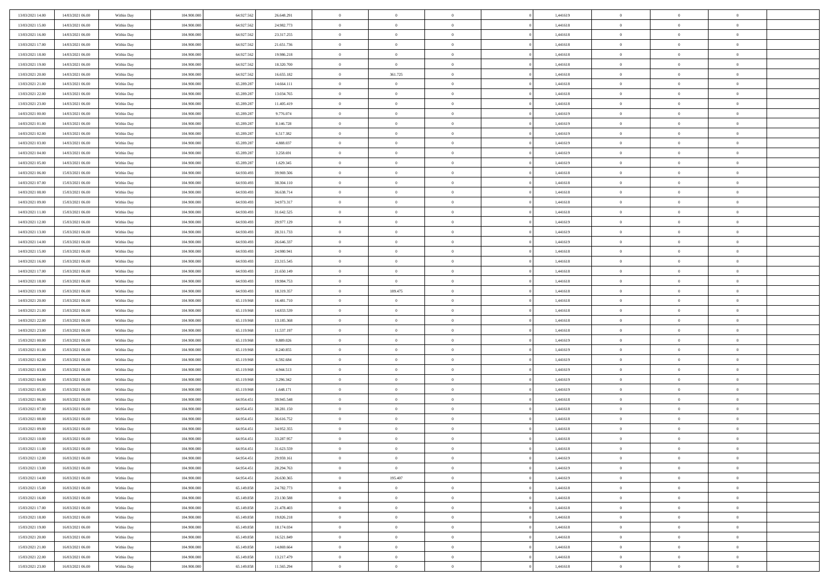| 13/03/2021 14:00 | 14/03/2021 06:00 | Within Day | 104.900.000 | 64.927.562 | 26.648.291 | $\,$ 0         | $\bf{0}$       | $\theta$       |                | 1,441619 | $\bf{0}$       | $\overline{0}$ | $\theta$       |  |
|------------------|------------------|------------|-------------|------------|------------|----------------|----------------|----------------|----------------|----------|----------------|----------------|----------------|--|
| 13/03/2021 15:00 | 14/03/2021 06:00 | Within Day | 104,900,000 | 64.927.562 | 24.982.773 | $\overline{0}$ | $\overline{0}$ | $\overline{0}$ |                | 1,441618 | $\theta$       | $\theta$       | $\overline{0}$ |  |
| 13/03/2021 16:00 | 14/03/2021 06:00 | Within Day | 104.900.000 | 64.927.562 | 23.317.255 | $\mathbf{0}$   | $\overline{0}$ | $\overline{0}$ |                | 1,441618 | $\theta$       | $\overline{0}$ | $\theta$       |  |
| 13/03/2021 17:00 | 14/03/2021 06:00 | Within Day | 104.900.000 | 64.927.562 | 21.651.736 | $\bf{0}$       | $\overline{0}$ | $\bf{0}$       |                | 1,441618 | $\bf{0}$       | $\overline{0}$ | $\bf{0}$       |  |
| 13/03/2021 18:00 | 14/03/2021 06:00 | Within Day | 104,900,000 | 64.927.562 | 19.986.218 | $\bf{0}$       | $\overline{0}$ | $\bf{0}$       |                | 1,441618 | $\bf{0}$       | $\Omega$       | $\bf{0}$       |  |
| 13/03/2021 19:00 | 14/03/2021 06:00 | Within Day | 104.900.000 | 64.927.562 | 18.320.700 | $\overline{0}$ | $\overline{0}$ |                |                | 1,441618 | $\theta$       |                | $\theta$       |  |
|                  |                  |            |             |            |            |                |                | $\overline{0}$ |                |          |                | $\overline{0}$ |                |  |
| 13/03/2021 20:00 | 14/03/2021 06:00 | Within Day | 104.900.000 | 64.927.562 | 16.655.182 | $\bf{0}$       | 361.725        | $\overline{0}$ |                | 1,441618 | $\bf{0}$       | $\overline{0}$ | $\theta$       |  |
| 13/03/2021 21:00 | 14/03/2021 06:00 | Within Day | 104,900,000 | 65.289.287 | 14.664.111 | $\overline{0}$ | $\overline{0}$ | $\overline{0}$ |                | 1,441618 | $\,$ 0 $\,$    | $\overline{0}$ | $\overline{0}$ |  |
| 13/03/2021 22:00 | 14/03/2021 06:00 | Within Day | 104.900.000 | 65.289.287 | 13.034.765 | $\mathbf{0}$   | $\overline{0}$ | $\overline{0}$ |                | 1,441618 | $\theta$       | $\overline{0}$ | $\theta$       |  |
| 13/03/2021 23:00 | 14/03/2021 06:00 | Within Day | 104.900.000 | 65.289.287 | 11.405.419 | $\bf{0}$       | $\bf{0}$       | $\overline{0}$ |                | 1,441618 | $\bf{0}$       | $\overline{0}$ | $\theta$       |  |
| 14/03/2021 00:00 | 14/03/2021 06:00 | Within Day | 104,900,000 | 65.289.287 | 9.776.074  | $\bf{0}$       | $\overline{0}$ | $\overline{0}$ |                | 1,441619 | $\bf{0}$       | $\Omega$       | $\overline{0}$ |  |
| 14/03/2021 01:00 | 14/03/2021 06:00 | Within Day | 104.900.000 | 65.289.287 | 8.146.728  | $\mathbf{0}$   | $\overline{0}$ | $\overline{0}$ |                | 1,441619 | $\theta$       | $\overline{0}$ | $\theta$       |  |
| 14/03/2021 02:00 | 14/03/2021 06:00 | Within Day | 104.900.000 | 65.289.287 | 6.517.382  | $\bf{0}$       | $\overline{0}$ | $\bf{0}$       |                | 1,441619 | $\bf{0}$       | $\overline{0}$ | $\bf{0}$       |  |
| 14/03/2021 03:00 | 14/03/2021 06:00 | Within Day | 104.900.000 | 65.289.287 | 4.888.037  | $\bf{0}$       | $\overline{0}$ | $\overline{0}$ |                | 1,441619 | $\bf{0}$       | $\Omega$       | $\bf{0}$       |  |
| 14/03/2021 04:00 | 14/03/2021 06:00 | Within Day | 104.900.000 | 65.289.287 | 3.258.691  | $\overline{0}$ | $\overline{0}$ | $\overline{0}$ |                | 1,441619 | $\theta$       | $\overline{0}$ | $\theta$       |  |
| 14/03/2021 05:00 | 14/03/2021 06:00 | Within Day | 104.900.000 | 65.289.287 | 1.629.345  | $\bf{0}$       | $\bf{0}$       | $\overline{0}$ |                | 1,441619 | $\bf{0}$       | $\overline{0}$ | $\theta$       |  |
| 14/03/2021 06:00 | 15/03/2021 06:00 | Within Day | 104,900,000 | 64.930.493 | 39.969.506 | $\bf{0}$       | $\overline{0}$ | $\overline{0}$ |                | 1,441618 | $\,$ 0 $\,$    | $\overline{0}$ | $\overline{0}$ |  |
| 14/03/2021 07:00 | 15/03/2021 06:00 | Within Day | 104.900.000 | 64.930.493 | 38.304.110 | $\mathbf{0}$   | $\overline{0}$ | $\overline{0}$ |                | 1,441618 | $\theta$       | $\overline{0}$ | $\theta$       |  |
| 14/03/2021 08:00 | 15/03/2021 06:00 | Within Day | 104.900.000 | 64.930.493 | 36.638.714 | $\bf{0}$       | $\bf{0}$       | $\overline{0}$ |                | 1,441618 | $\bf{0}$       | $\overline{0}$ | $\theta$       |  |
| 14/03/2021 09:00 | 15/03/2021 06:00 | Within Day | 104,900,000 | 64.930.493 | 34.973.317 | $\bf{0}$       | $\overline{0}$ | $\overline{0}$ |                | 1,441618 | $\bf{0}$       | $\theta$       | $\overline{0}$ |  |
| 14/03/2021 11:00 | 15/03/2021 06:00 | Within Day | 104.900.000 | 64.930.493 | 31.642.525 | $\mathbf{0}$   | $\overline{0}$ | $\overline{0}$ |                | 1,441618 | $\theta$       | $\overline{0}$ | $\theta$       |  |
| 14/03/2021 12:00 | 15/03/2021 06:00 | Within Day | 104.900.000 | 64.930.493 | 29.977.129 | $\bf{0}$       | $\bf{0}$       | $\bf{0}$       |                | 1,441619 | $\bf{0}$       | $\overline{0}$ | $\bf{0}$       |  |
| 14/03/2021 13:00 | 15/03/2021 06:00 | Within Day | 104,900,000 | 64.930.493 | 28.311.733 | $\bf{0}$       | $\bf{0}$       | $\overline{0}$ |                | 1,441619 | $\bf{0}$       | $\overline{0}$ | $\bf{0}$       |  |
| 14/03/2021 14:00 | 15/03/2021 06:00 | Within Day | 104.900.000 | 64.930.493 | 26.646.337 | $\mathbf{0}$   | $\overline{0}$ | $\overline{0}$ |                | 1,441619 | $\theta$       | $\overline{0}$ | $\theta$       |  |
| 14/03/2021 15:00 | 15/03/2021 06:00 | Within Day | 104.900.000 | 64.930.493 | 24.980.941 | $\bf{0}$       | $\bf{0}$       | $\overline{0}$ |                | 1,441618 | $\bf{0}$       | $\overline{0}$ | $\theta$       |  |
| 14/03/2021 16:00 | 15/03/2021 06:00 | Within Day | 104,900,000 | 64.930.493 | 23.315.545 | $\bf{0}$       | $\overline{0}$ | $\overline{0}$ |                | 1,441618 | $\,$ 0 $\,$    | $\overline{0}$ | $\bf{0}$       |  |
| 14/03/2021 17:00 | 15/03/2021 06:00 | Within Day | 104.900.000 | 64.930.493 | 21.650.149 | $\mathbf{0}$   | $\overline{0}$ | $\overline{0}$ |                | 1,441618 | $\theta$       | $\overline{0}$ | $\theta$       |  |
| 14/03/2021 18:00 | 15/03/2021 06:00 | Within Day | 104.900.000 | 64.930.493 | 19.984.753 | $\bf{0}$       | $\bf{0}$       | $\overline{0}$ |                | 1,441618 | $\bf{0}$       | $\overline{0}$ | $\theta$       |  |
| 14/03/2021 19:00 | 15/03/2021 06:00 | Within Day | 104,900,000 | 64.930.493 | 18.319.357 | $\bf{0}$       | 189.475        | $\bf{0}$       |                | 1,441618 | $\bf{0}$       | $\theta$       | $\bf{0}$       |  |
| 14/03/2021 20:00 | 15/03/2021 06:00 | Within Day | 104.900.000 | 65.119.968 | 16.481.710 | $\mathbf{0}$   | $\overline{0}$ | $\overline{0}$ |                | 1,441618 | $\theta$       | $\overline{0}$ | $\theta$       |  |
| 14/03/2021 21:00 | 15/03/2021 06:00 | Within Day | 104.900.000 | 65.119.968 | 14.833.539 | $\bf{0}$       | $\overline{0}$ | $\overline{0}$ |                | 1,441618 | $\,0\,$        | $\overline{0}$ | $\theta$       |  |
| 14/03/2021 22:00 | 15/03/2021 06:00 | Within Day | 104.900.000 | 65.119.968 | 13.185.368 | $\bf{0}$       | $\bf{0}$       | $\overline{0}$ |                | 1,441618 | $\bf{0}$       | $\overline{0}$ | $\bf{0}$       |  |
| 14/03/2021 23:00 | 15/03/2021 06:00 | Within Day | 104.900.000 | 65.119.968 | 11.537.197 | $\mathbf{0}$   | $\overline{0}$ | $\overline{0}$ |                | 1,441618 | $\theta$       | $\overline{0}$ | $\theta$       |  |
| 15/03/2021 00:00 | 15/03/2021 06:00 | Within Day | 104.900.000 | 65.119.968 | 9.889.026  | $\bf{0}$       | $\overline{0}$ | $\theta$       |                | 1,441619 | $\,0\,$        | $\overline{0}$ | $\theta$       |  |
| 15/03/2021 01:00 | 15/03/2021 06:00 | Within Day | 104,900,000 | 65.119.968 | 8.240.855  | $\bf{0}$       | $\overline{0}$ | $\overline{0}$ |                | 1,441619 | $\bf{0}$       | $\overline{0}$ | $\bf{0}$       |  |
| 15/03/2021 02:00 | 15/03/2021 06:00 | Within Day | 104.900.000 | 65.119.968 | 6.592.684  | $\mathbf{0}$   | $\overline{0}$ | $\overline{0}$ |                | 1,441619 | $\theta$       | $\overline{0}$ | $\theta$       |  |
| 15/03/2021 03:00 | 15/03/2021 06:00 | Within Day | 104.900.000 | 65.119.968 | 4.944.513  | $\bf{0}$       | $\overline{0}$ | $\theta$       |                | 1,441619 | $\,0\,$        | $\overline{0}$ | $\theta$       |  |
| 15/03/2021 04:00 | 15/03/2021 06:00 |            | 104,900,000 | 65.119.968 |            | $\bf{0}$       | $\overline{0}$ | $\overline{0}$ |                | 1,441619 | $\bf{0}$       | $\theta$       | $\bf{0}$       |  |
|                  |                  | Within Day |             |            | 3.296.342  | $\mathbf{0}$   |                |                |                |          | $\theta$       |                | $\theta$       |  |
| 15/03/2021 05:00 | 15/03/2021 06:00 | Within Day | 104.900.000 | 65.119.968 | 1.648.171  |                | $\overline{0}$ | $\overline{0}$ |                | 1,441619 |                | $\overline{0}$ |                |  |
| 15/03/2021 06:00 | 16/03/2021 06:00 | Within Day | 104.900.000 | 64.954.451 | 39.945.548 | $\bf{0}$       | $\overline{0}$ | $\theta$       |                | 1,441618 | $\,0\,$        | $\overline{0}$ | $\theta$       |  |
| 15/03/2021 07:00 | 16/03/2021 06:00 | Within Day | 104,900,000 | 64.954.451 | 38.281.150 | $\bf{0}$       | $\bf{0}$       | $\overline{0}$ |                | 1,441618 | $\bf{0}$       | $\overline{0}$ | $\bf{0}$       |  |
| 15/03/2021 08:00 | 16/03/2021 06:00 | Within Day | 104.900.000 | 64.954.451 | 36.616.752 | $\mathbf{0}$   | $\overline{0}$ | $\overline{0}$ |                | 1,441618 | $\theta$       | $\overline{0}$ | $\overline{0}$ |  |
| 15/03/2021 09:00 | 16/03/2021 06:00 | Within Day | 104.900.000 | 64.954.451 | 34.952.355 | $\bf{0}$       | $\overline{0}$ | $\overline{0}$ |                | 1,441618 | $\,0\,$        | $\overline{0}$ | $\theta$       |  |
| 15/03/2021 10:00 | 16/03/2021 06:00 | Within Day | 104,900,000 | 64.954.451 | 33.287.957 | $\bf{0}$       | $\overline{0}$ | $\overline{0}$ |                | 1,441618 | $\,$ 0 $\,$    | $\overline{0}$ | $\bf{0}$       |  |
| 15/03/2021 11:00 | 16/03/2021 06:00 | Within Day | 104.900.000 | 64.954.451 | 31.623.559 | $\bf{0}$       | $\overline{0}$ |                |                | 1,441618 | $\bf{0}$       | $\Omega$       | $\theta$       |  |
| 15/03/2021 12:00 | 16/03/2021 06:00 | Within Day | 104.900.000 | 64.954.451 | 29.959.161 | $\,0\,$        | $\overline{0}$ | $\overline{0}$ |                | 1,441619 | $\,$ 0 $\,$    | $\overline{0}$ | $\theta$       |  |
| 15/03/2021 13:00 | 16/03/2021 06:00 | Within Day | 104.900.000 | 64.954.451 | 28.294.763 | $\overline{0}$ | $\overline{0}$ | $\overline{0}$ |                | 1,441619 | $\overline{0}$ | $\overline{0}$ | $\overline{0}$ |  |
| 15/03/2021 14:00 | 16/03/2021 06:00 | Within Day | 104.900.000 | 64.954.451 | 26.630.365 | $\mathbf{0}$   | 195.407        | $\overline{0}$ |                | 1,441619 | $\mathbf{0}$   | $\overline{0}$ | $\overline{0}$ |  |
| 15/03/2021 15:00 | 16/03/2021 06:00 | Within Day | 104.900.000 | 65.149.858 | 24.782.773 | $\,$ 0 $\,$    | $\overline{0}$ | $\bf{0}$       | $\overline{0}$ | 1,441618 | $\,$ 0 $\,$    | $\overline{0}$ | $\,$ 0         |  |
| 15/03/2021 16:00 | 16/03/2021 06:00 | Within Day | 104.900.000 | 65.149.858 | 23.130.588 | $\mathbf{0}$   | $\overline{0}$ | $\overline{0}$ |                | 1,441618 | $\,$ 0 $\,$    | $\overline{0}$ | $\overline{0}$ |  |
| 15/03/2021 17:00 | 16/03/2021 06:00 | Within Day | 104.900.000 | 65.149.858 | 21.478.403 | $\mathbf{0}$   | $\overline{0}$ | $\overline{0}$ |                | 1,441618 | $\overline{0}$ | $\overline{0}$ | $\overline{0}$ |  |
| 15/03/2021 18:00 | 16/03/2021 06:00 | Within Day | 104.900.000 | 65.149.858 | 19.826.218 | $\,0\,$        | $\overline{0}$ | $\overline{0}$ |                | 1,441618 | $\,$ 0 $\,$    | $\overline{0}$ | $\theta$       |  |
| 15/03/2021 19:00 | 16/03/2021 06:00 | Within Day | 104.900.000 | 65.149.858 | 18.174.034 | $\bf{0}$       | $\overline{0}$ | $\overline{0}$ |                | 1,441618 | $\overline{0}$ | $\overline{0}$ | $\overline{0}$ |  |
| 15/03/2021 20:00 | 16/03/2021 06:00 | Within Day | 104.900.000 | 65.149.858 | 16.521.849 | $\mathbf{0}$   | $\overline{0}$ | $\overline{0}$ |                | 1,441618 | $\overline{0}$ | $\overline{0}$ | $\overline{0}$ |  |
| 15/03/2021 21:00 | 16/03/2021 06:00 | Within Day | 104.900.000 | 65.149.858 | 14.869.664 | $\,0\,$        | $\overline{0}$ | $\bf{0}$       |                | 1,441618 | $\,$ 0 $\,$    | $\overline{0}$ | $\theta$       |  |
| 15/03/2021 22.00 | 16/03/2021 06:00 | Within Day | 104,900,000 | 65.149.858 | 13.217.479 | $\bf{0}$       | $\bf{0}$       | $\overline{0}$ |                | 1,441618 | $\bf{0}$       | $\overline{0}$ | $\overline{0}$ |  |
| 15/03/2021 23:00 | 16/03/2021 06:00 | Within Day | 104.900.000 | 65.149.858 | 11.565.294 | $\mathbf{0}$   | $\overline{0}$ | $\overline{0}$ |                | 1,441618 | $\mathbf{0}$   | $\overline{0}$ | $\overline{0}$ |  |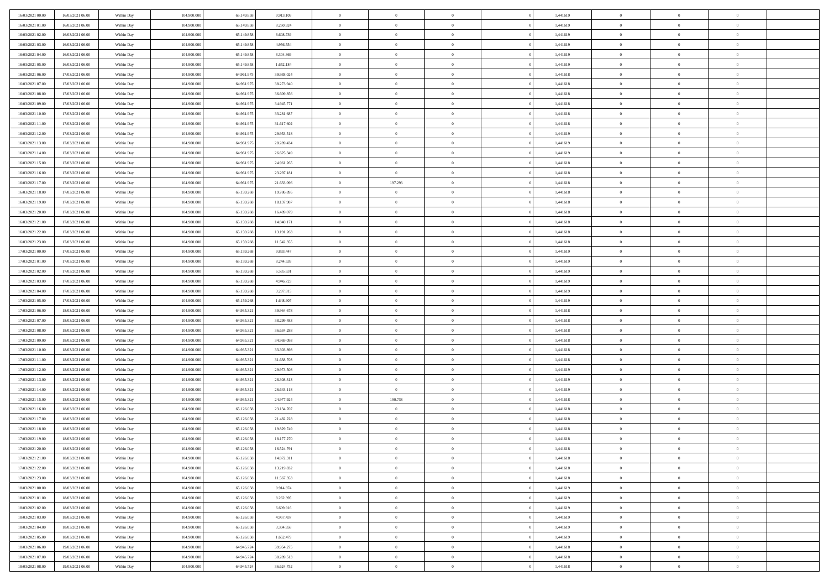| 16/03/2021 00:00 | 16/03/2021 06:00 | Within Day | 104.900.000 | 65.149.858 | 9.913.109  | $\,$ 0                   | $\bf{0}$       | $\overline{0}$ |          | 1,441619 | $\bf{0}$                 | $\overline{0}$ | $\,0\,$        |  |
|------------------|------------------|------------|-------------|------------|------------|--------------------------|----------------|----------------|----------|----------|--------------------------|----------------|----------------|--|
| 16/03/2021 01:00 | 16/03/2021 06:00 | Within Day | 104,900,000 | 65.149.858 | 8.260.924  | $\overline{0}$           | $\overline{0}$ | $\overline{0}$ |          | 1,441619 | $\overline{0}$           | $\overline{0}$ | $\theta$       |  |
| 16/03/2021 02:00 | 16/03/2021 06:00 | Within Dav | 104.900.000 | 65.149.858 | 6.608.739  | $\mathbf{0}$             | $\overline{0}$ | $\overline{0}$ |          | 1,441619 | $\mathbf{0}$             | $\overline{0}$ | $\overline{0}$ |  |
| 16/03/2021 03:00 | 16/03/2021 06:00 | Within Day | 104.900.000 | 65.149.858 | 4.956.554  | $\bf{0}$                 | $\overline{0}$ | $\bf{0}$       |          | 1,441619 | $\bf{0}$                 | $\overline{0}$ | $\bf{0}$       |  |
| 16/03/2021 04:00 | 16/03/2021 06:00 | Within Day | 104,900,000 | 65.149.858 | 3.304.369  | $\bf{0}$                 | $\bf{0}$       | $\overline{0}$ |          | 1,441619 | $\bf{0}$                 | $\bf{0}$       | $\,0\,$        |  |
| 16/03/2021 05:00 | 16/03/2021 06:00 | Within Dav | 104.900.000 | 65.149.858 | 1.652.184  | $\mathbf{0}$             | $\overline{0}$ | $\overline{0}$ |          | 1,441619 | $\mathbf{0}$             | $\overline{0}$ | $\overline{0}$ |  |
|                  |                  |            |             |            |            | $\bf{0}$                 |                | $\overline{0}$ |          |          | $\bf{0}$                 | $\overline{0}$ | $\,0\,$        |  |
| 16/03/2021 06:00 | 17/03/2021 06:00 | Within Day | 104.900.000 | 64.961.975 | 39.938.024 |                          | $\bf{0}$       |                |          | 1,441618 |                          |                |                |  |
| 16/03/2021 07:00 | 17/03/2021 06:00 | Within Day | 104,900,000 | 64.961.975 | 38.273.940 | $\overline{0}$           | $\overline{0}$ | $\overline{0}$ |          | 1,441618 | $\,$ 0 $\,$              | $\overline{0}$ | $\overline{0}$ |  |
| 16/03/2021 08:00 | 17/03/2021 06:00 | Within Dav | 104.900.000 | 64.961.975 | 36.609.856 | $\mathbf{0}$             | $\overline{0}$ | $\overline{0}$ |          | 1,441618 | $\mathbf{0}$             | $\overline{0}$ | $\overline{0}$ |  |
| 16/03/2021 09:00 | 17/03/2021 06:00 | Within Day | 104.900.000 | 64.961.975 | 34.945.771 | $\bf{0}$                 | $\bf{0}$       | $\overline{0}$ |          | 1,441618 | $\bf{0}$                 | $\overline{0}$ | $\,0\,$        |  |
| 16/03/2021 10:00 | 17/03/2021 06:00 | Within Day | 104,900,000 | 64.961.975 | 33.281.687 | $\overline{0}$           | $\overline{0}$ | $\overline{0}$ |          | 1,441618 | $\bf{0}$                 | $\overline{0}$ | $\theta$       |  |
| 16/03/2021 11:00 | 17/03/2021 06:00 | Within Dav | 104.900.000 | 64.961.975 | 31.617.602 | $\mathbf{0}$             | $\overline{0}$ | $\overline{0}$ |          | 1,441618 | $\mathbf{0}$             | $\overline{0}$ | $\overline{0}$ |  |
| 16/03/2021 12:00 | 17/03/2021 06:00 | Within Day | 104.900.000 | 64.961.975 | 29.953.518 | $\bf{0}$                 | $\overline{0}$ | $\bf{0}$       |          | 1,441619 | $\bf{0}$                 | $\overline{0}$ | $\bf{0}$       |  |
| 16/03/2021 13:00 | 17/03/2021 06:00 | Within Day | 104.900.000 | 64.961.975 | 28.289.434 | $\bf{0}$                 | $\overline{0}$ | $\overline{0}$ |          | 1,441619 | $\bf{0}$                 | $\theta$       | $\,0\,$        |  |
| 16/03/2021 14:00 | 17/03/2021 06:00 | Within Dav | 104.900.000 | 64.961.975 | 26.625.349 | $\overline{0}$           | $\overline{0}$ | $\overline{0}$ |          | 1,441619 | $\mathbf{0}$             | $\overline{0}$ | $\overline{0}$ |  |
| 16/03/2021 15:00 | 17/03/2021 06:00 | Within Day | 104.900.000 | 64.961.975 | 24.961.265 | $\bf{0}$                 | $\bf{0}$       | $\overline{0}$ |          | 1,441618 | $\bf{0}$                 | $\overline{0}$ | $\bf{0}$       |  |
| 16/03/2021 16:00 | 17/03/2021 06:00 | Within Day | 104,900,000 | 64.961.975 | 23.297.181 | $\overline{0}$           | $\overline{0}$ | $\overline{0}$ |          | 1,441618 | $\,$ 0 $\,$              | $\overline{0}$ | $\theta$       |  |
| 16/03/2021 17:00 | 17/03/2021 06:00 | Within Day | 104.900.000 | 64.961.975 | 21.633.096 | $\mathbf{0}$             | 197.293        | $\overline{0}$ |          | 1,441618 | $\mathbf{0}$             | $\overline{0}$ | $\overline{0}$ |  |
| 16/03/2021 18:00 | 17/03/2021 06:00 | Within Day | 104.900.000 | 65.159.268 | 19.786.895 | $\bf{0}$                 | $\bf{0}$       | $\overline{0}$ |          | 1,441618 | $\bf{0}$                 | $\overline{0}$ | $\,0\,$        |  |
| 16/03/2021 19:00 | 17/03/2021 06:00 | Within Day | 104,900,000 | 65.159.268 | 18.137.987 | $\bf{0}$                 | $\overline{0}$ | $\overline{0}$ |          | 1,441618 | $\bf{0}$                 | $\overline{0}$ | $\overline{0}$ |  |
| 16/03/2021 20:00 | 17/03/2021 06:00 | Within Dav | 104.900.000 | 65.159.268 | 16.489.079 | $\mathbf{0}$             | $\overline{0}$ | $\overline{0}$ |          | 1,441618 | $\mathbf{0}$             | $\overline{0}$ | $\overline{0}$ |  |
| 16/03/2021 21:00 | 17/03/2021 06:00 | Within Day | 104.900.000 | 65.159.268 | 14,840.171 | $\bf{0}$                 | $\overline{0}$ | $\bf{0}$       |          | 1,441618 | $\bf{0}$                 | $\overline{0}$ | $\bf{0}$       |  |
| 16/03/2021 22:00 | 17/03/2021 06:00 | Within Day | 104,900,000 | 65.159.268 | 13.191.263 | $\bf{0}$                 | $\bf{0}$       | $\overline{0}$ |          | 1,441618 | $\bf{0}$                 | $\overline{0}$ | $\,0\,$        |  |
| 16/03/2021 23:00 | 17/03/2021 06:00 | Within Dav | 104.900.000 | 65.159.268 | 11.542.355 | $\mathbf{0}$             | $\overline{0}$ | $\overline{0}$ |          | 1,441618 | $\mathbf{0}$             | $\overline{0}$ | $\theta$       |  |
| 17/03/2021 00:00 | 17/03/2021 06:00 | Within Day | 104.900.000 | 65.159.268 | 9.893.447  | $\bf{0}$                 | $\bf{0}$       | $\overline{0}$ |          | 1,441619 | $\bf{0}$                 | $\overline{0}$ | $\,0\,$        |  |
| 17/03/2021 01:00 | 17/03/2021 06:00 | Within Day | 104,900,000 | 65.159.268 | 8.244.539  | $\overline{0}$           | $\overline{0}$ | $\overline{0}$ |          | 1,441619 | $\bf{0}$                 | $\overline{0}$ | $\overline{0}$ |  |
| 17/03/2021 02:00 | 17/03/2021 06:00 | Within Dav | 104.900.000 | 65.159.268 | 6.595.631  | $\mathbf{0}$             | $\overline{0}$ | $\overline{0}$ |          | 1,441619 | $\mathbf{0}$             | $\overline{0}$ | $\overline{0}$ |  |
| 17/03/2021 03:00 | 17/03/2021 06:00 |            | 104.900.000 | 65.159.268 | 4.946.723  | $\bf{0}$                 | $\bf{0}$       | $\overline{0}$ |          | 1,441619 | $\bf{0}$                 | $\overline{0}$ | $\,0\,$        |  |
|                  |                  | Within Day | 104,900,000 |            |            |                          |                |                |          |          |                          |                | $\overline{0}$ |  |
| 17/03/2021 04:00 | 17/03/2021 06:00 | Within Day |             | 65.159.268 | 3.297.815  | $\bf{0}$<br>$\mathbf{0}$ | $\bf{0}$       | $\overline{0}$ |          | 1,441619 | $\bf{0}$<br>$\mathbf{0}$ | $\overline{0}$ | $\overline{0}$ |  |
| 17/03/2021 05:00 | 17/03/2021 06:00 | Within Dav | 104.900.000 | 65.159.268 | 1.648.907  |                          | $\overline{0}$ | $\overline{0}$ |          | 1,441619 |                          | $\overline{0}$ |                |  |
| 17/03/2021 06:00 | 18/03/2021 06:00 | Within Day | 104.900.000 | 64.935.321 | 39.964.678 | $\bf{0}$                 | $\overline{0}$ | $\theta$       |          | 1,441618 | $\,$ 0                   | $\overline{0}$ | $\theta$       |  |
| 17/03/2021 07:00 | 18/03/2021 06:00 | Within Day | 104,900,000 | 64.935.321 | 38.299.483 | $\bf{0}$                 | $\bf{0}$       | $\overline{0}$ |          | 1,441618 | $\bf{0}$                 | $\mathbf{0}$   | $\overline{0}$ |  |
| 17/03/2021 08:00 | 18/03/2021 06:00 | Within Dav | 104.900.000 | 64.935.321 | 36.634.288 | $\mathbf{0}$             | $\overline{0}$ | $\overline{0}$ |          | 1,441618 | $\mathbf{0}$             | $\overline{0}$ | $\overline{0}$ |  |
| 17/03/2021 09:00 | 18/03/2021 06:00 | Within Day | 104.900.000 | 64.935.321 | 34.969.093 | $\bf{0}$                 | $\overline{0}$ | $\theta$       |          | 1,441618 | $\,$ 0                   | $\overline{0}$ | $\theta$       |  |
| 17/03/2021 10:00 | 18/03/2021 06:00 | Within Day | 104,900,000 | 64.935.321 | 33.303.898 | $\bf{0}$                 | $\overline{0}$ | $\overline{0}$ |          | 1,441618 | $\bf{0}$                 | $\overline{0}$ | $\overline{0}$ |  |
| 17/03/2021 11:00 | 18/03/2021 06:00 | Within Day | 104.900.000 | 64.935.321 | 31.638.703 | $\mathbf{0}$             | $\overline{0}$ | $\overline{0}$ |          | 1,441618 | $\mathbf{0}$             | $\overline{0}$ | $\overline{0}$ |  |
| 17/03/2021 12:00 | 18/03/2021 06:00 | Within Day | 104.900.000 | 64.935.321 | 29.973.508 | $\bf{0}$                 | $\overline{0}$ | $\theta$       |          | 1,441619 | $\,$ 0                   | $\overline{0}$ | $\theta$       |  |
| 17/03/2021 13:00 | 18/03/2021 06:00 | Within Day | 104,900,000 | 64.935.321 | 28.308.313 | $\bf{0}$                 | $\overline{0}$ | $\overline{0}$ |          | 1,441619 | $\bf{0}$                 | $\overline{0}$ | $\bf{0}$       |  |
| 17/03/2021 14:00 | 18/03/2021 06:00 | Within Dav | 104.900.000 | 64.935.321 | 26.643.118 | $\mathbf{0}$             | $\overline{0}$ | $\overline{0}$ |          | 1,441619 | $\mathbf{0}$             | $\overline{0}$ | $\overline{0}$ |  |
| 17/03/2021 15:00 | 18/03/2021 06:00 | Within Day | 104.900.000 | 64.935.321 | 24.977.924 | $\,0\,$                  | 190.738        | $\theta$       |          | 1,441618 | $\,$ 0                   | $\overline{0}$ | $\theta$       |  |
| 17/03/2021 16:00 | 18/03/2021 06:00 | Within Day | 104,900,000 | 65.126.058 | 23.134.707 | $\bf{0}$                 | $\bf{0}$       | $\overline{0}$ |          | 1,441618 | $\bf{0}$                 | $\overline{0}$ | $\bf{0}$       |  |
| 17/03/2021 17:00 | 18/03/2021 06:00 | Within Dav | 104.900.000 | 65.126.058 | 21.482.228 | $\mathbf{0}$             | $\overline{0}$ | $\overline{0}$ |          | 1,441618 | $\mathbf{0}$             | $\overline{0}$ | $\overline{0}$ |  |
| 17/03/2021 18:00 | 18/03/2021 06:00 | Within Day | 104.900.000 | 65.126.058 | 19.829.749 | $\bf{0}$                 | $\overline{0}$ | $\theta$       |          | 1,441618 | $\,$ 0                   | $\overline{0}$ | $\theta$       |  |
| 17/03/2021 19:00 | 18/03/2021 06:00 | Within Day | 104,900,000 | 65.126.058 | 18.177.270 | $\bf{0}$                 | $\overline{0}$ | $\overline{0}$ |          | 1,441618 | $\,$ 0 $\,$              | $\overline{0}$ | $\bf{0}$       |  |
| 17/03/2021 20:00 | 18/03/2021 06:00 | Within Day | 104.900.000 | 65.126.058 | 16.524.791 | $\bf{0}$                 | $\overline{0}$ |                |          | 1,441618 | $\overline{0}$           | $\theta$       | $\theta$       |  |
| 17/03/2021 21:00 | 18/03/2021 06:00 | Within Day | 104.900.000 | 65.126.058 | 14.872.311 | $\,0\,$                  | $\overline{0}$ | $\theta$       |          | 1,441618 | $\,$ 0 $\,$              | $\overline{0}$ | $\theta$       |  |
| 17/03/2021 22.00 | 18/03/2021 06:00 | Within Day | 104.900.000 | 65.126.058 | 13.219.832 | $\overline{0}$           | $\overline{0}$ | $\overline{0}$ |          | 1,441618 | $\overline{0}$           | $\overline{0}$ | $\overline{0}$ |  |
| 17/03/2021 23:00 | 18/03/2021 06:00 | Within Day | 104.900.000 | 65.126.058 | 11.567.353 | $\bf{0}$                 | $\overline{0}$ | $\overline{0}$ |          | 1,441618 | $\overline{0}$           | $\bf{0}$       | $\mathbf{0}$   |  |
| 18/03/2021 00:00 | 18/03/2021 06:00 | Within Day | 104.900.000 | 65.126.058 | 9.914.874  | $\bf{0}$                 | $\overline{0}$ | $\overline{0}$ | $\theta$ | 1,441619 | $\,$ 0 $\,$              | $\bf{0}$       | $\,$ 0 $\,$    |  |
| 18/03/2021 01:00 | 18/03/2021 06:00 | Within Day | 104.900.000 | 65.126.058 | 8.262.395  | $\bf{0}$                 | $\overline{0}$ | $\overline{0}$ |          | 1,441619 | $\,$ 0 $\,$              | $\overline{0}$ | $\overline{0}$ |  |
| 18/03/2021 02:00 | 18/03/2021 06:00 | Within Day | 104.900.000 | 65.126.058 | 6.609.916  | $\bf{0}$                 | $\overline{0}$ | $\overline{0}$ |          | 1,441619 | $\mathbf{0}$             | $\overline{0}$ | $\overline{0}$ |  |
| 18/03/2021 03:00 | 18/03/2021 06:00 | Within Day | 104.900.000 | 65.126.058 | 4.957.437  | $\,0\,$                  | $\overline{0}$ | $\mathbf{0}$   | $\theta$ | 1,441619 | $\,$ 0 $\,$              | $\overline{0}$ | $\overline{0}$ |  |
| 18/03/2021 04:00 | 18/03/2021 06:00 | Within Day | 104.900.000 | 65.126.058 | 3.304.958  | $\bf{0}$                 | $\overline{0}$ | $\overline{0}$ |          | 1,441619 | $\overline{0}$           | $\overline{0}$ | $\overline{0}$ |  |
| 18/03/2021 05:00 | 18/03/2021 06:00 | Within Day | 104.900.000 | 65.126.058 | 1.652.479  | $\bf{0}$                 | $\overline{0}$ | $\overline{0}$ |          | 1,441619 | $\mathbf{0}$             | $\overline{0}$ | $\overline{0}$ |  |
| 18/03/2021 06:00 | 19/03/2021 06:00 | Within Day | 104.900.000 | 64.945.724 | 39.954.275 | $\,0\,$                  | $\overline{0}$ | $\overline{0}$ |          | 1,441618 | $\,$ 0 $\,$              | $\mathbf{0}$   | $\overline{0}$ |  |
| 18/03/2021 07:00 | 19/03/2021 06:00 | Within Day | 104,900,000 | 64.945.724 | 38.289.513 | $\bf{0}$                 | $\overline{0}$ | $\overline{0}$ |          | 1,441618 | $\bf{0}$                 | $\mathbf{0}$   | $\overline{0}$ |  |
| 18/03/2021 08:00 | 19/03/2021 06:00 | Within Day | 104.900.000 | 64.945.724 | 36.624.752 | $\mathbf{0}$             | $\overline{0}$ | $\overline{0}$ |          | 1,441618 | $\mathbf{0}$             | $\overline{0}$ | $\overline{0}$ |  |
|                  |                  |            |             |            |            |                          |                |                |          |          |                          |                |                |  |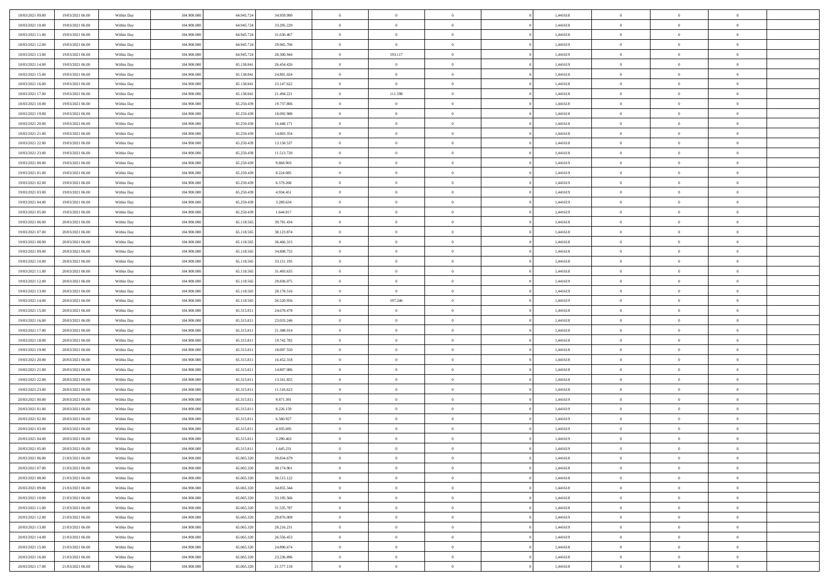| 18/03/2021 09:00                     | 19/03/2021 06:00                     | Within Day               | 104.900.000                | 64.945.724               | 34.959.990               | $\,$ 0                   | $\bf{0}$                   | $\theta$                         |          | 1,441618             | $\bf{0}$                    | $\overline{0}$                 | $\,0\,$                          |  |
|--------------------------------------|--------------------------------------|--------------------------|----------------------------|--------------------------|--------------------------|--------------------------|----------------------------|----------------------------------|----------|----------------------|-----------------------------|--------------------------------|----------------------------------|--|
| 18/03/2021 10:00                     | 19/03/2021 06:00                     | Within Day               | 104,900,000                | 64.945.724               | 33.295.229               | $\overline{0}$           | $\overline{0}$             | $\overline{0}$                   |          | 1,441618             | $\overline{0}$              | $\overline{0}$                 | $\theta$                         |  |
| 18/03/2021 11:00                     | 19/03/2021 06:00                     | Within Dav               | 104.900.000                | 64.945.724               | 31.630.467               | $\mathbf{0}$             | $\overline{0}$             | $\overline{0}$                   |          | 1,441618             | $\mathbf{0}$                | $\overline{0}$                 | $\overline{0}$                   |  |
| 18/03/2021 12:00                     | 19/03/2021 06:00                     | Within Day               | 104.900.000                | 64.945.724               | 29.965.706               | $\bf{0}$                 | $\overline{0}$             | $\bf{0}$                         |          | 1,441619             | $\bf{0}$                    | $\overline{0}$                 | $\bf{0}$                         |  |
| 18/03/2021 13:00                     | 19/03/2021 06:00                     | Within Day               | 104,900,000                | 64.945.724               | 28.300.944               | $\bf{0}$                 | 193.117                    | $\overline{0}$                   |          | 1,441619             | $\bf{0}$                    | $\bf{0}$                       | $\,0\,$                          |  |
| 18/03/2021 14:00                     | 19/03/2021 06:00                     | Within Dav               | 104.900.000                | 65.138.841               | 26.454.426               | $\mathbf{0}$             | $\overline{0}$             | $\overline{0}$                   |          | 1,441619             | $\mathbf{0}$                | $\overline{0}$                 | $\theta$                         |  |
| 18/03/2021 15:00                     | 19/03/2021 06:00                     | Within Day               | 104.900.000                | 65.138.841               | 24.801.024               | $\bf{0}$                 | $\bf{0}$                   | $\overline{0}$                   |          | 1,441618             | $\bf{0}$                    | $\overline{0}$                 | $\,0\,$                          |  |
| 18/03/2021 16:00                     | 19/03/2021 06:00                     | Within Day               | 104,900,000                | 65.138.841               | 23.147.622               | $\overline{0}$           | $\overline{0}$             | $\overline{0}$                   |          | 1,441618             | $\,$ 0 $\,$                 | $\overline{0}$                 | $\theta$                         |  |
| 18/03/2021 17:00                     | 19/03/2021 06:00                     | Within Dav               | 104.900.000                | 65.138.841               | 21.494.221               | $\mathbf{0}$             | 111.598                    | $\overline{0}$                   |          | 1,441618             | $\mathbf{0}$                | $\overline{0}$                 | $\overline{0}$                   |  |
| 18/03/2021 18:00                     | 19/03/2021 06:00                     |                          | 104.900.000                | 65.250.439               | 19.737.806               | $\bf{0}$                 | $\bf{0}$                   | $\overline{0}$                   |          | 1,441618             | $\bf{0}$                    | $\overline{0}$                 | $\,0\,$                          |  |
|                                      |                                      | Within Day               | 104,900,000                |                          |                          | $\overline{0}$           | $\overline{0}$             | $\overline{0}$                   |          |                      | $\bf{0}$                    | $\overline{0}$                 | $\theta$                         |  |
| 18/03/2021 19:00<br>18/03/2021 20:00 | 19/03/2021 06:00                     | Within Day               |                            | 65.250.439               | 18.092.988               | $\mathbf{0}$             |                            |                                  |          | 1,441618             | $\mathbf{0}$                |                                | $\overline{0}$                   |  |
|                                      | 19/03/2021 06:00                     | Within Dav               | 104.900.000                | 65.250.439               | 16.448.171               |                          | $\overline{0}$             | $\overline{0}$                   |          | 1,441618             |                             | $\overline{0}$                 |                                  |  |
| 18/03/2021 21:00                     | 19/03/2021 06:00                     | Within Day               | 104.900.000                | 65.250.439               | 14.803.354               | $\bf{0}$                 | $\overline{0}$             | $\bf{0}$                         |          | 1,441618             | $\bf{0}$                    | $\overline{0}$                 | $\bf{0}$                         |  |
| 18/03/2021 22:00                     | 19/03/2021 06:00                     | Within Day               | 104.900.000                | 65.250.439               | 13.158.537               | $\bf{0}$                 | $\overline{0}$             | $\overline{0}$                   |          | 1,441618             | $\bf{0}$                    | $\theta$                       | $\,0\,$                          |  |
| 18/03/2021 23:00                     | 19/03/2021 06:00                     | Within Dav               | 104.900.000                | 65.250.439               | 11.513.720               | $\overline{0}$           | $\overline{0}$             | $\overline{0}$                   |          | 1,441618             | $\mathbf{0}$                | $\overline{0}$                 | $\overline{0}$                   |  |
| 19/03/2021 00:00                     | 19/03/2021 06:00                     | Within Day               | 104.900.000                | 65.250.439               | 9.868.903                | $\bf{0}$                 | $\bf{0}$                   | $\overline{0}$                   |          | 1,441619             | $\bf{0}$                    | $\overline{0}$                 | $\bf{0}$                         |  |
| 19/03/2021 01:00                     | 19/03/2021 06:00                     | Within Day               | 104,900,000                | 65.250.439               | 8.224.085                | $\overline{0}$           | $\overline{0}$             | $\overline{0}$                   |          | 1,441619             | $\bf{0}$                    | $\overline{0}$                 | $\theta$                         |  |
| 19/03/2021 02:00                     | 19/03/2021 06:00                     | Within Day               | 104.900.000                | 65.250.439               | 6.579.268                | $\mathbf{0}$             | $\overline{0}$             | $\overline{0}$                   |          | 1,441619             | $\mathbf{0}$                | $\overline{0}$                 | $\overline{0}$                   |  |
| 19/03/2021 03:00                     | 19/03/2021 06:00                     | Within Day               | 104.900.000                | 65.250.439               | 4.934.451                | $\bf{0}$                 | $\bf{0}$                   | $\overline{0}$                   |          | 1,441619             | $\bf{0}$                    | $\overline{0}$                 | $\,0\,$                          |  |
| 19/03/2021 04:00                     | 19/03/2021 06:00                     | Within Day               | 104,900,000                | 65.250.439               | 3.289.634                | $\overline{0}$           | $\overline{0}$             | $\overline{0}$                   |          | 1,441619             | $\bf{0}$                    | $\overline{0}$                 | $\overline{0}$                   |  |
| 19/03/2021 05:00                     | 19/03/2021 06:00                     | Within Dav               | 104.900.000                | 65.250.439               | 1.644.817                | $\mathbf{0}$             | $\overline{0}$             | $\overline{0}$                   |          | 1,441619             | $\mathbf{0}$                | $\overline{0}$                 | $\overline{0}$                   |  |
| 19/03/2021 06:00                     | 20/03/2021 06:00                     | Within Day               | 104.900.000                | 65.118.565               | 39.781.434               | $\bf{0}$                 | $\overline{0}$             | $\bf{0}$                         |          | 1,441618             | $\bf{0}$                    | $\overline{0}$                 | $\bf{0}$                         |  |
| 19/03/2021 07:00                     | 20/03/2021 06:00                     | Within Day               | 104,900,000                | 65.118.565               | 38.123.874               | $\bf{0}$                 | $\bf{0}$                   | $\overline{0}$                   |          | 1,441618             | $\bf{0}$                    | $\overline{0}$                 | $\,0\,$                          |  |
| 19/03/2021 08:00                     | 20/03/2021 06:00                     | Within Dav               | 104.900.000                | 65.118.565               | 36.466.315               | $\mathbf{0}$             | $\overline{0}$             | $\overline{0}$                   |          | 1,441618             | $\mathbf{0}$                | $\overline{0}$                 | $\theta$                         |  |
| 19/03/2021 09:00                     | 20/03/2021 06:00                     | Within Day               | 104.900.000                | 65.118.565               | 34.808.755               | $\bf{0}$                 | $\bf{0}$                   | $\overline{0}$                   |          | 1,441618             | $\bf{0}$                    | $\overline{0}$                 | $\,0\,$                          |  |
| 19/03/2021 10:00                     | 20/03/2021 06:00                     | Within Day               | 104,900,000                | 65.118.565               | 33.151.195               | $\overline{0}$           | $\overline{0}$             | $\overline{0}$                   |          | 1,441618             | $\bf{0}$                    | $\overline{0}$                 | $\overline{0}$                   |  |
| 19/03/2021 11:00                     | 20/03/2021 06:00                     | Within Dav               | 104.900.000                | 65.118.565               | 31.493.635               | $\mathbf{0}$             | $\overline{0}$             | $\overline{0}$                   |          | 1,441618             | $\mathbf{0}$                | $\overline{0}$                 | $\overline{0}$                   |  |
| 19/03/2021 12:00                     | 20/03/2021 06:00                     | Within Day               | 104.900.000                | 65.118.565               | 29.836.075               | $\bf{0}$                 | $\bf{0}$                   | $\overline{0}$                   |          | 1,441619             | $\bf{0}$                    | $\overline{0}$                 | $\,0\,$                          |  |
| 19/03/2021 13:00                     | 20/03/2021 06:00                     | Within Day               | 104,900,000                | 65.118.565               | 28.178.516               | $\bf{0}$                 | $\overline{0}$             | $\overline{0}$                   |          | 1,441619             | $\bf{0}$                    | $\bf{0}$                       | $\overline{0}$                   |  |
|                                      |                                      |                          |                            |                          |                          |                          |                            |                                  |          |                      |                             |                                |                                  |  |
| 19/03/2021 14:00                     | 20/03/2021 06:00                     | Within Dav               | 104.900.000                | 65.118.565               | 26.520.956               | $\mathbf{0}$             | 197.246                    | $\overline{0}$                   |          | 1,441619             | $\mathbf{0}$                | $\overline{0}$                 | $\overline{0}$                   |  |
| 19/03/2021 15:00                     | 20/03/2021 06:00                     | Within Day               | 104.900.000                | 65.315.811               | 24.678.478               | $\bf{0}$                 | $\overline{0}$             | $\theta$                         |          | 1,441618             | $\,$ 0                      | $\overline{0}$                 | $\theta$                         |  |
| 19/03/2021 16:00                     | 20/03/2021 06:00                     | Within Day               | 104,900,000                | 65.315.81                | 23.033.246               | $\bf{0}$                 | $\bf{0}$                   | $\overline{0}$                   |          | 1,441618             | $\bf{0}$                    | $\mathbf{0}$                   | $\bf{0}$                         |  |
| 19/03/2021 17:00                     | 20/03/2021 06:00                     | Within Dav               | 104.900.000                | 65.315.811               | 21.388.014               | $\overline{0}$           | $\overline{0}$             | $\overline{0}$                   |          | 1,441618             | $\mathbf{0}$                | $\overline{0}$                 | $\overline{0}$                   |  |
| 19/03/2021 18:00                     | 20/03/2021 06:00                     | Within Day               | 104.900.000                | 65.315.811               | 19.742.782               | $\bf{0}$                 | $\overline{0}$             | $\theta$                         |          | 1,441618             | $\,$ 0                      | $\overline{0}$                 | $\theta$                         |  |
| 19/03/2021 19:00                     | 20/03/2021 06:00                     | Within Day               | 104,900,000                | 65.315.811               | 18.097.550               | $\overline{0}$           | $\overline{0}$             | $\overline{0}$                   |          | 1,441618             | $\bf{0}$                    | $\overline{0}$                 | $\overline{0}$                   |  |
| 19/03/2021 20:00                     | 20/03/2021 06:00                     | Within Day               | 104.900.000                | 65.315.811               | 16.452.318               | $\mathbf{0}$             | $\overline{0}$             | $\overline{0}$                   |          | 1,441618             | $\mathbf{0}$                | $\overline{0}$                 | $\overline{0}$                   |  |
| 19/03/2021 21:00                     | 20/03/2021 06:00                     | Within Day               | 104.900.000                | 65.315.811               | 14.807.086               | $\bf{0}$                 | $\overline{0}$             | $\theta$                         |          | 1,441618             | $\,$ 0                      | $\overline{0}$                 | $\theta$                         |  |
| 19/03/2021 22.00                     | 20/03/2021 06:00                     | Within Day               | 104,900,000                | 65.315.811               | 13.161.855               | $\bf{0}$                 | $\bf{0}$                   | $\overline{0}$                   |          | 1,441618             | $\bf{0}$                    | $\mathbf{0}$                   | $\bf{0}$                         |  |
| 19/03/2021 23:00                     | 20/03/2021 06:00                     | Within Dav               | 104.900.000                | 65.315.811               | 11.516.623               | $\mathbf{0}$             | $\overline{0}$             | $\overline{0}$                   |          | 1,441618             | $\mathbf{0}$                | $\overline{0}$                 | $\overline{0}$                   |  |
| 20/03/2021 00:00                     | 20/03/2021 06:00                     | Within Day               | 104.900.000                | 65.315.811               | 9.871.391                | $\,0\,$                  | $\overline{0}$             | $\theta$                         |          | 1,441619             | $\,$ 0                      | $\overline{0}$                 | $\theta$                         |  |
| 20/03/2021 01:00                     | 20/03/2021 06:00                     | Within Day               | 104,900,000                | 65.315.811               | 8.226.159                | $\bf{0}$                 | $\bf{0}$                   | $\overline{0}$                   |          | 1,441619             | $\bf{0}$                    | $\overline{0}$                 | $\bf{0}$                         |  |
| 20/03/2021 02:00                     | 20/03/2021 06:00                     | Within Dav               | 104.900.000                | 65.315.811               | 6.580.927                | $\mathbf{0}$             | $\overline{0}$             | $\overline{0}$                   |          | 1,441619             | $\mathbf{0}$                | $\overline{0}$                 | $\overline{0}$                   |  |
| 20/03/2021 03:00                     | 20/03/2021 06:00                     | Within Day               | 104.900.000                | 65.315.811               | 4.935.695                | $\bf{0}$                 | $\overline{0}$             | $\theta$                         |          | 1,441619             | $\,$ 0                      | $\overline{0}$                 | $\theta$                         |  |
| 20/03/2021 04:00                     | 20/03/2021 06:00                     | Within Day               | 104,900,000                | 65.315.811               | 3.290.463                | $\bf{0}$                 | $\overline{0}$             | $\overline{0}$                   |          | 1,441619             | $\bf{0}$                    | $\overline{0}$                 | $\bf{0}$                         |  |
| 20/03/2021 05:00                     | 20/03/2021 06:00                     | Within Day               | 104.900.000                | 65.315.811               | 1.645.231                | $\bf{0}$                 | $\overline{0}$             |                                  |          | 1,441619             | $\overline{0}$              | $\theta$                       | $\theta$                         |  |
| 20/03/2021 06:00                     | 21/03/2021 06:00                     | Within Day               | 104.900.000                | 65.065.320               | 39.834.679               | $\,0\,$                  | $\overline{0}$             | $\theta$                         |          | 1,441618             | $\,$ 0 $\,$                 | $\overline{0}$                 | $\theta$                         |  |
| 20/03/2021 07:00                     | 21/03/2021 06:00                     |                          | 104.900.000                | 65.065.320               | 38.174.901               | $\overline{0}$           | $\overline{0}$             | $\overline{0}$                   |          | 1,441618             | $\overline{0}$              | $\overline{0}$                 | $\overline{0}$                   |  |
| 20/03/2021 08:00                     | 21/03/2021 06:00                     | Within Day               | 104.900.000                | 65.065.320               | 36.515.122               | $\bf{0}$                 | $\overline{0}$             | $\overline{0}$                   |          | 1,441618             | $\overline{0}$              | $\bf{0}$                       | $\mathbf{0}$                     |  |
| 20/03/2021 09:00                     | 21/03/2021 06:00                     | Within Day<br>Within Day | 104.900.000                | 65.065.320               | 34.855.344               | $\bf{0}$                 | $\overline{0}$             | $\overline{0}$                   | $\theta$ | 1,441618             | $\,$ 0 $\,$                 | $\bf{0}$                       | $\,$ 0 $\,$                      |  |
| 20/03/2021 10:00                     | 21/03/2021 06:00                     |                          | 104.900.000                | 65.065.320               | 33.195.566               | $\bf{0}$                 | $\overline{0}$             | $\overline{0}$                   |          | 1,441618             |                             | $\overline{0}$                 | $\overline{0}$                   |  |
| 20/03/2021 11:00                     | 21/03/2021 06:00                     | Within Day<br>Within Day | 104.900.000                | 65.065.320               | 31.535.787               | $\bf{0}$                 | $\overline{0}$             | $\overline{0}$                   |          | 1,441618             | $\,$ 0 $\,$<br>$\mathbf{0}$ | $\overline{0}$                 | $\overline{0}$                   |  |
|                                      |                                      |                          |                            |                          |                          |                          |                            |                                  | $\theta$ |                      |                             | $\overline{0}$                 | $\overline{0}$                   |  |
| 20/03/2021 12:00                     | 21/03/2021 06:00                     | Within Day               | 104.900.000                | 65.065.320<br>65,065,320 | 29.876.009               | $\,0\,$                  | $\overline{0}$             | $\overline{0}$<br>$\overline{0}$ |          | 1,441619             | $\,$ 0 $\,$                 | $\overline{0}$                 |                                  |  |
| 20/03/2021 13:00                     | 21/03/2021 06:00                     | Within Day               | 104.900.000                |                          | 28.216.231               | $\bf{0}$                 | $\overline{0}$             |                                  |          | 1,441619             | $\overline{0}$              |                                | $\overline{0}$                   |  |
| 20/03/2021 14:00                     | 21/03/2021 06:00                     | Within Day               | 104.900.000                | 65.065.320               | 26.556.453               | $\bf{0}$                 | $\overline{0}$             | $\overline{0}$                   |          | 1,441619             | $\mathbf{0}$                | $\overline{0}$                 | $\mathbf{0}$                     |  |
| 20/03/2021 15:00                     | 21/03/2021 06:00                     | Within Day               | 104.900.000                | 65.065.320               | 24.896.674               | $\,0\,$                  | $\overline{0}$             | $\overline{0}$                   |          | 1,441618             | $\,$ 0 $\,$                 | $\mathbf{0}$                   | $\theta$                         |  |
| 20/03/2021 16:00<br>20/03/2021 17:00 | 21/03/2021 06:00<br>21/03/2021 06:00 | Within Day<br>Within Day | 104,900,000<br>104.900.000 | 65.065.320<br>65.065.320 | 23.236.896<br>21.577.118 | $\bf{0}$<br>$\mathbf{0}$ | $\bf{0}$<br>$\overline{0}$ | $\overline{0}$<br>$\overline{0}$ |          | 1,441618<br>1,441618 | $\bf{0}$<br>$\mathbf{0}$    | $\mathbf{0}$<br>$\overline{0}$ | $\overline{0}$<br>$\overline{0}$ |  |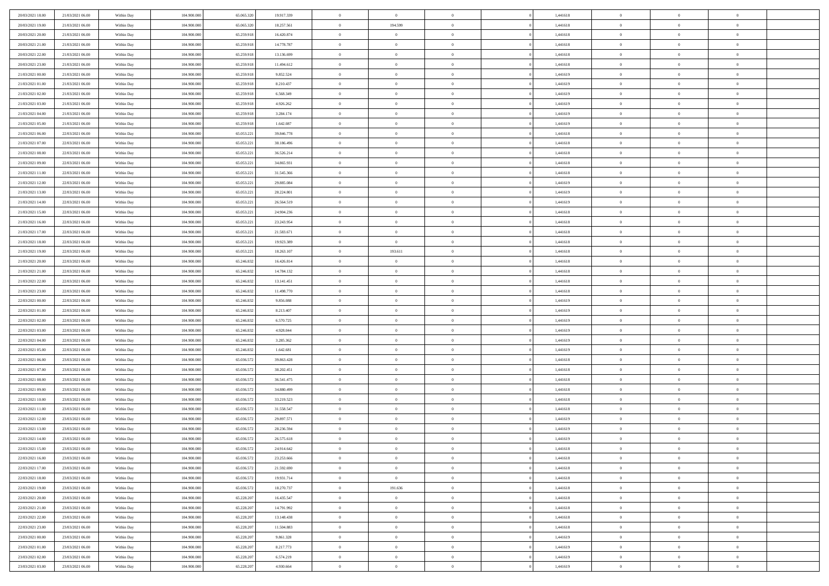| 20/03/2021 18:00 | 21/03/2021 06:00 | Within Day               | 104.900.000 | 65.065.320 | 19.917.339             | $\,$ 0         | $\bf{0}$                         | $\theta$       |          | 1,441618 | $\bf{0}$          | $\overline{0}$ | $\,0\,$        |  |
|------------------|------------------|--------------------------|-------------|------------|------------------------|----------------|----------------------------------|----------------|----------|----------|-------------------|----------------|----------------|--|
| 20/03/2021 19:00 | 21/03/2021 06:00 | Within Day               | 104,900,000 | 65.065.320 | 18.257.561             | $\overline{0}$ | 194.599                          | $\overline{0}$ |          | 1,441618 | $\theta$          | $\overline{0}$ | $\theta$       |  |
| 20/03/2021 20:00 | 21/03/2021 06:00 | Within Dav               | 104.900.000 | 65.259.918 | 16.420.874             | $\mathbf{0}$   | $\overline{0}$                   | $\overline{0}$ |          | 1,441618 | $\mathbf{0}$      | $\overline{0}$ | $\overline{0}$ |  |
| 20/03/2021 21:00 | 21/03/2021 06:00 | Within Day               | 104.900.000 | 65.259.918 | 14.778.787             | $\bf{0}$       | $\overline{0}$                   | $\bf{0}$       |          | 1,441618 | $\bf{0}$          | $\overline{0}$ | $\bf{0}$       |  |
| 20/03/2021 22:00 | 21/03/2021 06:00 | Within Day               | 104,900,000 | 65.259.918 | 13.136.699             | $\bf{0}$       | $\bf{0}$                         | $\overline{0}$ |          | 1,441618 | $\bf{0}$          | $\bf{0}$       | $\,0\,$        |  |
| 20/03/2021 23:00 | 21/03/2021 06:00 | Within Dav               | 104.900.000 | 65.259.918 | 11.494.612             | $\overline{0}$ | $\overline{0}$                   | $\overline{0}$ |          | 1,441618 | $\mathbf{0}$      | $\overline{0}$ | $\overline{0}$ |  |
| 21/03/2021 00:00 | 21/03/2021 06:00 | Within Day               | 104.900.000 | 65.259.918 | 9.852.524              | $\bf{0}$       | $\bf{0}$                         | $\overline{0}$ |          | 1,441619 | $\bf{0}$          | $\overline{0}$ | $\,0\,$        |  |
| 21/03/2021 01:00 | 21/03/2021 06:00 | Within Day               | 104,900,000 | 65.259.918 | 8.210.437              | $\overline{0}$ | $\overline{0}$                   | $\overline{0}$ |          | 1,441619 | $\,$ 0 $\,$       | $\overline{0}$ | $\theta$       |  |
| 21/03/2021 02:00 | 21/03/2021 06:00 | Within Dav               | 104.900.000 | 65.259.918 | 6.568.349              | $\mathbf{0}$   | $\overline{0}$                   | $\overline{0}$ |          | 1,441619 | $\mathbf{0}$      | $\overline{0}$ | $\overline{0}$ |  |
| 21/03/2021 03:00 | 21/03/2021 06:00 | Within Day               | 104.900.000 | 65.259.918 | 4.926.262              | $\bf{0}$       | $\bf{0}$                         | $\overline{0}$ |          | 1,441619 | $\bf{0}$          | $\overline{0}$ | $\,0\,$        |  |
| 21/03/2021 04:00 | 21/03/2021 06:00 |                          | 104,900,000 | 65.259.918 |                        | $\bf{0}$       | $\overline{0}$                   | $\overline{0}$ |          | 1,441619 | $\bf{0}$          | $\overline{0}$ | $\theta$       |  |
| 21/03/2021 05:00 | 21/03/2021 06:00 | Within Day<br>Within Dav | 104.900.000 | 65.259.918 | 3.284.174<br>1.642.087 | $\mathbf{0}$   | $\overline{0}$                   | $\overline{0}$ |          | 1,441619 | $\mathbf{0}$      | $\overline{0}$ | $\overline{0}$ |  |
|                  | 22/03/2021 06:00 |                          |             |            |                        | $\bf{0}$       |                                  |                |          |          | $\bf{0}$          |                |                |  |
| 21/03/2021 06:00 |                  | Within Day               | 104.900.000 | 65.053.221 | 39.846.778             |                | $\overline{0}$<br>$\overline{0}$ | $\bf{0}$       |          | 1,441618 |                   | $\overline{0}$ | $\bf{0}$       |  |
| 21/03/2021 07:00 | 22/03/2021 06:00 | Within Day               | 104.900.000 | 65.053.221 | 38.186.496             | $\bf{0}$       |                                  | $\overline{0}$ |          | 1,441618 | $\bf{0}$          | $\bf{0}$       | $\,0\,$        |  |
| 21/03/2021 08:00 | 22/03/2021 06:00 | Within Dav               | 104.900.000 | 65.053.221 | 36.526.214             | $\overline{0}$ | $\overline{0}$                   | $\overline{0}$ |          | 1,441618 | $\mathbf{0}$      | $\overline{0}$ | $\overline{0}$ |  |
| 21/03/2021 09:00 | 22/03/2021 06:00 | Within Day               | 104.900.000 | 65.053.221 | 34.865.931             | $\bf{0}$       | $\bf{0}$                         | $\overline{0}$ |          | 1,441618 | $\bf{0}$          | $\overline{0}$ | $\bf{0}$       |  |
| 21/03/2021 11:00 | 22/03/2021 06:00 | Within Day               | 104,900,000 | 65.053.221 | 31.545.366             | $\overline{0}$ | $\overline{0}$                   | $\overline{0}$ |          | 1,441618 | $\hspace{0.1cm}0$ | $\overline{0}$ | $\theta$       |  |
| 21/03/2021 12:00 | 22/03/2021 06:00 | Within Day               | 104.900.000 | 65.053.221 | 29.885.084             | $\mathbf{0}$   | $\overline{0}$                   | $\overline{0}$ |          | 1,441619 | $\mathbf{0}$      | $\overline{0}$ | $\overline{0}$ |  |
| 21/03/2021 13:00 | 22/03/2021 06:00 | Within Day               | 104.900.000 | 65.053.221 | 28.224.801             | $\bf{0}$       | $\bf{0}$                         | $\overline{0}$ |          | 1,441619 | $\bf{0}$          | $\overline{0}$ | $\,0\,$        |  |
| 21/03/2021 14:00 | 22/03/2021 06:00 | Within Day               | 104,900,000 | 65.053.221 | 26.564.519             | $\bf{0}$       | $\bf{0}$                         | $\overline{0}$ |          | 1,441619 | $\bf{0}$          | $\overline{0}$ | $\bf{0}$       |  |
| 21/03/2021 15:00 | 22/03/2021 06:00 | Within Dav               | 104.900.000 | 65.053.221 | 24.904.236             | $\mathbf{0}$   | $\overline{0}$                   | $\overline{0}$ |          | 1,441618 | $\mathbf{0}$      | $\overline{0}$ | $\overline{0}$ |  |
| 21/03/2021 16:00 | 22/03/2021 06:00 | Within Day               | 104.900.000 | 65.053.221 | 23.243.954             | $\bf{0}$       | $\overline{0}$                   | $\bf{0}$       |          | 1,441618 | $\bf{0}$          | $\overline{0}$ | $\bf{0}$       |  |
| 21/03/2021 17:00 | 22/03/2021 06:00 | Within Day               | 104,900,000 | 65.053.221 | 21.583.671             | $\bf{0}$       | $\bf{0}$                         | $\overline{0}$ |          | 1,441618 | $\bf{0}$          | $\overline{0}$ | $\,0\,$        |  |
| 21/03/2021 18:00 | 22/03/2021 06:00 | Within Dav               | 104.900.000 | 65.053.221 | 19.923.389             | $\mathbf{0}$   | $\overline{0}$                   | $\overline{0}$ |          | 1,441618 | $\mathbf{0}$      | $\overline{0}$ | $\overline{0}$ |  |
| 21/03/2021 19:00 | 22/03/2021 06:00 | Within Day               | 104.900.000 | 65.053.221 | 18.263.107             | $\bf{0}$       | 193.611                          | $\overline{0}$ |          | 1,441618 | $\bf{0}$          | $\overline{0}$ | $\,0\,$        |  |
| 21/03/2021 20:00 | 22/03/2021 06:00 | Within Day               | 104,900,000 | 65.246.832 | 16.426.814             | $\bf{0}$       | $\overline{0}$                   | $\overline{0}$ |          | 1,441618 | $\bf{0}$          | $\overline{0}$ | $\overline{0}$ |  |
| 21/03/2021 21:00 | 22/03/2021 06:00 | Within Dav               | 104.900.000 | 65.246.832 | 14.784.132             | $\overline{0}$ | $\overline{0}$                   | $\overline{0}$ |          | 1,441618 | $\mathbf{0}$      | $\overline{0}$ | $\overline{0}$ |  |
| 21/03/2021 22:00 | 22/03/2021 06:00 | Within Day               | 104.900.000 | 65.246.832 | 13.141.451             | $\bf{0}$       | $\bf{0}$                         | $\overline{0}$ |          | 1,441618 | $\bf{0}$          | $\overline{0}$ | $\,0\,$        |  |
| 21/03/2021 23:00 | 22/03/2021 06:00 | Within Day               | 104,900,000 | 65.246.832 | 11.498.770             | $\bf{0}$       | $\bf{0}$                         | $\overline{0}$ |          | 1,441618 | $\bf{0}$          | $\overline{0}$ | $\bf{0}$       |  |
| 22/03/2021 00:00 | 22/03/2021 06:00 | Within Dav               | 104.900.000 | 65.246.832 | 9.856.088              | $\mathbf{0}$   | $\overline{0}$                   | $\overline{0}$ |          | 1,441619 | $\mathbf{0}$      | $\overline{0}$ | $\overline{0}$ |  |
| 22/03/2021 01:00 | 22/03/2021 06:00 | Within Day               | 104.900.000 | 65.246.832 | 8.213.407              | $\bf{0}$       | $\overline{0}$                   | $\theta$       |          | 1,441619 | $\,$ 0            | $\overline{0}$ | $\theta$       |  |
| 22/03/2021 02:00 | 22/03/2021 06:00 | Within Day               | 104.900.000 | 65.246.832 | 6.570.725              | $\bf{0}$       | $\bf{0}$                         | $\overline{0}$ |          | 1,441619 | $\bf{0}$          | $\overline{0}$ | $\bf{0}$       |  |
| 22/03/2021 03:00 | 22/03/2021 06:00 | Within Dav               | 104.900.000 | 65.246.832 | 4.928.044              | $\overline{0}$ | $\overline{0}$                   | $\overline{0}$ |          | 1,441619 | $\mathbf{0}$      | $\overline{0}$ | $\overline{0}$ |  |
| 22/03/2021 04:00 | 22/03/2021 06:00 | Within Day               | 104.900.000 | 65.246.832 | 3.285.362              | $\bf{0}$       | $\overline{0}$                   | $\theta$       |          | 1,441619 | $\,$ 0            | $\overline{0}$ | $\theta$       |  |
| 22/03/2021 05:00 | 22/03/2021 06:00 | Within Day               | 104,900,000 | 65.246.832 | 1.642.681              | $\bf{0}$       | $\overline{0}$                   | $\overline{0}$ |          | 1,441619 | $\bf{0}$          | $\overline{0}$ | $\overline{0}$ |  |
| 22/03/2021 06:00 | 23/03/2021 06:00 | Within Day               | 104.900.000 | 65.036.572 | 39.863.428             | $\mathbf{0}$   | $\overline{0}$                   | $\overline{0}$ |          | 1,441618 | $\mathbf{0}$      | $\overline{0}$ | $\overline{0}$ |  |
| 22/03/2021 07:00 | 23/03/2021 06:00 | Within Day               | 104.900.000 | 65.036.572 | 38.202.451             | $\bf{0}$       | $\overline{0}$                   | $\theta$       |          | 1,441618 | $\,$ 0            | $\overline{0}$ | $\theta$       |  |
| 22/03/2021 08:00 | 23/03/2021 06:00 | Within Day               | 104,900,000 | 65.036.572 | 36.541.475             | $\bf{0}$       | $\bf{0}$                         | $\overline{0}$ |          | 1,441618 | $\bf{0}$          | $\overline{0}$ | $\bf{0}$       |  |
| 22/03/2021 09:00 | 23/03/2021 06:00 | Within Dav               | 104.900.000 | 65.036.572 | 34.880.499             | $\mathbf{0}$   | $\overline{0}$                   | $\overline{0}$ |          | 1,441618 | $\mathbf{0}$      | $\overline{0}$ | $\overline{0}$ |  |
| 22/03/2021 10:00 | 23/03/2021 06:00 | Within Day               | 104.900.000 | 65.036.572 | 33.219.523             | $\,0\,$        | $\overline{0}$                   | $\theta$       |          | 1,441618 | $\,$ 0            | $\overline{0}$ | $\theta$       |  |
| 22/03/2021 11:00 | 23/03/2021 06:00 | Within Day               | 104,900,000 | 65.036.572 | 31.558.547             | $\bf{0}$       | $\overline{0}$                   | $\overline{0}$ |          | 1,441618 | $\bf{0}$          | $\overline{0}$ | $\bf{0}$       |  |
| 22/03/2021 12:00 | 23/03/2021 06:00 | Within Dav               | 104.900.000 | 65.036.572 | 29.897.571             | $\mathbf{0}$   | $\overline{0}$                   | $\overline{0}$ |          | 1,441619 | $\mathbf{0}$      | $\overline{0}$ | $\overline{0}$ |  |
| 22/03/2021 13:00 | 23/03/2021 06:00 | Within Day               | 104.900.000 | 65.036.572 | 28.236.594             | $\bf{0}$       | $\overline{0}$                   | $\theta$       |          | 1,441619 | $\,$ 0            | $\overline{0}$ | $\theta$       |  |
| 22/03/2021 14:00 | 23/03/2021 06:00 | Within Day               | 104,900,000 | 65.036.572 | 26.575.618             | $\bf{0}$       | $\overline{0}$                   | $\overline{0}$ |          | 1,441619 | $\,$ 0 $\,$       | $\overline{0}$ | $\bf{0}$       |  |
| 22/03/2021 15:00 | 23/03/2021 06:00 | Within Day               | 104.900.000 | 65.036.572 | 24.914.642             | $\bf{0}$       | $\overline{0}$                   |                |          | 1,441618 | $\overline{0}$    | $\theta$       | $\theta$       |  |
| 22/03/2021 16:00 | 23/03/2021 06:00 | Within Day               | 104.900.000 | 65.036.572 | 23.253.666             | $\,0\,$        | $\overline{0}$                   | $\theta$       |          | 1,441618 | $\,$ 0 $\,$       | $\overline{0}$ | $\theta$       |  |
| 22/03/2021 17:00 | 23/03/2021 06:00 | Within Day               | 104.900.000 | 65.036.572 | 21.592.690             | $\overline{0}$ | $\overline{0}$                   | $\overline{0}$ |          | 1,441618 | $\overline{0}$    | $\overline{0}$ | $\overline{0}$ |  |
| 22/03/2021 18:00 | 23/03/2021 06:00 | Within Day               | 104.900.000 | 65.036.572 | 19.931.714             | $\bf{0}$       | $\overline{0}$                   | $\overline{0}$ |          | 1,441618 | $\overline{0}$    | $\bf{0}$       | $\mathbf{0}$   |  |
| 22/03/2021 19:00 | 23/03/2021 06:00 | Within Day               | 104.900.000 | 65.036.572 | 18.270.737             | $\bf{0}$       | 191.636                          | $\bf{0}$       | $\theta$ | 1,441618 | $\,$ 0 $\,$       | $\bf{0}$       | $\,$ 0 $\,$    |  |
| 22/03/2021 20:00 | 23/03/2021 06:00 | Within Day               | 104.900.000 | 65.228.207 | 16.435.547             | $\,$ 0 $\,$    | $\bf{0}$                         | $\overline{0}$ |          | 1,441618 | $\,$ 0 $\,$       | $\overline{0}$ | $\overline{0}$ |  |
| 22/03/2021 21:00 | 23/03/2021 06:00 | Within Day               | 104.900.000 | 65.228.207 | 14.791.992             | $\bf{0}$       | $\overline{0}$                   | $\overline{0}$ |          | 1,441618 | $\mathbf{0}$      | $\overline{0}$ | $\overline{0}$ |  |
| 22/03/2021 22:00 | 23/03/2021 06:00 |                          | 104.900.000 | 65.228.207 | 13.148.438             | $\,0\,$        | $\overline{0}$                   | $\overline{0}$ | $\theta$ | 1,441618 | $\,$ 0 $\,$       | $\overline{0}$ | $\overline{0}$ |  |
|                  |                  | Within Day               | 104,900,000 | 65.228.207 |                        | $\bf{0}$       | $\overline{0}$                   | $\overline{0}$ |          |          | $\overline{0}$    | $\overline{0}$ |                |  |
| 22/03/2021 23:00 | 23/03/2021 06:00 | Within Day               |             |            | 11.504.883             |                |                                  |                |          | 1,441618 |                   |                | $\overline{0}$ |  |
| 23/03/2021 00:00 | 23/03/2021 06:00 | Within Day               | 104.900.000 | 65.228.207 | 9.861.328              | $\bf{0}$       | $\overline{0}$                   | $\overline{0}$ |          | 1,441619 | $\mathbf{0}$      | $\overline{0}$ | $\mathbf{0}$   |  |
| 23/03/2021 01:00 | 23/03/2021 06:00 | Within Day               | 104.900.000 | 65.228.207 | 8.217.773              | $\,0\,$        | $\overline{0}$                   | $\overline{0}$ |          | 1,441619 | $\,$ 0 $\,$       | $\mathbf{0}$   | $\theta$       |  |
| 23/03/2021 02:00 | 23/03/2021 06:00 | Within Day               | 104,900,000 | 65.228.207 | 6.574.219              | $\overline{0}$ | $\bf{0}$                         | $\overline{0}$ |          | 1,441619 | $\mathbf 0$       | $\mathbf{0}$   | $\overline{0}$ |  |
| 23/03/2021 03:00 | 23/03/2021 06:00 | Within Day               | 104.900.000 | 65.228.207 | 4.930.664              | $\mathbf{0}$   | $\overline{0}$                   | $\overline{0}$ |          | 1,441619 | $\mathbf{0}$      | $\overline{0}$ | $\overline{0}$ |  |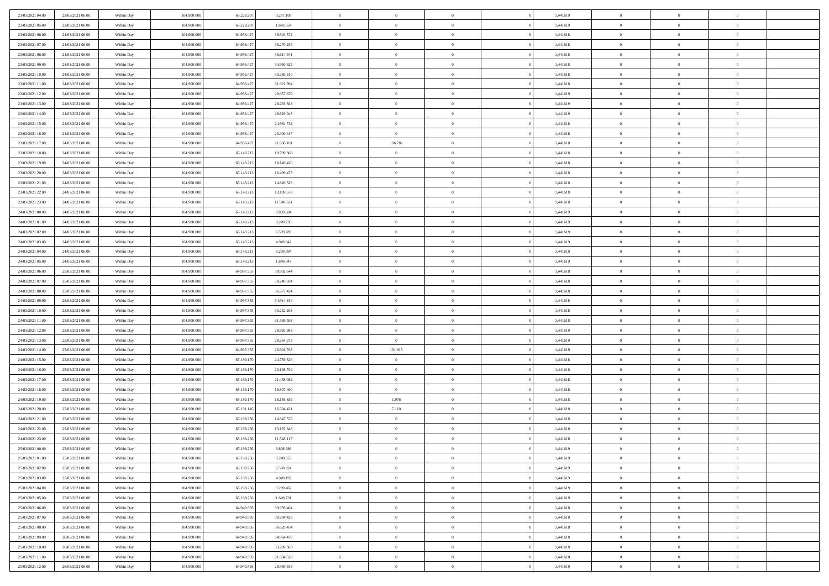| 23/03/2021 04:00 | 23/03/2021 06:00 | Within Day | 104,900,000 | 65.228.207 | 3.287.109  | $\overline{0}$ | $\overline{0}$ | $\Omega$       | 1,441619 | $\bf{0}$       | $\mathbf{0}$   | $\bf{0}$       |  |
|------------------|------------------|------------|-------------|------------|------------|----------------|----------------|----------------|----------|----------------|----------------|----------------|--|
| 23/03/2021 05:00 | 23/03/2021 06:00 | Within Day | 104.900.000 | 65.228.207 | 1.643.554  | $\mathbf{0}$   | $\overline{0}$ | $\overline{0}$ | 1,441619 | $\overline{0}$ | $\overline{0}$ | $\overline{0}$ |  |
| 23/03/2021 06:00 | 24/03/2021 06:00 | Within Day | 104.900.000 | 64.956.427 | 39.943.572 | $\,$ 0         | $\overline{0}$ | $\bf{0}$       | 1,441618 | $\,$ 0         | $\overline{0}$ | $\,$ 0 $\,$    |  |
| 23/03/2021 07:00 | 24/03/2021 06:00 | Within Day | 104,900,000 | 64.956.427 | 38.279.256 | $\bf{0}$       | $\overline{0}$ | $\Omega$       | 1,441618 | $\bf{0}$       | $\mathbf{0}$   | $\theta$       |  |
| 23/03/2021 08:00 | 24/03/2021 06:00 | Within Day | 104.900.000 | 64.956.427 | 36.614.941 | $\bf{0}$       | $\overline{0}$ | $\overline{0}$ | 1,441618 | $\overline{0}$ | $\overline{0}$ | $\overline{0}$ |  |
| 23/03/2021 09:00 | 24/03/2021 06:00 | Within Day | 104.900.000 | 64.956.427 | 34.950.625 | $\bf{0}$       | $\overline{0}$ | $\bf{0}$       | 1,441618 | $\,$ 0         | $\overline{0}$ | $\,$ 0 $\,$    |  |
| 23/03/2021 10:00 | 24/03/2021 06:00 | Within Day | 104,900,000 | 64.956.427 | 33.286.310 | $\bf{0}$       | $\overline{0}$ | $\overline{0}$ | 1,441618 | $\bf{0}$       | $\overline{0}$ | $\theta$       |  |
| 23/03/2021 11:00 | 24/03/2021 06:00 | Within Day | 104.900.000 | 64.956.427 | 31.621.994 | $\overline{0}$ | $\overline{0}$ | $\overline{0}$ | 1,441618 | $\mathbf{0}$   | $\overline{0}$ | $\overline{0}$ |  |
| 23/03/2021 12:00 | 24/03/2021 06:00 | Within Day | 104.900.000 | 64.956.427 | 29.957.679 | $\bf{0}$       | $\overline{0}$ | $\bf{0}$       | 1,441619 | $\,$ 0         | $\overline{0}$ | $\,$ 0 $\,$    |  |
| 23/03/2021 13:00 | 24/03/2021 06:00 | Within Day | 104,900,000 | 64.956.427 | 28.293.363 | $\bf{0}$       | $\overline{0}$ | $\Omega$       | 1,441619 | $\theta$       | $\mathbf{0}$   | $\theta$       |  |
| 23/03/2021 14:00 | 24/03/2021 06:00 | Within Day | 104.900.000 | 64.956.427 | 26.629.048 | $\overline{0}$ | $\overline{0}$ | $\overline{0}$ | 1,441619 | $\mathbf{0}$   | $\overline{0}$ | $\overline{0}$ |  |
| 23/03/2021 15:00 | 24/03/2021 06:00 | Within Day | 104.900.000 | 64.956.427 | 24.964.732 | $\bf{0}$       | $\overline{0}$ | $\bf{0}$       | 1,441618 | $\,$ 0         | $\overline{0}$ | $\,$ 0 $\,$    |  |
| 23/03/2021 16:00 | 24/03/2021 06:00 | Within Day | 104,900,000 | 64.956.427 | 23.300.417 | $\bf{0}$       | $\overline{0}$ | $\Omega$       | 1,441618 | $\overline{0}$ | $\mathbf{0}$   | $\theta$       |  |
| 23/03/2021 17:00 | 24/03/2021 06:00 | Within Day | 104.900.000 | 64.956.427 | 21.636.101 | $\overline{0}$ | 186.786        | $\overline{0}$ | 1,441618 | $\mathbf{0}$   | $\overline{0}$ | $\overline{0}$ |  |
| 23/03/2021 18:00 | 24/03/2021 06:00 | Within Day | 104.900.000 | 65.143.213 | 19.799.368 | $\bf{0}$       | $\overline{0}$ | $\bf{0}$       | 1,441618 | $\,$ 0         | $\overline{0}$ | $\,$ 0 $\,$    |  |
| 23/03/2021 19:00 | 24/03/2021 06:00 | Within Day | 104,900,000 | 65.143.213 | 18.149.420 | $\bf{0}$       | $\overline{0}$ | $\overline{0}$ | 1,441618 | $\bf{0}$       | $\mathbf{0}$   | $\bf{0}$       |  |
| 23/03/2021 20:00 | 24/03/2021 06:00 | Within Day | 104.900.000 | 65.143.213 | 16.499.473 | $\overline{0}$ | $\overline{0}$ | $\overline{0}$ | 1,441618 | $\mathbf{0}$   | $\overline{0}$ | $\overline{0}$ |  |
| 23/03/2021 21:00 | 24/03/2021 06:00 | Within Day | 104.900.000 | 65.143.213 | 14.849.526 | $\bf{0}$       | $\overline{0}$ | $\bf{0}$       | 1,441618 | $\,$ 0         | $\overline{0}$ | $\,0\,$        |  |
| 23/03/2021 22.00 | 24/03/2021 06:00 | Within Day | 104,900,000 | 65.143.213 | 13.199.578 | $\bf{0}$       | $\overline{0}$ | $\Omega$       | 1,441618 | $\theta$       | $\mathbf{0}$   | $\theta$       |  |
| 23/03/2021 23:00 | 24/03/2021 06:00 | Within Day | 104.900.000 | 65.143.213 | 11.549.631 | $\overline{0}$ | $\overline{0}$ | $\overline{0}$ | 1,441618 | $\mathbf{0}$   | $\overline{0}$ | $\overline{0}$ |  |
| 24/03/2021 00:00 | 24/03/2021 06:00 | Within Day | 104.900.000 | 65.143.213 | 9.899.684  | $\bf{0}$       | $\overline{0}$ | $\bf{0}$       | 1,441619 | $\,$ 0         | $\overline{0}$ | $\,$ 0 $\,$    |  |
| 24/03/2021 01:00 | 24/03/2021 06:00 | Within Day | 104,900,000 | 65.143.213 | 8.249.736  | $\bf{0}$       | $\overline{0}$ | $\Omega$       | 1,441619 | $\bf{0}$       | $\mathbf{0}$   | $\theta$       |  |
| 24/03/2021 02:00 | 24/03/2021 06:00 | Within Day | 104.900.000 | 65.143.213 | 6.599.789  | $\overline{0}$ | $\overline{0}$ | $\overline{0}$ | 1,441619 | $\mathbf{0}$   | $\overline{0}$ | $\overline{0}$ |  |
| 24/03/2021 03:00 | 24/03/2021 06:00 | Within Day | 104.900.000 | 65.143.213 | 4.949.842  | $\bf{0}$       | $\overline{0}$ | $\bf{0}$       | 1,441619 | $\,$ 0         | $\overline{0}$ | $\,$ 0 $\,$    |  |
| 24/03/2021 04:00 | 24/03/2021 06:00 | Within Day | 104,900,000 | 65.143.213 | 3.299.894  | $\bf{0}$       | $\overline{0}$ | $\overline{0}$ | 1,441619 | $\bf{0}$       | $\overline{0}$ | $\bf{0}$       |  |
| 24/03/2021 05:00 | 24/03/2021 06:00 | Within Day | 104.900.000 | 65.143.213 | 1.649.947  | $\overline{0}$ | $\overline{0}$ | $\overline{0}$ | 1,441619 | $\mathbf{0}$   | $\overline{0}$ | $\overline{0}$ |  |
| 24/03/2021 06:00 | 25/03/2021 06:00 | Within Day | 104.900.000 | 64.997.355 | 39.902.644 | $\bf{0}$       | $\overline{0}$ | $\bf{0}$       | 1,441618 | $\,$ 0         | $\overline{0}$ | $\,$ 0 $\,$    |  |
| 24/03/2021 07:00 | 25/03/2021 06:00 | Within Day | 104,900,000 | 64.997.355 | 38,240,034 | $\bf{0}$       | $\overline{0}$ | $\Omega$       | 1,441618 | $\theta$       | $\mathbf{0}$   | $\theta$       |  |
| 24/03/2021 08:00 | 25/03/2021 06:00 | Within Day | 104.900.000 | 64.997.355 | 36.577.424 | $\overline{0}$ | $\overline{0}$ | $\overline{0}$ | 1,441618 | $\mathbf{0}$   | $\overline{0}$ | $\overline{0}$ |  |
| 24/03/2021 09:00 | 25/03/2021 06:00 | Within Day | 104.900.000 | 64.997.355 | 34.914.814 | $\bf{0}$       | $\overline{0}$ | $\bf{0}$       | 1,441618 | $\,$ 0         | $\overline{0}$ | $\,$ 0 $\,$    |  |
| 24/03/2021 10:00 | 25/03/2021 06:00 | Within Day | 104.900.000 | 64.997.355 | 33.252.203 | $\bf{0}$       | $\bf{0}$       | $\overline{0}$ | 1,441618 | $\bf{0}$       | $\overline{0}$ | $\,0\,$        |  |
| 24/03/2021 11:00 | 25/03/2021 06:00 | Within Day | 104.900.000 | 64.997.355 | 31.589.593 | $\overline{0}$ | $\overline{0}$ | $\overline{0}$ | 1,441618 | $\mathbf{0}$   | $\overline{0}$ | $\overline{0}$ |  |
| 24/03/2021 12:00 | 25/03/2021 06:00 | Within Day | 104.900.000 | 64.997.355 | 29.926.983 | $\bf{0}$       | $\overline{0}$ | $\bf{0}$       | 1,441619 | $\,$ 0         | $\overline{0}$ | $\,$ 0 $\,$    |  |
| 24/03/2021 13:00 | 25/03/2021 06:00 | Within Day | 104.900.000 | 64.997.355 | 28.264.373 | $\bf{0}$       | $\overline{0}$ | $\bf{0}$       | 1,441619 | $\bf{0}$       | $\overline{0}$ | $\,0\,$        |  |
| 24/03/2021 14:00 | 25/03/2021 06:00 | Within Day | 104.900.000 | 64.997.355 | 26.601.763 | $\overline{0}$ | 191.815        | $\overline{0}$ | 1,441619 | $\overline{0}$ | $\overline{0}$ | $\overline{0}$ |  |
| 24/03/2021 15:00 | 25/03/2021 06:00 | Within Day | 104.900.000 | 65.189.170 | 24.759.326 | $\bf{0}$       | $\overline{0}$ | $\bf{0}$       | 1,441618 | $\,$ 0         | $\overline{0}$ | $\,$ 0 $\,$    |  |
| 24/03/2021 16:00 | 25/03/2021 06:00 | Within Day | 104.900.000 | 65.189.170 | 23.108.704 | $\bf{0}$       | $\bf{0}$       | $\theta$       | 1,441618 | $\bf{0}$       | $\overline{0}$ | $\,0\,$        |  |
| 24/03/2021 17:00 | 25/03/2021 06:00 | Within Day | 104.900.000 | 65.189.170 | 21.458.082 | $\overline{0}$ | $\overline{0}$ | $\overline{0}$ | 1,441618 | $\mathbf{0}$   | $\overline{0}$ | $\overline{0}$ |  |
| 24/03/2021 18:00 | 25/03/2021 06:00 | Within Day | 104.900.000 | 65.189.170 | 19.807.460 | $\bf{0}$       | $\overline{0}$ | $\bf{0}$       | 1,441618 | $\,$ 0         | $\overline{0}$ | $\,$ 0 $\,$    |  |
| 24/03/2021 19:00 | 25/03/2021 06:00 | Within Day | 104.900.000 | 65.189.170 | 18.156.839 | $\bf{0}$       | 1.976          | $\theta$       | 1,441618 | $\bf{0}$       | $\overline{0}$ | $\,0\,$        |  |
| 24/03/2021 20:00 | 25/03/2021 06:00 | Within Day | 104.900.000 | 65.191.145 | 16.504.421 | $\overline{0}$ | 7.110          | $\overline{0}$ | 1,441618 | $\overline{0}$ | $\overline{0}$ | $\overline{0}$ |  |
| 24/03/2021 21:00 | 25/03/2021 06:00 | Within Day | 104.900.000 | 65.198.256 | 14.847.579 | $\bf{0}$       | $\overline{0}$ | $\bf{0}$       | 1,441618 | $\,$ 0         | $\overline{0}$ | $\,$ 0 $\,$    |  |
| 24/03/2021 22.00 | 25/03/2021 06:00 | Within Day | 104.900.000 | 65.198.256 | 13.197.848 | $\bf{0}$       | $\bf{0}$       | $\bf{0}$       | 1,441618 | $\bf{0}$       | $\overline{0}$ | $\,0\,$        |  |
| 24/03/2021 23:00 | 25/03/2021 06:00 | Within Day | 104.900.000 | 65.198.256 | 11.548.117 | $\mathbf{0}$   | $\overline{0}$ | $\overline{0}$ | 1,441618 | $\overline{0}$ | $\overline{0}$ | $\overline{0}$ |  |
| 25/03/2021 00:00 | 25/03/2021 06:00 | Within Day | 104.900.000 | 65.198.256 | 9.898.386  | $\bf{0}$       | $\overline{0}$ | $\theta$       | 1,441619 | $\overline{0}$ | $\overline{0}$ | $\theta$       |  |
| 25/03/2021 01:00 | 25/03/2021 06:00 | Within Day | 104.900.000 | 65.198.256 | 8.248.655  | $\bf{0}$       | $\bf{0}$       | $\bf{0}$       | 1,441619 | $\bf{0}$       | $\overline{0}$ | $\,0\,$        |  |
| 25/03/2021 02:00 | 25/03/2021 06:00 | Within Day | 104.900.000 | 65.198.256 | 6.598.924  | $\overline{0}$ | $\overline{0}$ | $\overline{0}$ | 1,441619 | $\mathbf{0}$   | $\bf{0}$       | $\overline{0}$ |  |
| 25/03/2021 03:00 | 25/03/2021 06:00 | Within Day | 104.900.000 | 65.198.256 | 4.949.193  | $\,$ 0 $\,$    | $\overline{0}$ | $\overline{0}$ | 1,441619 | $\,$ 0 $\,$    | $\,$ 0 $\,$    | $\,$ 0 $\,$    |  |
| 25/03/2021 04:00 | 25/03/2021 06:00 | Within Day | 104.900.000 | 65.198.256 | 3.299.462  | $\bf{0}$       | $\bf{0}$       | $\overline{0}$ | 1,441619 | $\mathbf{0}$   | $\overline{0}$ | $\bf{0}$       |  |
| 25/03/2021 05:00 | 25/03/2021 06:00 | Within Day | 104.900.000 | 65.198.256 | 1.649.731  | $\bf{0}$       | $\overline{0}$ | $\overline{0}$ | 1,441619 | $\mathbf{0}$   | $\overline{0}$ | $\overline{0}$ |  |
| 25/03/2021 06:00 | 26/03/2021 06:00 | Within Day | 104.900.000 | 64.940.595 | 39.959.404 | $\,$ 0 $\,$    | $\overline{0}$ | $\overline{0}$ | 1,441618 | $\,$ 0 $\,$    | $\overline{0}$ | $\,$ 0 $\,$    |  |
| 25/03/2021 07:00 | 26/03/2021 06:00 | Within Day | 104.900.000 | 64.940.595 | 38.294.429 | $\bf{0}$       | $\overline{0}$ | $\overline{0}$ | 1,441618 | $\bf{0}$       | $\overline{0}$ | $\overline{0}$ |  |
| 25/03/2021 08:00 | 26/03/2021 06:00 | Within Day | 104.900.000 | 64.940.595 | 36.629.454 | $\overline{0}$ | $\overline{0}$ | $\overline{0}$ | 1,441618 | $\overline{0}$ | $\bf{0}$       | $\overline{0}$ |  |
| 25/03/2021 09:00 | 26/03/2021 06:00 | Within Day | 104.900.000 | 64.940.595 | 34.964.479 | $\,$ 0 $\,$    | $\overline{0}$ | $\overline{0}$ | 1,441618 | $\,$ 0 $\,$    | $\overline{0}$ | $\,$ 0 $\,$    |  |
| 25/03/2021 10:00 | 26/03/2021 06:00 | Within Day | 104.900.000 | 64.940.595 | 33.299.503 | $\bf{0}$       | $\bf{0}$       | $\overline{0}$ | 1,441618 | $\mathbf{0}$   | $\overline{0}$ | $\bf{0}$       |  |
| 25/03/2021 11:00 | 26/03/2021 06:00 | Within Day | 104.900.000 | 64.940.595 | 31.634.528 | $\bf{0}$       | $\overline{0}$ | $\overline{0}$ | 1,441618 | $\mathbf{0}$   | $\bf{0}$       | $\overline{0}$ |  |
| 25/03/2021 12:00 | 26/03/2021 06:00 | Within Day | 104.900.000 | 64.940.595 | 29.969.553 | $\,0\,$        | $\overline{0}$ | $\overline{0}$ | 1,441619 | $\,$ 0         | $\overline{0}$ | $\,$ 0 $\,$    |  |
|                  |                  |            |             |            |            |                |                |                |          |                |                |                |  |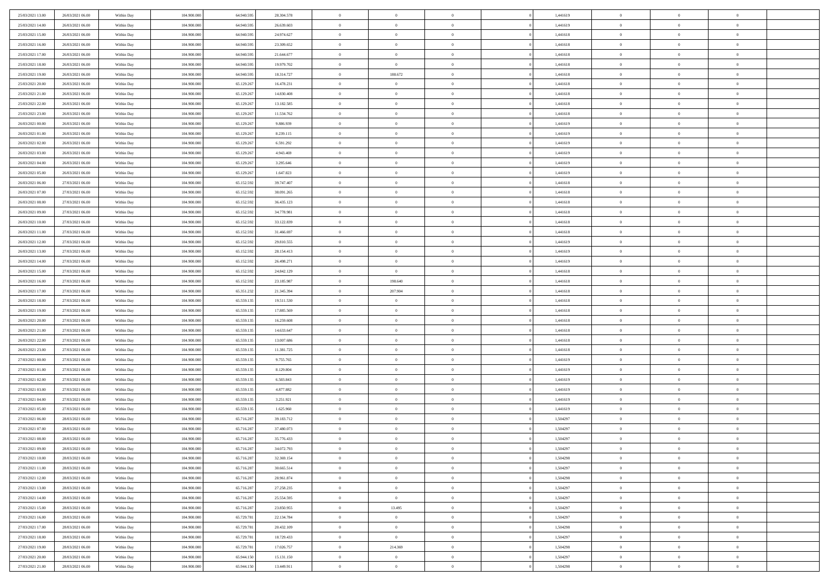| 25/03/2021 13:00 | 26/03/2021 06:00 | Within Day | 104,900,000 | 64.940.595 | 28.304.578 | $\overline{0}$ | $\overline{0}$ | $\Omega$       | 1,441619 | $\bf{0}$       | $\mathbf{0}$   | $\bf{0}$       |  |
|------------------|------------------|------------|-------------|------------|------------|----------------|----------------|----------------|----------|----------------|----------------|----------------|--|
| 25/03/2021 14:00 | 26/03/2021 06:00 | Within Day | 104.900.000 | 64.940.595 | 26.639.603 | $\mathbf{0}$   | $\overline{0}$ | $\overline{0}$ | 1,441619 | $\overline{0}$ | $\overline{0}$ | $\overline{0}$ |  |
| 25/03/2021 15:00 | 26/03/2021 06:00 | Within Day | 104.900.000 | 64.940.595 | 24.974.627 | $\,$ 0         | $\overline{0}$ | $\bf{0}$       | 1,441618 | $\,$ 0         | $\overline{0}$ | $\,$ 0 $\,$    |  |
| 25/03/2021 16:00 | 26/03/2021 06:00 | Within Day | 104,900,000 | 64,940,595 | 23.309.652 | $\bf{0}$       | $\overline{0}$ | $\Omega$       | 1,441618 | $\bf{0}$       | $\mathbf{0}$   | $\theta$       |  |
| 25/03/2021 17:00 | 26/03/2021 06:00 | Within Day | 104.900.000 | 64.940.595 | 21.644.677 | $\bf{0}$       | $\overline{0}$ | $\overline{0}$ | 1,441618 | $\overline{0}$ | $\overline{0}$ | $\overline{0}$ |  |
| 25/03/2021 18:00 | 26/03/2021 06:00 | Within Day | 104.900.000 | 64.940.595 | 19.979.702 | $\bf{0}$       | $\overline{0}$ | $\bf{0}$       | 1,441618 | $\,$ 0         | $\overline{0}$ | $\,$ 0 $\,$    |  |
| 25/03/2021 19:00 | 26/03/2021 06:00 | Within Day | 104,900,000 | 64,940,595 | 18.314.727 | $\bf{0}$       | 188.672        | $\Omega$       | 1,441618 | $\bf{0}$       | $\overline{0}$ | $\theta$       |  |
| 25/03/2021 20:00 | 26/03/2021 06:00 | Within Day | 104.900.000 | 65.129.267 | 16.478.231 | $\overline{0}$ | $\overline{0}$ | $\overline{0}$ | 1,441618 | $\mathbf{0}$   | $\overline{0}$ | $\overline{0}$ |  |
| 25/03/2021 21:00 | 26/03/2021 06:00 | Within Day | 104.900.000 | 65.129.267 | 14.830.408 | $\bf{0}$       | $\overline{0}$ | $\bf{0}$       | 1,441618 | $\,$ 0         | $\overline{0}$ | $\,$ 0 $\,$    |  |
| 25/03/2021 22.00 | 26/03/2021 06:00 | Within Day | 104,900,000 | 65.129.267 | 13.182.585 | $\bf{0}$       | $\overline{0}$ | $\Omega$       | 1,441618 | $\theta$       | $\mathbf{0}$   | $\theta$       |  |
| 25/03/2021 23:00 | 26/03/2021 06:00 | Within Day | 104.900.000 | 65.129.267 | 11.534.762 | $\overline{0}$ | $\overline{0}$ | $\overline{0}$ | 1,441618 | $\mathbf{0}$   | $\overline{0}$ | $\overline{0}$ |  |
| 26/03/2021 00:00 | 26/03/2021 06:00 | Within Day | 104.900.000 | 65.129.267 | 9.886.939  | $\bf{0}$       | $\overline{0}$ | $\bf{0}$       | 1,441619 | $\,$ 0         | $\overline{0}$ | $\,$ 0 $\,$    |  |
| 26/03/2021 01:00 | 26/03/2021 06:00 | Within Day | 104,900,000 | 65.129.267 | 8.239.115  | $\bf{0}$       | $\overline{0}$ | $\Omega$       | 1,441619 | $\overline{0}$ | $\mathbf{0}$   | $\theta$       |  |
| 26/03/2021 02:00 | 26/03/2021 06:00 | Within Day | 104.900.000 | 65.129.267 | 6.591.292  | $\overline{0}$ | $\overline{0}$ | $\overline{0}$ | 1,441619 | $\mathbf{0}$   | $\overline{0}$ | $\overline{0}$ |  |
| 26/03/2021 03:00 | 26/03/2021 06:00 | Within Day | 104.900.000 | 65.129.267 | 4.943.469  | $\bf{0}$       | $\overline{0}$ | $\bf{0}$       | 1,441619 | $\,$ 0         | $\overline{0}$ | $\,$ 0 $\,$    |  |
| 26/03/2021 04:00 | 26/03/2021 06:00 | Within Day | 104,900,000 | 65.129.267 | 3.295.646  | $\bf{0}$       | $\overline{0}$ | $\overline{0}$ | 1,441619 | $\bf{0}$       | $\mathbf{0}$   | $\bf{0}$       |  |
| 26/03/2021 05:00 | 26/03/2021 06:00 | Within Day | 104.900.000 | 65.129.267 | 1.647.823  | $\overline{0}$ | $\overline{0}$ | $\overline{0}$ | 1,441619 | $\mathbf{0}$   | $\overline{0}$ | $\overline{0}$ |  |
| 26/03/2021 06:00 | 27/03/2021 06:00 | Within Day | 104.900.000 | 65.152.592 | 39.747.407 | $\bf{0}$       | $\overline{0}$ | $\bf{0}$       | 1,441618 | $\,$ 0         | $\overline{0}$ | $\,0\,$        |  |
| 26/03/2021 07:00 | 27/03/2021 06:00 | Within Day | 104,900,000 | 65.152.592 | 38.091.265 | $\bf{0}$       | $\overline{0}$ | $\Omega$       | 1,441618 | $\theta$       | $\mathbf{0}$   | $\theta$       |  |
| 26/03/2021 08:00 | 27/03/2021 06:00 | Within Day | 104.900.000 | 65.152.592 | 36.435.123 | $\overline{0}$ | $\overline{0}$ | $\overline{0}$ | 1,441618 | $\mathbf{0}$   | $\overline{0}$ | $\overline{0}$ |  |
| 26/03/2021 09:00 | 27/03/2021 06:00 | Within Day | 104.900.000 | 65.152.592 | 34.778.981 | $\bf{0}$       | $\overline{0}$ | $\bf{0}$       | 1,441618 | $\,$ 0         | $\overline{0}$ | $\,$ 0 $\,$    |  |
| 26/03/2021 10:00 | 27/03/2021 06:00 | Within Day | 104,900,000 | 65.152.592 | 33.122.839 | $\bf{0}$       | $\overline{0}$ | $\Omega$       | 1,441618 | $\bf{0}$       | $\mathbf{0}$   | $\theta$       |  |
| 26/03/2021 11:00 | 27/03/2021 06:00 | Within Day | 104.900.000 | 65.152.592 | 31.466.697 | $\overline{0}$ | $\overline{0}$ | $\overline{0}$ | 1,441618 | $\mathbf{0}$   | $\overline{0}$ | $\overline{0}$ |  |
| 26/03/2021 12:00 | 27/03/2021 06:00 | Within Day | 104.900.000 | 65.152.592 | 29.810.555 | $\bf{0}$       | $\overline{0}$ | $\bf{0}$       | 1,441619 | $\,$ 0         | $\overline{0}$ | $\,$ 0 $\,$    |  |
| 26/03/2021 13:00 | 27/03/2021 06:00 | Within Day | 104,900,000 | 65.152.592 | 28.154.413 | $\bf{0}$       | $\overline{0}$ | $\overline{0}$ | 1,441619 | $\bf{0}$       | $\overline{0}$ | $\bf{0}$       |  |
| 26/03/2021 14:00 | 27/03/2021 06:00 | Within Day | 104.900.000 | 65.152.592 | 26.498.271 | $\overline{0}$ | $\overline{0}$ | $\overline{0}$ | 1,441619 | $\mathbf{0}$   | $\overline{0}$ | $\overline{0}$ |  |
| 26/03/2021 15:00 | 27/03/2021 06:00 | Within Day | 104.900.000 | 65.152.592 | 24.842.129 | $\bf{0}$       | $\overline{0}$ | $\bf{0}$       | 1,441618 | $\,$ 0         | $\overline{0}$ | $\,$ 0 $\,$    |  |
| 26/03/2021 16:00 | 27/03/2021 06:00 | Within Day | 104,900,000 | 65.152.592 | 23.185.987 | $\bf{0}$       | 198,640        | $\Omega$       | 1,441618 | $\theta$       | $\mathbf{0}$   | $\theta$       |  |
| 26/03/2021 17:00 | 27/03/2021 06:00 | Within Day | 104.900.000 | 65.351.232 | 21.345.394 | $\overline{0}$ | 207.904        | $\overline{0}$ | 1,441618 | $\mathbf{0}$   | $\overline{0}$ | $\overline{0}$ |  |
| 26/03/2021 18:00 | 27/03/2021 06:00 | Within Day | 104.900.000 | 65.559.135 | 19.511.530 | $\bf{0}$       | $\overline{0}$ | $\bf{0}$       | 1,441618 | $\,$ 0         | $\overline{0}$ | $\,$ 0 $\,$    |  |
| 26/03/2021 19:00 | 27/03/2021 06:00 | Within Day | 104.900.000 | 65.559.135 | 17.885.569 | $\,$ 0         | $\bf{0}$       | $\overline{0}$ | 1,441618 | $\bf{0}$       | $\overline{0}$ | $\,0\,$        |  |
| 26/03/2021 20:00 | 27/03/2021 06:00 | Within Day | 104.900.000 | 65.559.135 | 16.259.608 | $\overline{0}$ | $\overline{0}$ | $\overline{0}$ | 1,441618 | $\mathbf{0}$   | $\overline{0}$ | $\overline{0}$ |  |
| 26/03/2021 21:00 | 27/03/2021 06:00 | Within Day | 104.900.000 | 65.559.135 | 14.633.647 | $\bf{0}$       | $\overline{0}$ | $\bf{0}$       | 1,441618 | $\,$ 0         | $\overline{0}$ | $\,$ 0 $\,$    |  |
| 26/03/2021 22.00 | 27/03/2021 06:00 | Within Day | 104.900.000 | 65.559.135 | 13.007.686 | $\bf{0}$       | $\bf{0}$       | $\bf{0}$       | 1,441618 | $\bf{0}$       | $\overline{0}$ | $\,0\,$        |  |
| 26/03/2021 23:00 | 27/03/2021 06:00 | Within Day | 104.900.000 | 65.559.135 | 11.381.725 | $\overline{0}$ | $\overline{0}$ | $\overline{0}$ | 1,441618 | $\overline{0}$ | $\overline{0}$ | $\overline{0}$ |  |
| 27/03/2021 00:00 | 27/03/2021 06:00 | Within Day | 104.900.000 | 65.559.135 | 9.755.765  | $\bf{0}$       | $\overline{0}$ | $\bf{0}$       | 1,441619 | $\,$ 0         | $\overline{0}$ | $\,$ 0 $\,$    |  |
| 27/03/2021 01:00 | 27/03/2021 06:00 | Within Day | 104.900.000 | 65.559.135 | 8.129.804  | $\bf{0}$       | $\bf{0}$       | $\overline{0}$ | 1,441619 | $\bf{0}$       | $\overline{0}$ | $\,0\,$        |  |
| 27/03/2021 02:00 | 27/03/2021 06:00 | Within Day | 104.900.000 | 65.559.135 | 6.503.843  | $\overline{0}$ | $\overline{0}$ | $\overline{0}$ | 1,441619 | $\mathbf{0}$   | $\overline{0}$ | $\overline{0}$ |  |
| 27/03/2021 03:00 | 27/03/2021 06:00 | Within Day | 104.900.000 | 65.559.135 | 4.877.882  | $\bf{0}$       | $\overline{0}$ | $\bf{0}$       | 1,441619 | $\,$ 0         | $\overline{0}$ | $\,$ 0 $\,$    |  |
| 27/03/2021 04:00 | 27/03/2021 06:00 | Within Day | 104.900.000 | 65.559.135 | 3.251.921  | $\bf{0}$       | $\bf{0}$       | $\overline{0}$ | 1,441619 | $\bf{0}$       | $\overline{0}$ | $\,0\,$        |  |
| 27/03/2021 05:00 | 27/03/2021 06:00 | Within Day | 104.900.000 | 65.559.135 | 1.625.960  | $\overline{0}$ | $\overline{0}$ | $\overline{0}$ | 1,441619 | $\overline{0}$ | $\overline{0}$ | $\overline{0}$ |  |
| 27/03/2021 06:00 | 28/03/2021 06:00 | Within Day | 104.900.000 | 65.716.287 | 39.183.712 | $\bf{0}$       | $\overline{0}$ | $\bf{0}$       | 1,504297 | $\,$ 0         | $\overline{0}$ | $\,$ 0 $\,$    |  |
| 27/03/2021 07:00 | 28/03/2021 06:00 | Within Day | 104.900.000 | 65.716.287 | 37.480.073 | $\bf{0}$       | $\bf{0}$       | $\bf{0}$       | 1,504297 | $\bf{0}$       | $\overline{0}$ | $\,0\,$        |  |
| 27/03/2021 08:00 | 28/03/2021 06:00 | Within Day | 104.900.000 | 65.716.287 | 35.776.433 | $\mathbf{0}$   | $\overline{0}$ | $\overline{0}$ | 1,504297 | $\overline{0}$ | $\overline{0}$ | $\overline{0}$ |  |
| 27/03/2021 09:00 | 28/03/2021 06:00 | Within Day | 104.900.000 | 65.716.287 | 34.072.793 | $\bf{0}$       | $\overline{0}$ | $\theta$       | 1,504297 | $\overline{0}$ | $\overline{0}$ | $\theta$       |  |
| 27/03/2021 10:00 | 28/03/2021 06:00 | Within Day | 104.900.000 | 65.716.287 | 32.369.154 | $\bf{0}$       | $\bf{0}$       | $\bf{0}$       | 1,504298 | $\bf{0}$       | $\overline{0}$ | $\,0\,$        |  |
| 27/03/2021 11:00 | 28/03/2021 06:00 | Within Day | 104.900.000 | 65.716.287 | 30.665.514 | $\overline{0}$ | $\overline{0}$ | $\overline{0}$ | 1,504297 | $\overline{0}$ | $\bf{0}$       | $\overline{0}$ |  |
| 27/03/2021 12:00 | 28/03/2021 06:00 | Within Day | 104.900.000 | 65.716.287 | 28.961.874 | $\,$ 0 $\,$    | $\overline{0}$ | $\overline{0}$ | 1,504298 | $\mathbf{0}$   | $\,$ 0 $\,$    | $\,$ 0 $\,$    |  |
| 27/03/2021 13:00 | 28/03/2021 06:00 | Within Day | 104.900.000 | 65.716.287 | 27.258.235 | $\bf{0}$       | $\bf{0}$       | $\overline{0}$ | 1,504297 | $\bf{0}$       | $\overline{0}$ | $\bf{0}$       |  |
| 27/03/2021 14:00 | 28/03/2021 06:00 | Within Day | 104.900.000 | 65.716.287 | 25.554.595 | $\bf{0}$       | $\overline{0}$ | $\overline{0}$ | 1,504297 | $\mathbf{0}$   | $\overline{0}$ | $\overline{0}$ |  |
| 27/03/2021 15:00 | 28/03/2021 06:00 | Within Day | 104.900.000 | 65.716.287 | 23.850.955 | $\,$ 0 $\,$    | 13.495         | $\overline{0}$ | 1,504297 | $\,$ 0 $\,$    | $\overline{0}$ | $\,$ 0 $\,$    |  |
| 27/03/2021 16:00 | 28/03/2021 06:00 | Within Day | 104.900.000 | 65.729.781 | 22.134.784 | $\bf{0}$       | $\overline{0}$ | $\overline{0}$ | 1,504297 | $\bf{0}$       | $\overline{0}$ | $\overline{0}$ |  |
| 27/03/2021 17:00 | 28/03/2021 06:00 | Within Day | 104.900.000 | 65.729.781 | 20.432.109 | $\overline{0}$ | $\overline{0}$ | $\overline{0}$ | 1,504298 | $\overline{0}$ | $\bf{0}$       | $\overline{0}$ |  |
| 27/03/2021 18:00 | 28/03/2021 06:00 | Within Day | 104.900.000 | 65.729.781 | 18.729.433 | $\,$ 0 $\,$    | $\overline{0}$ | $\overline{0}$ | 1,504297 | $\,$ 0 $\,$    | $\,$ 0 $\,$    | $\,$ 0 $\,$    |  |
| 27/03/2021 19:00 | 28/03/2021 06:00 | Within Day | 104.900.000 | 65.729.781 | 17.026.757 | $\bf{0}$       | 214.369        | $\overline{0}$ | 1,504298 | $\mathbf{0}$   | $\overline{0}$ | $\bf{0}$       |  |
| 27/03/2021 20:00 | 28/03/2021 06:00 | Within Day | 104.900.000 | 65.944.150 | 15.131.150 | $\bf{0}$       | $\overline{0}$ | $\overline{0}$ | 1,504297 | $\mathbf{0}$   | $\bf{0}$       | $\overline{0}$ |  |
| 27/03/2021 21:00 | 28/03/2021 06:00 | Within Day | 104.900.000 | 65.944.150 | 13.449.911 | $\,0\,$        | $\overline{0}$ | $\overline{0}$ | 1,504298 | $\,$ 0         | $\overline{0}$ | $\,$ 0 $\,$    |  |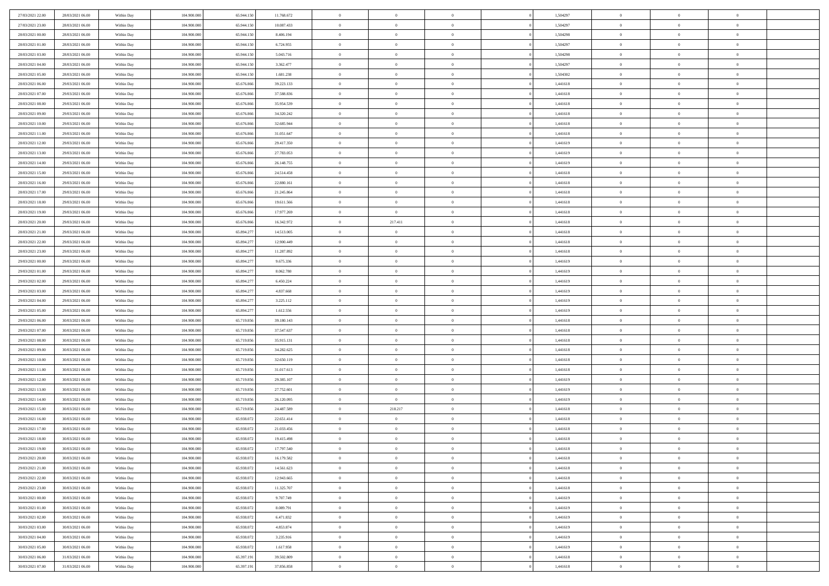| 27/03/2021 22.00                     | 28/03/2021 06:00 | Within Day               | 104.900.000 | 65.944.150 | 11.768.672               | $\bf{0}$       | $\bf{0}$       | $\theta$                         |          | 1,504297             | $\bf{0}$       | $\overline{0}$ | $\,0\,$        |  |
|--------------------------------------|------------------|--------------------------|-------------|------------|--------------------------|----------------|----------------|----------------------------------|----------|----------------------|----------------|----------------|----------------|--|
| 27/03/2021 23:00                     | 28/03/2021 06:00 | Within Day               | 104,900,000 | 65.944.15  | 10.087.433               | $\overline{0}$ | $\overline{0}$ | $\overline{0}$                   |          | 1,504297             | $\overline{0}$ | $\overline{0}$ | $\theta$       |  |
| 28/03/2021 00:00                     | 28/03/2021 06:00 | Within Dav               | 104.900.000 | 65.944.150 | 8.406.194                | $\mathbf{0}$   | $\overline{0}$ | $\overline{0}$                   |          | 1,504298             | $\mathbf{0}$   | $\overline{0}$ | $\overline{0}$ |  |
| 28/03/2021 01:00                     | 28/03/2021 06:00 | Within Day               | 104.900.000 | 65.944.150 | 6.724.955                | $\bf{0}$       | $\overline{0}$ | $\bf{0}$                         |          | 1,504297             | $\bf{0}$       | $\overline{0}$ | $\bf{0}$       |  |
| 28/03/2021 03:00                     | 28/03/2021 06:00 | Within Day               | 104,900,000 | 65.944.150 | 5.043.716                | $\bf{0}$       | $\bf{0}$       | $\overline{0}$                   |          | 1,504298             | $\bf{0}$       | $\bf{0}$       | $\,0\,$        |  |
| 28/03/2021 04:00                     | 28/03/2021 06:00 | Within Dav               | 104.900.000 | 65.944.150 | 3.362.477                | $\mathbf{0}$   | $\overline{0}$ | $\overline{0}$                   |          | 1,504297             | $\mathbf{0}$   | $\overline{0}$ | $\theta$       |  |
| 28/03/2021 05:00                     | 28/03/2021 06:00 | Within Day               | 104.900.000 | 65.944.150 | 1.681.238                | $\bf{0}$       | $\bf{0}$       | $\overline{0}$                   |          | 1,504302             | $\bf{0}$       | $\overline{0}$ | $\,0\,$        |  |
| 28/03/2021 06:00                     | 29/03/2021 06:00 | Within Day               | 104,900,000 | 65.676.866 | 39.223.133               | $\overline{0}$ | $\overline{0}$ | $\overline{0}$                   |          | 1,441618             | $\,$ 0 $\,$    | $\overline{0}$ | $\theta$       |  |
| 28/03/2021 07:00                     | 29/03/2021 06:00 | Within Dav               | 104.900.000 | 65.676.866 | 37.588.836               | $\mathbf{0}$   | $\overline{0}$ | $\overline{0}$                   |          | 1,441618             | $\mathbf{0}$   | $\overline{0}$ | $\overline{0}$ |  |
| 28/03/2021 08:00                     | 29/03/2021 06:00 | Within Day               | 104.900.000 | 65.676.866 | 35.954.539               | $\bf{0}$       | $\bf{0}$       | $\overline{0}$                   |          | 1,441618             | $\bf{0}$       | $\overline{0}$ | $\,0\,$        |  |
| 28/03/2021 09:00                     | 29/03/2021 06:00 |                          | 104,900,000 | 65.676.866 | 34.320.242               | $\bf{0}$       | $\overline{0}$ | $\overline{0}$                   |          | 1,441618             | $\bf{0}$       | $\overline{0}$ | $\theta$       |  |
| 28/03/2021 10:00                     | 29/03/2021 06:00 | Within Day<br>Within Dav | 104.900.000 | 65.676.866 | 32.685.944               | $\mathbf{0}$   | $\overline{0}$ | $\overline{0}$                   |          | 1,441618             | $\mathbf{0}$   | $\overline{0}$ | $\overline{0}$ |  |
| 28/03/2021 11:00                     | 29/03/2021 06:00 |                          | 104.900.000 | 65.676.866 | 31.051.647               | $\bf{0}$       | $\overline{0}$ | $\bf{0}$                         |          | 1,441618             | $\bf{0}$       | $\overline{0}$ | $\bf{0}$       |  |
|                                      | 29/03/2021 06:00 | Within Day               | 104.900.000 | 65.676.866 |                          | $\bf{0}$       | $\overline{0}$ | $\overline{0}$                   |          |                      | $\bf{0}$       | $\theta$       | $\,0\,$        |  |
| 28/03/2021 12:00<br>28/03/2021 13:00 | 29/03/2021 06:00 | Within Day<br>Within Dav | 104.900.000 | 65.676.866 | 29.417.350<br>27.783.053 | $\overline{0}$ | $\overline{0}$ |                                  |          | 1,441619<br>1,441619 | $\mathbf{0}$   | $\overline{0}$ | $\overline{0}$ |  |
|                                      |                  |                          |             |            |                          |                |                | $\overline{0}$<br>$\overline{0}$ |          |                      |                | $\overline{0}$ |                |  |
| 28/03/2021 14:00                     | 29/03/2021 06:00 | Within Day               | 104.900.000 | 65.676.866 | 26.148.755               | $\bf{0}$       | $\bf{0}$       |                                  |          | 1,441619             | $\bf{0}$       | $\overline{0}$ | $\bf{0}$       |  |
| 28/03/2021 15:00                     | 29/03/2021 06:00 | Within Day               | 104,900,000 | 65.676.866 | 24.514.458               | $\overline{0}$ | $\overline{0}$ | $\overline{0}$                   |          | 1,441618             | $\,$ 0 $\,$    |                | $\theta$       |  |
| 28/03/2021 16:00                     | 29/03/2021 06:00 | Within Day               | 104.900.000 | 65.676.866 | 22.880.161               | $\mathbf{0}$   | $\overline{0}$ | $\overline{0}$                   |          | 1,441618             | $\mathbf{0}$   | $\overline{0}$ | $\overline{0}$ |  |
| 28/03/2021 17:00                     | 29/03/2021 06:00 | Within Day               | 104.900.000 | 65.676.866 | 21.245.864               | $\bf{0}$       | $\bf{0}$       | $\overline{0}$                   |          | 1,441618             | $\bf{0}$       | $\overline{0}$ | $\,0\,$        |  |
| 28/03/2021 18:00                     | 29/03/2021 06:00 | Within Day               | 104,900,000 | 65.676.866 | 19.611.566               | $\bf{0}$       | $\overline{0}$ | $\overline{0}$                   |          | 1,441618             | $\bf{0}$       | $\overline{0}$ | $\bf{0}$       |  |
| 28/03/2021 19:00                     | 29/03/2021 06:00 | Within Dav               | 104.900.000 | 65.676.866 | 17.977.269               | $\mathbf{0}$   | $\overline{0}$ | $\overline{0}$                   |          | 1,441618             | $\mathbf{0}$   | $\overline{0}$ | $\overline{0}$ |  |
| 28/03/2021 20:00                     | 29/03/2021 06:00 | Within Day               | 104.900.000 | 65.676.866 | 16.342.972               | $\bf{0}$       | 217.411        | $\bf{0}$                         |          | 1,441618             | $\bf{0}$       | $\overline{0}$ | $\bf{0}$       |  |
| 28/03/2021 21:00                     | 29/03/2021 06:00 | Within Day               | 104,900,000 | 65.894.277 | 14.513.005               | $\bf{0}$       | $\bf{0}$       | $\overline{0}$                   |          | 1,441618             | $\bf{0}$       | $\bf{0}$       | $\,0\,$        |  |
| 28/03/2021 22:00                     | 29/03/2021 06:00 | Within Dav               | 104.900.000 | 65.894.277 | 12.900.449               | $\mathbf{0}$   | $\overline{0}$ | $\overline{0}$                   |          | 1,441618             | $\mathbf{0}$   | $\overline{0}$ | $\theta$       |  |
| 28/03/2021 23:00                     | 29/03/2021 06:00 | Within Day               | 104.900.000 | 65.894.277 | 11.287.892               | $\bf{0}$       | $\bf{0}$       | $\overline{0}$                   |          | 1,441618             | $\bf{0}$       | $\overline{0}$ | $\,0\,$        |  |
| 29/03/2021 00:00                     | 29/03/2021 06:00 | Within Day               | 104,900,000 | 65.894.277 | 9.675.336                | $\overline{0}$ | $\overline{0}$ | $\overline{0}$                   |          | 1,441619             | $\bf{0}$       | $\overline{0}$ | $\overline{0}$ |  |
| 29/03/2021 01:00                     | 29/03/2021 06:00 | Within Dav               | 104.900.000 | 65.894.277 | 8.062.780                | $\mathbf{0}$   | $\overline{0}$ | $\overline{0}$                   |          | 1,441619             | $\mathbf{0}$   | $\overline{0}$ | $\overline{0}$ |  |
| 29/03/2021 02:00                     | 29/03/2021 06:00 | Within Day               | 104.900.000 | 65.894.277 | 6.450.224                | $\bf{0}$       | $\bf{0}$       | $\overline{0}$                   |          | 1,441619             | $\bf{0}$       | $\overline{0}$ | $\,0\,$        |  |
| 29/03/2021 03:00                     | 29/03/2021 06:00 | Within Day               | 104,900,000 | 65.894.277 | 4.837.668                | $\bf{0}$       | $\bf{0}$       | $\overline{0}$                   |          | 1,441619             | $\bf{0}$       | $\bf{0}$       | $\bf{0}$       |  |
| 29/03/2021 04:00                     | 29/03/2021 06:00 | Within Dav               | 104.900.000 | 65.894.277 | 3.225.112                | $\mathbf{0}$   | $\overline{0}$ | $\overline{0}$                   |          | 1,441619             | $\mathbf{0}$   | $\overline{0}$ | $\overline{0}$ |  |
| 29/03/2021 05:00                     | 29/03/2021 06:00 | Within Day               | 104.900.000 | 65.894.277 | 1.612.556                | $\bf{0}$       | $\overline{0}$ | $\theta$                         |          | 1,441619             | $\,$ 0         | $\overline{0}$ | $\theta$       |  |
| 29/03/2021 06:00                     | 30/03/2021 06:00 | Within Day               | 104.900.000 | 65.719.856 | 39.180.143               | $\bf{0}$       | $\bf{0}$       | $\overline{0}$                   |          | 1,441618             | $\bf{0}$       | $\bf{0}$       | $\bf{0}$       |  |
| 29/03/2021 07:00                     | 30/03/2021 06:00 | Within Dav               | 104.900.000 | 65.719.856 | 37.547.637               | $\overline{0}$ | $\overline{0}$ | $\overline{0}$                   |          | 1,441618             | $\mathbf{0}$   | $\overline{0}$ | $\overline{0}$ |  |
| 29/03/2021 08:00                     | 30/03/2021 06:00 | Within Day               | 104.900.000 | 65.719.856 | 35.915.131               | $\bf{0}$       | $\overline{0}$ | $\theta$                         |          | 1,441618             | $\,$ 0         | $\overline{0}$ | $\theta$       |  |
| 29/03/2021 09:00                     | 30/03/2021 06:00 | Within Day               | 104,900,000 | 65.719.856 | 34.282.625               | $\bf{0}$       | $\overline{0}$ | $\overline{0}$                   |          | 1,441618             | $\bf{0}$       | $\overline{0}$ | $\overline{0}$ |  |
| 29/03/2021 10:00                     | 30/03/2021 06:00 | Within Day               | 104.900.000 | 65.719.856 | 32.650.119               | $\mathbf{0}$   | $\overline{0}$ | $\overline{0}$                   |          | 1,441618             | $\mathbf{0}$   | $\overline{0}$ | $\overline{0}$ |  |
| 29/03/2021 11:00                     | 30/03/2021 06:00 | Within Day               | 104.900.000 | 65.719.856 | 31.017.613               | $\bf{0}$       | $\overline{0}$ | $\theta$                         |          | 1,441618             | $\,$ 0         | $\overline{0}$ | $\theta$       |  |
| 29/03/2021 12:00                     | 30/03/2021 06:00 | Within Day               | 104,900,000 | 65.719.856 | 29.385.107               | $\bf{0}$       | $\overline{0}$ | $\overline{0}$                   |          | 1,441619             | $\bf{0}$       | $\bf{0}$       | $\overline{0}$ |  |
| 29/03/2021 13:00                     | 30/03/2021 06:00 | Within Dav               | 104.900.000 | 65.719.856 | 27.752.601               | $\mathbf{0}$   | $\overline{0}$ | $\overline{0}$                   |          | 1,441619             | $\mathbf{0}$   | $\overline{0}$ | $\overline{0}$ |  |
| 29/03/2021 14:00                     | 30/03/2021 06:00 | Within Day               | 104.900.000 | 65.719.856 | 26.120.095               | $\,0\,$        | $\overline{0}$ | $\theta$                         |          | 1,441619             | $\,$ 0         | $\overline{0}$ | $\theta$       |  |
| 29/03/2021 15:00                     | 30/03/2021 06:00 | Within Day               | 104,900,000 | 65.719.856 | 24.487.589               | $\bf{0}$       | 218.217        | $\overline{0}$                   |          | 1,441618             | $\bf{0}$       | $\overline{0}$ | $\overline{0}$ |  |
| 29/03/2021 16:00                     | 30/03/2021 06:00 | Within Dav               | 104.900.000 | 65.938.072 | 22.651.414               | $\mathbf{0}$   | $\overline{0}$ | $\overline{0}$                   |          | 1,441618             | $\mathbf{0}$   | $\overline{0}$ | $\overline{0}$ |  |
| 29/03/2021 17:00                     | 30/03/2021 06:00 | Within Day               | 104.900.000 | 65.938.072 | 21.033.456               | $\bf{0}$       | $\overline{0}$ | $\overline{0}$                   |          | 1,441618             | $\,$ 0         | $\overline{0}$ | $\theta$       |  |
| 29/03/2021 18:00                     | 30/03/2021 06:00 | Within Day               | 104,900,000 | 65.938.07  | 19.415.498               | $\bf{0}$       | $\overline{0}$ | $\overline{0}$                   |          | 1,441618             | $\,$ 0 $\,$    | $\overline{0}$ | $\overline{0}$ |  |
| 29/03/2021 19:00                     | 30/03/2021 06:00 | Within Day               | 104.900.000 | 65.938.072 | 17.797.540               | $\bf{0}$       | $\overline{0}$ |                                  |          | 1,441618             | $\overline{0}$ | $\theta$       | $\theta$       |  |
| 29/03/2021 20:00                     | 30/03/2021 06:00 | Within Day               | 104.900.000 | 65.938.072 | 16.179.582               | $\,0\,$        | $\overline{0}$ | $\overline{0}$                   |          | 1,441618             | $\,$ 0 $\,$    | $\overline{0}$ | $\theta$       |  |
| 29/03/2021 21:00                     | 30/03/2021 06:00 | Within Day               | 104.900.000 | 65.938.072 | 14.561.623               | $\overline{0}$ | $\overline{0}$ | $\overline{0}$                   |          | 1,441618             | $\overline{0}$ | $\overline{0}$ | $\overline{0}$ |  |
| 29/03/2021 22:00                     | 30/03/2021 06:00 | Within Day               | 104.900.000 | 65.938.072 | 12.943.665               | $\bf{0}$       | $\overline{0}$ | $\overline{0}$                   |          | 1,441618             | $\overline{0}$ | $\bf{0}$       | $\mathbf{0}$   |  |
| 29/03/2021 23:00                     | 30/03/2021 06:00 | Within Day               | 104.900.000 | 65.938.072 | 11.325.707               | $\bf{0}$       | $\overline{0}$ | $\overline{0}$                   | $\theta$ | 1,441618             | $\,$ 0 $\,$    | $\bf{0}$       | $\,$ 0 $\,$    |  |
| 30/03/2021 00:00                     | 30/03/2021 06:00 | Within Day               | 104.900.000 | 65.938.072 | 9.707.749                | $\bf{0}$       | $\overline{0}$ | $\overline{0}$                   |          | 1,441619             | $\,$ 0 $\,$    | $\overline{0}$ | $\overline{0}$ |  |
| 30/03/2021 01:00                     | 30/03/2021 06:00 | Within Day               | 104.900.000 | 65.938.072 | 8.089.791                | $\bf{0}$       | $\overline{0}$ | $\overline{0}$                   |          | 1,441619             | $\mathbf{0}$   | $\overline{0}$ | $\overline{0}$ |  |
| 30/03/2021 02:00                     | 30/03/2021 06:00 | Within Day               | 104.900.000 | 65.938.072 | 6.471.832                | $\,0\,$        | $\overline{0}$ | $\overline{0}$                   | $\theta$ | 1,441619             | $\,$ 0 $\,$    | $\overline{0}$ | $\overline{0}$ |  |
| 30/03/2021 03:00                     | 30/03/2021 06:00 | Within Day               | 104.900.000 | 65.938.072 | 4.853.874                | $\bf{0}$       | $\overline{0}$ | $\overline{0}$                   |          | 1,441619             | $\overline{0}$ | $\overline{0}$ | $\overline{0}$ |  |
| 30/03/2021 04:00                     | 30/03/2021 06:00 | Within Day               | 104.900.000 | 65.938.072 | 3.235.916                | $\bf{0}$       | $\overline{0}$ | $\overline{0}$                   |          | 1,441619             | $\mathbf{0}$   | $\overline{0}$ | $\mathbf{0}$   |  |
| 30/03/2021 05:00                     | 30/03/2021 06:00 | Within Day               | 104.900.000 | 65.938.072 | 1.617.958                | $\,0\,$        | $\overline{0}$ | $\overline{0}$                   |          | 1,441619             | $\,$ 0 $\,$    | $\mathbf{0}$   | $\overline{0}$ |  |
| 30/03/2021 06:00                     | 31/03/2021 06:00 | Within Day               | 104,900,000 | 65.397.191 | 39.502.809               | $\bf{0}$       | $\bf{0}$       | $\overline{0}$                   |          | 1,441618             | $\mathbf{0}$   | $\mathbf{0}$   | $\overline{0}$ |  |
| 30/03/2021 07:00                     | 31/03/2021 06:00 | Within Day               | 104.900.000 | 65.397.191 | 37.856.858               | $\mathbf{0}$   | $\overline{0}$ | $\overline{0}$                   |          | 1,441618             | $\mathbf{0}$   | $\overline{0}$ | $\overline{0}$ |  |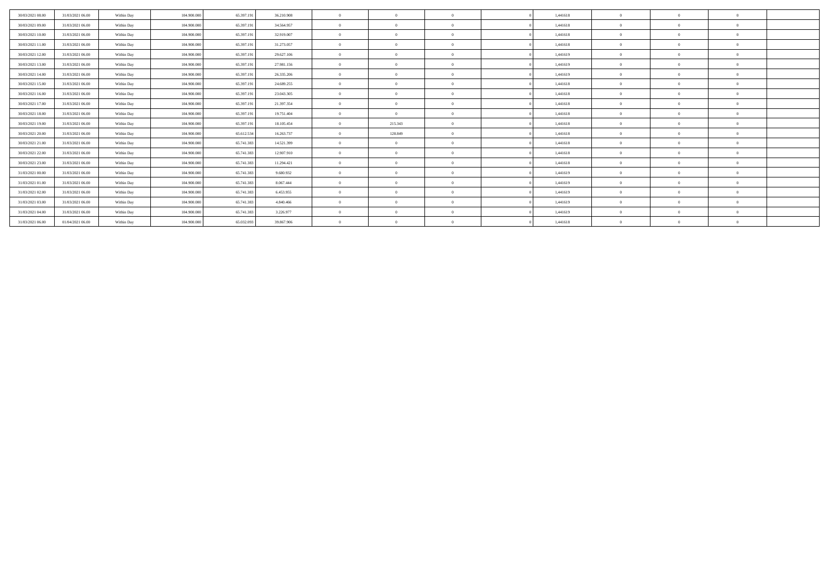| 30/03/2021 08:00 | 31/03/2021 06:00 | Within Day | 104.900.000 | 65.397.191 | 36.210.908 | $\theta$       | $\overline{0}$ | $\Omega$       | 1,441618 | $\Omega$     | $\Omega$ | $\Omega$ |  |
|------------------|------------------|------------|-------------|------------|------------|----------------|----------------|----------------|----------|--------------|----------|----------|--|
| 30/03/2021 09:00 | 31/03/2021 06:00 | Within Day | 104,900,000 | 65.397.19  | 34.564.957 | $\theta$       | $\overline{0}$ | $\overline{0}$ | 1,441618 | $\bf{0}$     |          | $\Omega$ |  |
| 30/03/2021 10:00 | 31/03/2021 06:00 | Within Day | 104.900.000 | 65.397.191 | 32.919.007 | $\mathbf{a}$   | $^{\circ}$     |                | 1,441618 | $\Omega$     |          |          |  |
| 30/03/2021 11:00 | 31/03/2021 06:00 | Within Day | 104.900.000 | 65.397.191 | 31.273.057 | $\theta$       | $\Omega$       | $\Omega$       | 1,441618 | $\Omega$     |          | $\Omega$ |  |
| 30/03/2021 12:00 | 31/03/2021 06:00 | Within Day | 104,900,000 | 65.397.191 | 29.627.106 | $\theta$       | $\Omega$       | $\Omega$       | 1,441619 | $\Omega$     |          | $\Omega$ |  |
| 30/03/2021 13:00 | 31/03/2021 06:00 | Within Day | 104.900.000 | 65.397.191 | 27.981.156 | $\theta$       | $\Omega$       | $\Omega$       | 1,441619 | $\bf{0}$     |          | $\Omega$ |  |
| 30/03/2021 14:00 | 31/03/2021 06:00 | Within Day | 104.900.000 | 65.397.191 | 26.335.206 | $\overline{0}$ | $\Omega$       | $\Omega$       | 1,441619 | $\Omega$     | $\Omega$ | $\Omega$ |  |
| 30/03/2021 15:00 | 31/03/2021 06:00 | Within Day | 104.900.000 | 65.397.191 | 24.689.255 | $\theta$       | $\Omega$       | $\overline{0}$ | 1,441618 | $\bf{0}$     |          | $\Omega$ |  |
| 30/03/2021 16:00 | 31/03/2021 06:00 | Within Day | 104.900.000 | 65.397.191 | 23.043.305 | $^{\circ}$     | $^{\circ}$     | $\Omega$       | 1,441618 | $\Omega$     |          |          |  |
| 30/03/2021 17:00 | 31/03/2021 06:00 | Within Day | 104.900.000 | 65.397.191 | 21.397.354 | $\theta$       | $\Omega$       | $\Omega$       | 1,441618 | $\Omega$     |          | $\Omega$ |  |
| 30/03/2021 18:00 | 31/03/2021 06:00 | Within Day | 104,900,000 | 65.397.191 | 19.751.404 | $\theta$       | $\Omega$       | $\Omega$       | 1,441618 | $\Omega$     |          | $\Omega$ |  |
| 30/03/2021 19:00 | 31/03/2021 06:00 | Within Day | 104.900.000 | 65.397.191 | 18.105.454 | $^{\circ}$     | 215.343        | $\Omega$       | 1,441618 | $\mathbf{0}$ |          | $\Omega$ |  |
| 30/03/2021 20:00 | 31/03/2021 06:00 | Within Day | 104.900.000 | 65.612.534 | 16.263.737 | $\overline{0}$ | 128.849        | $\overline{0}$ | 1,441618 | $\Omega$     | $\Omega$ | $\Omega$ |  |
| 30/03/2021 21:00 | 31/03/2021 06:00 | Within Day | 104.900.000 | 65.741.383 | 14.521.399 | $^{\circ}$     | $\overline{0}$ | $\overline{0}$ | 1,441618 | $\theta$     |          | $\Omega$ |  |
| 30/03/2021 22:00 | 31/03/2021 06:00 | Within Day | 104.900.000 | 65.741.383 | 12.907.910 | $^{\circ}$     | $^{\circ}$     | $\Omega$       | 1,441618 | $\Omega$     |          |          |  |
| 30/03/2021 23:00 | 31/03/2021 06:00 | Within Day | 104.900.000 | 65.741.383 | 11.294.421 | $\mathbf{a}$   | $\Omega$       | $\Omega$       | 1,441618 | $\Omega$     |          | $\Omega$ |  |
| 31/03/2021 00:00 | 31/03/2021 06:00 | Within Day | 104,900,000 | 65.741.383 | 9.680.932  | $\theta$       | $\Omega$       | $\Omega$       | 1,441619 | $\Omega$     |          | $\Omega$ |  |
| 31/03/2021 01:00 | 31/03/2021 06:00 | Within Day | 104.900.000 | 65.741.383 | 8.067.444  | $\mathbf{a}$   | $\Omega$       | $\Omega$       | 1,441619 | $\Omega$     |          | $\Omega$ |  |
| 31/03/2021 02:00 | 31/03/2021 06:00 | Within Day | 104.900.000 | 65.741.383 | 6.453.955  | $\Omega$       | $\overline{0}$ | $\Omega$       | 1,441619 | $\Omega$     | $\Omega$ | $\theta$ |  |
| 31/03/2021 03:00 | 31/03/2021 06:00 | Within Day | 104.900.000 | 65.741.383 | 4.840.466  | $^{\circ}$     | $^{\circ}$     | $\Omega$       | 1,441619 | $\mathbf{0}$ |          | $\Omega$ |  |
| 31/03/2021 04:00 | 31/03/2021 06:00 | Within Day | 104.900.000 | 65.741.383 | 3.226.977  | $^{\circ}$     |                |                | 1,441619 |              |          |          |  |
| 31/03/2021 06:00 | 01/04/2021 06:00 | Within Day | 104.900.000 | 65.032.093 | 39.867.906 |                | $^{\circ}$     |                | 1,441618 |              |          |          |  |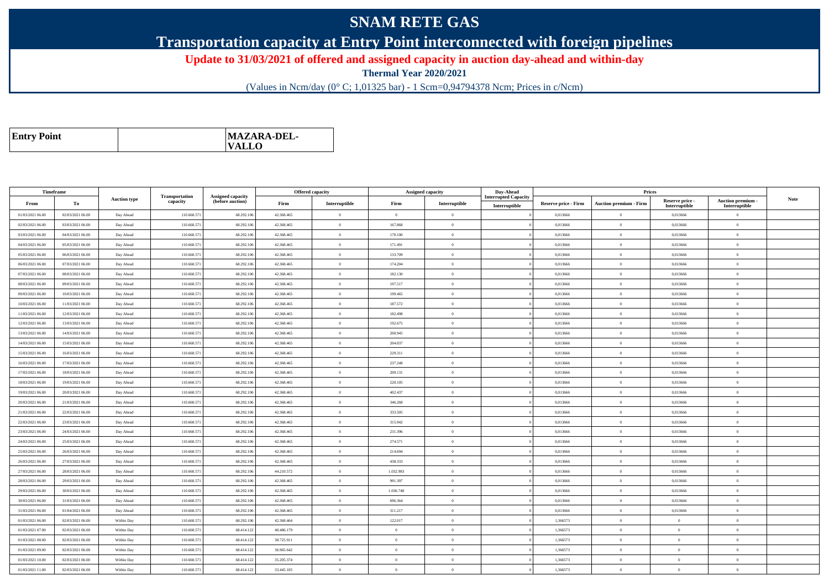## **SNAM RETE GAS**

**Transportation capacity at Entry Point interconnected with foreign pipelines**

**Update to 31/03/2021 of offered and assigned capacity in auction day-ahead and within-day**

**Thermal Year 2020/2021**

(Values in Ncm/day (0° C; 1,01325 bar) - 1 Scm=0,94794378 Ncm; Prices in c/Ncm)

| MAZARA-DEL-<br><b>Entry Point</b><br><b>VALLO</b> |
|---------------------------------------------------|
|---------------------------------------------------|

| Timeframe        |                  |                     |                            |                                              |            | <b>Offered capacity</b> |                | Assigned capacity | Day-Ahead                                    |                             | Prices                        |                                  |                                    |             |
|------------------|------------------|---------------------|----------------------------|----------------------------------------------|------------|-------------------------|----------------|-------------------|----------------------------------------------|-----------------------------|-------------------------------|----------------------------------|------------------------------------|-------------|
| From             | To               | <b>Auction type</b> | Transportation<br>capacity | <b>Assigned capacity</b><br>(before auction) | Firm       | Interruptible           | Firm           | Interruptible     | <b>Interrupted Capacity</b><br>Interruptible | <b>Reserve price - Firm</b> | <b>Auction premium - Firm</b> | Reserve price -<br>Interruptible | Auction premium -<br>Interruptible | <b>Note</b> |
| 01/03/2021 06:00 | 02/03/2021 06:00 | Day Ahead           | 110.660.571                | 68.292.106                                   | 42.368.465 | $\theta$                | $\Omega$       | $\theta$          |                                              | 0.013666                    | $\theta$                      | 0.013666                         | $\theta$                           |             |
| 02/03/2021 06:00 | 03/03/2021 06:00 | Day Ahead           | 110.660.57                 | 68.292.106                                   | 42.368.465 | $\theta$                | 167.868        | $\theta$          |                                              | 0,013666                    | $\bf{0}$                      | 0,013666                         | $\overline{0}$                     |             |
| 03/03/2021 06:00 | 04/03/2021 06:00 | Day Ahead           | 110.660.57                 | 68.292.106                                   | 42.368.465 | $\theta$                | 170.100        | $\theta$          |                                              | 0.013666                    | $\overline{0}$                | 0.013666                         | $\overline{0}$                     |             |
| 04/03/2021 06:00 | 05/03/2021 06:00 | Day Ahead           | 110.660.571                | 68.292.106                                   | 42.368.465 | $\theta$                | 171.491        | $\theta$          |                                              | 0,013666                    | $\overline{0}$                | 0,013666                         | $\overline{0}$                     |             |
| 05/03/2021 06:00 | 06/03/2021 06:00 | Day Ahead           | 110,660.571                | 68.292.106                                   | 42.368.465 | $\theta$                | 133,709        | $\theta$          |                                              | 0.013666                    | $\overline{0}$                | 0.013666                         | $\overline{0}$                     |             |
| 06/03/2021 06:00 | 07/03/2021 06:00 | Day Ahead           | 110.660.571                | 68.292.106                                   | 42.368.465 | $\theta$                | 174.204        | $\theta$          |                                              | 0,013666                    | $\bf{0}$                      | 0,013666                         | $\theta$                           |             |
| 07/03/2021 06:00 | 08/03/2021 06:00 | Day Ahead           | 110.660.571                | 68.292.106                                   | 42.368.465 | $\theta$                | 182.130        | $\theta$          |                                              | 0,013666                    | $\overline{0}$                | 0,013666                         | $\overline{0}$                     |             |
| 08/03/2021 06:00 | 09/03/2021 06:00 | Day Ahead           | 110.660.571                | 68.292.106                                   | 42.368.465 | $\theta$                | 197.517        | $\theta$          |                                              | 0,013666                    | $\overline{0}$                | 0,013666                         | $\overline{0}$                     |             |
| 09/03/2021 06:00 | 10/03/2021 06:00 | Day Ahead           | 110.660.571                | 68.292.106                                   | 42.368.465 | $\theta$                | 199.465        | $\Omega$          |                                              | 0,013666                    | $\bf{0}$                      | 0,013666                         | $\overline{0}$                     |             |
| 10/03/2021 06:00 | 11/03/2021 06:00 | Day Ahead           | 110.660.571                | 68.292.106                                   | 42.368.465 | $\theta$                | 187.572        | $\theta$          |                                              | 0.013666                    | $\overline{0}$                | 0.013666                         | $\overline{0}$                     |             |
| 11/03/2021 06:00 | 12/03/2021 06:00 | Day Ahead           | 110.660.57                 | 68.292.106                                   | 42.368.465 | $\theta$                | 182.498        | $\theta$          |                                              | 0,013666                    | $\overline{0}$                | 0,013666                         | $\Omega$                           |             |
| 12/03/2021 06:00 | 13/03/2021 06:00 | Day Ahead           | 110.660.571                | 68.292.106                                   | 42.368.465 | $\overline{0}$          | 192.675        | $\theta$          |                                              | 0,013666                    | $\overline{0}$                | 0,013666                         | $\overline{0}$                     |             |
| 13/03/2021 06:00 | 14/03/2021 06:00 | Day Ahead           | 110.660.571                | 68.292.106                                   | 42.368.465 | $\theta$                | 200.945        | $\Omega$          |                                              | 0,013666                    | $\bf{0}$                      | 0,013666                         | $\Omega$                           |             |
| 14/03/2021 06:00 | 15/03/2021 06:00 | Day Ahead           | 110.660.571                | 68.292.106                                   | 42.368.465 | $\overline{0}$          | 204.037        | $\overline{0}$    |                                              | 0.013666                    | $\overline{0}$                | 0,013666                         | $\overline{0}$                     |             |
| 15/03/2021 06:00 | 16/03/2021 06:00 | Day Ahead           | 110.660.571                | 68.292.106                                   | 42.368.465 | $\theta$                | 229.311        | $\theta$          |                                              | 0,013666                    | $\overline{0}$                | 0,013666                         | $\overline{0}$                     |             |
| 16/03/2021 06:00 | 17/03/2021 06:00 | Day Ahead           | 110.660.571                | 68.292.106                                   | 42.368.465 | $\theta$                | 237.248        | $\theta$          |                                              | 0,013666                    | $\overline{0}$                | 0,013666                         | $\overline{0}$                     |             |
| 17/03/2021 06:00 | 18/03/2021 06:00 | Day Ahead           | 110,660.571                | 68.292.106                                   | 42.368.465 | $\theta$                | 209.131        | $\theta$          |                                              | 0.013666                    | $\overline{0}$                | 0,013666                         | $\overline{0}$                     |             |
| 18/03/2021 06:00 | 19/03/2021 06:00 | Day Ahead           | 110.660.571                | 68.292.106                                   | 42.368.465 | $\theta$                | 220.105        | $\theta$          |                                              | 0,013666                    | $\bf{0}$                      | 0,013666                         | $\overline{0}$                     |             |
| 19/03/2021 06:00 | 20/03/2021 06:00 | Day Ahead           | 110,660.571                | 68.292.106                                   | 42.368.465 | $\theta$                | 402.437        | $\theta$          |                                              | 0.013666                    | $\theta$                      | 0.013666                         | $\overline{0}$                     |             |
| 20/03/2021 06:00 | 21/03/2021 06:00 | Day Ahead           | 110.660.571                | 68.292.106                                   | 42.368.465 | $\overline{0}$          | 346.268        | $\theta$          |                                              | 0,013666                    | $\bf{0}$                      | 0,013666                         | $\overline{0}$                     |             |
| 21/03/2021 06:00 | 22/03/2021 06:00 | Day Ahead           | 110.660.571                | 68.292.106                                   | 42.368.465 | $\theta$                | 333.505        | $\theta$          |                                              | 0.013666                    | $\overline{0}$                | 0.013666                         | $\overline{0}$                     |             |
| 22/03/2021 06:00 | 23/03/2021 06:00 | Day Ahead           | 110.660.571                | 68.292.106                                   | 42.368.465 | $\overline{0}$          | 315.942        | $\theta$          |                                              | 0,013666                    | $\bf{0}$                      | 0,013666                         | $\overline{0}$                     |             |
| 23/03/2021 06:00 | 24/03/2021 06:00 | Day Ahead           | 110.660.571                | 68.292.106                                   | 42.368.465 | $\theta$                | 231.396        | $\Omega$          |                                              | 0.013666                    | $\overline{0}$                | 0,013666                         | $\overline{0}$                     |             |
| 24/03/2021 06:00 | 25/03/2021 06:00 | Day Ahead           | 110.660.57                 | 68.292.106                                   | 42.368.465 | $\overline{0}$          | 274.571        | $\theta$          |                                              | 0,013666                    | $\bf{0}$                      | 0,013666                         | $\overline{0}$                     |             |
| 25/03/2021 06:00 | 26/03/2021 06:00 | Day Ahead           | 110.660.571                | 68.292.106                                   | 42.368.465 | $\theta$                | 214.694        | $\theta$          |                                              | 0.013666                    | $\overline{0}$                | 0,013666                         | $\Omega$                           |             |
| 26/03/2021 06:00 | 27/03/2021 06:00 | Day Ahead           | 110,660.571                | 68.292.106                                   | 42.368.465 | $\theta$                | 438,333        | $\theta$          |                                              | 0.013666                    | $\overline{0}$                | 0.013666                         | $\overline{0}$                     |             |
| 27/03/2021 06:00 | 28/03/2021 06:00 | Day Ahead           | 110.660.571                | 68.292.106                                   | 44.210.572 | $\theta$                | 1.032.983      | $\overline{0}$    |                                              | 0.013666                    | $\overline{0}$                | 0,013666                         | $\overline{0}$                     |             |
| 28/03/2021 06:00 | 29/03/2021 06:00 | Day Ahead           | 110,660.571                | 68.292.106                                   | 42.368.465 | $\theta$                | 991.397        | $\theta$          |                                              | 0.013666                    | $\overline{0}$                | 0.013666                         | $\overline{0}$                     |             |
| 29/03/2021 06:00 | 30/03/2021 06:00 | Day Ahead           | 110.660.571                | 68.292.106                                   | 42.368.465 | $\theta$                | 1.036.748      | $\theta$          |                                              | 0,013666                    | $\overline{0}$                | 0,013666                         | $\overline{0}$                     |             |
| 30/03/2021 06:00 | 31/03/2021 06:00 | Day Ahead           | 110,660.571                | 68.292.106                                   | 42.368.465 | $\overline{0}$          | 696.364        | $\theta$          |                                              | 0.013666                    | $\overline{0}$                | 0.013666                         | $\overline{0}$                     |             |
| 31/03/2021 06:00 | 01/04/2021 06:00 | Day Ahead           | 110.660.571                | 68.292.106                                   | 42.368.465 | $\theta$                | 311.217        | $\theta$          |                                              | 0,013666                    | $\overline{0}$                | 0,013666                         | $\overline{0}$                     |             |
| 01/03/2021 06:00 | 02/03/2021 06:00 | Within Day          | 110.660.571                | 68.292.106                                   | 42.368.464 | $\theta$                | 122.017        | $\Omega$          |                                              | 1,366573                    | $\overline{0}$                | $\theta$                         | $\overline{0}$                     |             |
| 01/03/2021 07:00 | 02/03/2021 06:00 | Within Day          | 110.660.571                | 68.414.122                                   | 40.486.179 | $\theta$                | $\overline{0}$ | $\theta$          |                                              | 1,366573                    | $\bf{0}$                      | $\overline{0}$                   | $\overline{0}$                     |             |
| 01/03/2021 08:00 | 02/03/2021 06:00 | Within Day          | 110,660.571                | 68.414.122                                   | 38.725.911 | $\theta$                | $\overline{0}$ | $\Omega$          |                                              | 1,366573                    | $\theta$                      | $\theta$                         | $\theta$                           |             |
| 01/03/2021 09:00 | 02/03/2021 06:00 | Within Day          | 110.660.571                | 68.414.122                                   | 36.965.642 | $\theta$                | $\overline{0}$ | $\theta$          |                                              | 1,366573                    | $\overline{0}$                | $\overline{0}$                   | $\overline{0}$                     |             |
| 01/03/2021 10:00 | 02/03/2021 06:00 | Within Day          | 110.660.571                | 68.414.122                                   | 35.205.374 | $\theta$                | $\Omega$       | $\Omega$          |                                              | 1,366573                    | $\overline{0}$                | $\theta$                         | $\overline{0}$                     |             |
| 01/03/2021 11:00 | 02/03/2021 06:00 | Within Day          | 110.660.571                | 68.414.122                                   | 33.445.105 | $\theta$                | $\overline{0}$ | $\theta$          |                                              | 1,366573                    | $\theta$                      | $\overline{0}$                   | $\Omega$                           |             |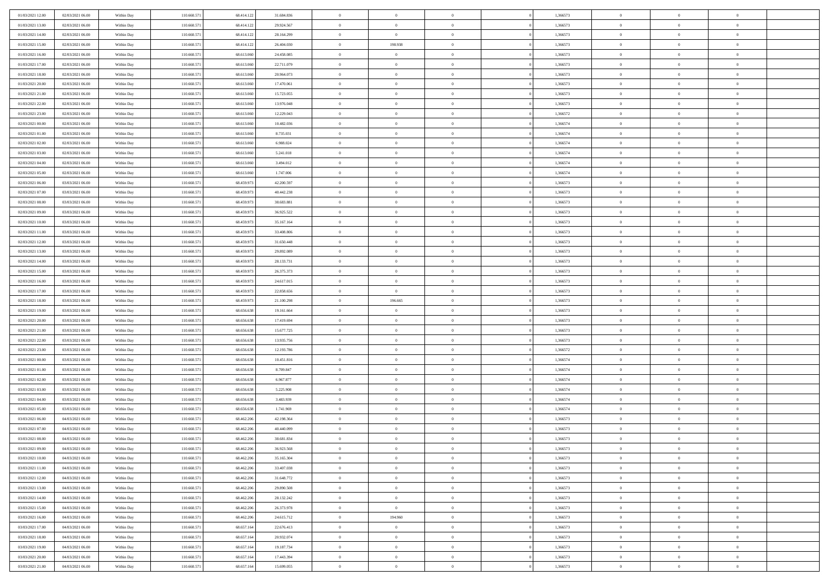| 01/03/2021 12:00 | 02/03/2021 06:00 | Within Day | 110.660.571 | 68.414.12  | 31.684.836 | $\bf{0}$       | $\overline{0}$ | $\overline{0}$ | 1,366573 | $\bf{0}$       | $\bf{0}$       | $\theta$       |  |
|------------------|------------------|------------|-------------|------------|------------|----------------|----------------|----------------|----------|----------------|----------------|----------------|--|
| 01/03/2021 13:00 | 02/03/2021 06:00 | Within Day | 110.660.571 | 68.414.122 | 29.924.567 | $\overline{0}$ | $\overline{0}$ | $\overline{0}$ | 1,366573 | $\theta$       | $\overline{0}$ | $\theta$       |  |
| 01/03/2021 14:00 | 02/03/2021 06:00 | Within Day | 110.660.571 | 68.414.122 | 28.164.299 | $\,0\,$        | $\overline{0}$ | $\bf{0}$       | 1,366573 | $\,$ 0 $\,$    | $\overline{0}$ | $\,$ 0 $\,$    |  |
| 01/03/2021 15:00 | 02/03/2021 06:00 | Within Day | 110,660.57  | 68.414.122 | 26.404.030 | $\mathbf{0}$   | 198.938        | $\overline{0}$ | 1,366573 | $\theta$       | $\mathbf{0}$   | $\theta$       |  |
| 01/03/2021 16:00 | 02/03/2021 06:00 | Within Day | 110.660.571 | 68.613.060 | 24.458.085 | $\overline{0}$ | $\overline{0}$ | $\overline{0}$ | 1,366573 | $\mathbf{0}$   | $\overline{0}$ | $\overline{0}$ |  |
| 01/03/2021 17:00 | 02/03/2021 06:00 | Within Day | 110.660.571 | 68.613.060 | 22.711.079 | $\,$ 0 $\,$    | $\overline{0}$ | $\bf{0}$       | 1,366573 | $\,$ 0 $\,$    | $\overline{0}$ | $\,$ 0 $\,$    |  |
| 01/03/2021 18:00 | 02/03/2021 06:00 | Within Day | 110.660.571 | 68.613.06  | 20.964.073 | $\bf{0}$       | $\overline{0}$ | $\overline{0}$ | 1,366573 | $\bf{0}$       | $\overline{0}$ | $\theta$       |  |
| 01/03/2021 20:00 | 02/03/2021 06:00 | Within Day | 110.660.571 | 68.613.060 | 17.470.061 | $\overline{0}$ | $\overline{0}$ | $\overline{0}$ | 1,366573 | $\mathbf{0}$   | $\overline{0}$ | $\theta$       |  |
| 01/03/2021 21:00 | 02/03/2021 06:00 | Within Day | 110.660.571 | 68.613.060 | 15.723.055 | $\,$ 0 $\,$    | $\overline{0}$ | $\bf{0}$       | 1,366573 | $\,$ 0 $\,$    | $\overline{0}$ | $\,$ 0 $\,$    |  |
| 01/03/2021 22.00 | 02/03/2021 06:00 | Within Day | 110,660.57  | 68.613.06  | 13.976.048 | $\overline{0}$ | $\Omega$       | $\overline{0}$ | 1,366573 | $\theta$       | $\mathbf{0}$   | $\theta$       |  |
| 01/03/2021 23:00 | 02/03/2021 06:00 | Within Day | 110.660.571 | 68.613.060 | 12.229.043 | $\overline{0}$ | $\overline{0}$ | $\overline{0}$ | 1,366572 | $\mathbf{0}$   | $\overline{0}$ | $\overline{0}$ |  |
| 02/03/2021 00:00 | 02/03/2021 06:00 | Within Day | 110.660.571 | 68.613.060 | 10.482.036 | $\,$ 0 $\,$    | $\overline{0}$ | $\bf{0}$       | 1,366574 | $\,$ 0 $\,$    | $\overline{0}$ | $\,$ 0 $\,$    |  |
| 02/03/2021 01:00 | 02/03/2021 06:00 | Within Day | 110.660.571 | 68.613.06  | 8.735.031  | $\bf{0}$       | $\overline{0}$ | $\overline{0}$ | 1,366574 | $\bf{0}$       | $\mathbf{0}$   | $\theta$       |  |
| 02/03/2021 02:00 | 02/03/2021 06:00 | Within Day | 110.660.571 | 68.613.060 | 6.988.024  | $\overline{0}$ | $\overline{0}$ | $\overline{0}$ | 1,366574 | $\mathbf{0}$   | $\overline{0}$ | $\theta$       |  |
| 02/03/2021 03:00 | 02/03/2021 06:00 | Within Day | 110.660.571 | 68.613.060 | 5.241.018  | $\,$ 0 $\,$    | $\overline{0}$ | $\bf{0}$       | 1,366574 | $\,$ 0 $\,$    | $\overline{0}$ | $\,$ 0 $\,$    |  |
| 02/03/2021 04:00 | 02/03/2021 06:00 | Within Day | 110,660.57  | 68.613.06  | 3.494.012  | $\overline{0}$ | $\mathbf{0}$   | $\overline{0}$ | 1,366574 | $\theta$       | $\mathbf{0}$   | $\theta$       |  |
| 02/03/2021 05:00 | 02/03/2021 06:00 | Within Day | 110.660.571 | 68.613.060 | 1.747.006  | $\overline{0}$ | $\overline{0}$ | $\overline{0}$ | 1,366574 | $\mathbf{0}$   | $\overline{0}$ | $\overline{0}$ |  |
| 02/03/2021 06:00 | 03/03/2021 06:00 | Within Day | 110.660.571 | 68.459.973 | 42.200.597 | $\,$ 0 $\,$    | $\overline{0}$ | $\bf{0}$       | 1,366573 | $\,$ 0 $\,$    | $\overline{0}$ | $\,$ 0 $\,$    |  |
| 02/03/2021 07:00 | 03/03/2021 06:00 | Within Day | 110.660.571 | 68.459.97  | 40.442.238 | $\mathbf{0}$   | $\Omega$       | $\overline{0}$ | 1,366573 | $\theta$       | $\theta$       | $\theta$       |  |
| 02/03/2021 08:00 | 03/03/2021 06:00 | Within Day | 110.660.571 | 68.459.973 | 38.683.881 | $\overline{0}$ | $\overline{0}$ | $\overline{0}$ | 1,366573 | $\mathbf{0}$   | $\overline{0}$ | $\overline{0}$ |  |
| 02/03/2021 09:00 | 03/03/2021 06:00 | Within Day | 110.660.571 | 68.459.973 | 36.925.522 | $\,$ 0 $\,$    | $\overline{0}$ | $\bf{0}$       | 1,366573 | $\,$ 0 $\,$    | $\overline{0}$ | $\,$ 0 $\,$    |  |
| 02/03/2021 10:00 | 03/03/2021 06:00 | Within Day | 110.660.57  | 68.459.97  | 35.167.164 | $\overline{0}$ | $\overline{0}$ | $\overline{0}$ | 1,366573 | $\bf{0}$       | $\mathbf{0}$   | $\theta$       |  |
| 02/03/2021 11:00 | 03/03/2021 06:00 | Within Day | 110.660.571 | 68.459.973 | 33.408.806 | $\overline{0}$ | $\overline{0}$ | $\overline{0}$ | 1,366573 | $\mathbf{0}$   | $\overline{0}$ | $\theta$       |  |
| 02/03/2021 12:00 | 03/03/2021 06:00 | Within Day | 110.660.571 | 68.459.973 | 31.650.448 | $\,$ 0 $\,$    | $\overline{0}$ | $\bf{0}$       | 1,366573 | $\,$ 0 $\,$    | $\overline{0}$ | $\bf{0}$       |  |
| 02/03/2021 13:00 | 03/03/2021 06:00 | Within Day | 110,660.57  | 68.459.97  | 29.892.089 | $\overline{0}$ | $\mathbf{0}$   | $\overline{0}$ | 1,366573 | $\theta$       | $\mathbf{0}$   | $\theta$       |  |
| 02/03/2021 14:00 | 03/03/2021 06:00 | Within Day | 110.660.571 | 68.459.973 | 28.133.731 | $\overline{0}$ | $\overline{0}$ | $\overline{0}$ | 1,366573 | $\mathbf{0}$   | $\overline{0}$ | $\overline{0}$ |  |
| 02/03/2021 15:00 | 03/03/2021 06:00 | Within Day | 110.660.571 | 68.459.973 | 26.375.373 | $\,$ 0 $\,$    | $\overline{0}$ | $\bf{0}$       | 1,366573 | $\,$ 0 $\,$    | $\overline{0}$ | $\,$ 0 $\,$    |  |
| 02/03/2021 16:00 | 03/03/2021 06:00 | Within Day | 110.660.571 | 68.459.97  | 24.617.015 | $\bf{0}$       | $\mathbf{0}$   | $\overline{0}$ | 1,366573 | $\bf{0}$       | $\mathbf{0}$   | $\bf{0}$       |  |
| 02/03/2021 17:00 | 03/03/2021 06:00 | Within Day | 110.660.571 | 68.459.973 | 22.858.656 | $\overline{0}$ | $\overline{0}$ | $\overline{0}$ | 1,366573 | $\overline{0}$ | $\overline{0}$ | $\theta$       |  |
|                  |                  |            |             |            |            |                |                |                |          |                |                |                |  |
| 02/03/2021 18:00 | 03/03/2021 06:00 | Within Day | 110.660.571 | 68.459.973 | 21.100.298 | $\,$ 0 $\,$    | 196.665        | $\bf{0}$       | 1,366573 | $\,$ 0 $\,$    | $\overline{0}$ | $\,$ 0 $\,$    |  |
| 02/03/2021 19:00 | 03/03/2021 06:00 | Within Day | 110.660.571 | 68.656.638 | 19.161.664 | $\,0\,$        | $\overline{0}$ | $\bf{0}$       | 1,366573 | $\,$ 0 $\,$    | $\overline{0}$ | $\bf{0}$       |  |
| 02/03/2021 20:00 | 03/03/2021 06:00 | Within Day | 110.660.571 | 68.656.638 | 17.419.694 | $\overline{0}$ | $\overline{0}$ | $\overline{0}$ | 1,366573 | $\mathbf{0}$   | $\overline{0}$ | $\overline{0}$ |  |
| 02/03/2021 21:00 | 03/03/2021 06:00 | Within Day | 110.660.571 | 68.656.638 | 15.677.725 | $\,$ 0 $\,$    | $\overline{0}$ | $\bf{0}$       | 1,366573 | $\,$ 0 $\,$    | $\overline{0}$ | $\,$ 0 $\,$    |  |
| 02/03/2021 22:00 | 03/03/2021 06:00 | Within Day | 110.660.571 | 68.656.638 | 13.935.756 | $\,0\,$        | $\overline{0}$ | $\bf{0}$       | 1,366573 | $\bf{0}$       | $\overline{0}$ | $\bf{0}$       |  |
| 02/03/2021 23:00 | 03/03/2021 06:00 | Within Day | 110.660.571 | 68.656.638 | 12.193.786 | $\overline{0}$ | $\overline{0}$ | $\overline{0}$ | 1,366572 | $\theta$       | $\overline{0}$ | $\theta$       |  |
| 03/03/2021 00:00 | 03/03/2021 06:00 | Within Day | 110.660.571 | 68.656.638 | 10.451.816 | $\,$ 0 $\,$    | $\overline{0}$ | $\bf{0}$       | 1,366574 | $\,$ 0 $\,$    | $\overline{0}$ | $\,$ 0 $\,$    |  |
| 03/03/2021 01:00 | 03/03/2021 06:00 | Within Day | 110.660.571 | 68.656.638 | 8.709.847  | $\bf{0}$       | $\overline{0}$ | $\bf{0}$       | 1,366574 | $\bf{0}$       | $\overline{0}$ | $\bf{0}$       |  |
| 03/03/2021 02:00 | 03/03/2021 06:00 | Within Day | 110.660.571 | 68.656.638 | 6.967.877  | $\overline{0}$ | $\overline{0}$ | $\overline{0}$ | 1,366574 | $\mathbf{0}$   | $\overline{0}$ | $\overline{0}$ |  |
| 03/03/2021 03:00 | 03/03/2021 06:00 | Within Day | 110.660.571 | 68.656.638 | 5.225.908  | $\,$ 0 $\,$    | $\overline{0}$ | $\bf{0}$       | 1,366574 | $\,$ 0 $\,$    | $\overline{0}$ | $\,$ 0 $\,$    |  |
| 03/03/2021 04:00 | 03/03/2021 06:00 | Within Day | 110.660.571 | 68.656.638 | 3.483.939  | $\mathbf{0}$   | $\overline{0}$ | $\bf{0}$       | 1,366574 | $\bf{0}$       | $\overline{0}$ | $\bf{0}$       |  |
| 03/03/2021 05:00 | 03/03/2021 06:00 | Within Day | 110.660.571 | 68.656.638 | 1.741.969  | $\overline{0}$ | $\overline{0}$ | $\overline{0}$ | 1,366574 | $\mathbf{0}$   | $\overline{0}$ | $\overline{0}$ |  |
| 03/03/2021 06:00 | 04/03/2021 06:00 | Within Day | 110.660.571 | 68.462.206 | 42.198.364 | $\,$ 0 $\,$    | $\overline{0}$ | $\bf{0}$       | 1,366573 | $\,$ 0 $\,$    | $\overline{0}$ | $\,$ 0 $\,$    |  |
| 03/03/2021 07:00 | 04/03/2021 06:00 | Within Day | 110.660.571 | 68.462.20  | 40.440.099 | $\bf{0}$       | $\overline{0}$ | $\bf{0}$       | 1,366573 | $\bf{0}$       | $\overline{0}$ | $\bf{0}$       |  |
| 03/03/2021 08:00 | 04/03/2021 06:00 | Within Day | 110.660.571 | 68.462.206 | 38.681.834 | $\mathbf{0}$   | $\overline{0}$ | $\overline{0}$ | 1,366573 | $\theta$       | $\overline{0}$ | $\overline{0}$ |  |
| 03/03/2021 09:00 | 04/03/2021 06:00 | Within Day | 110.660.571 | 68.462.206 | 36.923.568 | $\mathbf{0}$   | $\overline{0}$ | $\theta$       | 1,366573 | $\overline{0}$ | $\overline{0}$ | $\theta$       |  |
| 03/03/2021 10:00 | 04/03/2021 06:00 | Within Day | 110.660.571 | 68.462.206 | 35.165.304 | $\bf{0}$       | $\overline{0}$ | $\bf{0}$       | 1,366573 | $\bf{0}$       | $\overline{0}$ | $\bf{0}$       |  |
| 03/03/2021 11:00 | 04/03/2021 06:00 | Within Day | 110.660.571 | 68.462.206 | 33.407.038 | $\overline{0}$ | $\overline{0}$ | $\overline{0}$ | 1,366573 | $\overline{0}$ | $\overline{0}$ | $\overline{0}$ |  |
| 03/03/2021 12:00 | 04/03/2021 06:00 | Within Day | 110.660.571 | 68.462.206 | 31.648.772 | $\,$ 0         | $\overline{0}$ | $\overline{0}$ | 1,366573 | $\,$ 0 $\,$    | $\overline{0}$ | $\,$ 0 $\,$    |  |
| 03/03/2021 13:00 | 04/03/2021 06:00 | Within Day | 110.660.571 | 68.462.206 | 29.890.508 | $\bf{0}$       | $\overline{0}$ | $\overline{0}$ | 1,366573 | $\mathbf{0}$   | $\overline{0}$ | $\bf{0}$       |  |
| 03/03/2021 14:00 | 04/03/2021 06:00 | Within Day | 110.660.571 | 68.462.206 | 28.132.242 | $\overline{0}$ | $\overline{0}$ | $\overline{0}$ | 1,366573 | $\mathbf{0}$   | $\overline{0}$ | $\overline{0}$ |  |
| 03/03/2021 15:00 | 04/03/2021 06:00 | Within Day | 110.660.571 | 68.462.206 | 26.373.978 | $\,$ 0         | $\overline{0}$ | $\overline{0}$ | 1,366573 | $\,$ 0 $\,$    | $\overline{0}$ | $\,$ 0 $\,$    |  |
| 03/03/2021 16:00 | 04/03/2021 06:00 | Within Day | 110.660.571 | 68.462.206 | 24.615.712 | $\overline{0}$ | 194.960        | $\overline{0}$ | 1,366573 | $\overline{0}$ | $\overline{0}$ | $\overline{0}$ |  |
| 03/03/2021 17:00 | 04/03/2021 06:00 | Within Day | 110.660.571 | 68.657.164 | 22.676.413 | $\mathbf{0}$   | $\overline{0}$ | $\overline{0}$ | 1,366573 | $\mathbf{0}$   | $\overline{0}$ | $\overline{0}$ |  |
| 03/03/2021 18:00 | 04/03/2021 06:00 | Within Day | 110.660.571 | 68.657.164 | 20.932.074 | $\,$ 0         | $\overline{0}$ | $\overline{0}$ | 1,366573 | $\,$ 0 $\,$    | $\bf{0}$       | $\,$ 0 $\,$    |  |
| 03/03/2021 19:00 | 04/03/2021 06:00 | Within Day | 110.660.571 | 68.657.164 | 19.187.734 | $\bf{0}$       | $\bf{0}$       | $\overline{0}$ | 1,366573 | $\mathbf{0}$   | $\overline{0}$ | $\bf{0}$       |  |
| 03/03/2021 20:00 | 04/03/2021 06:00 | Within Day | 110.660.571 | 68.657.164 | 17.443.394 | $\mathbf{0}$   | $\overline{0}$ | $\overline{0}$ | 1,366573 | $\mathbf{0}$   | $\overline{0}$ | $\overline{0}$ |  |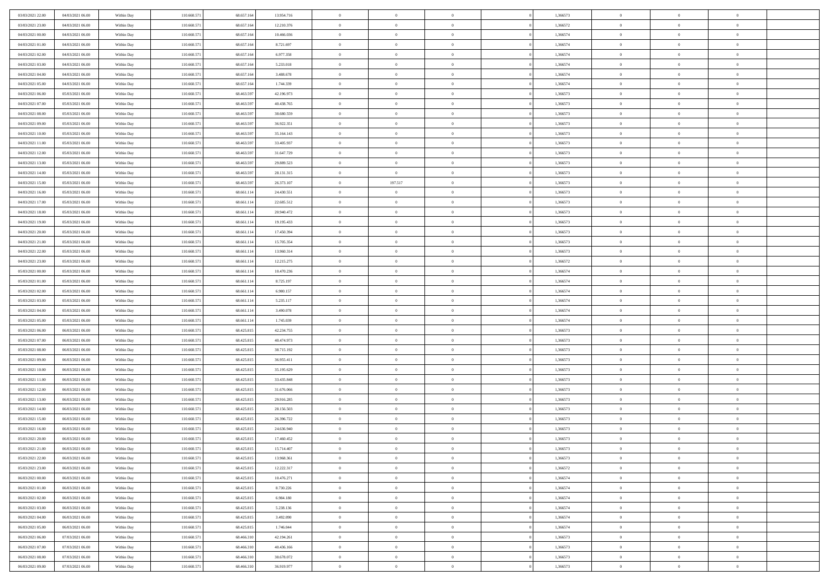| 03/03/2021 22:00 | 04/03/2021 06:00 | Within Day | 110.660.571 | 68.657.16  | 13.954.716 | $\overline{0}$ | $\overline{0}$ | $\overline{0}$ | 1,366573 | $\bf{0}$       | $\overline{0}$ | $\bf{0}$       |  |
|------------------|------------------|------------|-------------|------------|------------|----------------|----------------|----------------|----------|----------------|----------------|----------------|--|
| 03/03/2021 23:00 | 04/03/2021 06:00 | Within Day | 110.660.57  | 68.657.164 | 12.210.376 | $\overline{0}$ | $\overline{0}$ | $\overline{0}$ | 1,366572 | $\theta$       | $\overline{0}$ | $\theta$       |  |
| 04/03/2021 00:00 | 04/03/2021 06:00 | Within Day | 110.660.571 | 68.657.164 | 10.466.036 | $\,0\,$        | $\overline{0}$ | $\bf{0}$       | 1,366574 | $\,$ 0 $\,$    | $\overline{0}$ | $\,$ 0 $\,$    |  |
| 04/03/2021 01:00 | 04/03/2021 06:00 | Within Day | 110,660.57  | 68.657.16  | 8.721.697  | $\mathbf{0}$   | $\theta$       | $\overline{0}$ | 1,366574 | $\theta$       | $\theta$       | $\theta$       |  |
| 04/03/2021 02:00 | 04/03/2021 06:00 | Within Day | 110.660.571 | 68.657.164 | 6.977.358  | $\overline{0}$ | $\overline{0}$ | $\overline{0}$ | 1,366574 | $\mathbf{0}$   | $\overline{0}$ | $\overline{0}$ |  |
| 04/03/2021 03:00 | 04/03/2021 06:00 | Within Day | 110.660.571 | 68.657.164 | 5.233.018  | $\,$ 0 $\,$    | $\overline{0}$ | $\bf{0}$       | 1,366574 | $\,$ 0 $\,$    | $\overline{0}$ | $\,$ 0 $\,$    |  |
| 04/03/2021 04:00 | 04/03/2021 06:00 | Within Day | 110.660.571 | 68.657.16  | 3.488.678  | $\bf{0}$       | $\overline{0}$ | $\overline{0}$ | 1,366574 | $\bf{0}$       | $\overline{0}$ | $\theta$       |  |
| 04/03/2021 05:00 | 04/03/2021 06:00 | Within Day | 110.660.571 | 68.657.164 | 1.744.339  | $\overline{0}$ | $\overline{0}$ | $\overline{0}$ | 1,366574 | $\mathbf{0}$   | $\overline{0}$ | $\theta$       |  |
| 04/03/2021 06:00 | 05/03/2021 06:00 | Within Day | 110.660.571 | 68.463.597 | 42.196.973 | $\,$ 0 $\,$    | $\overline{0}$ | $\bf{0}$       | 1,366573 | $\,$ 0 $\,$    | $\overline{0}$ | $\,$ 0 $\,$    |  |
| 04/03/2021 07:00 | 05/03/2021 06:00 | Within Day | 110,660.57  | 68.463.59  | 40.438.765 | $\overline{0}$ | $\Omega$       | $\overline{0}$ | 1,366573 | $\theta$       | $\mathbf{0}$   | $\theta$       |  |
| 04/03/2021 08:00 | 05/03/2021 06:00 | Within Day | 110.660.571 | 68.463.597 | 38.680.559 | $\overline{0}$ | $\overline{0}$ | $\overline{0}$ | 1,366573 | $\mathbf{0}$   | $\overline{0}$ | $\overline{0}$ |  |
| 04/03/2021 09:00 | 05/03/2021 06:00 | Within Day | 110.660.571 | 68.463.597 | 36.922.351 | $\,$ 0 $\,$    | $\overline{0}$ | $\bf{0}$       | 1,366573 | $\,$ 0 $\,$    | $\overline{0}$ | $\,$ 0 $\,$    |  |
| 04/03/2021 10:00 | 05/03/2021 06:00 | Within Day | 110.660.571 | 68.463.59  | 35.164.143 | $\bf{0}$       | $\overline{0}$ | $\overline{0}$ | 1,366573 | $\bf{0}$       | $\mathbf{0}$   | $\theta$       |  |
| 04/03/2021 11:00 | 05/03/2021 06:00 | Within Day | 110.660.571 | 68.463.597 | 33.405.937 | $\overline{0}$ | $\overline{0}$ | $\overline{0}$ | 1,366573 | $\mathbf{0}$   | $\overline{0}$ | $\theta$       |  |
| 04/03/2021 12:00 | 05/03/2021 06:00 | Within Day | 110.660.571 | 68.463.597 | 31.647.729 | $\,$ 0 $\,$    | $\overline{0}$ | $\bf{0}$       | 1,366573 | $\,$ 0 $\,$    | $\overline{0}$ | $\,$ 0 $\,$    |  |
| 04/03/2021 13:00 | 05/03/2021 06:00 | Within Day | 110,660.57  | 68.463.59  | 29.889.523 | $\overline{0}$ | $\mathbf{0}$   | $\overline{0}$ | 1,366573 | $\theta$       | $\mathbf{0}$   | $\theta$       |  |
| 04/03/2021 14:00 | 05/03/2021 06:00 | Within Day | 110.660.571 | 68.463.597 | 28.131.315 | $\overline{0}$ | $\overline{0}$ | $\overline{0}$ | 1,366573 | $\mathbf{0}$   | $\overline{0}$ | $\overline{0}$ |  |
| 04/03/2021 15:00 | 05/03/2021 06:00 | Within Day | 110.660.571 | 68.463.597 | 26.373.107 | $\,$ 0 $\,$    | 197.517        | $\bf{0}$       | 1,366573 | $\,$ 0 $\,$    | $\overline{0}$ | $\,$ 0 $\,$    |  |
| 04/03/2021 16:00 | 05/03/2021 06:00 | Within Day | 110.660.571 | 68.661.114 | 24.430.551 | $\mathbf{0}$   | $\theta$       | $\overline{0}$ | 1,366573 | $\theta$       | $\theta$       | $\theta$       |  |
| 04/03/2021 17:00 | 05/03/2021 06:00 | Within Day | 110.660.571 | 68.661.114 | 22.685.512 | $\overline{0}$ | $\overline{0}$ | $\overline{0}$ | 1,366573 | $\mathbf{0}$   | $\overline{0}$ | $\overline{0}$ |  |
| 04/03/2021 18:00 | 05/03/2021 06:00 | Within Day | 110.660.571 | 68.661.114 | 20.940.472 | $\,$ 0 $\,$    | $\overline{0}$ | $\bf{0}$       | 1,366573 | $\,$ 0 $\,$    | $\overline{0}$ | $\,$ 0 $\,$    |  |
| 04/03/2021 19:00 | 05/03/2021 06:00 | Within Day | 110.660.57  | 68.661.11  | 19.195.433 | $\overline{0}$ | $\overline{0}$ | $\overline{0}$ | 1,366573 | $\bf{0}$       | $\mathbf{0}$   | $\theta$       |  |
| 04/03/2021 20:00 | 05/03/2021 06:00 | Within Day | 110.660.571 | 68.661.114 | 17.450.394 | $\overline{0}$ | $\overline{0}$ | $\overline{0}$ | 1,366573 | $\mathbf{0}$   | $\overline{0}$ | $\theta$       |  |
| 04/03/2021 21:00 | 05/03/2021 06:00 | Within Day | 110.660.571 | 68.661.114 | 15.705.354 | $\,$ 0 $\,$    | $\overline{0}$ | $\bf{0}$       | 1,366573 | $\,$ 0 $\,$    | $\overline{0}$ | $\,$ 0 $\,$    |  |
| 04/03/2021 22.00 | 05/03/2021 06:00 | Within Day | 110,660.57  | 68.661.114 | 13.960.314 | $\overline{0}$ | $\mathbf{0}$   | $\overline{0}$ | 1,366573 | $\theta$       | $\mathbf{0}$   | $\theta$       |  |
| 04/03/2021 23:00 | 05/03/2021 06:00 | Within Day | 110.660.571 | 68.661.114 | 12.215.275 | $\overline{0}$ | $\overline{0}$ | $\overline{0}$ | 1,366572 | $\mathbf{0}$   | $\overline{0}$ | $\overline{0}$ |  |
| 05/03/2021 00:00 | 05/03/2021 06:00 | Within Day | 110.660.571 | 68.661.114 | 10.470.236 | $\,$ 0 $\,$    | $\overline{0}$ | $\bf{0}$       | 1,366574 | $\,$ 0 $\,$    | $\overline{0}$ | $\,$ 0 $\,$    |  |
| 05/03/2021 01:00 | 05/03/2021 06:00 | Within Day | 110.660.571 | 68.661.11  | 8.725.197  | $\bf{0}$       | $\overline{0}$ | $\overline{0}$ | 1,366574 | $\bf{0}$       | $\mathbf{0}$   | $\bf{0}$       |  |
| 05/03/2021 02:00 | 05/03/2021 06:00 | Within Day | 110.660.571 | 68.661.114 | 6.980.157  | $\overline{0}$ | $\overline{0}$ | $\overline{0}$ | 1,366574 | $\overline{0}$ | $\overline{0}$ | $\theta$       |  |
| 05/03/2021 03:00 | 05/03/2021 06:00 | Within Day | 110.660.571 | 68.661.114 | 5.235.117  | $\,$ 0 $\,$    | $\overline{0}$ | $\bf{0}$       | 1,366574 | $\,$ 0 $\,$    | $\overline{0}$ | $\,$ 0 $\,$    |  |
| 05/03/2021 04:00 | 05/03/2021 06:00 | Within Day | 110.660.571 | 68.661.11  | 3.490.078  | $\,0\,$        | $\overline{0}$ | $\bf{0}$       | 1,366574 | $\,$ 0 $\,$    | $\overline{0}$ | $\bf{0}$       |  |
| 05/03/2021 05:00 | 05/03/2021 06:00 | Within Day | 110.660.571 | 68.661.114 | 1.745.039  | $\overline{0}$ | $\overline{0}$ | $\overline{0}$ | 1,366574 | $\mathbf{0}$   | $\overline{0}$ | $\overline{0}$ |  |
| 05/03/2021 06:00 | 06/03/2021 06:00 | Within Day | 110.660.571 | 68.425.815 | 42.234.755 | $\,$ 0 $\,$    | $\overline{0}$ | $\bf{0}$       | 1,366573 | $\,$ 0 $\,$    | $\overline{0}$ | $\,$ 0 $\,$    |  |
| 05/03/2021 07:00 | 06/03/2021 06:00 | Within Day | 110.660.571 | 68.425.815 | 40.474.973 | $\,0\,$        | $\overline{0}$ | $\bf{0}$       | 1,366573 | $\,$ 0 $\,$    | $\overline{0}$ | $\bf{0}$       |  |
| 05/03/2021 08:00 | 06/03/2021 06:00 | Within Day | 110.660.571 | 68.425.815 | 38.715.192 | $\overline{0}$ | $\overline{0}$ | $\overline{0}$ | 1,366573 | $\theta$       | $\overline{0}$ | $\theta$       |  |
| 05/03/2021 09:00 | 06/03/2021 06:00 | Within Day | 110.660.571 | 68.425.815 | 36.955.411 | $\,$ 0 $\,$    | $\overline{0}$ | $\bf{0}$       | 1,366573 | $\,$ 0 $\,$    | $\overline{0}$ | $\,$ 0 $\,$    |  |
| 05/03/2021 10:00 | 06/03/2021 06:00 | Within Day | 110.660.571 | 68.425.815 | 35.195.629 | $\bf{0}$       | $\overline{0}$ | $\bf{0}$       | 1,366573 | $\bf{0}$       | $\overline{0}$ | $\bf{0}$       |  |
| 05/03/2021 11:00 | 06/03/2021 06:00 | Within Day | 110.660.571 | 68.425.815 | 33.435.848 | $\overline{0}$ | $\overline{0}$ | $\overline{0}$ | 1,366573 | $\mathbf{0}$   | $\overline{0}$ | $\overline{0}$ |  |
| 05/03/2021 12:00 | 06/03/2021 06:00 | Within Day | 110.660.571 | 68.425.815 | 31.676.066 | $\,$ 0 $\,$    | $\overline{0}$ | $\bf{0}$       | 1,366573 | $\,$ 0 $\,$    | $\overline{0}$ | $\,$ 0 $\,$    |  |
| 05/03/2021 13:00 | 06/03/2021 06:00 | Within Day | 110.660.571 | 68.425.815 | 29.916.285 | $\mathbf{0}$   | $\overline{0}$ | $\bf{0}$       | 1,366573 | $\bf{0}$       | $\overline{0}$ | $\bf{0}$       |  |
| 05/03/2021 14:00 | 06/03/2021 06:00 | Within Day | 110.660.571 | 68.425.815 | 28.156.503 | $\overline{0}$ | $\overline{0}$ | $\overline{0}$ | 1,366573 | $\mathbf{0}$   | $\overline{0}$ | $\overline{0}$ |  |
| 05/03/2021 15:00 | 06/03/2021 06:00 | Within Day | 110.660.571 | 68.425.815 | 26.396.722 | $\,$ 0 $\,$    | $\overline{0}$ | $\bf{0}$       | 1,366573 | $\,$ 0 $\,$    | $\overline{0}$ | $\,$ 0 $\,$    |  |
| 05/03/2021 16:00 | 06/03/2021 06:00 | Within Day | 110.660.571 | 68.425.81  | 24.636.940 | $\,0\,$        | $\overline{0}$ | $\bf{0}$       | 1,366573 | $\bf{0}$       | $\overline{0}$ | $\bf{0}$       |  |
| 05/03/2021 20:00 | 06/03/2021 06:00 | Within Day | 110.660.571 | 68.425.815 | 17.460.452 | $\mathbf{0}$   | $\overline{0}$ | $\overline{0}$ | 1,366573 | $\theta$       | $\overline{0}$ | $\overline{0}$ |  |
| 05/03/2021 21:00 | 06/03/2021 06:00 | Within Day | 110.660.571 | 68.425.815 | 15.714.407 | $\mathbf{0}$   | $\overline{0}$ | $\theta$       | 1,366573 | $\overline{0}$ | $\overline{0}$ | $\theta$       |  |
| 05/03/2021 22.00 | 06/03/2021 06:00 | Within Day | 110.660.571 | 68.425.815 | 13.968.361 | $\bf{0}$       | $\overline{0}$ | $\bf{0}$       | 1,366573 | $\bf{0}$       | $\overline{0}$ | $\bf{0}$       |  |
| 05/03/2021 23:00 | 06/03/2021 06:00 | Within Day | 110.660.571 | 68.425.815 | 12.222.317 | $\bf{0}$       | $\overline{0}$ | $\overline{0}$ | 1,366572 | $\overline{0}$ | $\overline{0}$ | $\overline{0}$ |  |
| 06/03/2021 00:00 | 06/03/2021 06:00 | Within Day | 110.660.571 | 68.425.815 | 10.476.271 | $\,$ 0         | $\overline{0}$ | $\overline{0}$ | 1,366574 | $\,$ 0 $\,$    | $\overline{0}$ | $\,$ 0 $\,$    |  |
| 06/03/2021 01:00 | 06/03/2021 06:00 | Within Day | 110.660.571 | 68.425.815 | 8.730.226  | $\bf{0}$       | $\overline{0}$ | $\overline{0}$ | 1,366574 | $\mathbf{0}$   | $\overline{0}$ | $\bf{0}$       |  |
| 06/03/2021 02:00 | 06/03/2021 06:00 | Within Day | 110.660.571 | 68.425.815 | 6.984.180  | $\overline{0}$ | $\overline{0}$ | $\overline{0}$ | 1,366574 | $\mathbf{0}$   | $\overline{0}$ | $\overline{0}$ |  |
| 06/03/2021 03:00 | 06/03/2021 06:00 | Within Day | 110.660.571 | 68.425.815 | 5.238.136  | $\,$ 0         | $\overline{0}$ | $\overline{0}$ | 1,366574 | $\,$ 0 $\,$    | $\overline{0}$ | $\,$ 0 $\,$    |  |
| 06/03/2021 04:00 | 06/03/2021 06:00 | Within Day | 110.660.571 | 68.425.815 | 3.492.090  | $\bf{0}$       | $\overline{0}$ | $\overline{0}$ | 1,366574 | $\overline{0}$ | $\overline{0}$ | $\bf{0}$       |  |
| 06/03/2021 05:00 | 06/03/2021 06:00 | Within Day | 110.660.571 | 68.425.815 | 1.746.044  | $\mathbf{0}$   | $\overline{0}$ | $\overline{0}$ | 1,366574 | $\mathbf{0}$   | $\overline{0}$ | $\overline{0}$ |  |
| 06/03/2021 06:00 | 07/03/2021 06:00 | Within Day | 110.660.571 | 68.466.310 | 42.194.261 | $\,$ 0 $\,$    | $\overline{0}$ | $\overline{0}$ | 1,366573 | $\,$ 0 $\,$    | $\bf{0}$       | $\,$ 0 $\,$    |  |
| 06/03/2021 07:00 | 07/03/2021 06:00 | Within Day | 110.660.571 | 68.466.310 | 40.436.166 | $\bf{0}$       | $\overline{0}$ | $\overline{0}$ | 1,366573 | $\mathbf{0}$   | $\overline{0}$ | $\bf{0}$       |  |
| 06/03/2021 08:00 | 07/03/2021 06:00 | Within Day | 110.660.571 | 68.466.310 | 38.678.072 | $\mathbf{0}$   | $\overline{0}$ | $\overline{0}$ | 1,366573 | $\mathbf{0}$   | $\overline{0}$ | $\overline{0}$ |  |
| 06/03/2021 09:00 | 07/03/2021 06:00 | Within Day | 110.660.571 | 68.466.310 | 36.919.977 | $\,$ 0 $\,$    | $\overline{0}$ | $\bf{0}$       | 1,366573 | $\,$ 0 $\,$    | $\overline{0}$ | $\,$ 0 $\,$    |  |
|                  |                  |            |             |            |            |                |                |                |          |                |                |                |  |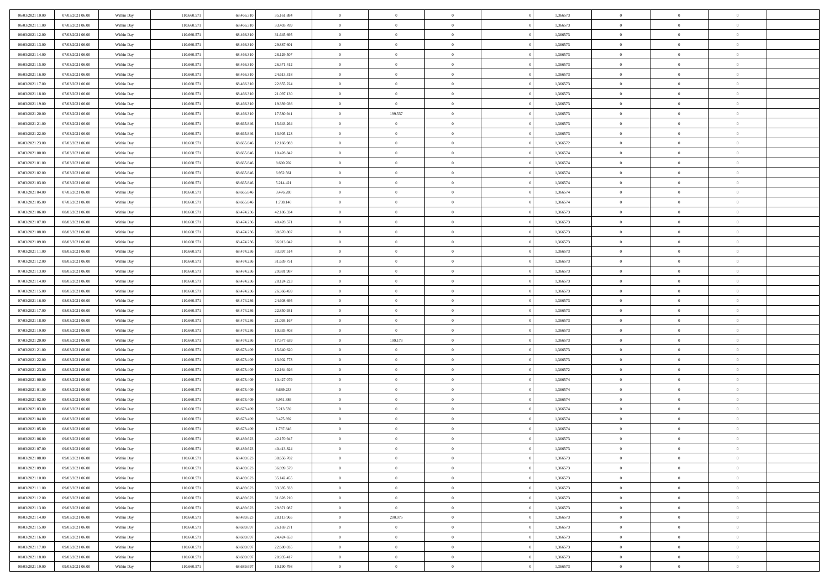| 06/03/2021 10:00                     | 07/03/2021 06:00                     | Within Day               | 110.660.571                | 68.466.310               | 35.161.884               | $\,$ 0                   | $\bf{0}$                   | $\theta$                         |          | 1,366573             | $\bf{0}$                 | $\overline{0}$                   | $\,0\,$                          |  |
|--------------------------------------|--------------------------------------|--------------------------|----------------------------|--------------------------|--------------------------|--------------------------|----------------------------|----------------------------------|----------|----------------------|--------------------------|----------------------------------|----------------------------------|--|
| 06/03/2021 11:00                     | 07/03/2021 06:00                     | Within Day               | 110.660.57                 | 68,466,310               | 33.403.789               | $\overline{0}$           | $\overline{0}$             | $\overline{0}$                   |          | 1,366573             | $\overline{0}$           | $\overline{0}$                   | $\theta$                         |  |
| 06/03/2021 12:00                     | 07/03/2021 06:00                     | Within Dav               | 110.660.571                | 68.466.310               | 31.645.695               | $\mathbf{0}$             | $\overline{0}$             | $\overline{0}$                   |          | 1,366573             | $\mathbf{0}$             | $\overline{0}$                   | $\overline{0}$                   |  |
| 06/03/2021 13:00                     | 07/03/2021 06:00                     | Within Day               | 110.660.571                | 68.466.310               | 29.887.601               | $\bf{0}$                 | $\overline{0}$             | $\bf{0}$                         |          | 1,366573             | $\bf{0}$                 | $\overline{0}$                   | $\,0\,$                          |  |
| 06/03/2021 14:00                     | 07/03/2021 06:00                     | Within Day               | 110.660.571                | 68.466.310               | 28.129.507               | $\bf{0}$                 | $\bf{0}$                   | $\overline{0}$                   |          | 1,366573             | $\bf{0}$                 | $\theta$                         | $\,0\,$                          |  |
| 06/03/2021 15:00                     | 07/03/2021 06:00                     | Within Dav               | 110.660.571                | 68.466.310               | 26.371.412               | $\overline{0}$           | $\overline{0}$             | $\overline{0}$                   |          | 1,366573             | $\mathbf{0}$             | $\overline{0}$                   | $\overline{0}$                   |  |
| 06/03/2021 16:00                     | 07/03/2021 06:00                     | Within Day               | 110.660.571                | 68.466.310               | 24.613.318               | $\bf{0}$                 | $\bf{0}$                   | $\overline{0}$                   |          | 1,366573             | $\bf{0}$                 | $\overline{0}$                   | $\,0\,$                          |  |
| 06/03/2021 17:00                     | 07/03/2021 06:00                     | Within Day               | 110.660.571                | 68,466,310               | 22.855.224               | $\overline{0}$           | $\overline{0}$             | $\overline{0}$                   |          | 1,366573             | $\,$ 0 $\,$              | $\overline{0}$                   | $\theta$                         |  |
| 06/03/2021 18:00                     | 07/03/2021 06:00                     | Within Day               | 110.660.571                | 68.466.310               | 21.097.130               | $\mathbf{0}$             | $\overline{0}$             | $\overline{0}$                   |          | 1,366573             | $\mathbf{0}$             | $\overline{0}$                   | $\overline{0}$                   |  |
| 06/03/2021 19:00                     | 07/03/2021 06:00                     | Within Day               | 110.660.571                | 68.466.310               | 19.339.036               | $\bf{0}$                 | $\bf{0}$                   | $\theta$                         |          | 1,366573             | $\bf{0}$                 | $\overline{0}$                   | $\,0\,$                          |  |
| 06/03/2021 20:00                     | 07/03/2021 06:00                     | Within Day               | 110.660.571                | 68,466,310               | 17.580.941               | $\overline{0}$           | 199.537                    | $\overline{0}$                   |          | 1,366573             | $\bf{0}$                 | $\overline{0}$                   | $\theta$                         |  |
| 06/03/2021 21:00                     | 07/03/2021 06:00                     | Within Dav               | 110.660.571                | 68.665.846               | 15.643.264               | $\mathbf{0}$             | $\overline{0}$             | $\overline{0}$                   |          | 1,366573             | $\mathbf{0}$             | $\overline{0}$                   | $\overline{0}$                   |  |
| 06/03/2021 22.00                     | 07/03/2021 06:00                     | Within Day               | 110.660.571                | 68.665.846               | 13.905.123               | $\bf{0}$                 | $\overline{0}$             | $\bf{0}$                         |          | 1,366573             | $\bf{0}$                 | $\overline{0}$                   | $\bf{0}$                         |  |
| 06/03/2021 23:00                     | 07/03/2021 06:00                     | Within Day               | 110.660.571                | 68.665.846               | 12.166.983               | $\bf{0}$                 | $\overline{0}$             | $\overline{0}$                   |          | 1,366572             | $\bf{0}$                 | $\theta$                         | $\,0\,$                          |  |
| 07/03/2021 00:00                     | 07/03/2021 06:00                     | Within Dav               | 110.660.571                | 68.665.846               | 10.428.842               | $\overline{0}$           | $\overline{0}$             | $\overline{0}$                   |          | 1,366574             | $\mathbf{0}$             | $\overline{0}$                   | $\overline{0}$                   |  |
| 07/03/2021 01:00                     | 07/03/2021 06:00                     | Within Day               | 110.660.571                | 68.665.846               | 8.690.702                | $\bf{0}$                 | $\bf{0}$                   | $\overline{0}$                   |          | 1,366574             | $\bf{0}$                 | $\overline{0}$                   | $\,0\,$                          |  |
| 07/03/2021 02:00                     | 07/03/2021 06:00                     | Within Day               | 110.660.571                | 68.665.846               | 6.952.561                | $\overline{0}$           | $\overline{0}$             | $\overline{0}$                   |          | 1,366574             | $\,$ 0 $\,$              | $\overline{0}$                   | $\theta$                         |  |
| 07/03/2021 03:00                     | 07/03/2021 06:00                     | Within Day               | 110.660.571                | 68.665.846               | 5.214.421                | $\mathbf{0}$             | $\overline{0}$             | $\overline{0}$                   |          | 1,366574             | $\mathbf{0}$             | $\overline{0}$                   | $\overline{0}$                   |  |
| 07/03/2021 04:00                     | 07/03/2021 06:00                     | Within Day               | 110.660.571                | 68.665.846               | 3.476.280                | $\bf{0}$                 | $\bf{0}$                   | $\overline{0}$                   |          | 1,366574             | $\bf{0}$                 | $\overline{0}$                   | $\,0\,$                          |  |
| 07/03/2021 05:00                     | 07/03/2021 06:00                     |                          | 110.660.571                | 68.665.846               | 1.738.140                | $\overline{0}$           | $\overline{0}$             | $\overline{0}$                   |          | 1,366574             | $\bf{0}$                 | $\overline{0}$                   | $\overline{0}$                   |  |
| 07/03/2021 06:00                     | 08/03/2021 06:00                     | Within Day<br>Within Dav | 110.660.571                | 68.474.236               | 42.186.334               | $\mathbf{0}$             | $\overline{0}$             | $\overline{0}$                   |          | 1,366573             | $\mathbf{0}$             | $\overline{0}$                   | $\overline{0}$                   |  |
| 07/03/2021 07:00                     | 08/03/2021 06:00                     |                          | 110.660.571                | 68.474.236               | 40.428.571               | $\bf{0}$                 | $\overline{0}$             | $\bf{0}$                         |          | 1,366573             | $\bf{0}$                 | $\overline{0}$                   | $\,0\,$                          |  |
|                                      |                                      | Within Day               | 110.660.571                | 68.474.236               | 38.670.807               | $\bf{0}$                 |                            |                                  |          |                      | $\bf{0}$                 | $\bf{0}$                         | $\,0\,$                          |  |
| 07/03/2021 08:00<br>07/03/2021 09:00 | 08/03/2021 06:00<br>08/03/2021 06:00 | Within Day<br>Within Dav | 110.660.571                | 68.474.236               | 36.913.042               | $\mathbf{0}$             | $\bf{0}$<br>$\overline{0}$ | $\overline{0}$                   |          | 1,366573<br>1,366573 | $\mathbf{0}$             | $\overline{0}$                   | $\overline{0}$                   |  |
|                                      |                                      |                          |                            |                          |                          | $\bf{0}$                 |                            | $\overline{0}$<br>$\overline{0}$ |          |                      | $\bf{0}$                 | $\overline{0}$                   | $\,0\,$                          |  |
| 07/03/2021 11:00                     | 08/03/2021 06:00                     | Within Day               | 110.660.571                | 68.474.236               | 33.397.514               |                          | $\bf{0}$                   |                                  |          | 1,366573             |                          | $\overline{0}$                   |                                  |  |
| 07/03/2021 12:00                     | 08/03/2021 06:00                     | Within Day               | 110.660.571                | 68.474.236               | 31.639.751               | $\overline{0}$           | $\overline{0}$             | $\overline{0}$                   |          | 1,366573             | $\,$ 0 $\,$              |                                  | $\overline{0}$                   |  |
| 07/03/2021 13:00                     | 08/03/2021 06:00                     | Within Day               | 110.660.571                | 68.474.236               | 29.881.987               | $\mathbf{0}$             | $\overline{0}$             | $\overline{0}$                   |          | 1,366573             | $\mathbf{0}$             | $\overline{0}$                   | $\overline{0}$                   |  |
| 07/03/2021 14:00                     | 08/03/2021 06:00                     | Within Day               | 110.660.571                | 68.474.236               | 28.124.223               | $\bf{0}$                 | $\bf{0}$                   | $\overline{0}$                   |          | 1,366573             | $\bf{0}$                 | $\overline{0}$                   | $\,0\,$                          |  |
| 07/03/2021 15:00                     | 08/03/2021 06:00                     | Within Day               | 110.660.571                | 68.474.236               | 26.366.459               | $\bf{0}$                 | $\overline{0}$             | $\overline{0}$                   |          | 1,366573             | $\bf{0}$                 | $\mathbf{0}$                     | $\bf{0}$                         |  |
| 07/03/2021 16:00                     | 08/03/2021 06:00                     | Within Dav               | 110.660.571                | 68.474.236               | 24.608.695               | $\mathbf{0}$             | $\overline{0}$             | $\overline{0}$                   |          | 1,366573             | $\mathbf{0}$             | $\overline{0}$                   | $\overline{0}$                   |  |
| 07/03/2021 17:00                     | 08/03/2021 06:00                     | Within Day               | 110.660.571                | 68.474.236               | 22.850.931               | $\bf{0}$                 | $\overline{0}$             | $\overline{0}$                   |          | 1,366573             | $\,$ 0                   | $\overline{0}$                   | $\theta$                         |  |
| 07/03/2021 18:00                     | 08/03/2021 06:00                     | Within Day               | 110.660.571                | 68.474.236               | 21.093.167               | $\bf{0}$<br>$\mathbf{0}$ | $\bf{0}$                   | $\overline{0}$                   |          | 1,366573             | $\bf{0}$<br>$\mathbf{0}$ | $\mathbf{0}$                     | $\overline{0}$<br>$\overline{0}$ |  |
| 07/03/2021 19:00                     | 08/03/2021 06:00                     | Within Dav               | 110.660.571                | 68.474.236               | 19.335.403               | $\bf{0}$                 | $\overline{0}$             | $\overline{0}$                   |          | 1,366573             |                          | $\overline{0}$                   | $\theta$                         |  |
| 07/03/2021 20:00                     | 08/03/2021 06:00                     | Within Day               | 110.660.57                 | 68.474.236<br>68.673.409 | 17.577.639               |                          | 199.173<br>$\overline{0}$  | $\overline{0}$<br>$\overline{0}$ |          | 1,366573             | $\,$ 0                   | $\overline{0}$<br>$\overline{0}$ | $\overline{0}$                   |  |
| 07/03/2021 21:00<br>07/03/2021 22:00 | 08/03/2021 06:00<br>08/03/2021 06:00 | Within Day<br>Within Day | 110.660.571<br>110.660.571 | 68.673.409               | 15.640.620<br>13.902.773 | $\bf{0}$<br>$\mathbf{0}$ | $\overline{0}$             |                                  |          | 1,366573<br>1,366573 | $\bf{0}$<br>$\mathbf{0}$ | $\overline{0}$                   | $\overline{0}$                   |  |
|                                      |                                      |                          |                            |                          |                          | $\bf{0}$                 |                            | $\overline{0}$                   |          |                      |                          |                                  | $\theta$                         |  |
| 07/03/2021 23:00                     | 08/03/2021 06:00                     | Within Day               | 110.660.571                | 68.673.409<br>68.673.409 | 12.164.926               |                          | $\overline{0}$             | $\overline{0}$                   |          | 1,366572             | $\,$ 0                   | $\overline{0}$<br>$\mathbf{0}$   |                                  |  |
| 08/03/2021 00:00<br>08/03/2021 01:00 | 08/03/2021 06:00                     | Within Day               | 110.660.571                |                          | 10.427.079               | $\bf{0}$<br>$\mathbf{0}$ | $\bf{0}$                   | $\overline{0}$                   |          | 1,366574             | $\bf{0}$<br>$\mathbf{0}$ |                                  | $\overline{0}$<br>$\overline{0}$ |  |
|                                      | 08/03/2021 06:00                     | Within Dav               | 110.660.571                | 68.673.409               | 8.689.233                |                          | $\overline{0}$             | $\overline{0}$                   |          | 1,366574             |                          | $\overline{0}$                   |                                  |  |
| 08/03/2021 02:00                     | 08/03/2021 06:00                     | Within Day               | 110.660.571                | 68.673.409               | 6.951.386                | $\,0\,$                  | $\overline{0}$             | $\overline{0}$                   |          | 1,366574             | $\,$ 0                   | $\overline{0}$<br>$\overline{0}$ | $\theta$                         |  |
| 08/03/2021 03:00<br>08/03/2021 04:00 | 08/03/2021 06:00<br>08/03/2021 06:00 | Within Day<br>Within Dav | 110.660.571<br>110.660.571 | 68.673.409<br>68.673.409 | 5.213.539<br>3.475.692   | $\bf{0}$<br>$\mathbf{0}$ | $\bf{0}$<br>$\overline{0}$ | $\overline{0}$                   |          | 1,366574<br>1,366574 | $\bf{0}$<br>$\mathbf{0}$ | $\overline{0}$                   | $\overline{0}$<br>$\overline{0}$ |  |
| 08/03/2021 05:00                     | 08/03/2021 06:00                     | Within Day               | 110.660.571                | 68.673.409               | 1.737.846                | $\bf{0}$                 | $\overline{0}$             | $\overline{0}$<br>$\overline{0}$ |          | 1,366574             | $\,$ 0                   | $\overline{0}$                   | $\theta$                         |  |
| 08/03/2021 06:00                     | 09/03/2021 06:00                     |                          | 110.660.57                 | 68.489.623               | 42.170.947               | $\bf{0}$                 | $\overline{0}$             | $\overline{0}$                   |          | 1,366573             | $\,$ 0 $\,$              | $\overline{0}$                   | $\overline{0}$                   |  |
| 08/03/2021 07:00                     | 09/03/2021 06:00                     | Within Day<br>Within Day | 110.660.571                | 68.489.623               | 40.413.824               | $\bf{0}$                 | $\overline{0}$             |                                  |          | 1,366573             | $\overline{0}$           | $\theta$                         | $\theta$                         |  |
|                                      |                                      |                          |                            |                          |                          |                          |                            |                                  |          |                      |                          |                                  | $\theta$                         |  |
| 08/03/2021 08:00                     | 09/03/2021 06:00<br>09/03/2021 06:00 | Within Day               | 110.660.571                | 68.489.623<br>68.489.623 | 38.656.702               | $\,0\,$                  | $\overline{0}$             | $\overline{0}$<br>$\overline{0}$ |          | 1,366573             | $\,$ 0 $\,$              | $\overline{0}$<br>$\overline{0}$ |                                  |  |
| 08/03/2021 09:00<br>08/03/2021 10:00 |                                      | Within Day               | 110.660.571                |                          | 36.899.579               | $\overline{0}$           | $\overline{0}$             |                                  |          | 1,366573             | $\overline{0}$           |                                  | $\overline{0}$                   |  |
|                                      | 09/03/2021 06:00                     | Within Day               | 110.660.571                | 68.489.623               | 35.142.455               | $\bf{0}$                 | $\overline{0}$             | $\overline{0}$                   |          | 1,366573             | $\overline{0}$           | $\overline{0}$                   | $\mathbf{0}$                     |  |
| 08/03/2021 11:00                     | 09/03/2021 06:00                     | Within Day               | 110.660.571                | 68.489.623               | 33.385.333               | $\bf{0}$                 | $\overline{0}$             | $\overline{0}$                   | $\theta$ | 1,366573             | $\,$ 0 $\,$              | $\mathbf{0}$                     | $\,$ 0 $\,$                      |  |
| 08/03/2021 12:00                     | 09/03/2021 06:00                     | Within Day               | 110.660.571                | 68.489.623               | 31.628.210               | $\bf{0}$                 | $\overline{0}$             | $\overline{0}$                   |          | 1,366573             | $\,$ 0 $\,$              | $\overline{0}$                   | $\overline{0}$                   |  |
| 08/03/2021 13:00                     | 09/03/2021 06:00                     | Within Day               | 110.660.571                | 68.489.623               | 29.871.087               | $\bf{0}$                 | $\overline{0}$             | $\overline{0}$                   |          | 1,366573             | $\mathbf{0}$             | $\overline{0}$                   | $\overline{0}$                   |  |
| 08/03/2021 14:00                     | 09/03/2021 06:00                     | Within Day               | 110.660.571                | 68.489.623               | 28.113.965               | $\,0\,$                  | 200.075                    | $\overline{0}$                   | $\theta$ | 1,366573             | $\,$ 0 $\,$              | $\overline{0}$                   | $\overline{0}$                   |  |
| 08/03/2021 15:00                     | 09/03/2021 06:00                     | Within Day               | 110.660.571                | 68,689,697               | 26.169.271               | $\bf{0}$                 | $\bf{0}$                   | $\overline{0}$                   |          | 1,366573             | $\overline{0}$           | $\overline{0}$                   | $\overline{0}$                   |  |
| 08/03/2021 16:00                     | 09/03/2021 06:00                     | Within Day               | 110.660.571                | 68.689.697               | 24.424.653               | $\bf{0}$                 | $\overline{0}$             | $\overline{0}$                   |          | 1,366573             | $\mathbf{0}$             | $\overline{0}$                   | $\mathbf{0}$                     |  |
| 08/03/2021 17:00                     | 09/03/2021 06:00                     | Within Day               | 110.660.571                | 68.689.697               | 22.680.035               | $\,0\,$                  | $\overline{0}$             | $\overline{0}$                   |          | 1,366573             | $\,$ 0 $\,$              | $\overline{0}$                   | $\theta$                         |  |
| 08/03/2021 18:00                     | 09/03/2021 06:00                     | Within Day               | 110.660.571                | 68,689,697               | 20.935.417               | $\bf{0}$                 | $\bf{0}$                   | $\overline{0}$                   |          | 1,366573             | $\mathbf 0$              | $\mathbf{0}$                     | $\overline{0}$                   |  |
| 08/03/2021 19:00                     | 09/03/2021 06:00                     | Within Day               | 110.660.571                | 68.689.697               | 19.190.798               | $\mathbf{0}$             | $\overline{0}$             | $\overline{0}$                   |          | 1,366573             | $\mathbf{0}$             | $\overline{0}$                   | $\overline{0}$                   |  |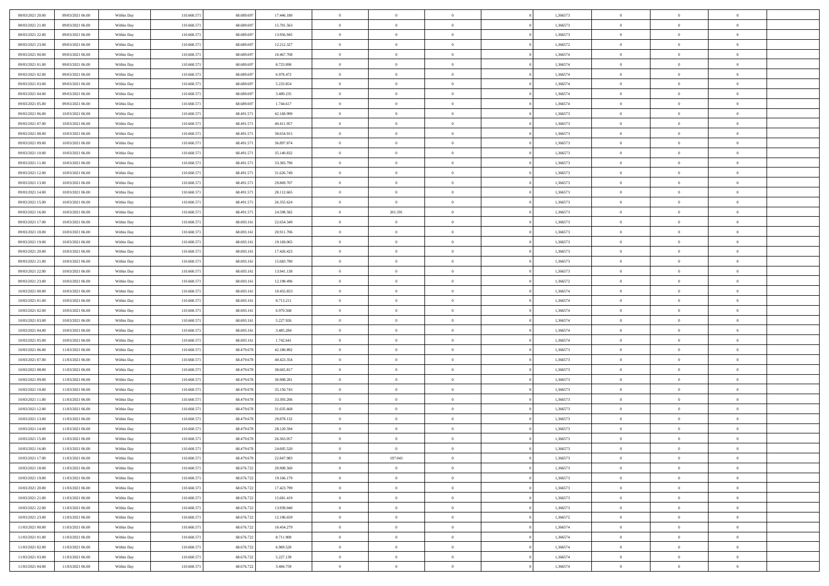| 08/03/2021 20:00 | 09/03/2021 06:00 | Within Day | 110.660.571 | 68.689.69  | 17.446.180 | $\bf{0}$       | $\overline{0}$ | $\overline{0}$ | 1,366573 | $\bf{0}$       | $\overline{0}$ | $\theta$       |  |
|------------------|------------------|------------|-------------|------------|------------|----------------|----------------|----------------|----------|----------------|----------------|----------------|--|
| 08/03/2021 21:00 | 09/03/2021 06:00 | Within Day | 110.660.57  | 68.689.697 | 15.701.563 | $\overline{0}$ | $\overline{0}$ | $\overline{0}$ | 1,366573 | $\theta$       | $\overline{0}$ | $\theta$       |  |
| 08/03/2021 22:00 | 09/03/2021 06:00 | Within Day | 110.660.571 | 68.689.697 | 13.956.945 | $\,$ 0 $\,$    | $\overline{0}$ | $\bf{0}$       | 1,366573 | $\,$ 0 $\,$    | $\overline{0}$ | $\,$ 0 $\,$    |  |
| 08/03/2021 23:00 | 09/03/2021 06:00 | Within Day | 110,660.57  | 68,689,69  | 12.212.327 | $\bf{0}$       | $\theta$       | $\overline{0}$ | 1,366572 | $\theta$       | $\mathbf{0}$   | $\theta$       |  |
| 09/03/2021 00:00 | 09/03/2021 06:00 | Within Day | 110.660.571 | 68.689.697 | 10.467.708 | $\overline{0}$ | $\overline{0}$ | $\overline{0}$ | 1,366574 | $\overline{0}$ | $\overline{0}$ | $\overline{0}$ |  |
| 09/03/2021 01:00 | 09/03/2021 06:00 | Within Day | 110.660.571 | 68.689.697 | 8.723.090  | $\,$ 0 $\,$    | $\overline{0}$ | $\bf{0}$       | 1,366574 | $\,$ 0 $\,$    | $\overline{0}$ | $\,$ 0 $\,$    |  |
| 09/03/2021 02:00 | 09/03/2021 06:00 | Within Day | 110.660.571 | 68,689,69  | 6.978.472  | $\bf{0}$       | $\overline{0}$ | $\overline{0}$ | 1,366574 | $\bf{0}$       | $\overline{0}$ | $\theta$       |  |
| 09/03/2021 03:00 | 09/03/2021 06:00 | Within Day | 110.660.571 | 68.689.697 | 5.233.854  | $\overline{0}$ | $\overline{0}$ | $\overline{0}$ | 1,366574 | $\overline{0}$ | $\overline{0}$ | $\theta$       |  |
| 09/03/2021 04:00 | 09/03/2021 06:00 | Within Day | 110.660.571 | 68.689.697 | 3.489.235  | $\,$ 0 $\,$    | $\overline{0}$ | $\bf{0}$       | 1,366574 | $\,$ 0 $\,$    | $\overline{0}$ | $\,$ 0 $\,$    |  |
| 09/03/2021 05:00 | 09/03/2021 06:00 | Within Day | 110,660.57  | 68,689,69  | 1.744.617  | $\overline{0}$ | $\Omega$       | $\overline{0}$ | 1,366574 | $\theta$       | $\mathbf{0}$   | $\theta$       |  |
| 09/03/2021 06:00 | 10/03/2021 06:00 | Within Day | 110.660.571 | 68.491.571 | 42.168.999 | $\overline{0}$ | $\overline{0}$ | $\overline{0}$ | 1,366573 | $\overline{0}$ | $\overline{0}$ | $\overline{0}$ |  |
| 09/03/2021 07:00 | 10/03/2021 06:00 | Within Day | 110.660.571 | 68.491.571 | 40.411.957 | $\,$ 0 $\,$    | $\overline{0}$ | $\bf{0}$       | 1,366573 | $\,$ 0 $\,$    | $\overline{0}$ | $\,$ 0 $\,$    |  |
| 09/03/2021 08:00 | 10/03/2021 06:00 | Within Day | 110.660.571 | 68.491.571 | 38.654.915 | $\bf{0}$       | $\overline{0}$ | $\overline{0}$ | 1,366573 | $\bf{0}$       | $\overline{0}$ | $\theta$       |  |
| 09/03/2021 09:00 | 10/03/2021 06:00 | Within Day | 110.660.571 | 68.491.571 | 36.897.874 | $\overline{0}$ | $\overline{0}$ | $\overline{0}$ | 1,366573 | $\overline{0}$ | $\overline{0}$ | $\theta$       |  |
| 09/03/2021 10:00 | 10/03/2021 06:00 | Within Day | 110.660.571 | 68.491.571 | 35.140.832 | $\,$ 0 $\,$    | $\overline{0}$ | $\bf{0}$       | 1,366573 | $\,$ 0 $\,$    | $\overline{0}$ | $\,$ 0 $\,$    |  |
| 09/03/2021 11:00 | 10/03/2021 06:00 | Within Day | 110,660.57  | 68.491.57  | 33,383,790 | $\overline{0}$ | $\mathbf{0}$   | $\overline{0}$ | 1,366573 | $\theta$       | $\mathbf{0}$   | $\theta$       |  |
| 09/03/2021 12:00 | 10/03/2021 06:00 | Within Day | 110.660.571 | 68.491.571 | 31.626.749 | $\overline{0}$ | $\overline{0}$ | $\overline{0}$ | 1,366573 | $\overline{0}$ | $\overline{0}$ | $\overline{0}$ |  |
| 09/03/2021 13:00 | 10/03/2021 06:00 | Within Day | 110.660.571 | 68.491.571 | 29.869.707 | $\,$ 0 $\,$    | $\overline{0}$ | $\bf{0}$       | 1,366573 | $\,$ 0 $\,$    | $\overline{0}$ | $\,$ 0 $\,$    |  |
| 09/03/2021 14:00 | 10/03/2021 06:00 | Within Day | 110.660.571 | 68.491.571 | 28.112.665 | $\bf{0}$       | $\mathbf{0}$   | $\overline{0}$ | 1,366573 | $\theta$       | $\theta$       | $\theta$       |  |
| 09/03/2021 15:00 | 10/03/2021 06:00 | Within Day | 110.660.571 | 68.491.571 | 26.355.624 | $\overline{0}$ | $\overline{0}$ | $\overline{0}$ | 1,366573 | $\overline{0}$ | $\overline{0}$ | $\overline{0}$ |  |
| 09/03/2021 16:00 | 10/03/2021 06:00 | Within Day | 110.660.571 | 68.491.571 | 24.598.582 | $\,$ 0 $\,$    | 201.591        | $\bf{0}$       | 1,366573 | $\,$ 0 $\,$    | $\overline{0}$ | $\,$ 0 $\,$    |  |
| 09/03/2021 17:00 | 10/03/2021 06:00 | Within Day | 110.660.57  | 68.693.16  | 22.654.349 | $\bf{0}$       | $\mathbf{0}$   | $\overline{0}$ | 1,366573 | $\bf{0}$       | $\mathbf{0}$   | $\theta$       |  |
| 09/03/2021 18:00 | 10/03/2021 06:00 | Within Day | 110.660.571 | 68.693.161 | 20.911.706 | $\overline{0}$ | $\overline{0}$ | $\overline{0}$ | 1,366573 | $\mathbf{0}$   | $\overline{0}$ | $\theta$       |  |
| 09/03/2021 19:00 | 10/03/2021 06:00 | Within Day | 110.660.571 | 68.693.161 | 19.169.065 | $\,$ 0 $\,$    | $\overline{0}$ | $\bf{0}$       | 1,366573 | $\,$ 0 $\,$    | $\overline{0}$ | $\bf{0}$       |  |
| 09/03/2021 20:00 | 10/03/2021 06:00 | Within Day | 110,660.57  | 68.693.16  | 17.426.423 | $\overline{0}$ | $\mathbf{0}$   | $\overline{0}$ | 1,366573 | $\theta$       | $\mathbf{0}$   | $\theta$       |  |
| 09/03/2021 21:00 | 10/03/2021 06:00 | Within Day | 110.660.571 | 68.693.161 | 15.683.780 | $\overline{0}$ | $\overline{0}$ | $\overline{0}$ | 1,366573 | $\mathbf{0}$   | $\overline{0}$ | $\overline{0}$ |  |
| 09/03/2021 22:00 | 10/03/2021 06:00 | Within Day | 110.660.571 | 68.693.161 | 13.941.138 | $\,$ 0 $\,$    | $\overline{0}$ | $\bf{0}$       | 1,366573 | $\,$ 0 $\,$    | $\overline{0}$ | $\,$ 0 $\,$    |  |
| 09/03/2021 23:00 | 10/03/2021 06:00 | Within Day | 110.660.571 | 68.693.161 | 12.198.496 | $\bf{0}$       | $\overline{0}$ | $\overline{0}$ | 1,366572 | $\bf{0}$       | $\mathbf{0}$   | $\bf{0}$       |  |
| 10/03/2021 00:00 | 10/03/2021 06:00 | Within Day | 110.660.571 | 68.693.161 | 10.455.853 | $\overline{0}$ | $\overline{0}$ | $\overline{0}$ | 1,366574 | $\overline{0}$ | $\overline{0}$ | $\theta$       |  |
| 10/03/2021 01:00 | 10/03/2021 06:00 | Within Day | 110.660.571 | 68.693.161 | 8.713.211  | $\,$ 0 $\,$    | $\overline{0}$ | $\bf{0}$       | 1,366574 | $\,$ 0 $\,$    | $\overline{0}$ | $\,$ 0 $\,$    |  |
| 10/03/2021 02:00 | 10/03/2021 06:00 | Within Day | 110.660.571 | 68.693.16  | 6.970.568  | $\,0\,$        | $\overline{0}$ | $\bf{0}$       | 1,366574 | $\,$ 0 $\,$    | $\overline{0}$ | $\bf{0}$       |  |
| 10/03/2021 03:00 | 10/03/2021 06:00 | Within Day | 110.660.571 | 68.693.161 | 5.227.926  | $\overline{0}$ | $\overline{0}$ | $\overline{0}$ | 1,366574 | $\mathbf{0}$   | $\overline{0}$ | $\overline{0}$ |  |
| 10/03/2021 04:00 | 10/03/2021 06:00 | Within Day | 110.660.571 | 68.693.161 | 3.485.284  | $\,$ 0 $\,$    | $\overline{0}$ | $\bf{0}$       | 1,366574 | $\,$ 0 $\,$    | $\overline{0}$ | $\,$ 0 $\,$    |  |
| 10/03/2021 05:00 | 10/03/2021 06:00 | Within Day | 110.660.571 | 68.693.161 | 1.742.641  | $\,0\,$        | $\overline{0}$ | $\bf{0}$       | 1,366574 | $\bf{0}$       | $\overline{0}$ | $\bf{0}$       |  |
| 10/03/2021 06:00 | 11/03/2021 06:00 | Within Day | 110.660.571 | 68.479.678 | 42.180.892 | $\overline{0}$ | $\overline{0}$ | $\overline{0}$ | 1,366573 | $\overline{0}$ | $\overline{0}$ | $\theta$       |  |
| 10/03/2021 07:00 | 11/03/2021 06:00 | Within Day | 110.660.571 | 68.479.678 | 40.423.354 | $\,$ 0 $\,$    | $\overline{0}$ | $\bf{0}$       | 1,366573 | $\,$ 0 $\,$    | $\overline{0}$ | $\,$ 0 $\,$    |  |
| 10/03/2021 08:00 | 11/03/2021 06:00 | Within Day | 110.660.571 | 68.479.678 | 38.665.817 | $\bf{0}$       | $\overline{0}$ | $\bf{0}$       | 1,366573 | $\bf{0}$       | $\overline{0}$ | $\bf{0}$       |  |
| 10/03/2021 09:00 | 11/03/2021 06:00 | Within Day | 110.660.571 | 68.479.678 | 36.908.281 | $\overline{0}$ | $\overline{0}$ | $\overline{0}$ | 1,366573 | $\mathbf{0}$   | $\overline{0}$ | $\overline{0}$ |  |
| 10/03/2021 10:00 | 11/03/2021 06:00 | Within Day | 110.660.571 | 68.479.678 | 35.150.743 | $\,$ 0 $\,$    | $\overline{0}$ | $\bf{0}$       | 1,366573 | $\,$ 0 $\,$    | $\overline{0}$ | $\,$ 0 $\,$    |  |
| 10/03/2021 11:00 | 11/03/2021 06:00 | Within Day | 110.660.571 | 68.479.678 | 33.393.206 | $\mathbf{0}$   | $\overline{0}$ | $\bf{0}$       | 1,366573 | $\bf{0}$       | $\overline{0}$ | $\bf{0}$       |  |
| 10/03/2021 12:00 | 11/03/2021 06:00 | Within Day | 110.660.571 | 68.479.678 | 31.635.668 | $\overline{0}$ | $\overline{0}$ | $\overline{0}$ | 1,366573 | $\mathbf{0}$   | $\overline{0}$ | $\overline{0}$ |  |
| 10/03/2021 13:00 | 11/03/2021 06:00 | Within Day | 110.660.571 | 68.479.678 | 29.878.132 | $\,$ 0 $\,$    | $\overline{0}$ | $\bf{0}$       | 1,366573 | $\,$ 0 $\,$    | $\overline{0}$ | $\,$ 0 $\,$    |  |
| 10/03/2021 14:00 | 11/03/2021 06:00 | Within Day | 110.660.571 | 68.479.678 | 28.120.594 | $\bf{0}$       | $\overline{0}$ | $\bf{0}$       | 1,366573 | $\bf{0}$       | $\overline{0}$ | $\bf{0}$       |  |
| 10/03/2021 15:00 | 11/03/2021 06:00 | Within Day | 110.660.571 | 68.479.678 | 26.363.057 | $\mathbf{0}$   | $\overline{0}$ | $\overline{0}$ | 1,366573 | $\theta$       | $\overline{0}$ | $\overline{0}$ |  |
| 10/03/2021 16:00 | 11/03/2021 06:00 | Within Day | 110.660.571 | 68.479.678 | 24.605.520 | $\mathbf{0}$   | $\overline{0}$ | $\theta$       | 1,366573 | $\overline{0}$ | $\overline{0}$ | $\theta$       |  |
| 10/03/2021 17:00 | 11/03/2021 06:00 | Within Day | 110.660.571 | 68.479.678 | 22.847.983 | $\bf{0}$       | 197.043        | $\bf{0}$       | 1,366573 | $\bf{0}$       | $\overline{0}$ | $\bf{0}$       |  |
| 10/03/2021 18:00 | 11/03/2021 06:00 | Within Day | 110.660.571 | 68.676.722 | 20.908.560 | $\bf{0}$       | $\overline{0}$ | $\overline{0}$ | 1,366573 | $\overline{0}$ | $\overline{0}$ | $\overline{0}$ |  |
| 10/03/2021 19:00 | 11/03/2021 06:00 | Within Day | 110.660.571 | 68.676.722 | 19.166.179 | $\,$ 0         | $\overline{0}$ | $\overline{0}$ | 1,366573 | $\,$ 0 $\,$    | $\,$ 0 $\,$    | $\,$ 0 $\,$    |  |
| 10/03/2021 20:00 | 11/03/2021 06:00 | Within Day | 110.660.571 | 68.676.722 | 17.423.799 | $\bf{0}$       | $\overline{0}$ | $\overline{0}$ | 1,366573 | $\mathbf{0}$   | $\overline{0}$ | $\bf{0}$       |  |
| 10/03/2021 21:00 | 11/03/2021 06:00 | Within Day | 110.660.571 | 68.676.722 | 15.681.419 | $\overline{0}$ | $\overline{0}$ | $\overline{0}$ | 1,366573 | $\mathbf{0}$   | $\overline{0}$ | $\overline{0}$ |  |
| 10/03/2021 22:00 | 11/03/2021 06:00 | Within Day | 110.660.571 | 68.676.722 | 13.939.040 | $\,$ 0         | $\overline{0}$ | $\overline{0}$ | 1,366573 | $\,$ 0 $\,$    | $\overline{0}$ | $\,$ 0 $\,$    |  |
| 10/03/2021 23:00 | 11/03/2021 06:00 | Within Day | 110.660.571 | 68.676.722 | 12.196.659 | $\overline{0}$ | $\overline{0}$ | $\overline{0}$ | 1,366572 | $\overline{0}$ | $\overline{0}$ | $\overline{0}$ |  |
| 11/03/2021 00:00 | 11/03/2021 06:00 | Within Day | 110.660.571 | 68.676.722 | 10.454.279 | $\mathbf{0}$   | $\overline{0}$ | $\overline{0}$ | 1,366574 | $\overline{0}$ | $\overline{0}$ | $\overline{0}$ |  |
| 11/03/2021 01:00 | 11/03/2021 06:00 | Within Day | 110.660.571 | 68.676.722 | 8.711.900  | $\,$ 0         | $\overline{0}$ | $\overline{0}$ | 1,366574 | $\,$ 0 $\,$    | $\,$ 0 $\,$    | $\,$ 0 $\,$    |  |
| 11/03/2021 02:00 | 11/03/2021 06:00 | Within Day | 110.660.571 | 68.676.722 | 6.969.520  | $\bf{0}$       | $\overline{0}$ | $\overline{0}$ | 1,366574 | $\mathbf{0}$   | $\overline{0}$ | $\bf{0}$       |  |
| 11/03/2021 03:00 | 11/03/2021 06:00 | Within Day | 110.660.571 | 68.676.722 | 5.227.139  | $\mathbf{0}$   | $\overline{0}$ | $\overline{0}$ | 1,366574 | $\overline{0}$ | $\overline{0}$ | $\overline{0}$ |  |
| 11/03/2021 04:00 | 11/03/2021 06:00 | Within Day | 110.660.571 | 68.676.722 | 3.484.759  | $\,$ 0 $\,$    | $\overline{0}$ | $\bf{0}$       | 1,366574 | $\,$ 0 $\,$    | $\overline{0}$ | $\,$ 0 $\,$    |  |
|                  |                  |            |             |            |            |                |                |                |          |                |                |                |  |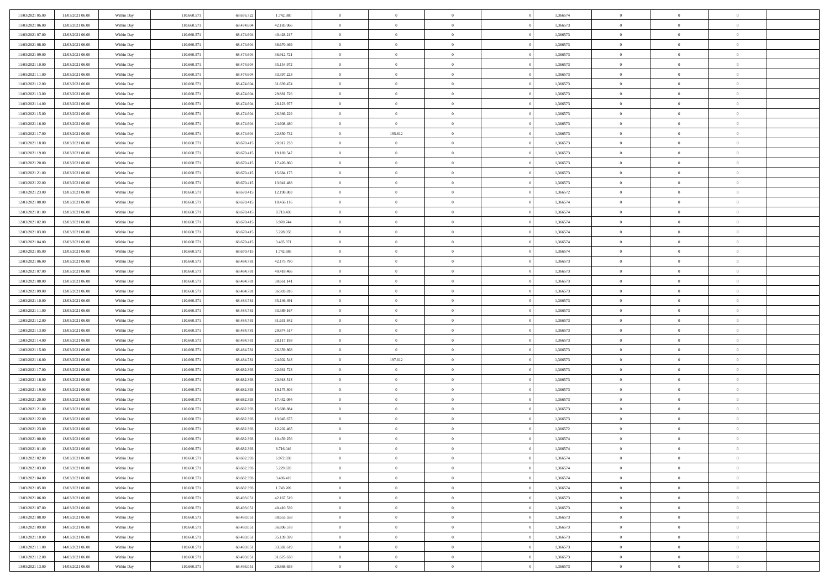| 11/03/2021 05:00                     | 11/03/2021 06:00                     | Within Day               | 110.660.571                | 68.676.722               | 1.742.380                | $\,$ 0 $\,$    | $\overline{0}$                   | $\overline{0}$             | 1,366574             | $\bf{0}$       | $\overline{0}$             | $\,0\,$        |  |
|--------------------------------------|--------------------------------------|--------------------------|----------------------------|--------------------------|--------------------------|----------------|----------------------------------|----------------------------|----------------------|----------------|----------------------------|----------------|--|
| 11/03/2021 06:00                     | 12/03/2021 06:00                     | Within Day               | 110.660.571                | 68.474.604               | 42.185.966               | $\theta$       | $\overline{0}$                   | $\mathbf{0}$               | 1,366573             | $\theta$       | $\overline{0}$             | $\theta$       |  |
| 11/03/2021 07:00                     | 12/03/2021 06:00                     | Within Day               | 110.660.571                | 68.474.604               | 40.428.217               | $\theta$       | $\overline{0}$                   | $\overline{0}$             | 1,366573             | $\mathbf{0}$   | $\overline{0}$             | $\overline{0}$ |  |
| 11/03/2021 08:00                     | 12/03/2021 06:00                     | Within Day               | 110.660.571                | 68.474.604               | 38.670.469               | $\,$ 0 $\,$    | $\overline{0}$                   | $\overline{0}$             | 1,366573             | $\bf{0}$       | $\overline{0}$             | $\bf{0}$       |  |
| 11/03/2021 09:00                     | 12/03/2021 06:00                     | Within Day               | 110.660.571                | 68.474.604               | 36.912.721               | $\,$ 0         | $\overline{0}$                   | $\mathbf{0}$               | 1,366573             | $\bf{0}$       | $\theta$                   | $\,0\,$        |  |
| 11/03/2021 10:00                     | 12/03/2021 06:00                     | Within Day               | 110.660.571                | 68.474.604               | 35.154.972               | $\theta$       | $\overline{0}$                   | $\mathbf{0}$               | 1,366573             | $\mathbf{0}$   | $\overline{0}$             | $\overline{0}$ |  |
| 11/03/2021 11:00                     | 12/03/2021 06:00                     | Within Day               | 110.660.571                | 68.474.604               | 33.397.223               | $\,$ 0 $\,$    | $\overline{0}$                   | $\overline{0}$             | 1,366573             | $\bf{0}$       | $\overline{0}$             | $\,0\,$        |  |
| 11/03/2021 12:00                     | 12/03/2021 06:00                     | Within Day               | 110.660.571                | 68.474.604               | 31.639.474               | $\overline{0}$ | $\overline{0}$                   | $\mathbf{0}$               | 1,366573             | $\,$ 0 $\,$    | $\overline{0}$             | $\theta$       |  |
| 11/03/2021 13:00                     | 12/03/2021 06:00                     | Within Day               | 110.660.571                | 68.474.604               | 29.881.726               | $\theta$       | $\overline{0}$                   | $\overline{0}$             | 1,366573             | $\mathbf{0}$   | $\bf{0}$                   | $\overline{0}$ |  |
| 11/03/2021 14:00                     | 12/03/2021 06:00                     | Within Day               | 110.660.571                | 68.474.604               | 28.123.977               | $\,$ 0 $\,$    | $\overline{0}$                   | $\Omega$                   | 1,366573             | $\bf{0}$       | $\overline{0}$             | $\,0\,$        |  |
| 11/03/2021 15:00                     | 12/03/2021 06:00                     | Within Day               | 110.660.571                | 68.474.604               | 26.366.229               | $\bf{0}$       | $\overline{0}$                   | $\mathbf{0}$               | 1,366573             | $\bf{0}$       | $\mathbf{0}$               | $\theta$       |  |
| 11/03/2021 16:00                     | 12/03/2021 06:00                     | Within Day               | 110.660.571                | 68.474.604               | 24.608.480               | $\theta$       | $\overline{0}$                   | $\mathbf{0}$               | 1,366573             | $\mathbf{0}$   | $\overline{0}$             | $\overline{0}$ |  |
| 11/03/2021 17:00                     | 12/03/2021 06:00                     | Within Day               | 110.660.571                | 68.474.604               | 22.850.732               | $\,$ 0 $\,$    | 195.812                          | $\overline{0}$             | 1,366573             | $\bf{0}$       | $\overline{0}$             | $\bf{0}$       |  |
| 11/03/2021 18:00                     | 12/03/2021 06:00                     | Within Day               | 110.660.571                | 68.670.415               | 20.912.233               | $\bf{0}$       | $\overline{0}$                   | $\mathbf{0}$               | 1,366573             | $\bf{0}$       | $\theta$                   | $\,0\,$        |  |
| 11/03/2021 19:00                     | 12/03/2021 06:00                     | Within Day               | 110.660.571                | 68.670.415               | 19.169.547               | $\theta$       | $\overline{0}$                   | $\mathbf{0}$               | 1,366573             | $\mathbf{0}$   | $\overline{0}$             | $\overline{0}$ |  |
| 11/03/2021 20:00                     | 12/03/2021 06:00                     | Within Day               | 110.660.571                | 68.670.415               | 17.426.860               | $\,$ 0 $\,$    | $\overline{0}$                   | $\Omega$                   | 1,366573             | $\bf{0}$       | $\overline{0}$             | $\bf{0}$       |  |
|                                      | 12/03/2021 06:00                     | Within Day               | 110.660.571                | 68.670.415               | 15.684.175               | $\,$ 0         | $\overline{0}$                   | $\mathbf{0}$               | 1,366573             | $\,$ 0 $\,$    | $\overline{0}$             | $\theta$       |  |
| 11/03/2021 21:00<br>11/03/2021 22:00 | 12/03/2021 06:00                     | Within Day               | 110.660.571                | 68.670.415               | 13.941.488               | $\theta$       | $\overline{0}$                   | $\mathbf{0}$               | 1,366573             | $\mathbf{0}$   | $\overline{0}$             | $\overline{0}$ |  |
| 11/03/2021 23:00                     | 12/03/2021 06:00                     | Within Day               | 110.660.571                | 68.670.415               | 12.198.803               | $\,$ 0 $\,$    | $\overline{0}$                   | $\Omega$                   | 1,366572             | $\bf{0}$       | $\overline{0}$             | $\,0\,$        |  |
| 12/03/2021 00:00                     | 12/03/2021 06:00                     |                          | 110.660.571                | 68.670.415               | 10.456.116               | $\bf{0}$       | $\overline{0}$                   | $\mathbf{0}$               | 1,366574             | $\bf{0}$       | $\mathbf{0}$               | $\theta$       |  |
| 12/03/2021 01:00                     | 12/03/2021 06:00                     | Within Day<br>Within Day | 110.660.571                | 68.670.415               | 8.713.430                | $\theta$       | $\overline{0}$                   | $\overline{0}$             | 1,366574             | $\mathbf{0}$   | $\overline{0}$             | $\overline{0}$ |  |
| 12/03/2021 02:00                     | 12/03/2021 06:00                     | Within Day               | 110.660.571                | 68.670.415               | 6.970.744                | $\,$ 0 $\,$    | $\overline{0}$                   | $\overline{0}$             | 1,366574             | $\bf{0}$       | $\overline{0}$             | $\bf{0}$       |  |
|                                      |                                      |                          | 110.660.571                | 68.670.415               |                          | $\,$ 0         | $\overline{0}$                   | $\mathbf{0}$               | 1,366574             | $\bf{0}$       | $\theta$                   | $\,0\,$        |  |
| 12/03/2021 03:00<br>12/03/2021 04:00 | 12/03/2021 06:00<br>12/03/2021 06:00 | Within Day<br>Within Day | 110.660.571                | 68.670.415               | 5.228.058<br>3.485.371   | $\theta$       | $\overline{0}$                   | $\mathbf{0}$               | 1,366574             | $\mathbf{0}$   | $\overline{0}$             | $\overline{0}$ |  |
| 12/03/2021 05:00                     | 12/03/2021 06:00                     | Within Day               | 110.660.571                | 68.670.415               | 1.742.686                | $\,$ 0 $\,$    | $\overline{0}$                   | $\overline{0}$             | 1,366574             | $\bf{0}$       | $\overline{0}$             | $\,0\,$        |  |
|                                      |                                      |                          |                            | 68,484.78                |                          | $\,$ 0         | $\overline{0}$                   | $\mathbf{0}$               |                      | $\bf{0}$       | $\overline{0}$             | $\theta$       |  |
| 12/03/2021 06:00                     | 13/03/2021 06:00<br>13/03/2021 06:00 | Within Day               | 110.660.571                |                          | 42.175.790               | $\theta$       |                                  |                            | 1,366573             | $\mathbf{0}$   |                            | $\overline{0}$ |  |
| 12/03/2021 07:00                     |                                      | Within Day               | 110.660.571                | 68.484.781               | 40.418.466               | $\,$ 0 $\,$    | $\overline{0}$                   | $\overline{0}$<br>$\Omega$ | 1,366573             | $\bf{0}$       | $\bf{0}$<br>$\overline{0}$ | $\,0\,$        |  |
| 12/03/2021 08:00                     | 13/03/2021 06:00                     | Within Day               | 110.660.571                | 68.484.781<br>68,484,781 | 38.661.141               | $\bf{0}$       | $\overline{0}$                   | $\mathbf{0}$               | 1,366573             | $\bf{0}$       | $\mathbf{0}$               | $\overline{0}$ |  |
| 12/03/2021 09:00<br>12/03/2021 10:00 | 13/03/2021 06:00<br>13/03/2021 06:00 | Within Day<br>Within Day | 110.660.571<br>110.660.571 | 68.484.781               | 36.903.816<br>35.146.491 | $\theta$       | $\overline{0}$<br>$\overline{0}$ | $\overline{0}$             | 1,366573<br>1,366573 | $\mathbf{0}$   | $\overline{0}$             | $\overline{0}$ |  |
|                                      |                                      |                          |                            |                          |                          | $\,$ 0 $\,$    |                                  | $\overline{0}$             |                      | $\,$ 0         | $\overline{0}$             | $\,$ 0 $\,$    |  |
| 12/03/2021 11:00                     | 13/03/2021 06:00                     | Within Day               | 110.660.571<br>110.660.571 | 68.484.781<br>68,484,781 | 33.389.167<br>31.631.842 | $\bf{0}$       | $\overline{0}$<br>$\overline{0}$ | $\mathbf{0}$               | 1,366573<br>1,366573 | $\bf{0}$       | $\mathbf{0}$               | $\overline{0}$ |  |
| 12/03/2021 12:00<br>12/03/2021 13:00 | 13/03/2021 06:00<br>13/03/2021 06:00 | Within Day<br>Within Day | 110.660.571                | 68.484.781               | 29.874.517               | $\theta$       | $\overline{0}$                   | $\mathbf{0}$               | 1,366573             | $\mathbf{0}$   | $\overline{0}$             | $\overline{0}$ |  |
| 12/03/2021 14:00                     | 13/03/2021 06:00                     | Within Day               | 110.660.571                | 68.484.781               | 28.117.193               | $\theta$       | $\overline{0}$                   | $\overline{0}$             | 1,366573             | $\,$ 0         | $\overline{0}$             | $\theta$       |  |
| 12/03/2021 15:00                     | 13/03/2021 06:00                     |                          | 110.660.571                | 68,484,781               | 26.359.868               | $\bf{0}$       | $\overline{0}$                   | $\mathbf{0}$               | 1,366573             | $\mathbf{0}$   | $\overline{0}$             | $\overline{0}$ |  |
| 12/03/2021 16:00                     | 13/03/2021 06:00                     | Within Day<br>Within Day | 110.660.571                | 68.484.781               | 24.602.543               | $\theta$       | 197.612                          | $\mathbf{0}$               | 1,366573             | $\mathbf{0}$   | $\overline{0}$             | $\overline{0}$ |  |
| 12/03/2021 17:00                     | 13/03/2021 06:00                     | Within Day               | 110.660.571                | 68.682.393               | 22.661.723               | $\theta$       | $\overline{0}$                   | $\overline{0}$             | 1,366573             | $\,$ 0         | $\overline{0}$             | $\theta$       |  |
| 12/03/2021 18:00                     | 13/03/2021 06:00                     | Within Day               | 110.660.571                | 68.682.393               | 20.918.513               | $\bf{0}$       | $\overline{0}$                   | $\mathbf{0}$               | 1,366573             | $\bf{0}$       | $\mathbf{0}$               | $\overline{0}$ |  |
| 12/03/2021 19:00                     | 13/03/2021 06:00                     | Within Day               | 110.660.571                | 68.682.393               | 19.175.304               | $\theta$       | $\overline{0}$                   | $\overline{0}$             | 1,366573             | $\mathbf{0}$   | $\overline{0}$             | $\overline{0}$ |  |
| 12/03/2021 20:00                     | 13/03/2021 06:00                     | Within Day               | 110.660.571                | 68.682.393               | 17.432.094               | $\,$ 0 $\,$    | $\overline{0}$                   | $\overline{0}$             | 1,366573             | $\,$ 0         | $\overline{0}$             | $\,$ 0 $\,$    |  |
| 12/03/2021 21:00                     | 13/03/2021 06:00                     | Within Day               | 110.660.571                | 68.682.393               | 15.688.884               | $\,$ 0         | $\,$ 0 $\,$                      | $\overline{0}$             | 1,366573             | $\,$ 0 $\,$    | $\bf{0}$                   | $\overline{0}$ |  |
| 12/03/2021 22:00                     | 13/03/2021 06:00                     | Within Day               | 110.660.571                | 68.682.393               | 13.945.675               | $\theta$       | $\overline{0}$                   | $\mathbf{0}$               | 1,366573             | $\mathbf{0}$   | $\overline{0}$             | $\theta$       |  |
| 12/03/2021 23:00                     | 13/03/2021 06:00                     | Within Day               | 110.660.571                | 68.682.393               | 12.202.465               | $\overline{0}$ | $\overline{0}$                   | $\overline{0}$             | 1,366572             | $\,$ 0         | $\overline{0}$             | $\theta$       |  |
| 13/03/2021 00:00                     | 13/03/2021 06:00                     | Within Day               | 110.660.571                | 68.682.393               | 10.459.256               | $\,$ 0         | $\overline{0}$                   | $\mathbf{0}$               | 1,366574             | $\,$ 0 $\,$    | $\overline{0}$             | $\overline{0}$ |  |
| 13/03/2021 01:00                     | 13/03/2021 06:00                     | Within Day               | 110.660.571                | 68.682.393               | 8.716.046                | $\overline{0}$ | $\theta$                         |                            | 1,366574             | $\overline{0}$ | $\theta$                   | $\theta$       |  |
| 13/03/2021 02:00                     | 13/03/2021 06:00                     | Within Day               | 110.660.571                | 68.682.393               | 6.972.838                | $\,$ 0 $\,$    | $\overline{0}$                   | $\overline{0}$             | 1,366574             | $\,$ 0 $\,$    | $\bf{0}$                   | $\theta$       |  |
| 13/03/2021 03:00                     | 13/03/2021 06:00                     | Within Day               | 110,660,571                | 68.682.393               | 5.229.628                | $\bf{0}$       | $\,$ 0 $\,$                      | $\overline{0}$             | 1,366574             | $\,$ 0 $\,$    | $\overline{0}$             | $\overline{0}$ |  |
| 13/03/2021 04:00                     | 13/03/2021 06:00                     | Within Day               | 110.660.571                | 68.682.393               | 3.486.419                | $\mathbf{0}$   | $\overline{0}$                   | $\overline{0}$             | 1,366574             | $\mathbf{0}$   | $\bf{0}$                   | $\mathbf{0}$   |  |
| 13/03/2021 05:00                     | 13/03/2021 06:00                     | Within Day               | 110.660.571                | 68.682.393               | 1.743.209                | $\,$ 0 $\,$    | $\overline{0}$                   | $\overline{0}$             | 1,366574             | $\,$ 0 $\,$    | $\bf{0}$                   | $\,$ 0 $\,$    |  |
| 13/03/2021 06:00                     | 14/03/2021 06:00                     | Within Day               | 110.660.571                | 68.493.051               | 42.167.519               | $\,$ 0 $\,$    | $\,$ 0 $\,$                      | $\overline{0}$             | 1,366573             | $\,$ 0 $\,$    | $\overline{0}$             | $\overline{0}$ |  |
| 13/03/2021 07:00                     | 14/03/2021 06:00                     | Within Day               | 110.660.571                | 68.493.051               | 40.410.539               | $\overline{0}$ | $\overline{0}$                   | $\overline{0}$             | 1,366573             | $\mathbf{0}$   | $\overline{0}$             | $\overline{0}$ |  |
| 13/03/2021 08:00                     | 14/03/2021 06:00                     | Within Day               | 110.660.571                | 68.493.051               | 38.653.558               | $\,$ 0 $\,$    | $\overline{0}$                   | $\overline{0}$             | 1,366573             | $\,$ 0 $\,$    | $\overline{0}$             | $\,$ 0 $\,$    |  |
| 13/03/2021 09:00                     | 14/03/2021 06:00                     | Within Day               | 110.660.571                | 68,493,051               | 36.896.578               | $\bf{0}$       | $\overline{0}$                   | $\overline{0}$             | 1,366573             | $\,$ 0 $\,$    | $\overline{0}$             | $\overline{0}$ |  |
| 13/03/2021 10:00                     | 14/03/2021 06:00                     | Within Day               | 110.660.571                | 68.493.051               | 35.139.599               | $\overline{0}$ | $\overline{0}$                   | $\overline{0}$             | 1,366573             | $\mathbf{0}$   | $\bf{0}$                   | $\overline{0}$ |  |
| 13/03/2021 11:00                     | 14/03/2021 06:00                     | Within Day               | 110.660.571                | 68.493.051               | 33.382.619               | $\,$ 0 $\,$    | $\overline{0}$                   | $\overline{0}$             | 1,366573             | $\,$ 0 $\,$    | $\overline{0}$             | $\,$ 0 $\,$    |  |
| 13/03/2021 12:00                     | 14/03/2021 06:00                     | Within Day               | 110.660.571                | 68.493.051               | 31.625.638               | $\,$ 0 $\,$    | $\,$ 0 $\,$                      | $\overline{0}$             | 1,366573             |                | $\overline{0}$             | $\overline{0}$ |  |
|                                      |                                      |                          |                            |                          |                          |                |                                  |                            |                      | $\bf{0}$       |                            |                |  |
| 13/03/2021 13:00                     | 14/03/2021 06:00                     | Within Day               | 110.660.571                | 68.493.051               | 29.868.658               | $\theta$       | $\overline{0}$                   | $\overline{0}$             | 1,366573             | $\mathbf{0}$   | $\overline{0}$             | $\overline{0}$ |  |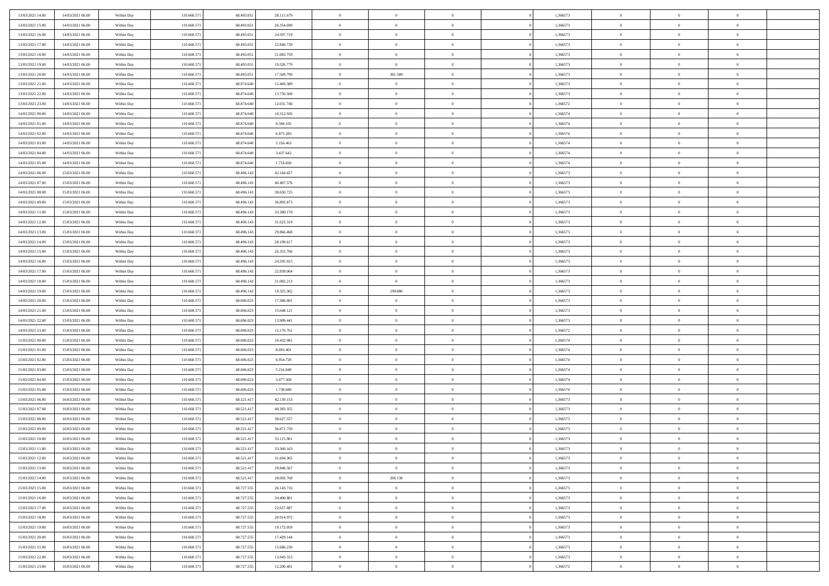| 13/03/2021 14:00                     | 14/03/2021 06:00 | Within Day | 110.660.571 | 68.493.051 | 28.111.679 | $\,$ 0                   | $\overline{0}$ | $\theta$       |          | 1,366573 | $\bf{0}$                 | $\overline{0}$ | $\,0\,$        |  |
|--------------------------------------|------------------|------------|-------------|------------|------------|--------------------------|----------------|----------------|----------|----------|--------------------------|----------------|----------------|--|
| 13/03/2021 15:00                     | 14/03/2021 06:00 | Within Day | 110.660.57  | 68.493.05  | 26.354.699 | $\overline{0}$           | $\overline{0}$ | $\Omega$       |          | 1,366573 | $\overline{0}$           | $\overline{0}$ | $\theta$       |  |
| 13/03/2021 16:00                     | 14/03/2021 06:00 | Within Dav | 110.660.571 | 68.493.051 | 24.597.719 | $\mathbf{0}$             | $\overline{0}$ | $\overline{0}$ |          | 1,366573 | $\mathbf{0}$             | $\overline{0}$ | $\overline{0}$ |  |
| 13/03/2021 17:00                     | 14/03/2021 06:00 | Within Day | 110.660.571 | 68.493.051 | 22.840.739 | $\bf{0}$                 | $\overline{0}$ | $\bf{0}$       |          | 1,366573 | $\bf{0}$                 | $\overline{0}$ | $\,0\,$        |  |
| 13/03/2021 18:00                     | 14/03/2021 06:00 | Within Day | 110.660.571 | 68.493.051 | 21.083.759 | $\bf{0}$                 | $\overline{0}$ | $\overline{0}$ |          | 1,366573 | $\bf{0}$                 | $\theta$       | $\,0\,$        |  |
| 13/03/2021 19:00                     | 14/03/2021 06:00 | Within Dav | 110.660.571 | 68.493.051 | 19.326.779 | $\overline{0}$           | $\overline{0}$ | $\overline{0}$ |          | 1,366573 | $\mathbf{0}$             | $\overline{0}$ | $\overline{0}$ |  |
| 13/03/2021 20:00                     | 14/03/2021 06:00 | Within Day | 110.660.571 | 68.493.051 | 17.569.799 | $\bf{0}$                 | 381.589        | $\overline{0}$ |          | 1,366573 | $\bf{0}$                 | $\overline{0}$ | $\,0\,$        |  |
| 13/03/2021 21:00                     | 14/03/2021 06:00 | Within Day | 110.660.571 | 68.874.640 | 15.469.389 | $\overline{0}$           | $\overline{0}$ | $\overline{0}$ |          | 1,366573 | $\,$ 0 $\,$              | $\overline{0}$ | $\theta$       |  |
| 13/03/2021 22:00                     | 14/03/2021 06:00 | Within Day | 110.660.571 | 68.874.640 | 13.750.568 | $\mathbf{0}$             | $\overline{0}$ | $\overline{0}$ |          | 1,366573 | $\mathbf{0}$             | $\bf{0}$       | $\overline{0}$ |  |
|                                      | 14/03/2021 06:00 |            | 110.660.571 | 68.874.640 | 12.031.746 | $\bf{0}$                 | $\bf{0}$       | $\theta$       |          | 1,366572 | $\bf{0}$                 | $\overline{0}$ | $\,0\,$        |  |
| 13/03/2021 23:00                     |                  | Within Day | 110.660.571 | 68.874.640 |            |                          | $\overline{0}$ |                |          |          |                          | $\overline{0}$ | $\theta$       |  |
| 14/03/2021 00:00<br>14/03/2021 01:00 | 14/03/2021 06:00 | Within Day |             |            | 10.312.926 | $\bf{0}$<br>$\mathbf{0}$ |                | $\overline{0}$ |          | 1,366574 | $\bf{0}$<br>$\mathbf{0}$ |                | $\overline{0}$ |  |
|                                      | 14/03/2021 06:00 | Within Dav | 110.660.571 | 68.874.640 | 8.594.105  |                          | $\overline{0}$ | $\overline{0}$ |          | 1,366574 |                          | $\overline{0}$ |                |  |
| 14/03/2021 02:00                     | 14/03/2021 06:00 | Within Day | 110.660.571 | 68.874.640 | 6.875.283  | $\bf{0}$                 | $\overline{0}$ | $\bf{0}$       |          | 1,366574 | $\bf{0}$                 | $\overline{0}$ | $\,0\,$        |  |
| 14/03/2021 03:00                     | 14/03/2021 06:00 | Within Day | 110.660.571 | 68.874.640 | 5.156.463  | $\bf{0}$                 | $\overline{0}$ | $\overline{0}$ |          | 1,366574 | $\bf{0}$                 | $\theta$       | $\,0\,$        |  |
| 14/03/2021 04:00                     | 14/03/2021 06:00 | Within Dav | 110.660.571 | 68.874.640 | 3.437.642  | $\overline{0}$           | $\overline{0}$ | $\overline{0}$ |          | 1,366574 | $\mathbf{0}$             | $\overline{0}$ | $\overline{0}$ |  |
| 14/03/2021 05:00                     | 14/03/2021 06:00 | Within Day | 110.660.571 | 68.874.640 | 1.718.820  | $\bf{0}$                 | $\bf{0}$       | $\overline{0}$ |          | 1,366574 | $\bf{0}$                 | $\overline{0}$ | $\,0\,$        |  |
| 14/03/2021 06:00                     | 15/03/2021 06:00 | Within Day | 110.660.571 | 68.496.143 | 42.164.427 | $\bf{0}$                 | $\overline{0}$ | $\overline{0}$ |          | 1,366573 | $\,$ 0 $\,$              | $\overline{0}$ | $\theta$       |  |
| 14/03/2021 07:00                     | 15/03/2021 06:00 | Within Day | 110.660.571 | 68.496.143 | 40.407.576 | $\mathbf{0}$             | $\overline{0}$ | $\overline{0}$ |          | 1,366573 | $\mathbf{0}$             | $\overline{0}$ | $\overline{0}$ |  |
| 14/03/2021 08:00                     | 15/03/2021 06:00 | Within Day | 110.660.571 | 68.496.143 | 38.650.725 | $\bf{0}$                 | $\bf{0}$       | $\overline{0}$ |          | 1,366573 | $\bf{0}$                 | $\overline{0}$ | $\,0\,$        |  |
| 14/03/2021 09:00                     | 15/03/2021 06:00 | Within Day | 110.660.571 | 68.496.143 | 36.893.873 | $\bf{0}$                 | $\overline{0}$ | $\overline{0}$ |          | 1,366573 | $\bf{0}$                 | $\overline{0}$ | $\overline{0}$ |  |
| 14/03/2021 11:00                     | 15/03/2021 06:00 | Within Dav | 110.660.571 | 68.496.143 | 33.380.170 | $\mathbf{0}$             | $\overline{0}$ | $\overline{0}$ |          | 1,366573 | $\mathbf{0}$             | $\overline{0}$ | $\overline{0}$ |  |
| 14/03/2021 12:00                     | 15/03/2021 06:00 | Within Day | 110.660.571 | 68.496.143 | 31.623.319 | $\bf{0}$                 | $\bf{0}$       | $\bf{0}$       |          | 1,366573 | $\bf{0}$                 | $\overline{0}$ | $\,0\,$        |  |
| 14/03/2021 13:00                     | 15/03/2021 06:00 | Within Day | 110.660.571 | 68.496.143 | 29.866.468 | $\bf{0}$                 | $\bf{0}$       | $\overline{0}$ |          | 1,366573 | $\bf{0}$                 | $\bf{0}$       | $\,0\,$        |  |
| 14/03/2021 14:00                     | 15/03/2021 06:00 | Within Dav | 110.660.571 | 68.496.143 | 28.109.617 | $\mathbf{0}$             | $\overline{0}$ | $\overline{0}$ |          | 1,366573 | $\mathbf{0}$             | $\overline{0}$ | $\theta$       |  |
| 14/03/2021 15:00                     | 15/03/2021 06:00 | Within Day | 110.660.571 | 68.496.143 | 26.352.766 | $\bf{0}$                 | $\bf{0}$       | $\overline{0}$ |          | 1,366573 | $\bf{0}$                 | $\overline{0}$ | $\,0\,$        |  |
| 14/03/2021 16:00                     | 15/03/2021 06:00 | Within Day | 110.660.571 | 68.496.143 | 24.595.915 | $\bf{0}$                 | $\overline{0}$ | $\overline{0}$ |          | 1,366573 | $\bf{0}$                 | $\overline{0}$ | $\theta$       |  |
| 14/03/2021 17:00                     | 15/03/2021 06:00 | Within Day | 110.660.571 | 68.496.143 | 22.839.064 | $\overline{0}$           | $\overline{0}$ | $\overline{0}$ |          | 1,366573 | $\mathbf{0}$             | $\overline{0}$ | $\overline{0}$ |  |
| 14/03/2021 18:00                     | 15/03/2021 06:00 | Within Day | 110.660.571 | 68.496.143 | 21.082.213 | $\bf{0}$                 | $\bf{0}$       | $\overline{0}$ |          | 1,366573 | $\bf{0}$                 | $\overline{0}$ | $\,0\,$        |  |
| 14/03/2021 19:00                     | 15/03/2021 06:00 | Within Day | 110.660.571 | 68.496.143 | 19.325.362 | $\bf{0}$                 | 199.880        | $\overline{0}$ |          | 1,366573 | $\bf{0}$                 | $\mathbf{0}$   | $\overline{0}$ |  |
| 14/03/2021 20:00                     | 15/03/2021 06:00 | Within Day | 110.660.571 | 68.696.023 | 17.386.801 | $\mathbf{0}$             | $\overline{0}$ | $\overline{0}$ |          | 1,366573 | $\mathbf{0}$             | $\overline{0}$ | $\overline{0}$ |  |
| 14/03/2021 21:00                     | 15/03/2021 06:00 | Within Day | 110.660.571 | 68.696.023 | 15.648.121 | $\bf{0}$                 | $\overline{0}$ | $\theta$       |          | 1,366573 | $\,$ 0                   | $\overline{0}$ | $\theta$       |  |
| 14/03/2021 22:00                     | 15/03/2021 06:00 | Within Day | 110.660.571 | 68.696.02  | 13.909.441 | $\bf{0}$                 | $\bf{0}$       | $\overline{0}$ |          | 1,366573 | $\bf{0}$                 | $\mathbf{0}$   | $\overline{0}$ |  |
| 14/03/2021 23:00                     | 15/03/2021 06:00 | Within Dav | 110.660.571 | 68.696.023 | 12.170.761 | $\overline{0}$           | $\overline{0}$ | $\overline{0}$ |          | 1,366572 | $\mathbf{0}$             | $\overline{0}$ | $\overline{0}$ |  |
| 15/03/2021 00:00                     | 15/03/2021 06:00 | Within Day | 110.660.571 | 68.696.023 | 10.432.081 | $\bf{0}$                 | $\overline{0}$ | $\theta$       |          | 1,366574 | $\,$ 0                   | $\overline{0}$ | $\theta$       |  |
| 15/03/2021 01:00                     | 15/03/2021 06:00 | Within Day | 110.660.571 | 68.696.023 | 8.693.401  | $\bf{0}$                 | $\overline{0}$ | $\overline{0}$ |          | 1,366574 | $\bf{0}$                 | $\overline{0}$ | $\overline{0}$ |  |
| 15/03/2021 02:00                     | 15/03/2021 06:00 | Within Day | 110.660.571 | 68.696.023 | 6.954.720  | $\mathbf{0}$             | $\overline{0}$ | $\overline{0}$ |          | 1,366574 | $\mathbf{0}$             | $\overline{0}$ | $\overline{0}$ |  |
| 15/03/2021 03:00                     | 15/03/2021 06:00 | Within Day | 110.660.571 | 68.696.023 | 5.216.040  | $\bf{0}$                 | $\overline{0}$ | $\theta$       |          | 1,366574 | $\,$ 0                   | $\overline{0}$ | $\theta$       |  |
| 15/03/2021 04:00                     | 15/03/2021 06:00 | Within Day | 110.660.571 | 68.696.023 | 3.477.360  | $\bf{0}$                 | $\overline{0}$ | $\overline{0}$ |          | 1,366574 | $\bf{0}$                 | $\mathbf{0}$   | $\overline{0}$ |  |
| 15/03/2021 05:00                     | 15/03/2021 06:00 | Within Dav | 110.660.571 | 68.696.023 | 1.738.680  | $\mathbf{0}$             | $\overline{0}$ | $\overline{0}$ |          | 1,366574 | $\mathbf{0}$             | $\overline{0}$ | $\overline{0}$ |  |
| 15/03/2021 06:00                     | 16/03/2021 06:00 | Within Day | 110.660.571 | 68.521.417 | 42.139.153 | $\,0\,$                  | $\overline{0}$ | $\theta$       |          | 1,366573 | $\,$ 0                   | $\overline{0}$ | $\theta$       |  |
| 15/03/2021 07:00                     | 16/03/2021 06:00 | Within Day | 110.660.571 | 68.521.417 | 40.383.355 | $\bf{0}$                 | $\overline{0}$ | $\overline{0}$ |          | 1,366573 | $\bf{0}$                 | $\overline{0}$ | $\overline{0}$ |  |
| 15/03/2021 08:00                     | 16/03/2021 06:00 | Within Dav | 110.660.571 | 68.521.417 | 38.627.557 | $\mathbf{0}$             | $\overline{0}$ | $\overline{0}$ |          | 1,366573 | $\mathbf{0}$             | $\overline{0}$ | $\theta$       |  |
| 15/03/2021 09:00                     | 16/03/2021 06:00 | Within Day | 110.660.571 | 68.521.417 | 36.871.759 | $\bf{0}$                 | $\overline{0}$ | $\theta$       |          | 1,366573 | $\,$ 0                   | $\overline{0}$ | $\theta$       |  |
| 15/03/2021 10:00                     | 16/03/2021 06:00 | Within Day | 110.660.57  | 68.521.417 | 35.115.961 | $\bf{0}$                 | $\overline{0}$ | $\overline{0}$ |          | 1,366573 | $\,$ 0 $\,$              | $\overline{0}$ | $\overline{0}$ |  |
| 15/03/2021 11:00                     | 16/03/2021 06:00 | Within Day | 110.660.571 | 68.521.417 | 33.360.163 | $\overline{0}$           | $\overline{0}$ |                |          | 1,366573 | $\overline{0}$           | $\theta$       | $\theta$       |  |
| 15/03/2021 12:00                     | 16/03/2021 06:00 | Within Day | 110.660.571 | 68.521.417 | 31.604.365 | $\,0\,$                  | $\overline{0}$ | $\theta$       |          | 1,366573 | $\,$ 0 $\,$              | $\overline{0}$ | $\theta$       |  |
| 15/03/2021 13:00                     | 16/03/2021 06:00 | Within Day | 110.660.571 | 68.521.417 | 29.848.567 | $\overline{0}$           | $\overline{0}$ | $\overline{0}$ |          | 1,366573 | $\overline{0}$           | $\overline{0}$ | $\overline{0}$ |  |
| 15/03/2021 14:00                     | 16/03/2021 06:00 | Within Day | 110.660.571 | 68.521.417 | 28.092.768 | $\bf{0}$                 | 206.138        | $\overline{0}$ |          | 1,366573 | $\overline{0}$           | $\bf{0}$       | $\mathbf{0}$   |  |
| 15/03/2021 15:00                     | 16/03/2021 06:00 | Within Day | 110.660.571 | 68.727.555 | 26.143.716 | $\bf{0}$                 | $\overline{0}$ | $\bf{0}$       | $\theta$ | 1,366573 | $\,$ 0 $\,$              | $\bf{0}$       | $\,$ 0 $\,$    |  |
| 15/03/2021 16:00                     | 16/03/2021 06:00 | Within Day | 110.660.571 | 68.727.555 | 24.400.801 | $\bf{0}$                 | $\overline{0}$ | $\overline{0}$ |          | 1,366573 | $\,$ 0 $\,$              | $\overline{0}$ | $\overline{0}$ |  |
| 15/03/2021 17:00                     | 16/03/2021 06:00 | Within Day | 110.660.571 | 68.727.555 | 22.657.887 | $\bf{0}$                 | $\overline{0}$ | $\overline{0}$ |          | 1,366573 | $\mathbf{0}$             | $\overline{0}$ | $\overline{0}$ |  |
|                                      |                  |            |             |            |            |                          |                |                |          |          |                          |                |                |  |
| 15/03/2021 18:00                     | 16/03/2021 06:00 | Within Day | 110.660.571 | 68.727.555 | 20.914.972 | $\,0\,$                  | $\overline{0}$ | $\mathbf{0}$   | $\theta$ | 1,366573 | $\,$ 0 $\,$              | $\overline{0}$ | $\overline{0}$ |  |
| 15/03/2021 19:00                     | 16/03/2021 06:00 | Within Day | 110.660.571 | 68.727.555 | 19.172.059 | $\bf{0}$                 | $\overline{0}$ | $\overline{0}$ |          | 1,366573 | $\overline{0}$           | $\overline{0}$ | $\overline{0}$ |  |
| 15/03/2021 20:00                     | 16/03/2021 06:00 | Within Day | 110.660.571 | 68.727.555 | 17.429.144 | $\bf{0}$                 | $\overline{0}$ | $\overline{0}$ |          | 1,366573 | $\mathbf{0}$             | $\overline{0}$ | $\mathbf{0}$   |  |
| 15/03/2021 21:00                     | 16/03/2021 06:00 | Within Day | 110.660.571 | 68.727.555 | 15.686.230 | $\,0\,$                  | $\overline{0}$ | $\overline{0}$ |          | 1,366573 | $\,$ 0 $\,$              | $\mathbf{0}$   | $\overline{0}$ |  |
| 15/03/2021 22.00                     | 16/03/2021 06:00 | Within Day | 110.660.571 | 68.727.555 | 13.943.315 | $\bf{0}$                 | $\bf{0}$       | $\overline{0}$ |          | 1,366573 | $\mathbf 0$              | $\mathbf{0}$   | $\overline{0}$ |  |
| 15/03/2021 23:00                     | 16/03/2021 06:00 | Within Day | 110.660.571 | 68.727.555 | 12.200.401 | $\mathbf{0}$             | $\overline{0}$ | $\overline{0}$ |          | 1,366572 | $\mathbf{0}$             | $\overline{0}$ | $\overline{0}$ |  |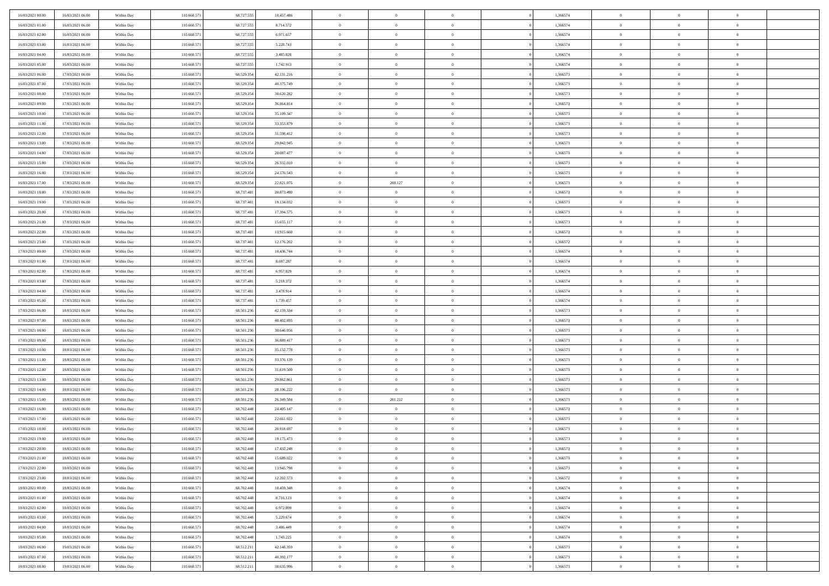| 16/03/2021 00:00 | 16/03/2021 06:00 | Within Day               | 110.660.571 | 68.727.555 | 10.457.486 | $\,$ 0         | $\bf{0}$       | $\theta$                   |          | 1,366574 | $\bf{0}$              | $\overline{0}$                   | $\,0\,$        |  |
|------------------|------------------|--------------------------|-------------|------------|------------|----------------|----------------|----------------------------|----------|----------|-----------------------|----------------------------------|----------------|--|
| 16/03/2021 01:00 | 16/03/2021 06:00 | Within Day               | 110.660.57  | 68.727.555 | 8.714.572  | $\overline{0}$ | $\overline{0}$ | $\overline{0}$             |          | 1,366574 | $\overline{0}$        | $\overline{0}$                   | $\theta$       |  |
| 16/03/2021 02:00 | 16/03/2021 06:00 | Within Dav               | 110.660.571 | 68.727.555 | 6.971.657  | $\mathbf{0}$   | $\overline{0}$ | $\overline{0}$             |          | 1,366574 | $\mathbf{0}$          | $\overline{0}$                   | $\overline{0}$ |  |
| 16/03/2021 03:00 | 16/03/2021 06:00 | Within Day               | 110.660.571 | 68.727.555 | 5.228.743  | $\bf{0}$       | $\overline{0}$ | $\bf{0}$                   |          | 1,366574 | $\bf{0}$              | $\overline{0}$                   | $\bf{0}$       |  |
| 16/03/2021 04:00 | 16/03/2021 06:00 | Within Day               | 110.660.571 | 68.727.555 | 3.485.828  | $\bf{0}$       | $\bf{0}$       | $\overline{0}$             |          | 1,366574 | $\bf{0}$              | $\theta$                         | $\,0\,$        |  |
| 16/03/2021 05:00 | 16/03/2021 06:00 | Within Dav               | 110.660.571 | 68.727.555 | 1.742.913  | $\mathbf{0}$   | $\overline{0}$ | $\overline{0}$             |          | 1,366574 | $\mathbf{0}$          | $\overline{0}$                   | $\overline{0}$ |  |
| 16/03/2021 06:00 | 17/03/2021 06:00 | Within Day               | 110.660.571 | 68.529.354 | 42.131.216 | $\bf{0}$       | $\bf{0}$       | $\overline{0}$             |          | 1,366573 | $\bf{0}$              | $\overline{0}$                   | $\,0\,$        |  |
| 16/03/2021 07:00 | 17/03/2021 06:00 | Within Day               | 110.660.571 | 68.529.354 | 40.375.749 | $\overline{0}$ | $\overline{0}$ | $\overline{0}$             |          | 1,366573 | $\,$ 0 $\,$           | $\overline{0}$                   | $\theta$       |  |
| 16/03/2021 08:00 | 17/03/2021 06:00 | Within Day               | 110.660.571 | 68.529.354 | 38.620.282 | $\mathbf{0}$   | $\overline{0}$ | $\overline{0}$             |          | 1,366573 | $\mathbf{0}$          | $\overline{0}$                   | $\overline{0}$ |  |
| 16/03/2021 09:00 | 17/03/2021 06:00 | Within Day               | 110.660.571 | 68.529.354 | 36.864.814 | $\bf{0}$       | $\bf{0}$       | $\theta$                   |          | 1,366573 | $\bf{0}$              | $\overline{0}$                   | $\,0\,$        |  |
| 16/03/2021 10:00 | 17/03/2021 06:00 | Within Day               | 110.660.571 | 68.529.354 | 35.109.347 | $\bf{0}$       | $\overline{0}$ | $\overline{0}$             |          | 1,366573 | $\bf{0}$              | $\overline{0}$                   | $\theta$       |  |
| 16/03/2021 11:00 | 17/03/2021 06:00 | Within Dav               | 110.660.571 | 68.529.354 | 33.353.879 | $\mathbf{0}$   | $\overline{0}$ | $\overline{0}$             |          | 1,366573 | $\mathbf{0}$          | $\overline{0}$                   | $\overline{0}$ |  |
| 16/03/2021 12:00 | 17/03/2021 06:00 | Within Day               | 110.660.571 | 68.529.354 | 31.598.412 | $\bf{0}$       | $\overline{0}$ | $\bf{0}$                   |          | 1,366573 | $\bf{0}$              | $\overline{0}$                   | $\bf{0}$       |  |
| 16/03/2021 13:00 | 17/03/2021 06:00 | Within Day               | 110.660.571 | 68.529.354 | 29.842.945 | $\bf{0}$       | $\overline{0}$ | $\overline{0}$             |          | 1,366573 | $\bf{0}$              | $\theta$                         | $\,0\,$        |  |
| 16/03/2021 14:00 | 17/03/2021 06:00 | Within Dav               | 110.660.571 | 68.529.354 | 28.087.477 | $\overline{0}$ | $\overline{0}$ | $\overline{0}$             |          | 1,366573 | $\mathbf{0}$          | $\overline{0}$                   | $\overline{0}$ |  |
| 16/03/2021 15:00 | 17/03/2021 06:00 | Within Day               | 110.660.571 | 68.529.354 | 26.332.010 | $\bf{0}$       | $\overline{0}$ | $\overline{0}$             |          | 1,366573 | $\bf{0}$              | $\overline{0}$                   | $\,0\,$        |  |
| 16/03/2021 16:00 | 17/03/2021 06:00 |                          | 110.660.571 | 68.529.354 | 24.576.543 | $\bf{0}$       | $\overline{0}$ | $\overline{0}$             |          | 1,366573 | $\,$ 0 $\,$           | $\overline{0}$                   | $\theta$       |  |
| 16/03/2021 17:00 | 17/03/2021 06:00 | Within Day<br>Within Day | 110.660.571 | 68.529.354 | 22.821.075 | $\mathbf{0}$   | 208.127        | $\overline{0}$             |          | 1,366573 | $\mathbf{0}$          | $\overline{0}$                   | $\overline{0}$ |  |
| 16/03/2021 18:00 | 17/03/2021 06:00 | Within Day               | 110.660.571 | 68.737.481 | 20.873.490 | $\,$ 0         | $\bf{0}$       | $\overline{0}$             |          | 1,366573 | $\bf{0}$              | $\overline{0}$                   | $\,0\,$        |  |
| 16/03/2021 19:00 | 17/03/2021 06:00 |                          | 110.660.571 | 68,737,481 | 19.134.032 | $\bf{0}$       | $\overline{0}$ | $\overline{0}$             |          | 1,366573 | $\bf{0}$              | $\overline{0}$                   | $\overline{0}$ |  |
| 16/03/2021 20:00 | 17/03/2021 06:00 | Within Day<br>Within Dav | 110.660.571 | 68.737.481 | 17.394.575 | $\mathbf{0}$   | $\overline{0}$ |                            |          | 1,366573 | $\mathbf{0}$          | $\overline{0}$                   | $\overline{0}$ |  |
|                  |                  |                          |             |            |            | $\bf{0}$       |                | $\overline{0}$             |          |          | $\bf{0}$              |                                  | $\bf{0}$       |  |
| 16/03/2021 21:00 | 17/03/2021 06:00 | Within Day               | 110.660.571 | 68.737.481 | 15.655.117 |                | $\bf{0}$       | $\bf{0}$                   |          | 1,366573 |                       | $\overline{0}$                   |                |  |
| 16/03/2021 22:00 | 17/03/2021 06:00 | Within Day               | 110.660.571 | 68.737.481 | 13.915.660 | $\bf{0}$       | $\bf{0}$       | $\overline{0}$             |          | 1,366573 | $\bf{0}$              | $\bf{0}$                         | $\,0\,$        |  |
| 16/03/2021 23:00 | 17/03/2021 06:00 | Within Dav               | 110.660.571 | 68.737.481 | 12.176.202 | $\mathbf{0}$   | $\overline{0}$ | $\overline{0}$             |          | 1,366572 | $\mathbf{0}$          | $\overline{0}$                   | $\overline{0}$ |  |
| 17/03/2021 00:00 | 17/03/2021 06:00 | Within Day               | 110.660.571 | 68.737.481 | 10.436.744 | $\bf{0}$       | $\bf{0}$       | $\overline{0}$             |          | 1,366574 | $\bf{0}$              | $\overline{0}$                   | $\,0\,$        |  |
| 17/03/2021 01:00 | 17/03/2021 06:00 | Within Day               | 110.660.571 | 68.737.481 | 8.697.287  | $\overline{0}$ | $\overline{0}$ | $\overline{0}$             |          | 1,366574 | $\bf{0}$              | $\overline{0}$                   | $\overline{0}$ |  |
| 17/03/2021 02:00 | 17/03/2021 06:00 | Within Day               | 110.660.571 | 68.737.481 | 6.957.829  | $\mathbf{0}$   | $\overline{0}$ | $\overline{0}$             |          | 1,366574 | $\mathbf{0}$          | $\overline{0}$                   | $\overline{0}$ |  |
| 17/03/2021 03:00 | 17/03/2021 06:00 | Within Day               | 110.660.571 | 68.737.481 | 5.218.372  | $\bf{0}$       | $\bf{0}$       | $\overline{0}$             |          | 1,366574 | $\bf{0}$              | $\overline{0}$                   | $\,0\,$        |  |
| 17/03/2021 04:00 | 17/03/2021 06:00 | Within Day               | 110.660.571 | 68,737,481 | 3.478.914  | $\bf{0}$       | $\overline{0}$ | $\overline{0}$             |          | 1,366574 | $\bf{0}$              | $\mathbf{0}$                     | $\overline{0}$ |  |
| 17/03/2021 05:00 | 17/03/2021 06:00 | Within Dav               | 110.660.571 | 68.737.481 | 1.739.457  | $\mathbf{0}$   | $\overline{0}$ | $\overline{0}$             |          | 1,366574 | $\mathbf{0}$          | $\overline{0}$                   | $\overline{0}$ |  |
| 17/03/2021 06:00 | 18/03/2021 06:00 | Within Day               | 110.660.571 | 68.501.236 | 42.159.334 | $\bf{0}$       | $\overline{0}$ | $\theta$                   |          | 1,366573 | $\,$ 0                | $\overline{0}$                   | $\theta$       |  |
| 17/03/2021 07:00 | 18/03/2021 06:00 | Within Day               | 110.660.571 | 68.501.236 | 40.402.695 | $\bf{0}$       | $\overline{0}$ | $\overline{0}$             |          | 1,366573 | $\bf{0}$              | $\mathbf{0}$                     | $\overline{0}$ |  |
| 17/03/2021 08:00 | 18/03/2021 06:00 | Within Dav               | 110.660.571 | 68.501.236 | 38.646.056 | $\overline{0}$ | $\overline{0}$ | $\overline{0}$             |          | 1,366573 | $\mathbf{0}$          | $\overline{0}$                   | $\overline{0}$ |  |
| 17/03/2021 09:00 | 18/03/2021 06:00 | Within Day               | 110.660.57  | 68.501.236 | 36.889.417 | $\bf{0}$       | $\overline{0}$ | $\theta$                   |          | 1,366573 | $\,$ 0                | $\overline{0}$                   | $\theta$       |  |
| 17/03/2021 10:00 | 18/03/2021 06:00 | Within Day               | 110.660.571 | 68.501.236 | 35.132.778 | $\bf{0}$       | $\overline{0}$ | $\overline{0}$             |          | 1,366573 | $\bf{0}$              | $\overline{0}$                   | $\overline{0}$ |  |
| 17/03/2021 11:00 | 18/03/2021 06:00 | Within Day               | 110.660.571 | 68.501.236 | 33.376.139 | $\mathbf{0}$   | $\overline{0}$ | $\overline{0}$             |          | 1,366573 | $\mathbf{0}$          | $\overline{0}$                   | $\overline{0}$ |  |
| 17/03/2021 12:00 | 18/03/2021 06:00 | Within Day               | 110.660.571 | 68.501.236 | 31.619.500 | $\bf{0}$       | $\overline{0}$ | $\theta$                   |          | 1,366573 | $\,$ 0                | $\overline{0}$                   | $\theta$       |  |
| 17/03/2021 13:00 | 18/03/2021 06:00 | Within Day               | 110.660.571 | 68.501.236 | 29.862.861 | $\bf{0}$       | $\overline{0}$ | $\overline{0}$             |          | 1,366573 | $\bf{0}$              | $\mathbf{0}$                     | $\overline{0}$ |  |
| 17/03/2021 14:00 | 18/03/2021 06:00 | Within Dav               | 110.660.571 | 68.501.236 | 28.106.222 | $\mathbf{0}$   | $\overline{0}$ | $\overline{0}$             |          | 1,366573 | $\mathbf{0}$          | $\overline{0}$                   | $\overline{0}$ |  |
| 17/03/2021 15:00 | 18/03/2021 06:00 | Within Day               | 110.660.571 | 68.501.236 | 26.349.584 | $\,0\,$        | 201.212        | $\theta$                   |          | 1,366573 | $\,$ 0                | $\overline{0}$                   | $\theta$       |  |
| 17/03/2021 16:00 | 18/03/2021 06:00 | Within Day               | 110.660.571 | 68.702.448 | 24.405.147 | $\bf{0}$       | $\overline{0}$ | $\overline{0}$             |          | 1,366573 | $\bf{0}$              | $\overline{0}$                   | $\overline{0}$ |  |
| 17/03/2021 17:00 | 18/03/2021 06:00 | Within Dav               | 110.660.571 | 68.702.448 | 22.661.922 | $\mathbf{0}$   | $\overline{0}$ | $\overline{0}$             |          | 1,366573 | $\mathbf{0}$          | $\overline{0}$                   | $\overline{0}$ |  |
| 17/03/2021 18:00 | 18/03/2021 06:00 | Within Day               | 110.660.57  | 68.702.448 | 20.918.697 | $\bf{0}$       | $\overline{0}$ | $\theta$<br>$\overline{0}$ |          | 1,366573 | $\,$ 0<br>$\,$ 0 $\,$ | $\overline{0}$<br>$\overline{0}$ | $\theta$       |  |
| 17/03/2021 19:00 | 18/03/2021 06:00 | Within Day               | 110.660.57  | 68.702.448 | 19.175.473 | $\bf{0}$       | $\overline{0}$ |                            |          | 1,366573 |                       |                                  | $\overline{0}$ |  |
| 17/03/2021 20:00 | 18/03/2021 06:00 | Within Day               | 110.660.571 | 68.702.448 | 17.432.248 | $\overline{0}$ | $\overline{0}$ |                            |          | 1,366573 | $\overline{0}$        | $\theta$                         | $\theta$       |  |
| 17/03/2021 21:00 | 18/03/2021 06:00 | Within Day               | 110.660.571 | 68.702.448 | 15.689.022 | $\,0\,$        | $\overline{0}$ | $\theta$                   |          | 1,366573 | $\,$ 0 $\,$           | $\overline{0}$                   | $\theta$       |  |
| 17/03/2021 22.00 | 18/03/2021 06:00 | Within Day               | 110.660.571 | 68,702.448 | 13.945.798 | $\overline{0}$ | $\overline{0}$ | $\overline{0}$             |          | 1,366573 | $\overline{0}$        | $\overline{0}$                   | $\overline{0}$ |  |
| 17/03/2021 23:00 | 18/03/2021 06:00 | Within Day               | 110.660.571 | 68.702.448 | 12.202.573 | $\bf{0}$       | $\overline{0}$ | $\overline{0}$             |          | 1,366572 | $\overline{0}$        | $\bf{0}$                         | $\mathbf{0}$   |  |
| 18/03/2021 00:00 | 18/03/2021 06:00 | Within Day               | 110.660.571 | 68.702.448 | 10.459.348 | $\bf{0}$       | $\overline{0}$ | $\overline{0}$             | $\theta$ | 1,366574 | $\,$ 0 $\,$           | $\bf{0}$                         | $\,$ 0 $\,$    |  |
| 18/03/2021 01:00 | 18/03/2021 06:00 | Within Day               | 110.660.571 | 68.702.448 | 8.716.123  | $\bf{0}$       | $\overline{0}$ | $\overline{0}$             |          | 1,366574 | $\,$ 0 $\,$           | $\overline{0}$                   | $\overline{0}$ |  |
| 18/03/2021 02:00 | 18/03/2021 06:00 | Within Day               | 110.660.571 | 68.702.448 | 6.972.899  | $\bf{0}$       | $\overline{0}$ | $\overline{0}$             |          | 1,366574 | $\mathbf{0}$          | $\overline{0}$                   | $\overline{0}$ |  |
| 18/03/2021 03:00 | 18/03/2021 06:00 | Within Day               | 110.660.571 | 68.702.448 | 5.229.674  | $\,0\,$        | $\overline{0}$ | $\mathbf{0}$               | $\theta$ | 1,366574 | $\,$ 0 $\,$           | $\overline{0}$                   | $\overline{0}$ |  |
| 18/03/2021 04:00 | 18/03/2021 06:00 | Within Day               | 110.660.571 | 68,702,448 | 3.486.449  | $\bf{0}$       | $\overline{0}$ | $\overline{0}$             |          | 1,366574 | $\overline{0}$        | $\overline{0}$                   | $\overline{0}$ |  |
| 18/03/2021 05:00 | 18/03/2021 06:00 | Within Day               | 110.660.571 | 68.702.448 | 1.743.225  | $\bf{0}$       | $\overline{0}$ | $\overline{0}$             |          | 1,366574 | $\mathbf{0}$          | $\overline{0}$                   | $\mathbf{0}$   |  |
| 18/03/2021 06:00 | 19/03/2021 06:00 | Within Day               | 110.660.571 | 68.512.211 | 42.148.359 | $\,0\,$        | $\overline{0}$ | $\overline{0}$             |          | 1,366573 | $\,$ 0 $\,$           | $\mathbf{0}$                     | $\overline{0}$ |  |
| 18/03/2021 07:00 | 19/03/2021 06:00 | Within Day               | 110.660.571 | 68.512.211 | 40.392.177 | $\bf{0}$       | $\bf{0}$       | $\overline{0}$             |          | 1,366573 | $\mathbf 0$           | $\mathbf{0}$                     | $\overline{0}$ |  |
| 18/03/2021 08:00 | 19/03/2021 06:00 | Within Day               | 110.660.571 | 68.512.211 | 38.635.996 | $\mathbf{0}$   | $\overline{0}$ | $\overline{0}$             |          | 1,366573 | $\mathbf{0}$          | $\overline{0}$                   | $\overline{0}$ |  |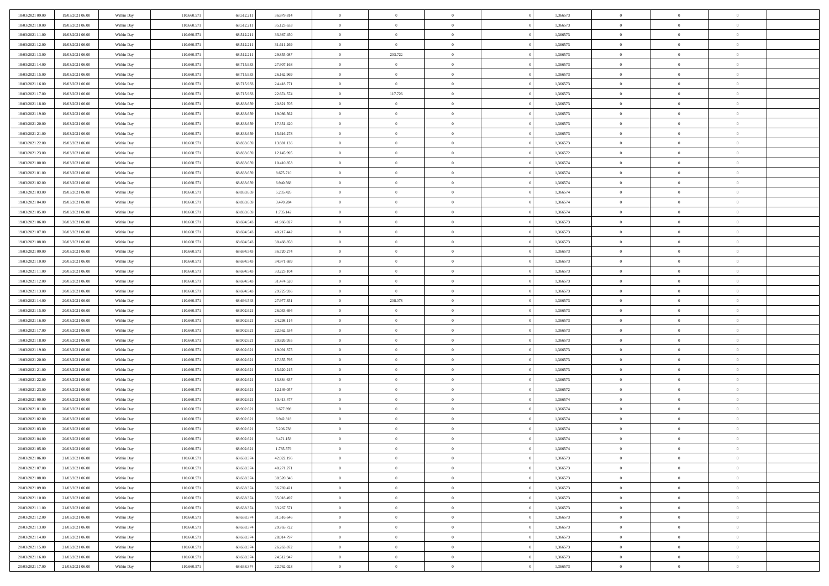| 18/03/2021 09:00                     | 19/03/2021 06:00                     | Within Day               | 110.660.571                | 68.512.21                | 36.879.814             | $\,$ 0              | $\bf{0}$                         | $\theta$                         |          | 1,366573             | $\bf{0}$                 | $\overline{0}$ | $\,0\,$                          |  |
|--------------------------------------|--------------------------------------|--------------------------|----------------------------|--------------------------|------------------------|---------------------|----------------------------------|----------------------------------|----------|----------------------|--------------------------|----------------|----------------------------------|--|
| 18/03/2021 10:00                     | 19/03/2021 06:00                     | Within Day               | 110.660.57                 | 68.512.21                | 35.123.633             | $\overline{0}$      | $\overline{0}$                   | $\overline{0}$                   |          | 1,366573             | $\overline{0}$           | $\overline{0}$ | $\theta$                         |  |
| 18/03/2021 11:00                     | 19/03/2021 06:00                     | Within Dav               | 110.660.571                | 68.512.211               | 33.367.450             | $\mathbf{0}$        | $\overline{0}$                   | $\overline{0}$                   |          | 1,366573             | $\mathbf{0}$             | $\overline{0}$ | $\overline{0}$                   |  |
| 18/03/2021 12:00                     | 19/03/2021 06:00                     | Within Day               | 110.660.571                | 68.512.211               | 31.611.269             | $\bf{0}$            | $\overline{0}$                   | $\bf{0}$                         |          | 1,366573             | $\bf{0}$                 | $\overline{0}$ | $\bf{0}$                         |  |
| 18/03/2021 13:00                     | 19/03/2021 06:00                     | Within Day               | 110.660.571                | 68.512.21                | 29.855.087             | $\bf{0}$            | 203.722                          | $\overline{0}$                   |          | 1,366573             | $\bf{0}$                 | $\theta$       | $\,0\,$                          |  |
| 18/03/2021 14:00                     | 19/03/2021 06:00                     | Within Dav               | 110.660.571                | 68.715.933               | 27.907.168             | $\mathbf{0}$        | $\overline{0}$                   | $\overline{0}$                   |          | 1,366573             | $\mathbf{0}$             | $\overline{0}$ | $\overline{0}$                   |  |
| 18/03/2021 15:00                     | 19/03/2021 06:00                     | Within Day               | 110.660.571                | 68.715.933               | 26.162.969             | $\bf{0}$            | $\bf{0}$                         | $\overline{0}$                   |          | 1,366573             | $\bf{0}$                 | $\overline{0}$ | $\,0\,$                          |  |
| 18/03/2021 16:00                     | 19/03/2021 06:00                     | Within Day               | 110.660.571                | 68.715.933               | 24.418.771             | $\overline{0}$      | $\overline{0}$                   | $\overline{0}$                   |          | 1,366573             | $\,$ 0 $\,$              | $\overline{0}$ | $\theta$                         |  |
| 18/03/2021 17:00                     | 19/03/2021 06:00                     | Within Day               | 110.660.571                | 68.715.933               | 22.674.574             | $\mathbf{0}$        | 117.726                          | $\overline{0}$                   |          | 1,366573             | $\mathbf{0}$             | $\overline{0}$ | $\overline{0}$                   |  |
| 18/03/2021 18:00                     | 19/03/2021 06:00                     |                          | 110.660.571                | 68.833.659               | 20.821.705             | $\bf{0}$            | $\bf{0}$                         | $\overline{0}$                   |          | 1,366573             | $\bf{0}$                 | $\overline{0}$ | $\,0\,$                          |  |
|                                      |                                      | Within Day               |                            | 68.833.659               |                        | $\overline{0}$      | $\overline{0}$                   |                                  |          |                      |                          | $\overline{0}$ | $\theta$                         |  |
| 18/03/2021 19:00<br>18/03/2021 20:00 | 19/03/2021 06:00                     | Within Day               | 110.660.571                |                          | 19.086.562             |                     |                                  | $\overline{0}$                   |          | 1,366573             | $\bf{0}$                 |                |                                  |  |
|                                      | 19/03/2021 06:00                     | Within Dav               | 110.660.571                | 68.833.659               | 17.351.420             | $\mathbf{0}$        | $\overline{0}$                   | $\overline{0}$                   |          | 1,366573             | $\mathbf{0}$             | $\overline{0}$ | $\overline{0}$                   |  |
| 18/03/2021 21:00                     | 19/03/2021 06:00                     | Within Day               | 110.660.571                | 68.833.659               | 15.616.278             | $\bf{0}$            | $\overline{0}$                   | $\bf{0}$                         |          | 1,366573             | $\bf{0}$                 | $\overline{0}$ | $\overline{0}$                   |  |
| 18/03/2021 22:00                     | 19/03/2021 06:00                     | Within Day               | 110.660.571                | 68.833.659               | 13.881.136             | $\bf{0}$            | $\overline{0}$                   | $\overline{0}$                   |          | 1,366573             | $\bf{0}$                 | $\theta$       | $\,0\,$                          |  |
| 18/03/2021 23:00                     | 19/03/2021 06:00                     | Within Dav               | 110.660.571                | 68.833.659               | 12.145.995             | $\overline{0}$      | $\overline{0}$                   | $\overline{0}$                   |          | 1,366572             | $\mathbf{0}$             | $\overline{0}$ | $\overline{0}$                   |  |
| 19/03/2021 00:00                     | 19/03/2021 06:00                     | Within Day               | 110.660.571                | 68.833.659               | 10.410.853             | $\bf{0}$            | $\bf{0}$                         | $\overline{0}$                   |          | 1,366574             | $\bf{0}$                 | $\overline{0}$ | $\,0\,$                          |  |
| 19/03/2021 01:00                     | 19/03/2021 06:00                     | Within Day               | 110.660.571                | 68.833.659               | 8.675.710              | $\overline{0}$      | $\overline{0}$                   | $\overline{0}$                   |          | 1,366574             | $\,$ 0 $\,$              | $\overline{0}$ | $\theta$                         |  |
| 19/03/2021 02:00                     | 19/03/2021 06:00                     | Within Day               | 110.660.571                | 68.833.659               | 6.940.568              | $\mathbf{0}$        | $\overline{0}$                   | $\overline{0}$                   |          | 1,366574             | $\mathbf{0}$             | $\overline{0}$ | $\overline{0}$                   |  |
| 19/03/2021 03:00                     | 19/03/2021 06:00                     | Within Day               | 110.660.571                | 68.833.659               | 5.205.426              | $\bf{0}$            | $\bf{0}$                         | $\overline{0}$                   |          | 1,366574             | $\bf{0}$                 | $\overline{0}$ | $\,0\,$                          |  |
| 19/03/2021 04:00                     | 19/03/2021 06:00                     | Within Day               | 110.660.571                | 68.833.659               | 3.470.284              | $\overline{0}$      | $\overline{0}$                   | $\overline{0}$                   |          | 1,366574             | $\bf{0}$                 | $\overline{0}$ | $\overline{0}$                   |  |
| 19/03/2021 05:00                     | 19/03/2021 06:00                     | Within Dav               | 110.660.571                | 68.833.659               | 1.735.142              | $\mathbf{0}$        | $\overline{0}$                   | $\overline{0}$                   |          | 1,366574             | $\mathbf{0}$             | $\overline{0}$ | $\overline{0}$                   |  |
| 19/03/2021 06:00                     | 20/03/2021 06:00                     | Within Day               | 110.660.571                | 68.694.543               | 41.966.027             | $\bf{0}$            | $\overline{0}$                   | $\bf{0}$                         |          | 1,366573             | $\bf{0}$                 | $\overline{0}$ | $\bf{0}$                         |  |
| 19/03/2021 07:00                     | 20/03/2021 06:00                     | Within Day               | 110.660.571                | 68.694.543               | 40.217.442             | $\bf{0}$            | $\bf{0}$                         | $\overline{0}$                   |          | 1,366573             | $\bf{0}$                 | $\bf{0}$       | $\,0\,$                          |  |
| 19/03/2021 08:00                     | 20/03/2021 06:00                     | Within Dav               | 110.660.571                | 68.694.543               | 38.468.858             | $\mathbf{0}$        | $\overline{0}$                   | $\overline{0}$                   |          | 1,366573             | $\mathbf{0}$             | $\overline{0}$ | $\theta$                         |  |
| 19/03/2021 09:00                     | 20/03/2021 06:00                     | Within Day               | 110.660.571                | 68.694.543               | 36.720.274             | $\bf{0}$            | $\overline{0}$                   | $\overline{0}$                   |          | 1,366573             | $\bf{0}$                 | $\overline{0}$ | $\,0\,$                          |  |
| 19/03/2021 10:00                     | 20/03/2021 06:00                     | Within Day               | 110.660.571                | 68.694.54                | 34.971.689             | $\overline{0}$      | $\overline{0}$                   | $\overline{0}$                   |          | 1,366573             | $\,$ 0 $\,$              | $\overline{0}$ | $\overline{0}$                   |  |
| 19/03/2021 11:00                     | 20/03/2021 06:00                     | Within Dav               | 110.660.571                | 68.694.543               | 33.223.104             | $\mathbf{0}$        | $\overline{0}$                   | $\overline{0}$                   |          | 1,366573             | $\mathbf{0}$             | $\bf{0}$       | $\overline{0}$                   |  |
| 19/03/2021 12:00                     | 20/03/2021 06:00                     | Within Day               | 110.660.571                | 68.694.543               | 31.474.520             | $\bf{0}$            | $\overline{0}$                   | $\overline{0}$                   |          | 1,366573             | $\bf{0}$                 | $\overline{0}$ | $\,0\,$                          |  |
| 19/03/2021 13:00                     |                                      |                          |                            |                          |                        |                     |                                  |                                  |          |                      |                          |                |                                  |  |
|                                      | 20/03/2021 06:00                     | Within Day               | 110.660.571                | 68.694.543               | 29.725.936             | $\bf{0}$            | $\overline{0}$                   | $\overline{0}$                   |          | 1,366573             | $\bf{0}$                 | $\mathbf{0}$   | $\overline{0}$                   |  |
| 19/03/2021 14:00                     | 20/03/2021 06:00                     | Within Dav               | 110.660.571                | 68.694.543               | 27.977.351             | $\mathbf{0}$        | 208.078                          | $\overline{0}$                   |          | 1,366573             | $\mathbf{0}$             | $\overline{0}$ | $\overline{0}$                   |  |
| 19/03/2021 15:00                     | 20/03/2021 06:00                     | Within Day               | 110.660.571                | 68.902.621               | 26.033.694             | $\bf{0}$            | $\overline{0}$                   | $\overline{0}$                   |          | 1,366573             | $\,$ 0                   | $\overline{0}$ | $\theta$                         |  |
| 19/03/2021 16:00                     | 20/03/2021 06:00                     | Within Day               | 110.660.571                | 68.902.621               | 24.298.114             | $\bf{0}$            | $\overline{0}$                   | $\overline{0}$                   |          | 1,366573             | $\bf{0}$                 | $\mathbf{0}$   | $\overline{0}$                   |  |
| 19/03/2021 17:00                     | 20/03/2021 06:00                     | Within Dav               | 110.660.571                | 68.902.621               | 22.562.534             | $\overline{0}$      | $\overline{0}$                   | $\overline{0}$                   |          | 1,366573             | $\mathbf{0}$             | $\overline{0}$ | $\overline{0}$                   |  |
| 19/03/2021 18:00                     | 20/03/2021 06:00                     | Within Day               | 110.660.571                | 68.902.621               | 20.826.955             | $\bf{0}$            | $\overline{0}$                   | $\theta$                         |          | 1,366573             | $\,$ 0                   | $\overline{0}$ | $\theta$                         |  |
| 19/03/2021 19:00                     | 20/03/2021 06:00                     |                          | 110.660.571                | 68.902.62                | 19.091.375             | $\overline{0}$      | $\overline{0}$                   | $\overline{0}$                   |          | 1,366573             | $\bf{0}$                 | $\overline{0}$ | $\overline{0}$                   |  |
| 19/03/2021 20:00                     | 20/03/2021 06:00                     | Within Day<br>Within Day | 110.660.571                | 68.902.621               | 17.355.795             | $\mathbf{0}$        | $\overline{0}$                   | $\overline{0}$                   |          | 1,366573             | $\mathbf{0}$             | $\overline{0}$ | $\overline{0}$                   |  |
|                                      |                                      |                          |                            |                          |                        | $\bf{0}$            |                                  | $\theta$                         |          |                      |                          | $\overline{0}$ | $\theta$                         |  |
| 19/03/2021 21:00                     | 20/03/2021 06:00                     | Within Day               | 110.660.571                | 68.902.621               | 15.620.215             | $\bf{0}$            | $\overline{0}$<br>$\overline{0}$ | $\overline{0}$                   |          | 1,366573             | $\,$ 0                   | $\mathbf{0}$   |                                  |  |
| 19/03/2021 22:00                     | 20/03/2021 06:00<br>20/03/2021 06:00 | Within Day<br>Within Dav | 110.660.571                | 68.902.621               | 13.884.637             | $\mathbf{0}$        |                                  | $\overline{0}$                   |          | 1,366573             | $\bf{0}$<br>$\mathbf{0}$ | $\overline{0}$ | $\overline{0}$<br>$\overline{0}$ |  |
| 19/03/2021 23:00                     |                                      |                          | 110.660.571                | 68.902.621               | 12.149.057             |                     | $\overline{0}$                   | $\theta$                         |          | 1,366572             |                          | $\overline{0}$ | $\theta$                         |  |
| 20/03/2021 00:00                     | 20/03/2021 06:00                     | Within Day               | 110.660.571                | 68.902.621               | 10.413.477             | $\,0\,$<br>$\bf{0}$ | $\overline{0}$                   |                                  |          | 1,366574             | $\,$ 0                   | $\overline{0}$ |                                  |  |
| 20/03/2021 01:00<br>20/03/2021 02:00 | 20/03/2021 06:00<br>20/03/2021 06:00 | Within Day<br>Within Dav | 110.660.571<br>110.660.571 | 68.902.621<br>68.902.621 | 8.677.898<br>6.942.318 | $\mathbf{0}$        | $\overline{0}$<br>$\overline{0}$ | $\overline{0}$<br>$\overline{0}$ |          | 1,366574<br>1,366574 | $\bf{0}$<br>$\mathbf{0}$ | $\overline{0}$ | $\overline{0}$<br>$\overline{0}$ |  |
|                                      |                                      |                          |                            |                          |                        | $\bf{0}$            |                                  | $\theta$                         |          |                      |                          | $\overline{0}$ | $\theta$                         |  |
| 20/03/2021 03:00                     | 20/03/2021 06:00<br>20/03/2021 06:00 | Within Day               | 110.660.571                | 68.902.621               | 5.206.738              |                     | $\overline{0}$                   | $\overline{0}$                   |          | 1,366574             | $\,$ 0                   | $\overline{0}$ |                                  |  |
| 20/03/2021 04:00                     |                                      | Within Day               | 110.660.57                 | 68.902.621               | 3.471.158              | $\bf{0}$            | $\overline{0}$                   |                                  |          | 1,366574             | $\,$ 0 $\,$              |                | $\overline{0}$                   |  |
| 20/03/2021 05:00                     | 20/03/2021 06:00                     | Within Day               | 110.660.571                | 68.902.621               | 1.735.579              | $\bf{0}$            | $\overline{0}$                   |                                  |          | 1,366574             | $\overline{0}$           | $\theta$       | $\theta$                         |  |
| 20/03/2021 06:00                     | 21/03/2021 06:00                     | Within Day               | 110.660.571                | 68.638.374               | 42.022.196             | $\,0\,$             | $\overline{0}$                   | $\theta$                         |          | 1,366573             | $\,$ 0 $\,$              | $\overline{0}$ | $\theta$                         |  |
| 20/03/2021 07:00                     | 21/03/2021 06:00                     | Within Day               | 110.660.571                | 68.638.374               | 40.271.271             | $\overline{0}$      | $\overline{0}$                   | $\overline{0}$                   |          | 1,366573             | $\overline{0}$           | $\overline{0}$ | $\overline{0}$                   |  |
| 20/03/2021 08:00                     | 21/03/2021 06:00                     | Within Day               | 110.660.571                | 68.638.374               | 38.520.346             | $\bf{0}$            | $\overline{0}$                   | $\overline{0}$                   |          | 1,366573             | $\overline{0}$           | $\bf{0}$       | $\mathbf{0}$                     |  |
| 20/03/2021 09:00                     | 21/03/2021 06:00                     | Within Day               | 110.660.571                | 68.638.374               | 36.769.421             | $\bf{0}$            | $\overline{0}$                   | $\overline{0}$                   | $\theta$ | 1,366573             | $\,$ 0 $\,$              | $\bf{0}$       | $\,$ 0 $\,$                      |  |
| 20/03/2021 10:00                     | 21/03/2021 06:00                     | Within Day               | 110.660.571                | 68.638.374               | 35.018.497             | $\bf{0}$            | $\overline{0}$                   | $\overline{0}$                   |          | 1,366573             | $\,$ 0 $\,$              | $\overline{0}$ | $\overline{0}$                   |  |
| 20/03/2021 11:00                     | 21/03/2021 06:00                     | Within Day               | 110.660.571                | 68.638.374               | 33.267.571             | $\bf{0}$            | $\overline{0}$                   | $\overline{0}$                   |          | 1,366573             | $\mathbf{0}$             | $\overline{0}$ | $\overline{0}$                   |  |
| 20/03/2021 12:00                     | 21/03/2021 06:00                     | Within Day               | 110.660.571                | 68.638.374               | 31.516.646             | $\,0\,$             | $\overline{0}$                   | $\mathbf{0}$                     | $\theta$ | 1,366573             | $\,$ 0 $\,$              | $\overline{0}$ | $\overline{0}$                   |  |
| 20/03/2021 13:00                     | 21/03/2021 06:00                     | Within Day               | 110.660.571                | 68.638.374               | 29.765.722             | $\bf{0}$            | $\overline{0}$                   | $\overline{0}$                   |          | 1,366573             | $\overline{0}$           | $\overline{0}$ | $\overline{0}$                   |  |
| 20/03/2021 14:00                     | 21/03/2021 06:00                     | Within Day               | 110.660.571                | 68.638.374               | 28.014.797             | $\bf{0}$            | $\overline{0}$                   | $\overline{0}$                   |          | 1,366573             | $\mathbf{0}$             | $\overline{0}$ | $\mathbf{0}$                     |  |
| 20/03/2021 15:00                     | 21/03/2021 06:00                     | Within Day               | 110.660.571                | 68.638.374               | 26.263.872             | $\,0\,$             | $\overline{0}$                   | $\overline{0}$                   |          | 1,366573             | $\,$ 0 $\,$              | $\mathbf{0}$   | $\theta$                         |  |
| 20/03/2021 16:00                     | 21/03/2021 06:00                     | Within Day               | 110.660.571                | 68.638.374<br>68.638.374 | 24.512.947             | $\bf{0}$            | $\bf{0}$                         | $\overline{0}$                   |          | 1,366573             | $\mathbf 0$              | $\mathbf{0}$   | $\overline{0}$                   |  |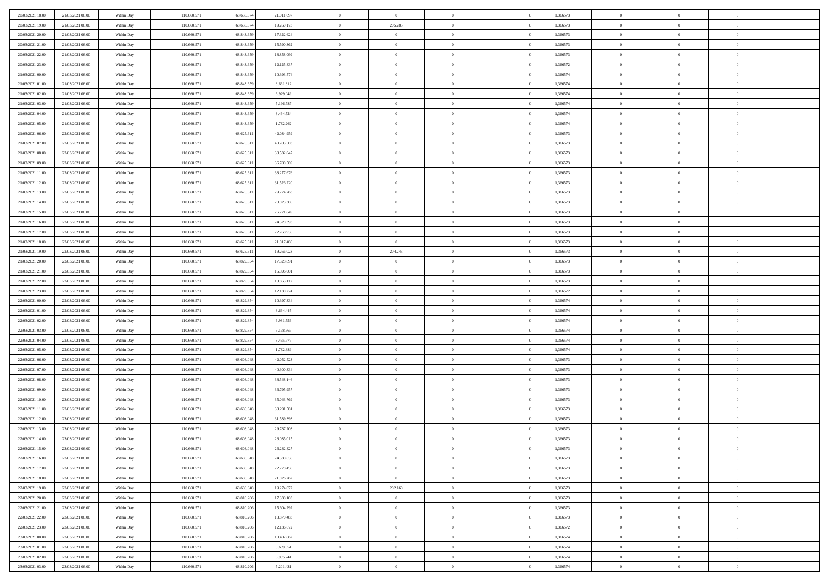| 20/03/2021 18:00                     | 21/03/2021 06:00 | Within Day | 110.660.571 | 68.638.37               | 21.011.097 | $\,0\,$                | $\bf{0}$       | $\bf{0}$       |                | 1,366573 | $\,$ 0 $\,$    | $\overline{0}$ | $\bf{0}$       |  |
|--------------------------------------|------------------|------------|-------------|-------------------------|------------|------------------------|----------------|----------------|----------------|----------|----------------|----------------|----------------|--|
| 20/03/2021 19:00                     | 21/03/2021 06:00 | Within Day | 110,660.57  | 68.638.37               | 19.260.173 | $\overline{0}$         | 205.285        | $\overline{0}$ |                | 1,366573 | $\,$ 0 $\,$    | $\overline{0}$ | $\theta$       |  |
| 20/03/2021 20:00                     | 21/03/2021 06:00 | Within Day | 110.660.571 | 68.843.659              | 17.322.624 | $\mathbf{0}$           | $\overline{0}$ | $\overline{0}$ |                | 1,366573 | $\theta$       | $\overline{0}$ | $\overline{0}$ |  |
| 20/03/2021 21:00                     | 21/03/2021 06:00 | Within Day | 110.660.571 | 68.843.659              | 15.590.362 | $\bf{0}$               | $\overline{0}$ | $\bf{0}$       |                | 1,366573 | $\bf{0}$       | $\overline{0}$ | $\bf{0}$       |  |
| 20/03/2021 22:00                     | 21/03/2021 06:00 | Within Day | 110.660.571 | 68.843.659              | 13.858.099 | $\bf{0}$               | $\overline{0}$ | $\overline{0}$ |                | 1,366573 | $\bf{0}$       | $\bf{0}$       | $\bf{0}$       |  |
| 20/03/2021 23:00                     | 21/03/2021 06:00 | Within Day | 110.660.571 | 68.843.659              | 12.125.837 | $\mathbf{0}$           | $\overline{0}$ | $\overline{0}$ |                | 1,366572 | $\theta$       | $\bf{0}$       | $\theta$       |  |
| 21/03/2021 00:00                     | 21/03/2021 06:00 | Within Day | 110.660.571 | 68.843.659              | 10.393.574 | $\,0\,$                | $\overline{0}$ | $\overline{0}$ |                | 1,366574 | $\bf{0}$       | $\overline{0}$ | $\theta$       |  |
|                                      |                  |            |             |                         |            |                        | $\mathbf{0}$   |                |                |          |                | $\overline{0}$ |                |  |
| 21/03/2021 01:00                     | 21/03/2021 06:00 | Within Day | 110,660.57  | 68.843.659              | 8.661.312  | $\overline{0}$         |                | $\overline{0}$ |                | 1,366574 | $\,$ 0 $\,$    |                | $\theta$       |  |
| 21/03/2021 02:00                     | 21/03/2021 06:00 | Within Day | 110.660.571 | 68.843.659              | 6.929.049  | $\mathbf{0}$           | $\overline{0}$ | $\overline{0}$ |                | 1,366574 | $\theta$       | $\overline{0}$ | $\overline{0}$ |  |
| 21/03/2021 03:00                     | 21/03/2021 06:00 | Within Day | 110.660.571 | 68.843.659              | 5.196.787  | $\bf{0}$               | $\overline{0}$ | $\bf{0}$       |                | 1,366574 | $\bf{0}$       | $\overline{0}$ | $\bf{0}$       |  |
| 21/03/2021 04:00                     | 21/03/2021 06:00 | Within Day | 110.660.571 | 68.843.659              | 3.464.524  | $\bf{0}$               | $\overline{0}$ | $\overline{0}$ |                | 1,366574 | $\bf{0}$       | $\theta$       | $\theta$       |  |
| 21/03/2021 05:00                     | 21/03/2021 06:00 | Within Day | 110.660.571 | 68.843.659              | 1.732.262  | $\mathbf{0}$           | $\overline{0}$ | $\overline{0}$ |                | 1,366574 | $\theta$       | $\overline{0}$ | $\overline{0}$ |  |
| 21/03/2021 06:00                     | 22/03/2021 06:00 | Within Day | 110.660.571 | 68.625.611              | 42.034.959 | $\,0\,$                | $\overline{0}$ | $\bf{0}$       |                | 1,366573 | $\bf{0}$       | $\overline{0}$ | $\bf{0}$       |  |
| 21/03/2021 07:00                     | 22/03/2021 06:00 | Within Day | 110.660.57  | 68.625.611              | 40.283.503 | $\bf{0}$               | $\overline{0}$ | $\overline{0}$ |                | 1,366573 | $\,$ 0 $\,$    | $\overline{0}$ | $\theta$       |  |
| 21/03/2021 08:00                     | 22/03/2021 06:00 | Within Day | 110.660.571 | 68.625.611              | 38.532.047 | $\mathbf{0}$           | $\overline{0}$ | $\overline{0}$ |                | 1,366573 | $\theta$       | $\overline{0}$ | $\overline{0}$ |  |
| 21/03/2021 09:00                     | 22/03/2021 06:00 | Within Day | 110.660.571 | 68.625.611              | 36.780.589 | $\,0\,$                | $\overline{0}$ | $\bf{0}$       |                | 1,366573 | $\bf{0}$       | $\overline{0}$ | $\bf{0}$       |  |
| 21/03/2021 11:00                     | 22/03/2021 06:00 | Within Day | 110.660.571 | 68.625.611              | 33.277.676 | $\bf{0}$               | $\overline{0}$ | $\overline{0}$ |                | 1,366573 | $\bf{0}$       | $\overline{0}$ | $\overline{0}$ |  |
| 21/03/2021 12:00                     | 22/03/2021 06:00 | Within Day | 110.660.571 | 68.625.611              | 31.526.220 | $\mathbf{0}$           | $\overline{0}$ | $\overline{0}$ |                | 1,366573 | $\theta$       | $\overline{0}$ | $\overline{0}$ |  |
| 21/03/2021 13:00                     | 22/03/2021 06:00 | Within Day | 110.660.571 | 68.625.611              | 29.774.763 | $\,0\,$                | $\overline{0}$ | $\bf{0}$       |                | 1,366573 | $\bf{0}$       | $\overline{0}$ | $\bf{0}$       |  |
| 21/03/2021 14:00                     | 22/03/2021 06:00 | Within Day | 110.660.57  | 68.625.611              | 28.023.306 | $\bf{0}$               | $\overline{0}$ | $\overline{0}$ |                | 1,366573 | $\,$ 0 $\,$    | $\overline{0}$ | $\bf{0}$       |  |
| 21/03/2021 15:00                     | 22/03/2021 06:00 | Within Day | 110.660.571 | 68.625.611              | 26.271.849 | $\mathbf{0}$           | $\overline{0}$ | $\overline{0}$ |                | 1,366573 | $\theta$       | $\overline{0}$ | $\overline{0}$ |  |
| 21/03/2021 16:00                     | 22/03/2021 06:00 | Within Day | 110.660.571 | 68.625.611              | 24.520.393 | $\,0\,$                | $\overline{0}$ | $\overline{0}$ |                | 1,366573 | $\bf{0}$       | $\overline{0}$ | $\theta$       |  |
| 21/03/2021 17:00                     | 22/03/2021 06:00 | Within Day | 110,660.57  | 68.625.611              | 22.768.936 | $\bf{0}$               | $\overline{0}$ | $\overline{0}$ |                | 1,366573 | $\,$ 0 $\,$    | $\overline{0}$ | $\overline{0}$ |  |
| 21/03/2021 18:00                     | 22/03/2021 06:00 | Within Day | 110.660.571 | 68.625.611              | 21.017.480 | $\mathbf{0}$           | $\overline{0}$ | $\overline{0}$ |                | 1,366573 | $\theta$       | $\overline{0}$ | $\overline{0}$ |  |
| 21/03/2021 19:00                     | 22/03/2021 06:00 | Within Day | 110.660.571 | 68.625.611              | 19.266.023 | $\bf{0}$               | 204.243        | $\bf{0}$       |                | 1,366573 | $\bf{0}$       | $\overline{0}$ | $\bf{0}$       |  |
| 21/03/2021 20:00                     | 22/03/2021 06:00 | Within Day | 110.660.57  | 68.829.854              | 17.328.891 | $\bf{0}$               | $\overline{0}$ | $\overline{0}$ |                | 1,366573 | $\,$ 0 $\,$    | $\overline{0}$ | $\bf{0}$       |  |
| 21/03/2021 21:00                     | 22/03/2021 06:00 | Within Day | 110.660.571 | 68.829.854              | 15.596.001 | $\mathbf{0}$           | $\overline{0}$ | $\overline{0}$ |                | 1,366573 | $\theta$       | $\overline{0}$ | $\overline{0}$ |  |
| 21/03/2021 22:00                     | 22/03/2021 06:00 | Within Day | 110.660.571 | 68.829.854              | 13.863.112 | $\bf{0}$               | $\overline{0}$ | $\bf{0}$       |                | 1,366573 | $\bf{0}$       | $\overline{0}$ | $\bf{0}$       |  |
| 21/03/2021 23:00                     | 22/03/2021 06:00 | Within Day | 110.660.571 | 68.829.854              | 12.130.224 | $\overline{0}$         | $\overline{0}$ | $\overline{0}$ |                | 1,366572 | $\,$ 0 $\,$    | $\overline{0}$ | $\overline{0}$ |  |
| 22/03/2021 00:00                     | 22/03/2021 06:00 | Within Day | 110.660.571 | 68.829.854              | 10.397.334 | $\mathbf{0}$           | $\overline{0}$ | $\overline{0}$ |                | 1,366574 | $\theta$       | $\overline{0}$ | $\overline{0}$ |  |
| 22/03/2021 01:00                     | 22/03/2021 06:00 | Within Day | 110.660.571 | 68.829.854              | 8.664.445  | $\mathbf{0}$           | $\overline{0}$ | $\overline{0}$ |                | 1,366574 | $\,$ 0 $\,$    | $\overline{0}$ | $\theta$       |  |
| 22/03/2021 02:00                     | 22/03/2021 06:00 | Within Day | 110.660.571 | 68.829.854              | 6.931.556  | $\bf{0}$               | $\overline{0}$ | $\overline{0}$ |                | 1,366574 | $\bf{0}$       | $\overline{0}$ | $\overline{0}$ |  |
| 22/03/2021 03:00                     | 22/03/2021 06:00 | Within Day | 110.660.571 | 68.829.854              | 5.198.667  | $\mathbf{0}$           | $\overline{0}$ | $\overline{0}$ |                | 1,366574 | $\theta$       | $\overline{0}$ | $\overline{0}$ |  |
| 22/03/2021 04:00                     | 22/03/2021 06:00 | Within Day | 110.660.57  | 68.829.854              | 3.465.777  | $\mathbf{0}$           | $\overline{0}$ | $\overline{0}$ |                | 1,366574 | $\,$ 0 $\,$    | $\overline{0}$ | $\theta$       |  |
| 22/03/2021 05:00                     | 22/03/2021 06:00 | Within Day | 110.660.57  | 68.829.854              | 1.732.889  | $\overline{0}$         | $\overline{0}$ | $\overline{0}$ |                | 1,366574 | $\,$ 0 $\,$    | $\overline{0}$ | $\overline{0}$ |  |
| 22/03/2021 06:00                     | 23/03/2021 06:00 | Within Day | 110.660.571 | 68.608.048              | 42.052.523 | $\mathbf{0}$           | $\overline{0}$ | $\overline{0}$ |                | 1,366573 | $\theta$       | $\overline{0}$ | $\overline{0}$ |  |
| 22/03/2021 07:00                     |                  |            |             |                         |            | $\mathbf{0}$           | $\overline{0}$ | $\theta$       |                | 1,366573 | $\,$ 0 $\,$    | $\overline{0}$ | $\theta$       |  |
|                                      | 23/03/2021 06:00 | Within Day | 110.660.571 | 68.608.048<br>68,608,04 | 40.300.334 | $\bf{0}$               | $\overline{0}$ |                |                |          | $\,$ 0 $\,$    | $\overline{0}$ | $\overline{0}$ |  |
| 22/03/2021 08:00<br>22/03/2021 09:00 | 23/03/2021 06:00 | Within Day | 110.660.57  |                         | 38.548.146 | $\mathbf{0}$           |                | $\overline{0}$ |                | 1,366573 | $\theta$       |                | $\overline{0}$ |  |
|                                      | 23/03/2021 06:00 | Within Day | 110.660.571 | 68.608.048              | 36.795.957 |                        | $\overline{0}$ | $\overline{0}$ |                | 1,366573 |                | $\overline{0}$ |                |  |
| 22/03/2021 10:00                     | 23/03/2021 06:00 | Within Day | 110.660.571 | 68.608.048              | 35.043.769 | $\,$ 0 $\,$            | $\overline{0}$ | $\bf{0}$       |                | 1,366573 | $\,$ 0 $\,$    | $\overline{0}$ | $\theta$       |  |
| 22/03/2021 11:00                     | 23/03/2021 06:00 | Within Day | 110.660.57  | 68,608,04               | 33.291.581 | $\bf{0}$               | $\overline{0}$ | $\overline{0}$ |                | 1,366573 | $\bf{0}$       | $\overline{0}$ | $\overline{0}$ |  |
| 22/03/2021 12:00                     | 23/03/2021 06:00 | Within Day | 110.660.571 | 68.608.048              | 31.539.393 | $\mathbf{0}$           | $\overline{0}$ | $\overline{0}$ |                | 1,366573 | $\theta$       | $\overline{0}$ | $\overline{0}$ |  |
| 22/03/2021 13:00                     | 23/03/2021 06:00 | Within Day | 110.660.571 | 68.608.048              | 29.787.203 | $\mathbf{0}$           | $\overline{0}$ | $\overline{0}$ |                | 1,366573 | $\,$ 0 $\,$    | $\overline{0}$ | $\theta$       |  |
| 22/03/2021 14:00                     | 23/03/2021 06:00 | Within Day | 110.660.57  | 68,608,04               | 28.035.015 | $\bf{0}$               | $\overline{0}$ | $\overline{0}$ |                | 1,366573 | $\,$ 0 $\,$    | $\overline{0}$ | $\bf{0}$       |  |
| 22/03/2021 15:00                     | 23/03/2021 06:00 | Within Day | 110.660.571 | 68.608.048              | 26.282.827 | $\bf{0}$               | $\overline{0}$ | $\Omega$       |                | 1,366573 | $\overline{0}$ | $^{\circ}$     | $\theta$       |  |
| 22/03/2021 16:00                     | 23/03/2021 06:00 | Within Day | 110.660.571 | 68.608.048              | 24.530.638 | $\,$ 0 $\,$            | $\overline{0}$ | $\overline{0}$ |                | 1,366573 | $\,$ 0 $\,$    | $\overline{0}$ | $\theta$       |  |
| 22/03/2021 17:00                     | 23/03/2021 06:00 | Within Day | 110.660.571 | 68,608,04               | 22.778.450 | $\mathbf{0}$           | $\overline{0}$ | $\overline{0}$ |                | 1,366573 | $\,$ 0 $\,$    | $\overline{0}$ | $\overline{0}$ |  |
| 22/03/2021 18:00                     | 23/03/2021 06:00 | Within Day | 110.660.571 | 68.608.048              | 21.026.262 | $\mathbf{0}$           | $\overline{0}$ | $\overline{0}$ |                | 1,366573 | $\mathbf{0}$   | $\overline{0}$ | $\mathbf{0}$   |  |
| 22/03/2021 19:00                     | 23/03/2021 06:00 | Within Day | 110.660.571 | 68.608.048              | 19.274.072 | $\,$ 0                 | 202.160        | $\bf{0}$       | $\overline{0}$ | 1,366573 | $\,$ 0 $\,$    | $\bf{0}$       | $\theta$       |  |
| 22/03/2021 20:00                     | 23/03/2021 06:00 | Within Day | 110.660.571 | 68.810.206              | 17.338.103 | $\hspace{0.1mm}\bm{0}$ | $\overline{0}$ | $\overline{0}$ |                | 1,366573 | $\,$ 0 $\,$    | $\overline{0}$ | $\overline{0}$ |  |
| 22/03/2021 21:00                     | 23/03/2021 06:00 | Within Day | 110.660.571 | 68.810.206              | 15.604.292 | $\mathbf{0}$           | $\overline{0}$ | $\overline{0}$ |                | 1,366573 | $\overline{0}$ | $\overline{0}$ | $\overline{0}$ |  |
| 22/03/2021 22:00                     | 23/03/2021 06:00 | Within Day | 110.660.571 | 68.810.206              | 13.870.483 | $\,$ 0 $\,$            | $\overline{0}$ | $\bf{0}$       |                | 1,366573 | $\,$ 0 $\,$    | $\overline{0}$ | $\theta$       |  |
| 22/03/2021 23:00                     | 23/03/2021 06:00 | Within Day | 110,660.57  | 68.810.20               | 12.136.672 | $\overline{0}$         | $\overline{0}$ | $\overline{0}$ |                | 1,366572 | $\overline{0}$ | $\overline{0}$ | $\bf{0}$       |  |
| 23/03/2021 00:00                     | 23/03/2021 06:00 | Within Day | 110.660.571 | 68.810.206              | 10.402.862 | $\mathbf{0}$           | $\overline{0}$ | $\overline{0}$ |                | 1,366574 | $\mathbf{0}$   | $\overline{0}$ | $\mathbf{0}$   |  |
| 23/03/2021 01:00                     | 23/03/2021 06:00 | Within Day | 110.660.571 | 68.810.206              | 8.669.051  | $\,$ 0 $\,$            | $\overline{0}$ | $\bf{0}$       |                | 1,366574 | $\,$ 0 $\,$    | $\bf{0}$       | $\,$ 0 $\,$    |  |
| 23/03/2021 02:00                     | 23/03/2021 06:00 | Within Day | 110.660.571 | 68.810.206              | 6.935.241  | $\overline{0}$         | $\overline{0}$ | $\overline{0}$ |                | 1,366574 | $\,$ 0 $\,$    | $\mathbf{0}$   | $\bf{0}$       |  |
| 23/03/2021 03:00                     | 23/03/2021 06:00 | Within Day | 110.660.571 | 68.810.206              | 5.201.431  | $\overline{0}$         | $\overline{0}$ | $\overline{0}$ |                | 1,366574 | $\mathbf{0}$   | $\overline{0}$ | $\overline{0}$ |  |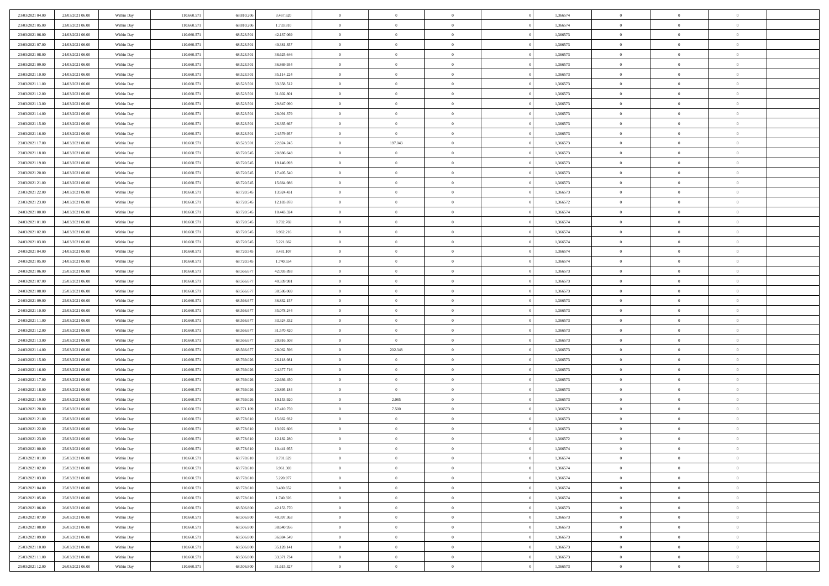| 23/03/2021 04:00                     | 23/03/2021 06:00                     | Within Day               | 110.660.571                | 68.810.206               | 3.467.620               | $\,$ 0                   | $\bf{0}$                         | $\theta$                   |          | 1,366574             | $\bf{0}$                 | $\overline{0}$                   | $\,0\,$                   |  |
|--------------------------------------|--------------------------------------|--------------------------|----------------------------|--------------------------|-------------------------|--------------------------|----------------------------------|----------------------------|----------|----------------------|--------------------------|----------------------------------|---------------------------|--|
| 23/03/2021 05:00                     | 23/03/2021 06:00                     | Within Day               | 110.660.57                 | 68.810.20                | 1.733.810               | $\overline{0}$           | $\overline{0}$                   | $\overline{0}$             |          | 1,366574             | $\overline{0}$           | $\overline{0}$                   | $\theta$                  |  |
| 23/03/2021 06:00                     | 24/03/2021 06:00                     | Within Dav               | 110.660.571                | 68.523.501               | 42.137.069              | $\mathbf{0}$             | $\overline{0}$                   | $\overline{0}$             |          | 1,366573             | $\mathbf{0}$             | $\overline{0}$                   | $\overline{0}$            |  |
| 23/03/2021 07:00                     | 24/03/2021 06:00                     | Within Day               | 110.660.571                | 68.523.501               | 40.381.357              | $\bf{0}$                 | $\overline{0}$                   | $\bf{0}$                   |          | 1,366573             | $\bf{0}$                 | $\overline{0}$                   | $\bf{0}$                  |  |
| 23/03/2021 08:00                     | 24/03/2021 06:00                     | Within Day               | 110.660.571                | 68.523.501               | 38.625.646              | $\bf{0}$                 | $\overline{0}$                   | $\overline{0}$             |          | 1,366573             | $\bf{0}$                 | $\bf{0}$                         | $\,0\,$                   |  |
| 23/03/2021 09:00                     | 24/03/2021 06:00                     | Within Dav               | 110.660.571                | 68.523.501               | 36.869.934              | $\overline{0}$           | $\overline{0}$                   | $\overline{0}$             |          | 1,366573             | $\mathbf{0}$             | $\overline{0}$                   | $\overline{0}$            |  |
| 23/03/2021 10:00                     | 24/03/2021 06:00                     | Within Day               | 110.660.571                | 68.523.501               | 35.114.224              | $\bf{0}$                 | $\overline{0}$                   | $\overline{0}$             |          | 1,366573             | $\bf{0}$                 | $\overline{0}$                   | $\,0\,$                   |  |
| 23/03/2021 11:00                     | 24/03/2021 06:00                     | Within Day               | 110.660.571                | 68.523.501               | 33.358.512              | $\overline{0}$           | $\overline{0}$                   | $\overline{0}$             |          | 1,366573             | $\,$ 0 $\,$              | $\overline{0}$                   | $\theta$                  |  |
| 23/03/2021 12:00                     | 24/03/2021 06:00                     | Within Day               | 110.660.571                | 68.523.501               | 31.602.801              | $\mathbf{0}$             | $\overline{0}$                   | $\overline{0}$             |          | 1,366573             | $\mathbf{0}$             | $\overline{0}$                   | $\overline{0}$            |  |
| 23/03/2021 13:00                     | 24/03/2021 06:00                     | Within Day               | 110.660.571                | 68.523.501               | 29.847.090              | $\bf{0}$                 | $\overline{0}$                   | $\theta$                   |          | 1,366573             | $\bf{0}$                 | $\overline{0}$                   | $\,0\,$                   |  |
| 23/03/2021 14:00                     | 24/03/2021 06:00                     | Within Day               | 110.660.571                | 68.523.501               | 28.091.379              | $\bf{0}$                 | $\overline{0}$                   | $\overline{0}$             |          | 1,366573             | $\bf{0}$                 | $\overline{0}$                   | $\theta$                  |  |
| 23/03/2021 15:00                     | 24/03/2021 06:00                     | Within Dav               | 110.660.571                | 68.523.501               | 26.335.667              | $\mathbf{0}$             | $\overline{0}$                   | $\overline{0}$             |          | 1,366573             | $\mathbf{0}$             | $\overline{0}$                   | $\overline{0}$            |  |
| 23/03/2021 16:00                     | 24/03/2021 06:00                     | Within Day               | 110.660.571                | 68.523.501               | 24.579.957              | $\bf{0}$                 | $\overline{0}$                   | $\bf{0}$                   |          | 1,366573             | $\bf{0}$                 | $\overline{0}$                   | $\bf{0}$                  |  |
| 23/03/2021 17:00                     | 24/03/2021 06:00                     | Within Day               | 110.660.571                | 68.523.501               | 22.824.245              | $\bf{0}$                 | 197.043                          | $\overline{0}$             |          | 1,366573             | $\bf{0}$                 | $\theta$                         | $\,0\,$                   |  |
| 23/03/2021 18:00                     | 24/03/2021 06:00                     | Within Dav               | 110.660.571                | 68.720.545               | 20.886.648              | $\overline{0}$           | $\overline{0}$                   | $\overline{0}$             |          | 1,366573             | $\mathbf{0}$             | $\overline{0}$                   | $\overline{0}$            |  |
| 23/03/2021 19:00                     | 24/03/2021 06:00                     | Within Day               | 110.660.571                | 68.720.545               | 19.146.093              | $\bf{0}$                 | $\bf{0}$                         | $\overline{0}$             |          | 1,366573             | $\bf{0}$                 | $\overline{0}$                   | $\bf{0}$                  |  |
| 23/03/2021 20:00                     | 24/03/2021 06:00                     |                          | 110.660.571                | 68.720.545               | 17.405.540              | $\overline{0}$           | $\overline{0}$                   | $\overline{0}$             |          | 1,366573             | $\,$ 0 $\,$              | $\overline{0}$                   | $\theta$                  |  |
| 23/03/2021 21:00                     | 24/03/2021 06:00                     | Within Day<br>Within Day | 110.660.571                | 68.720.545               | 15.664.986              | $\mathbf{0}$             | $\overline{0}$                   | $\overline{0}$             |          | 1,366573             | $\mathbf{0}$             | $\overline{0}$                   | $\overline{0}$            |  |
| 23/03/2021 22:00                     | 24/03/2021 06:00                     | Within Day               | 110.660.571                | 68.720.545               | 13.924.431              | $\bf{0}$                 | $\bf{0}$                         | $\overline{0}$             |          | 1,366573             | $\bf{0}$                 | $\overline{0}$                   | $\,0\,$                   |  |
| 23/03/2021 23:00                     | 24/03/2021 06:00                     |                          | 110.660.571                | 68.720.545               |                         | $\bf{0}$                 | $\overline{0}$                   | $\overline{0}$             |          | 1,366572             | $\bf{0}$                 | $\overline{0}$                   | $\overline{0}$            |  |
|                                      |                                      | Within Day               |                            |                          | 12.183.878              | $\mathbf{0}$             |                                  |                            |          |                      | $\mathbf{0}$             |                                  | $\overline{0}$            |  |
| 24/03/2021 00:00<br>24/03/2021 01:00 | 24/03/2021 06:00<br>24/03/2021 06:00 | Within Dav<br>Within Day | 110.660.571<br>110.660.571 | 68.720.545<br>68.720.545 | 10.443.324<br>8.702.769 | $\bf{0}$                 | $\overline{0}$<br>$\overline{0}$ | $\overline{0}$<br>$\bf{0}$ |          | 1,366574<br>1,366574 | $\bf{0}$                 | $\overline{0}$<br>$\overline{0}$ | $\bf{0}$                  |  |
|                                      |                                      |                          |                            |                          |                         |                          |                                  |                            |          |                      |                          |                                  |                           |  |
| 24/03/2021 02:00                     | 24/03/2021 06:00                     | Within Day               | 110.660.571                | 68.720.545               | 6.962.216               | $\bf{0}$<br>$\mathbf{0}$ | $\bf{0}$                         | $\overline{0}$             |          | 1,366574             | $\bf{0}$<br>$\mathbf{0}$ | $\bf{0}$                         | $\,0\,$<br>$\overline{0}$ |  |
| 24/03/2021 03:00                     | 24/03/2021 06:00                     | Within Dav               | 110.660.571                | 68.720.545               | 5.221.662               |                          | $\overline{0}$                   | $\overline{0}$             |          | 1,366574             |                          | $\overline{0}$                   |                           |  |
| 24/03/2021 04:00                     | 24/03/2021 06:00                     | Within Day               | 110.660.571                | 68.720.545               | 3.481.107               | $\bf{0}$                 | $\bf{0}$                         | $\overline{0}$             |          | 1,366574             | $\bf{0}$                 | $\overline{0}$                   | $\,0\,$                   |  |
| 24/03/2021 05:00                     | 24/03/2021 06:00                     | Within Day               | 110.660.571                | 68.720.545               | 1.740.554               | $\bf{0}$                 | $\overline{0}$                   | $\overline{0}$             |          | 1,366574             | $\bf{0}$                 | $\overline{0}$                   | $\overline{0}$            |  |
| 24/03/2021 06:00                     | 25/03/2021 06:00                     | Within Dav               | 110.660.571                | 68.566.677               | 42.093.893              | $\mathbf{0}$             | $\overline{0}$                   | $\overline{0}$             |          | 1,366573             | $\mathbf{0}$             | $\overline{0}$                   | $\overline{0}$            |  |
| 24/03/2021 07:00                     | 25/03/2021 06:00                     | Within Day               | 110.660.571                | 68.566.677               | 40.339.981              | $\bf{0}$                 | $\bf{0}$                         | $\overline{0}$             |          | 1,366573             | $\bf{0}$                 | $\overline{0}$                   | $\,0\,$                   |  |
| 24/03/2021 08:00                     | 25/03/2021 06:00                     | Within Day               | 110.660.571                | 68.566.677               | 38.586.069              | $\bf{0}$                 | $\bf{0}$                         | $\overline{0}$             |          | 1,366573             | $\bf{0}$                 | $\bf{0}$                         | $\bf{0}$                  |  |
| 24/03/2021 09:00                     | 25/03/2021 06:00                     | Within Dav               | 110.660.571                | 68.566.677               | 36.832.157              | $\mathbf{0}$             | $\overline{0}$                   | $\overline{0}$             |          | 1,366573             | $\mathbf{0}$             | $\overline{0}$                   | $\overline{0}$            |  |
| 24/03/2021 10:00                     | 25/03/2021 06:00                     | Within Day               | 110.660.571                | 68.566.677               | 35.078.244              | $\bf{0}$                 | $\overline{0}$                   | $\theta$                   |          | 1,366573             | $\,$ 0                   | $\overline{0}$                   | $\theta$                  |  |
| 24/03/2021 11:00                     | 25/03/2021 06:00                     | Within Day               | 110.660.571                | 68.566.677               | 33.324.332              | $\bf{0}$                 | $\overline{0}$                   | $\overline{0}$             |          | 1,366573             | $\bf{0}$                 | $\mathbf{0}$                     | $\bf{0}$                  |  |
| 24/03/2021 12:00                     | 25/03/2021 06:00                     | Within Dav               | 110.660.571                | 68.566.677               | 31.570.420              | $\mathbf{0}$             | $\overline{0}$                   | $\overline{0}$             |          | 1,366573             | $\mathbf{0}$             | $\overline{0}$                   | $\overline{0}$            |  |
| 24/03/2021 13:00                     | 25/03/2021 06:00                     | Within Day               | 110.660.571                | 68.566.677               | 29.816.508              | $\bf{0}$                 | $\overline{0}$                   | $\theta$                   |          | 1,366573             | $\,$ 0                   | $\overline{0}$                   | $\theta$                  |  |
| 24/03/2021 14:00                     | 25/03/2021 06:00                     | Within Day               | 110.660.571                | 68.566.677               | 28.062.596              | $\bf{0}$                 | 202.348                          | $\overline{0}$             |          | 1,366573             | $\bf{0}$                 | $\overline{0}$                   | $\overline{0}$            |  |
| 24/03/2021 15:00                     | 25/03/2021 06:00                     | Within Day               | 110.660.571                | 68.769.026               | 26.118.981              | $\mathbf{0}$             | $\overline{0}$                   | $\overline{0}$             |          | 1,366573             | $\mathbf{0}$             | $\overline{0}$                   | $\overline{0}$            |  |
| 24/03/2021 16:00                     | 25/03/2021 06:00                     | Within Day               | 110.660.571                | 68.769.026               | 24.377.716              | $\bf{0}$                 | $\overline{0}$                   | $\theta$                   |          | 1,366573             | $\,$ 0                   | $\overline{0}$                   | $\theta$                  |  |
| 24/03/2021 17:00                     | 25/03/2021 06:00                     | Within Day               | 110.660.571                | 68.769.026               | 22.636.450              | $\bf{0}$                 | $\overline{0}$                   | $\overline{0}$             |          | 1,366573             | $\bf{0}$                 | $\mathbf{0}$                     | $\bf{0}$                  |  |
| 24/03/2021 18:00                     | 25/03/2021 06:00                     | Within Dav               | 110.660.571                | 68.769.026               | 20.895.184              | $\mathbf{0}$             | $\overline{0}$                   | $\overline{0}$             |          | 1,366573             | $\mathbf{0}$             | $\overline{0}$                   | $\overline{0}$            |  |
| 24/03/2021 19:00                     | 25/03/2021 06:00                     | Within Day               | 110.660.571                | 68.769.026               | 19.153.920              | $\,0\,$                  | 2.085                            | $\theta$                   |          | 1,366573             | $\,$ 0                   | $\overline{0}$                   | $\theta$                  |  |
| 24/03/2021 20:00                     | 25/03/2021 06:00                     | Within Day               | 110.660.571                | 68.771.109               | 17.410.759              | $\bf{0}$                 | 7.500                            | $\overline{0}$             |          | 1,366573             | $\bf{0}$                 | $\overline{0}$                   | $\bf{0}$                  |  |
| 24/03/2021 21:00                     | 25/03/2021 06:00                     | Within Dav               | 110.660.571                | 68.778.610               | 15.662.932              | $\mathbf{0}$             | $\overline{0}$                   | $\overline{0}$             |          | 1,366573             | $\mathbf{0}$             | $\overline{0}$                   | $\overline{0}$            |  |
| 24/03/2021 22:00                     | 25/03/2021 06:00                     | Within Day               | 110.660.57                 | 68.778.610               | 13.922.606              | $\bf{0}$                 | $\overline{0}$                   | $\theta$                   |          | 1,366573             | $\,$ 0                   | $\overline{0}$                   | $\theta$                  |  |
| 24/03/2021 23.00                     | 25/03/2021 06:00                     | Within Day               | 110.660.57                 | 68.778.610               | 12.182.280              | $\bf{0}$                 | $\overline{0}$                   | $\overline{0}$             |          | 1,366572             | $\,$ 0 $\,$              | $\overline{0}$                   | $\bf{0}$                  |  |
| 25/03/2021 00:00                     | 25/03/2021 06:00                     | Within Day               | 110.660.571                | 68.778.610               | 10.441.955              | $\bf{0}$                 | $\overline{0}$                   |                            |          | 1,366574             | $\overline{0}$           | $\theta$                         | $\theta$                  |  |
| 25/03/2021 01:00                     | 25/03/2021 06:00                     | Within Day               | 110.660.571                | 68.778.610               | 8.701.629               | $\,0\,$                  | $\overline{0}$                   | $\theta$                   |          | 1,366574             | $\,$ 0 $\,$              | $\overline{0}$                   | $\theta$                  |  |
| 25/03/2021 02:00                     | 25/03/2021 06:00                     | Within Day               | 110.660.571                | 68,778,610               | 6.961.303               | $\overline{0}$           | $\overline{0}$                   | $\overline{0}$             |          | 1,366574             | $\overline{0}$           | $\overline{0}$                   | $\overline{0}$            |  |
| 25/03/2021 03:00                     | 25/03/2021 06:00                     | Within Day               | 110.660.571                | 68.778.610               | 5.220.977               | $\bf{0}$                 | $\overline{0}$                   | $\overline{0}$             |          | 1,366574             | $\overline{0}$           | $\bf{0}$                         | $\mathbf{0}$              |  |
| 25/03/2021 04:00                     | 25/03/2021 06:00                     | Within Day               | 110.660.571                | 68.778.610               | 3.480.652               | $\bf{0}$                 | $\overline{0}$                   | $\overline{0}$             | $\theta$ | 1,366574             | $\,$ 0 $\,$              | $\bf{0}$                         | $\,$ 0 $\,$               |  |
| 25/03/2021 05:00                     | 25/03/2021 06:00                     | Within Day               | 110.660.571                | 68.778.610               | 1.740.326               | $\bf{0}$                 | $\overline{0}$                   | $\overline{0}$             |          | 1,366574             | $\,$ 0 $\,$              | $\overline{0}$                   | $\overline{0}$            |  |
| 25/03/2021 06:00                     | 26/03/2021 06:00                     | Within Day               | 110.660.571                | 68.506.800               | 42.153.770              | $\bf{0}$                 | $\overline{0}$                   | $\overline{0}$             |          | 1,366573             | $\mathbf{0}$             | $\overline{0}$                   | $\overline{0}$            |  |
| 25/03/2021 07:00                     | 26/03/2021 06:00                     | Within Day               | 110.660.571                | 68.506.800               | 40.397.363              | $\,0\,$                  | $\overline{0}$                   | $\mathbf{0}$               | $\theta$ | 1,366573             | $\,$ 0 $\,$              | $\overline{0}$                   | $\overline{0}$            |  |
| 25/03/2021 08:00                     | 26/03/2021 06:00                     | Within Day               | 110.660.571                | 68,506,800               | 38.640.956              | $\bf{0}$                 | $\overline{0}$                   | $\overline{0}$             |          | 1,366573             | $\overline{0}$           | $\overline{0}$                   | $\overline{0}$            |  |
| 25/03/2021 09:00                     | 26/03/2021 06:00                     | Within Day               | 110.660.571                | 68.506.800               | 36.884.549              | $\bf{0}$                 | $\overline{0}$                   | $\overline{0}$             |          | 1,366573             | $\mathbf{0}$             | $\overline{0}$                   | $\mathbf{0}$              |  |
| 25/03/2021 10:00                     | 26/03/2021 06:00                     | Within Day               | 110.660.571                | 68.506.800               | 35.128.141              | $\,0\,$                  | $\overline{0}$                   | $\overline{0}$             |          | 1,366573             | $\,$ 0 $\,$              | $\mathbf{0}$                     | $\theta$                  |  |
| 25/03/2021 11:00                     | 26/03/2021 06:00                     | Within Day               | 110.660.571                | 68,506,800               | 33.371.734              | $\bf{0}$                 | $\bf{0}$                         | $\overline{0}$             |          | 1,366573             | $\mathbf 0$              | $\mathbf{0}$                     | $\overline{0}$            |  |
| 25/03/2021 12:00                     | 26/03/2021 06:00                     | Within Day               | 110.660.571                | 68.506.800               | 31.615.327              | $\mathbf{0}$             | $\overline{0}$                   | $\overline{0}$             |          | 1,366573             | $\mathbf{0}$             | $\overline{0}$                   | $\overline{0}$            |  |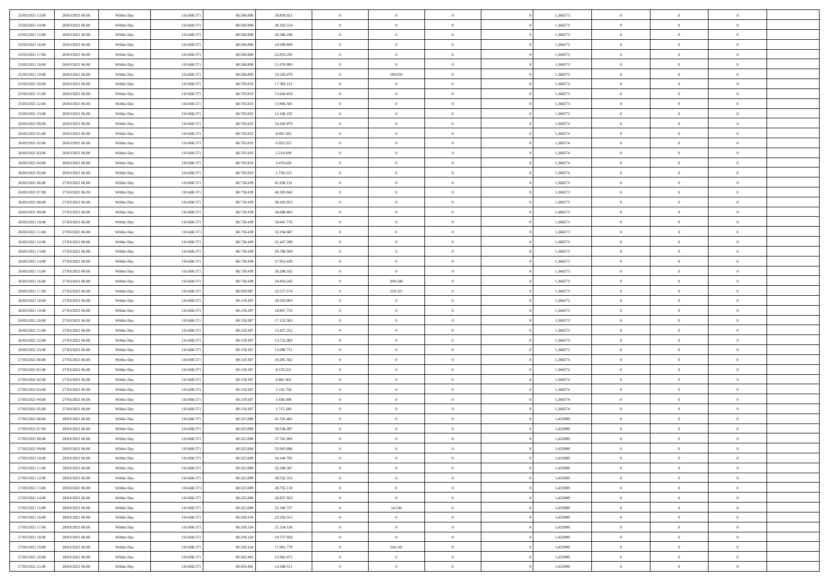| 25/03/2021 13:00 | 26/03/2021 06:00 | Within Day               | 110.660.571 | 68.506.800 | 29.858.921               | $\,$ 0         | $\bf{0}$       | $\theta$       |          | 1,366573 | $\bf{0}$       | $\overline{0}$ | $\,0\,$        |  |
|------------------|------------------|--------------------------|-------------|------------|--------------------------|----------------|----------------|----------------|----------|----------|----------------|----------------|----------------|--|
| 25/03/2021 14:00 | 26/03/2021 06:00 | Within Day               | 110.660.57  | 68,506,800 | 28.102.514               | $\overline{0}$ | $\overline{0}$ | $\overline{0}$ |          | 1,366573 | $\overline{0}$ | $\overline{0}$ | $\theta$       |  |
| 25/03/2021 15:00 | 26/03/2021 06:00 | Within Dav               | 110.660.571 | 68.506.800 | 26.346.106               | $\mathbf{0}$   | $\overline{0}$ | $\overline{0}$ |          | 1,366573 | $\mathbf{0}$   | $\overline{0}$ | $\overline{0}$ |  |
| 25/03/2021 16:00 | 26/03/2021 06:00 | Within Day               | 110.660.571 | 68.506.800 | 24.589.699               | $\bf{0}$       | $\overline{0}$ | $\bf{0}$       |          | 1,366573 | $\bf{0}$       | $\overline{0}$ | $\bf{0}$       |  |
| 25/03/2021 17:00 | 26/03/2021 06:00 | Within Day               | 110.660.571 | 68,506,800 | 22.833.292               | $\bf{0}$       | $\bf{0}$       | $\overline{0}$ |          | 1,366573 | $\bf{0}$       | $\bf{0}$       | $\,0\,$        |  |
| 25/03/2021 18:00 | 26/03/2021 06:00 | Within Dav               | 110.660.571 | 68.506.800 | 21.076.885               | $\overline{0}$ | $\overline{0}$ | $\overline{0}$ |          | 1,366573 | $\mathbf{0}$   | $\overline{0}$ | $\overline{0}$ |  |
| 25/03/2021 19:00 | 26/03/2021 06:00 | Within Day               | 110.660.571 | 68.506.800 | 19.320.478               | $\bf{0}$       | 199.033        | $\overline{0}$ |          | 1,366573 | $\bf{0}$       | $\overline{0}$ | $\,0\,$        |  |
|                  |                  |                          |             | 68,705,833 |                          | $\overline{0}$ | $\overline{0}$ | $\overline{0}$ |          |          | $\,$ 0 $\,$    | $\overline{0}$ | $\theta$       |  |
| 25/03/2021 20:00 | 26/03/2021 06:00 | Within Day               | 110.660.571 |            | 17.383.131               |                |                |                |          | 1,366573 |                |                |                |  |
| 25/03/2021 21:00 | 26/03/2021 06:00 | Within Day               | 110.660.571 | 68.705.833 | 15.644.818               | $\mathbf{0}$   | $\overline{0}$ | $\overline{0}$ |          | 1,366573 | $\mathbf{0}$   | $\overline{0}$ | $\overline{0}$ |  |
| 25/03/2021 22:00 | 26/03/2021 06:00 | Within Day               | 110.660.571 | 68.705.833 | 13.906.505               | $\bf{0}$       | $\bf{0}$       | $\theta$       |          | 1,366573 | $\bf{0}$       | $\overline{0}$ | $\,0\,$        |  |
| 25/03/2021 23.00 | 26/03/2021 06:00 | Within Day               | 110.660.571 | 68.705.833 | 12.168.192               | $\bf{0}$       | $\overline{0}$ | $\overline{0}$ |          | 1,366572 | $\bf{0}$       | $\overline{0}$ | $\theta$       |  |
| 26/03/2021 00:00 | 26/03/2021 06:00 | Within Dav               | 110.660.571 | 68.705.833 | 10.429.879               | $\mathbf{0}$   | $\overline{0}$ | $\overline{0}$ |          | 1,366574 | $\mathbf{0}$   | $\overline{0}$ | $\overline{0}$ |  |
| 26/03/2021 01:00 | 26/03/2021 06:00 | Within Day               | 110.660.571 | 68.705.833 | 8.691.565                | $\bf{0}$       | $\overline{0}$ | $\bf{0}$       |          | 1,366574 | $\bf{0}$       | $\overline{0}$ | $\bf{0}$       |  |
| 26/03/2021 02:00 | 26/03/2021 06:00 | Within Day               | 110.660.571 | 68.705.833 | 6.953.252                | $\bf{0}$       | $\overline{0}$ | $\overline{0}$ |          | 1,366574 | $\bf{0}$       | $\theta$       | $\,0\,$        |  |
| 26/03/2021 03:00 | 26/03/2021 06:00 | Within Dav               | 110.660.571 | 68.705.833 | 5.214.939                | $\overline{0}$ | $\overline{0}$ | $\overline{0}$ |          | 1,366574 | $\mathbf{0}$   | $\overline{0}$ | $\overline{0}$ |  |
| 26/03/2021 04:00 | 26/03/2021 06:00 | Within Day               | 110.660.571 | 68.705.833 | 3.476.626                | $\bf{0}$       | $\bf{0}$       | $\overline{0}$ |          | 1,366574 | $\bf{0}$       | $\overline{0}$ | $\,0\,$        |  |
| 26/03/2021 05:00 | 26/03/2021 06:00 | Within Day               | 110.660.571 | 68.705.833 | 1.738.313                | $\bf{0}$       | $\overline{0}$ | $\overline{0}$ |          | 1,366574 | $\,$ 0 $\,$    | $\overline{0}$ | $\theta$       |  |
| 26/03/2021 06:00 | 27/03/2021 06:00 | Within Day               | 110.660.571 | 68.730.439 | 41.930.131               | $\mathbf{0}$   | $\overline{0}$ | $\overline{0}$ |          | 1,366573 | $\mathbf{0}$   | $\overline{0}$ | $\overline{0}$ |  |
| 26/03/2021 07:00 | 27/03/2021 06:00 | Within Day               | 110.660.571 | 68.730.439 | 40.183.042               | $\bf{0}$       | $\bf{0}$       | $\overline{0}$ |          | 1,366573 | $\bf{0}$       | $\overline{0}$ | $\,0\,$        |  |
| 26/03/2021 08:00 | 27/03/2021 06:00 | Within Day               | 110.660.571 | 68.730.439 | 38.435.953               | $\bf{0}$       | $\overline{0}$ | $\overline{0}$ |          | 1,366573 | $\bf{0}$       | $\overline{0}$ | $\overline{0}$ |  |
| 26/03/2021 09:00 | 27/03/2021 06:00 | Within Dav               | 110.660.571 | 68.730.439 | 36.688.865               | $\mathbf{0}$   | $\overline{0}$ | $\overline{0}$ |          | 1,366573 | $\mathbf{0}$   | $\overline{0}$ | $\overline{0}$ |  |
| 26/03/2021 10:00 | 27/03/2021 06:00 | Within Day               | 110.660.571 | 68.730.439 | 34.941.776               | $\bf{0}$       | $\bf{0}$       | $\bf{0}$       |          | 1,366573 | $\bf{0}$       | $\overline{0}$ | $\bf{0}$       |  |
| 26/03/2021 11:00 | 27/03/2021 06:00 | Within Day               | 110.660.571 | 68.730.439 | 33.194.687               | $\bf{0}$       | $\bf{0}$       | $\overline{0}$ |          | 1,366573 | $\bf{0}$       | $\bf{0}$       | $\,0\,$        |  |
| 26/03/2021 12:00 | 27/03/2021 06:00 | Within Dav               | 110.660.571 | 68.730.439 | 31.447.598               | $\mathbf{0}$   | $\overline{0}$ | $\overline{0}$ |          | 1,366573 | $\mathbf{0}$   | $\overline{0}$ | $\theta$       |  |
| 26/03/2021 13:00 | 27/03/2021 06:00 | Within Day               | 110.660.571 | 68.730.439 | 29.700.509               | $\bf{0}$       | $\bf{0}$       | $\overline{0}$ |          | 1,366573 | $\bf{0}$       | $\overline{0}$ | $\,0\,$        |  |
| 26/03/2021 14:00 | 27/03/2021 06:00 | Within Day               | 110.660.571 | 68.730.439 | 27.953.420               | $\bf{0}$       | $\overline{0}$ | $\overline{0}$ |          | 1,366573 | $\bf{0}$       | $\overline{0}$ | $\overline{0}$ |  |
| 26/03/2021 15:00 | 27/03/2021 06:00 | Within Dav               | 110.660.571 | 68.730.439 | 26.206.332               | $\mathbf{0}$   | $\overline{0}$ | $\overline{0}$ |          | 1,366573 | $\mathbf{0}$   | $\overline{0}$ | $\overline{0}$ |  |
| 26/03/2021 16:00 | 27/03/2021 06:00 | Within Day               | 110.660.571 | 68.730.439 | 24.459.243               | $\bf{0}$       | 209.548        | $\overline{0}$ |          | 1,366573 | $\bf{0}$       | $\overline{0}$ | $\,0\,$        |  |
| 26/03/2021 17:00 | 27/03/2021 06:00 |                          | 110.660.571 | 68.939.987 |                          | $\bf{0}$       | 219.321        | $\overline{0}$ |          | 1,366573 | $\bf{0}$       | $\overline{0}$ | $\overline{0}$ |  |
| 26/03/2021 18:00 | 27/03/2021 06:00 | Within Day<br>Within Dav | 110.660.571 | 69.159.307 | 22.517.574<br>20.583.003 | $\mathbf{0}$   | $\overline{0}$ | $\overline{0}$ |          | 1,366573 | $\mathbf{0}$   | $\overline{0}$ | $\overline{0}$ |  |
|                  |                  |                          |             |            |                          |                |                |                |          |          |                |                |                |  |
| 26/03/2021 19:00 | 27/03/2021 06:00 | Within Day               | 110.660.571 | 69.159.307 | 18.867.753               | $\bf{0}$       | $\overline{0}$ | $\theta$       |          | 1,366573 | $\,$ 0         | $\overline{0}$ | $\theta$       |  |
| 26/03/2021 20:00 | 27/03/2021 06:00 | Within Day               | 110.660.571 | 69.159.307 | 17.152.502               | $\bf{0}$       | $\bf{0}$       | $\overline{0}$ |          | 1,366573 | $\bf{0}$       | $\overline{0}$ | $\overline{0}$ |  |
| 26/03/2021 21:00 | 27/03/2021 06:00 | Within Dav               | 110.660.571 | 69.159.307 | 15.437.252               | $\overline{0}$ | $\overline{0}$ | $\overline{0}$ |          | 1,366573 | $\mathbf{0}$   | $\overline{0}$ | $\overline{0}$ |  |
| 26/03/2021 22:00 | 27/03/2021 06:00 | Within Day               | 110.660.57  | 69.159.307 | 13.722.002               | $\bf{0}$       | $\overline{0}$ | $\theta$       |          | 1,366573 | $\,$ 0         | $\overline{0}$ | $\theta$       |  |
| 26/03/2021 23:00 | 27/03/2021 06:00 | Within Day               | 110.660.571 | 69.159.307 | 12.006.751               | $\bf{0}$       | $\overline{0}$ | $\overline{0}$ |          | 1,366572 | $\bf{0}$       | $\overline{0}$ | $\overline{0}$ |  |
| 27/03/2021 00:00 | 27/03/2021 06:00 | Within Day               | 110.660.571 | 69.159.307 | 10.291.502               | $\mathbf{0}$   | $\overline{0}$ | $\overline{0}$ |          | 1,366574 | $\mathbf{0}$   | $\overline{0}$ | $\overline{0}$ |  |
| 27/03/2021 01:00 | 27/03/2021 06:00 | Within Day               | 110.660.571 | 69.159.307 | 8.576.251                | $\bf{0}$       | $\overline{0}$ | $\theta$       |          | 1,366574 | $\,$ 0         | $\overline{0}$ | $\theta$       |  |
| 27/03/2021 02:00 | 27/03/2021 06:00 | Within Day               | 110.660.571 | 69.159.307 | 6.861.001                | $\bf{0}$       | $\bf{0}$       | $\overline{0}$ |          | 1,366574 | $\bf{0}$       | $\mathbf{0}$   | $\overline{0}$ |  |
| 27/03/2021 03:00 | 27/03/2021 06:00 | Within Dav               | 110.660.571 | 69.159.307 | 5.145.750                | $\mathbf{0}$   | $\overline{0}$ | $\overline{0}$ |          | 1,366574 | $\mathbf{0}$   | $\overline{0}$ | $\overline{0}$ |  |
| 27/03/2021 04:00 | 27/03/2021 06:00 | Within Day               | 110.660.571 | 69.159.307 | 3.430.500                | $\,0\,$        | $\overline{0}$ | $\theta$       |          | 1,366574 | $\,$ 0         | $\overline{0}$ | $\theta$       |  |
| 27/03/2021 05:00 | 27/03/2021 06:00 | Within Day               | 110.660.571 | 69.159.307 | 1.715.249                | $\bf{0}$       | $\overline{0}$ | $\overline{0}$ |          | 1,366574 | $\bf{0}$       | $\overline{0}$ | $\overline{0}$ |  |
| 27/03/2021 06:00 | 28/03/2021 06:00 | Within Dav               | 110.660.571 | 69.325.089 | 41.335.481               | $\mathbf{0}$   | $\overline{0}$ | $\overline{0}$ |          | 1,425989 | $\mathbf{0}$   | $\overline{0}$ | $\overline{0}$ |  |
| 27/03/2021 07:00 | 28/03/2021 06:00 | Within Day               | 110.660.57  | 69.325.089 | 39.538.287               | $\bf{0}$       | $\overline{0}$ | $\theta$       |          | 1,425989 | $\,$ 0         | $\overline{0}$ | $\theta$       |  |
| 27/03/2021 08:00 | 28/03/2021 06:00 | Within Day               | 110.660.57  | 69.325.089 | 37.741.092               | $\bf{0}$       | $\overline{0}$ | $\overline{0}$ |          | 1,425989 | $\,$ 0 $\,$    | $\overline{0}$ | $\overline{0}$ |  |
| 27/03/2021 09:00 | 28/03/2021 06:00 | Within Day               | 110.660.571 | 69.325.089 | 35.943.896               | $\bf{0}$       | $\overline{0}$ |                |          | 1,425989 | $\overline{0}$ | $\theta$       | $\theta$       |  |
| 27/03/2021 10:00 | 28/03/2021 06:00 | Within Day               | 110.660.571 | 69.325.089 | 34.146.702               | $\,0\,$        | $\overline{0}$ | $\theta$       |          | 1,425989 | $\,$ 0 $\,$    | $\overline{0}$ | $\theta$       |  |
| 27/03/2021 11:00 | 28/03/2021 06:00 | Within Day               | 110.660.571 | 69.325.089 | 32.349.507               | $\overline{0}$ | $\overline{0}$ | $\overline{0}$ |          | 1,425989 | $\overline{0}$ | $\overline{0}$ | $\overline{0}$ |  |
| 27/03/2021 12:00 | 28/03/2021 06:00 | Within Day               | 110.660.571 | 69.325.089 | 30.552.312               | $\bf{0}$       | $\overline{0}$ | $\overline{0}$ |          | 1,425990 | $\overline{0}$ | $\bf{0}$       | $\mathbf{0}$   |  |
| 27/03/2021 13:00 | 28/03/2021 06:00 | Within Day               | 110.660.571 | 69.325.089 | 28.755.118               | $\bf{0}$       | $\overline{0}$ | $\overline{0}$ | $\theta$ | 1,425989 | $\,$ 0 $\,$    | $\bf{0}$       | $\,$ 0 $\,$    |  |
| 27/03/2021 14:00 | 28/03/2021 06:00 | Within Day               | 110.660.571 | 69.325.089 | 26.957.923               | $\,$ 0 $\,$    | $\overline{0}$ | $\overline{0}$ |          | 1,425989 | $\,$ 0 $\,$    | $\overline{0}$ | $\overline{0}$ |  |
| 27/03/2021 15:00 | 28/03/2021 06:00 | Within Day               | 110.660.571 | 69.325.089 | 25.160.727               | $\bf{0}$       | 14.236         | $\overline{0}$ |          | 1,425989 | $\mathbf{0}$   | $\overline{0}$ | $\overline{0}$ |  |
| 27/03/2021 16:00 | 28/03/2021 06:00 | Within Day               | 110.660.571 | 69.339.324 | 23.350.313               | $\,0\,$        | $\overline{0}$ | $\mathbf{0}$   | $\theta$ | 1,425989 | $\,$ 0 $\,$    | $\overline{0}$ | $\overline{0}$ |  |
| 27/03/2021 17:00 | 28/03/2021 06:00 | Within Day               | 110.660.571 | 69.339.324 | 21.554.136               | $\bf{0}$       | $\overline{0}$ | $\overline{0}$ |          | 1,425990 | $\overline{0}$ | $\overline{0}$ | $\overline{0}$ |  |
| 27/03/2021 18:00 | 28/03/2021 06:00 | Within Day               | 110.660.571 | 69.339.324 | 19.757.958               | $\bf{0}$       | $\overline{0}$ | $\overline{0}$ |          | 1,425989 | $\mathbf{0}$   | $\overline{0}$ | $\mathbf{0}$   |  |
|                  |                  |                          |             |            |                          | $\,0\,$        |                | $\overline{0}$ |          |          | $\,$ 0 $\,$    | $\mathbf{0}$   | $\overline{0}$ |  |
| 27/03/2021 19:00 | 28/03/2021 06:00 | Within Day               | 110.660.571 | 69.339.324 | 17.961.779               |                | 226.141        |                |          | 1,425990 |                |                |                |  |
| 27/03/2021 20:00 | 28/03/2021 06:00 | Within Day               | 110.660.571 | 69.565.465 | 15.962.075               | $\bf{0}$       | $\bf{0}$       | $\overline{0}$ |          | 1,425989 | $\mathbf 0$    | $\mathbf{0}$   | $\overline{0}$ |  |
| 27/03/2021 21:00 | 28/03/2021 06:00 | Within Day               | 110.660.571 | 69.565.465 | 14.188.511               | $\mathbf{0}$   | $\overline{0}$ | $\overline{0}$ |          | 1,425990 | $\mathbf{0}$   | $\overline{0}$ | $\overline{0}$ |  |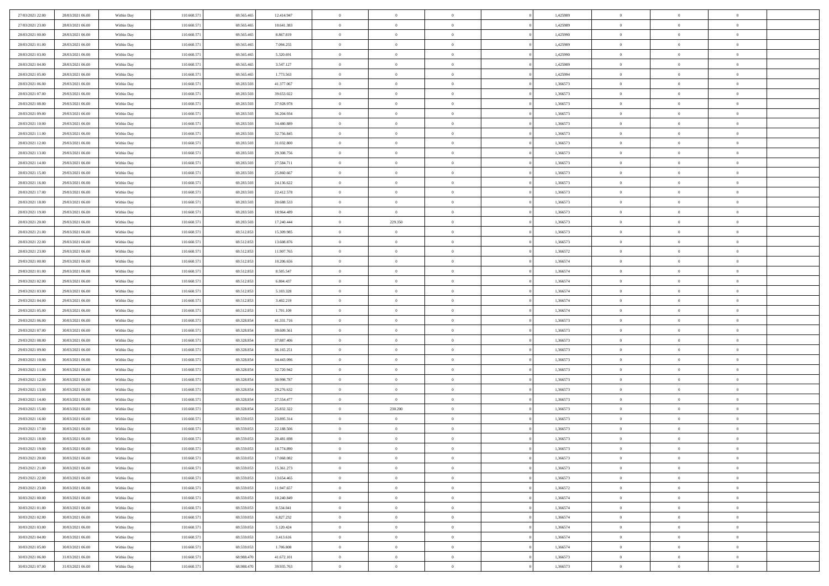| 27/03/2021 22.00 | 28/03/2021 06:00 | Within Day               | 110.660.571 | 69.565.465 | 12.414.947 | $\,0\,$                         | $\overline{0}$ | $\overline{0}$ |                | 1,425989 | $\,$ 0 $\,$    | $\overline{0}$                   | $\bf{0}$       |  |
|------------------|------------------|--------------------------|-------------|------------|------------|---------------------------------|----------------|----------------|----------------|----------|----------------|----------------------------------|----------------|--|
| 27/03/2021 23:00 | 28/03/2021 06:00 | Within Day               | 110,660.57  | 69.565.46  | 10.641.383 | $\overline{0}$                  | $\overline{0}$ | $\overline{0}$ |                | 1,425989 | $\theta$       | $\overline{0}$                   | $\theta$       |  |
| 28/03/2021 00:00 | 28/03/2021 06:00 | Within Day               | 110.660.571 | 69.565.465 | 8.867.819  | $\mathbf{0}$                    | $\overline{0}$ | $\overline{0}$ |                | 1,425990 | $\theta$       | $\overline{0}$                   | $\overline{0}$ |  |
| 28/03/2021 01:00 | 28/03/2021 06:00 | Within Day               | 110.660.571 | 69.565.465 | 7.094.255  | $\bf{0}$                        | $\overline{0}$ | $\bf{0}$       |                | 1,425989 | $\bf{0}$       | $\overline{0}$                   | $\bf{0}$       |  |
| 28/03/2021 03:00 | 28/03/2021 06:00 | Within Day               | 110.660.57  | 69.565.465 | 5.320.691  | $\bf{0}$                        | $\overline{0}$ | $\overline{0}$ |                | 1,425990 | $\bf{0}$       | $\bf{0}$                         | $\bf{0}$       |  |
| 28/03/2021 04:00 | 28/03/2021 06:00 | Within Day               | 110.660.571 | 69.565.465 | 3.547.127  | $\mathbf{0}$                    | $\overline{0}$ | $\overline{0}$ |                | 1,425989 | $\theta$       |                                  | $\theta$       |  |
|                  |                  |                          |             |            |            |                                 |                |                |                |          |                | $\overline{0}$                   |                |  |
| 28/03/2021 05:00 | 28/03/2021 06:00 | Within Day               | 110.660.571 | 69.565.465 | 1.773.563  | $\mathbf{0}$                    | $\overline{0}$ | $\overline{0}$ |                | 1,425994 | $\bf{0}$       | $\overline{0}$                   | $\theta$       |  |
| 28/03/2021 06:00 | 29/03/2021 06:00 | Within Day               | 110,660.57  | 69.283.50  | 41.377.067 | $\overline{0}$                  | $\mathbf{0}$   | $\overline{0}$ |                | 1,366573 | $\,$ 0 $\,$    | $\overline{0}$                   | $\overline{0}$ |  |
| 28/03/2021 07:00 | 29/03/2021 06:00 | Within Day               | 110.660.571 | 69.283.503 | 39.653.022 | $\mathbf{0}$                    | $\overline{0}$ | $\overline{0}$ |                | 1,366573 | $\theta$       | $\overline{0}$                   | $\overline{0}$ |  |
| 28/03/2021 08:00 | 29/03/2021 06:00 | Within Day               | 110.660.571 | 69.283.503 | 37.928.978 | $\bf{0}$                        | $\overline{0}$ | $\bf{0}$       |                | 1,366573 | $\bf{0}$       | $\overline{0}$                   | $\bf{0}$       |  |
| 28/03/2021 09:00 | 29/03/2021 06:00 | Within Day               | 110.660.571 | 69.283.503 | 36.204.934 | $\bf{0}$                        | $\overline{0}$ | $\overline{0}$ |                | 1,366573 | $\bf{0}$       | $\theta$                         | $\theta$       |  |
| 28/03/2021 10:00 | 29/03/2021 06:00 | Within Day               | 110.660.571 | 69.283.503 | 34.480.889 | $\mathbf{0}$                    | $\overline{0}$ | $\overline{0}$ |                | 1,366573 | $\theta$       | $\overline{0}$                   | $\overline{0}$ |  |
| 28/03/2021 11:00 | 29/03/2021 06:00 | Within Day               | 110.660.571 | 69.283.503 | 32.756.845 | $\,0\,$                         | $\overline{0}$ | $\bf{0}$       |                | 1,366573 | $\bf{0}$       | $\overline{0}$                   | $\bf{0}$       |  |
| 28/03/2021 12:00 | 29/03/2021 06:00 | Within Day               | 110.660.57  | 69.283.503 | 31.032.800 | $\bf{0}$                        | $\overline{0}$ | $\overline{0}$ |                | 1,366573 | $\,$ 0 $\,$    | $\overline{0}$                   | $\theta$       |  |
| 28/03/2021 13:00 | 29/03/2021 06:00 | Within Day               | 110.660.571 | 69.283.503 | 29.308.756 | $\mathbf{0}$                    | $\overline{0}$ | $\overline{0}$ |                | 1,366573 | $\theta$       | $\overline{0}$                   | $\overline{0}$ |  |
| 28/03/2021 14:00 | 29/03/2021 06:00 | Within Day               | 110.660.571 | 69.283.503 | 27.584.711 | $\,0\,$                         | $\overline{0}$ | $\bf{0}$       |                | 1,366573 | $\bf{0}$       | $\overline{0}$                   | $\bf{0}$       |  |
| 28/03/2021 15:00 | 29/03/2021 06:00 | Within Day               | 110.660.571 | 69.283.503 | 25.860.667 | $\bf{0}$                        | $\overline{0}$ | $\overline{0}$ |                | 1,366573 | $\bf{0}$       | $\bf{0}$                         | $\overline{0}$ |  |
| 28/03/2021 16:00 | 29/03/2021 06:00 | Within Day               | 110.660.571 | 69.283.503 | 24.136.622 | $\mathbf{0}$                    | $\overline{0}$ | $\overline{0}$ |                | 1,366573 | $\theta$       | $\overline{0}$                   | $\overline{0}$ |  |
| 28/03/2021 17:00 | 29/03/2021 06:00 | Within Day               | 110.660.571 | 69.283.503 | 22.412.578 | $\,0\,$                         | $\overline{0}$ | $\bf{0}$       |                | 1,366573 | $\bf{0}$       | $\overline{0}$                   | $\bf{0}$       |  |
| 28/03/2021 18:00 | 29/03/2021 06:00 | Within Day               | 110.660.57  | 69.283.503 | 20.688.533 | $\bf{0}$                        | $\overline{0}$ | $\overline{0}$ |                | 1,366573 | $\,$ 0 $\,$    | $\overline{0}$                   | $\bf{0}$       |  |
| 28/03/2021 19:00 | 29/03/2021 06:00 | Within Day               | 110.660.571 | 69.283.503 | 18.964.489 | $\mathbf{0}$                    | $\overline{0}$ | $\overline{0}$ |                | 1,366573 | $\theta$       | $\bf{0}$                         | $\overline{0}$ |  |
| 28/03/2021 20:00 | 29/03/2021 06:00 | Within Day               | 110.660.571 | 69.283.503 | 17.240.444 | $\mathbf{0}$                    | 229.350        | $\overline{0}$ |                | 1,366573 | $\bf{0}$       | $\overline{0}$                   | $\theta$       |  |
| 28/03/2021 21:00 | 29/03/2021 06:00 | Within Day               | 110,660.57  | 69.512.853 | 15.309.985 | $\bf{0}$                        | $\overline{0}$ | $\overline{0}$ |                | 1,366573 | $\,$ 0 $\,$    | $\overline{0}$                   | $\overline{0}$ |  |
| 28/03/2021 22:00 | 29/03/2021 06:00 | Within Day               | 110.660.571 | 69.512.853 | 13.608.876 | $\mathbf{0}$                    | $\overline{0}$ | $\overline{0}$ |                | 1,366573 | $\theta$       | $\overline{0}$                   | $\overline{0}$ |  |
| 28/03/2021 23:00 | 29/03/2021 06:00 | Within Day               | 110.660.571 | 69.512.853 | 11.907.765 | $\bf{0}$                        | $\overline{0}$ | $\overline{0}$ |                | 1,366572 | $\bf{0}$       | $\overline{0}$                   | $\bf{0}$       |  |
| 29/03/2021 00:00 | 29/03/2021 06:00 | Within Day               | 110.660.57  | 69.512.853 | 10.206.656 | $\bf{0}$                        | $\overline{0}$ | $\overline{0}$ |                | 1,366574 | $\,$ 0 $\,$    | $\mathbf{0}$                     | $\bf{0}$       |  |
| 29/03/2021 01:00 | 29/03/2021 06:00 | Within Day               | 110.660.571 | 69.512.853 | 8.505.547  | $\mathbf{0}$                    | $\overline{0}$ | $\overline{0}$ |                | 1,366574 | $\theta$       | $\overline{0}$                   | $\overline{0}$ |  |
| 29/03/2021 02:00 | 29/03/2021 06:00 | Within Day               | 110.660.571 | 69.512.853 | 6.804.437  | $\,0\,$                         | $\overline{0}$ | $\bf{0}$       |                | 1,366574 | $\bf{0}$       | $\overline{0}$                   | $\bf{0}$       |  |
| 29/03/2021 03:00 | 29/03/2021 06:00 | Within Day               | 110.660.571 | 69.512.853 | 5.103.328  | $\overline{0}$                  | $\overline{0}$ | $\overline{0}$ |                | 1,366574 | $\,$ 0 $\,$    | $\overline{0}$                   | $\overline{0}$ |  |
| 29/03/2021 04:00 | 29/03/2021 06:00 | Within Day               | 110.660.571 | 69.512.853 | 3.402.219  | $\mathbf{0}$                    | $\overline{0}$ | $\overline{0}$ |                | 1,366574 | $\theta$       | $\overline{0}$                   | $\overline{0}$ |  |
| 29/03/2021 05:00 | 29/03/2021 06:00 | Within Day               | 110.660.571 | 69.512.853 | 1.701.109  | $\mathbf{0}$                    | $\overline{0}$ | $\overline{0}$ |                | 1,366574 | $\,$ 0 $\,$    | $\overline{0}$                   | $\theta$       |  |
| 29/03/2021 06:00 | 30/03/2021 06:00 | Within Day               | 110.660.571 | 69.328.854 | 41.331.716 | $\bf{0}$                        | $\overline{0}$ | $\overline{0}$ |                | 1,366573 | $\bf{0}$       | $\bf{0}$                         | $\overline{0}$ |  |
| 29/03/2021 07:00 | 30/03/2021 06:00 | Within Day               | 110.660.571 | 69.328.854 | 39.609.561 | $\mathbf{0}$                    | $\overline{0}$ | $\overline{0}$ |                | 1,366573 | $\theta$       | $\overline{0}$                   | $\overline{0}$ |  |
| 29/03/2021 08:00 | 30/03/2021 06:00 | Within Day               | 110.660.57  | 69.328.854 | 37.887.406 | $\mathbf{0}$                    | $\overline{0}$ | $\overline{0}$ |                | 1,366573 | $\,$ 0 $\,$    | $\overline{0}$                   | $\theta$       |  |
| 29/03/2021 09:00 | 30/03/2021 06:00 |                          | 110.660.571 | 69.328.854 | 36.165.251 | $\overline{0}$                  | $\overline{0}$ | $\overline{0}$ |                | 1,366573 | $\,$ 0 $\,$    | $\overline{0}$                   | $\overline{0}$ |  |
| 29/03/2021 10:00 | 30/03/2021 06:00 | Within Day<br>Within Day | 110.660.571 | 69.328.854 | 34.443.096 | $\mathbf{0}$                    | $\overline{0}$ | $\overline{0}$ |                | 1,366573 | $\theta$       | $\bf{0}$                         | $\theta$       |  |
|                  |                  |                          |             |            |            | $\mathbf{0}$                    | $\overline{0}$ |                |                |          |                |                                  | $\theta$       |  |
| 29/03/2021 11:00 | 30/03/2021 06:00 | Within Day               | 110.660.571 | 69.328.854 | 32.720.942 |                                 | $\overline{0}$ | $\overline{0}$ |                | 1,366573 | $\,$ 0 $\,$    | $\overline{0}$<br>$\overline{0}$ | $\overline{0}$ |  |
| 29/03/2021 12:00 | 30/03/2021 06:00 | Within Day               | 110.660.57  | 69.328.854 | 30.998.787 | $\bf{0}$                        |                | $\overline{0}$ |                | 1,366573 | $\,$ 0 $\,$    |                                  |                |  |
| 29/03/2021 13:00 | 30/03/2021 06:00 | Within Day               | 110.660.571 | 69.328.854 | 29.276.632 | $\mathbf{0}$                    | $\overline{0}$ | $\overline{0}$ |                | 1,366573 | $\theta$       | $\overline{0}$                   | $\overline{0}$ |  |
| 29/03/2021 14:00 | 30/03/2021 06:00 | Within Day               | 110.660.571 | 69.328.854 | 27.554.477 | $\mathbf{0}$                    | $\overline{0}$ | $\bf{0}$       |                | 1,366573 | $\,$ 0 $\,$    | $\overline{0}$                   | $\theta$       |  |
| 29/03/2021 15:00 | 30/03/2021 06:00 | Within Day               | 110.660.57  | 69.328.854 | 25.832.322 | $\bf{0}$                        | 230.200        | $\overline{0}$ |                | 1,366573 | $\bf{0}$       | $\overline{0}$                   | $\overline{0}$ |  |
| 29/03/2021 16:00 | 30/03/2021 06:00 | Within Day               | 110.660.571 | 69.559.053 | 23.895.314 | $\mathbf{0}$                    | $\overline{0}$ | $\overline{0}$ |                | 1,366573 | $\theta$       | $\overline{0}$                   | $\overline{0}$ |  |
| 29/03/2021 17:00 | 30/03/2021 06:00 | Within Day               | 110.660.571 | 69.559.053 | 22.188.506 | $\mathbf{0}$                    | $\overline{0}$ | $\overline{0}$ |                | 1,366573 | $\,$ 0 $\,$    | $\overline{0}$                   | $\theta$       |  |
| 29/03/2021 18:00 | 30/03/2021 06:00 | Within Day               | 110.660.57  | 69.559.053 | 20.481.698 | $\bf{0}$                        | $\overline{0}$ | $\overline{0}$ |                | 1,366573 | $\,$ 0 $\,$    | $\overline{0}$                   | $\overline{0}$ |  |
| 29/03/2021 19:00 | 30/03/2021 06:00 | Within Day               | 110.660.571 | 69.559.053 | 18.774.890 | $\mathbf{0}$                    | $\overline{0}$ | $\overline{0}$ |                | 1,366573 | $\overline{0}$ | $^{\circ}$                       | $\theta$       |  |
| 29/03/2021 20:00 | 30/03/2021 06:00 | Within Day               | 110.660.571 | 69.559.053 | 17.068.082 | $\,$ 0 $\,$                     | $\overline{0}$ | $\overline{0}$ |                | 1,366573 | $\,$ 0 $\,$    | $\overline{0}$                   | $\theta$       |  |
| 29/03/2021 21:00 | 30/03/2021 06:00 | Within Day               | 110.660.571 | 69.559.05  | 15.361.273 | $\bf{0}$                        | $\overline{0}$ | $\overline{0}$ |                | 1,366573 | $\overline{0}$ | $\overline{0}$                   | $\overline{0}$ |  |
| 29/03/2021 22:00 | 30/03/2021 06:00 | Within Day               | 110.660.571 | 69.559.053 | 13.654.465 | $\mathbf{0}$                    | $\overline{0}$ | $\overline{0}$ |                | 1,366573 | $\mathbf{0}$   | $\overline{0}$                   | $\mathbf{0}$   |  |
| 29/03/2021 23:00 | 30/03/2021 06:00 | Within Day               | 110.660.571 | 69.559.053 | 11.947.657 | $\,$ 0                          | $\overline{0}$ | $\bf{0}$       | $\overline{0}$ | 1,366572 | $\,$ 0 $\,$    | $\bf{0}$                         | $\theta$       |  |
| 30/03/2021 00:00 | 30/03/2021 06:00 | Within Day               | 110.660.571 | 69.559.053 | 10.240.849 | $\hspace{0.1cm}0\hspace{0.1cm}$ | $\overline{0}$ | $\overline{0}$ |                | 1,366574 | $\,$ 0 $\,$    | $\overline{0}$                   | $\overline{0}$ |  |
| 30/03/2021 01:00 | 30/03/2021 06:00 | Within Day               | 110.660.571 | 69.559.053 | 8.534.041  | $\mathbf{0}$                    | $\overline{0}$ | $\overline{0}$ |                | 1,366574 | $\overline{0}$ | $\overline{0}$                   | $\overline{0}$ |  |
| 30/03/2021 02:00 | 30/03/2021 06:00 | Within Day               | 110.660.571 | 69.559.053 | 6.827.232  | $\,$ 0 $\,$                     | $\overline{0}$ | $\bf{0}$       |                | 1,366574 | $\,$ 0 $\,$    | $\overline{0}$                   | $\theta$       |  |
| 30/03/2021 03:00 | 30/03/2021 06:00 | Within Day               | 110,660.57  | 69.559.05  | 5.120.424  | $\overline{0}$                  | $\overline{0}$ | $\overline{0}$ |                | 1,366574 | $\overline{0}$ | $\overline{0}$                   | $\bf{0}$       |  |
| 30/03/2021 04:00 | 30/03/2021 06:00 | Within Day               | 110.660.571 | 69.559.053 | 3.413.616  | $\mathbf{0}$                    | $\overline{0}$ | $\overline{0}$ |                | 1,366574 | $\mathbf{0}$   | $\overline{0}$                   | $\mathbf{0}$   |  |
| 30/03/2021 05:00 | 30/03/2021 06:00 | Within Day               | 110.660.571 | 69.559.053 | 1.706.808  | $\,$ 0 $\,$                     | $\overline{0}$ | $\bf{0}$       |                | 1,366574 | $\,$ 0 $\,$    | $\bf{0}$                         | $\,$ 0 $\,$    |  |
| 30/03/2021 06:00 | 31/03/2021 06:00 | Within Day               | 110.660.571 | 68.988.470 | 41.672.101 | $\overline{0}$                  | $\overline{0}$ | $\overline{0}$ |                | 1,366573 | $\,$ 0 $\,$    | $\mathbf{0}$                     | $\bf{0}$       |  |
| 30/03/2021 07:00 | 31/03/2021 06:00 | Within Day               | 110.660.571 | 68.988.470 | 39.935.763 | $\overline{0}$                  | $\overline{0}$ | $\overline{0}$ |                | 1,366573 | $\overline{0}$ | $\overline{0}$                   | $\overline{0}$ |  |